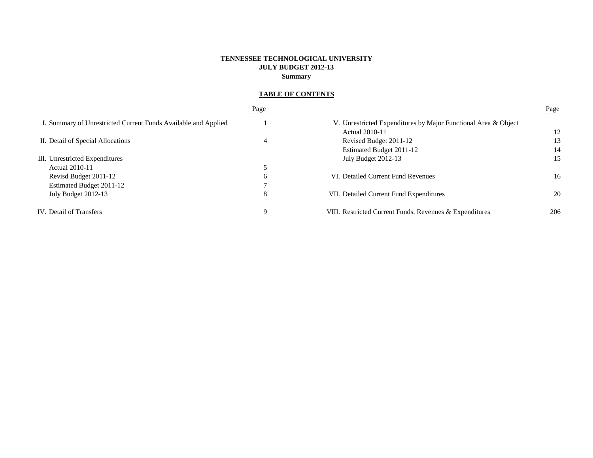## **TENNESSEE TECHNOLOGICAL UNIVERSITY JULY BUDGET 2012-13 Summary**

# **TABLE OF CONTENTS**

|                                                                | Page          |                                                                | Page |
|----------------------------------------------------------------|---------------|----------------------------------------------------------------|------|
| I. Summary of Unrestricted Current Funds Available and Applied |               | V. Unrestricted Expenditures by Major Functional Area & Object |      |
|                                                                |               | <b>Actual 2010-11</b>                                          | 12   |
| II. Detail of Special Allocations                              | 4             | Revised Budget 2011-12                                         | 13   |
|                                                                |               | Estimated Budget 2011-12                                       | 14   |
| III. Unrestricted Expenditures                                 |               | July Budget 2012-13                                            | 15   |
| Actual 2010-11                                                 |               |                                                                |      |
| Revisd Budget 2011-12                                          | $\mathfrak b$ | VI. Detailed Current Fund Revenues                             | 16   |
| Estimated Budget 2011-12                                       |               |                                                                |      |
| July Budget 2012-13                                            | 8             | VII. Detailed Current Fund Expenditures                        | 20   |
| IV. Detail of Transfers                                        | q             | VIII. Restricted Current Funds, Revenues & Expenditures        | 206  |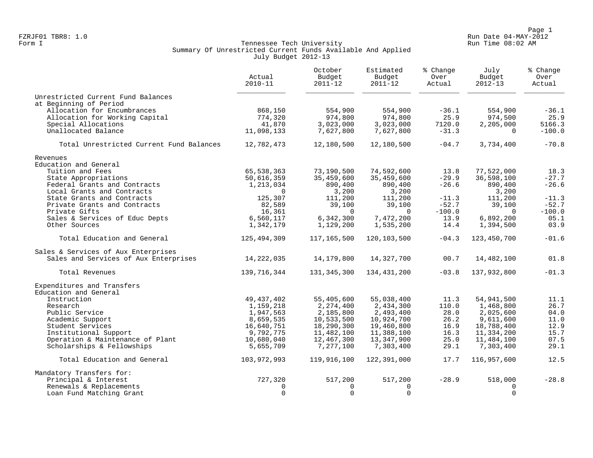Page 1<br>Run Date 04-MAY-2012 Run Date 04-MAY-2012 FZRJF01 TBR8: 1.0 Run Date 04-MAY-2012

## Form I Georgian Communication of the Communication of Tennessee Tech University Communication Run Time 08:02 AM Summary Of Unrestricted Current Funds Available And Applied July Budget 2012-13

|                                          | Actual<br>$2010 - 11$ | October<br>Budget<br>$2011 - 12$ | Estimated<br>Budget<br>$2011 - 12$ | % Change<br>Over<br>Actual | July<br>Budget<br>$2012 - 13$ | % Change<br>Over<br>Actual |
|------------------------------------------|-----------------------|----------------------------------|------------------------------------|----------------------------|-------------------------------|----------------------------|
| Unrestricted Current Fund Balances       |                       |                                  |                                    |                            |                               |                            |
| at Beginning of Period                   |                       |                                  |                                    |                            |                               |                            |
| Allocation for Encumbrances              | 868,150               | 554,900                          | 554,900                            | $-36.1$                    | 554,900                       | $-36.1$                    |
| Allocation for Working Capital           | 774,320               | 974,800                          | 974,800                            | 25.9                       | 974,500                       | 25.9                       |
| Special Allocations                      | 41,870                | 3,023,000                        | 3,023,000                          | 7120.0                     | 2,205,000                     | 5166.3                     |
| Unallocated Balance                      | 11,098,133            | 7,627,800                        | 7,627,800                          | $-31.3$                    | $\Omega$                      | $-100.0$                   |
| Total Unrestricted Current Fund Balances | 12,782,473            | 12,180,500                       | 12,180,500                         | $-04.7$                    | 3,734,400                     | $-70.8$                    |
| Revenues                                 |                       |                                  |                                    |                            |                               |                            |
| Education and General                    |                       |                                  |                                    |                            |                               |                            |
| Tuition and Fees                         | 65,538,363            | 73,190,500                       | 74,592,600                         | 13.8                       | 77,522,000                    | 18.3                       |
| State Appropriations                     | 50,616,359            | 35,459,600                       | 35,459,600                         | $-29.9$                    | 36,598,100                    | $-27.7$                    |
| Federal Grants and Contracts             | 1,213,034             | 890,400                          | 890,400                            | $-26.6$                    | 890,400                       | $-26.6$                    |
| Local Grants and Contracts               | $\Omega$              | 3,200                            | 3,200                              |                            | 3,200                         |                            |
| State Grants and Contracts               | 125,307               | 111,200                          | 111,200                            | $-11.3$                    | 111,200                       | $-11.3$                    |
| Private Grants and Contracts             | 82,589                | 39,100                           | 39,100                             | $-52.7$                    | 39,100                        | $-52.7$                    |
| Private Gifts                            | 16,361                | $\Omega$                         | $\Omega$                           | $-100.0$                   | $\Omega$                      | $-100.0$                   |
| Sales & Services of Educ Depts           | 6,560,117             | 6,342,300                        | 7,472,200                          | 13.9                       | 6,892,200                     | 05.1                       |
| Other Sources                            | 1,342,179             | 1,129,200                        | 1,535,200                          | 14.4                       | 1,394,500                     | 03.9                       |
| Total Education and General              | 125,494,309           | 117,165,500                      | 120,103,500                        | $-04.3$                    | 123,450,700                   | $-01.6$                    |
| Sales & Services of Aux Enterprises      |                       |                                  |                                    |                            |                               |                            |
| Sales and Services of Aux Enterprises    | 14,222,035            | 14,179,800                       | 14,327,700                         | 00.7                       | 14,482,100                    | 01.8                       |
| Total Revenues                           | 139,716,344           | 131,345,300                      | 134,431,200                        | $-03.8$                    | 137,932,800                   | $-01.3$                    |
| Expenditures and Transfers               |                       |                                  |                                    |                            |                               |                            |
| Education and General                    |                       |                                  |                                    |                            |                               |                            |
| Instruction                              | 49, 437, 402          | 55,405,600                       | 55,038,400                         | 11.3                       | 54,941,500                    | 11.1                       |
| Research                                 | 1,159,218             | 2,274,400                        | 2,434,300                          | 110.0                      | 1,468,800                     | 26.7                       |
| Public Service                           | 1,947,563             | 2,185,800                        | 2,493,400                          | 28.0                       | 2,025,600                     | 04.0                       |
| Academic Support                         | 8,659,535             | 10,533,500                       | 10,924,700                         | 26.2                       | 9,611,600                     | 11.0                       |
| Student Services                         | 16,640,751            | 18,290,300                       | 19,460,800                         | 16.9                       | 18,788,400                    | 12.9                       |
| Institutional Support                    | 9,792,775             | 11,482,100                       | 11,388,100                         | 16.3                       | 11,334,200                    | 15.7                       |
| Operation & Maintenance of Plant         | 10,680,040            | 12,467,300                       | 13,347,900                         | 25.0                       | 11,484,100                    | 07.5                       |
| Scholarships & Fellowships               | 5,655,709             | 7,277,100                        | 7,303,400                          | 29.1                       | 7,303,400                     | 29.1                       |
| Total Education and General              | 103,972,993           | 119,916,100                      | 122,391,000                        | 17.7                       | 116,957,600                   | 12.5                       |
| Mandatory Transfers for:                 |                       |                                  |                                    |                            |                               |                            |
| Principal & Interest                     | 727,320               | 517,200                          | 517,200                            | $-28.9$                    | 518,000                       | $-28.8$                    |
| Renewals & Replacements                  | $\Omega$              | $\Omega$                         | $\Omega$                           |                            | $\Omega$                      |                            |
| Loan Fund Matching Grant                 | $\Omega$              | $\Omega$                         | $\mathbf 0$                        |                            | $\Omega$                      |                            |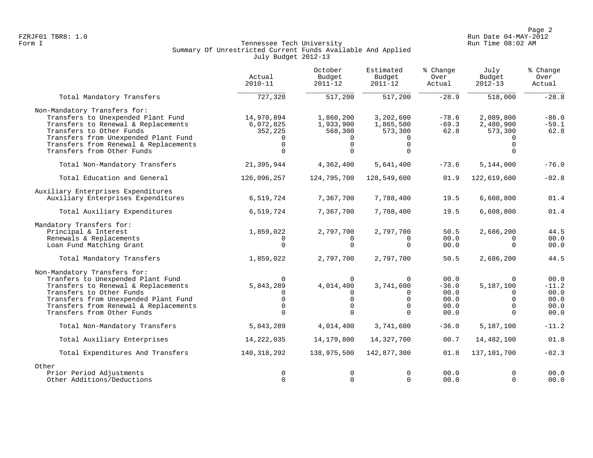Page 2<br>Run Date 04-MAY-2012 Run Date 04-MAY-2012 FZRJF01 TBR8: 1.0 Run Date 04-MAY-2012

## Form I Georgian Communication of the Communication of Tennessee Tech University Communication Run Time 08:02 AM Summary Of Unrestricted Current Funds Available And Applied July Budget 2012-13

|                                       | Actual<br>$2010 - 11$ | October<br>Budget<br>$2011 - 12$ | Estimated<br>Budget<br>$2011 - 12$ | % Change<br>Over<br>Actual | July<br>Budget<br>$2012 - 13$ | % Change<br>Over<br>Actual |
|---------------------------------------|-----------------------|----------------------------------|------------------------------------|----------------------------|-------------------------------|----------------------------|
| Total Mandatory Transfers             | 727,320               | 517,200                          | 517,200                            | $-28.9$                    | 518,000                       | $-28.8$                    |
| Non-Mandatory Transfers for:          |                       |                                  |                                    |                            |                               |                            |
| Transfers to Unexpended Plant Fund    | 14,970,894            | 1,860,200                        | 3,202,600                          | $-78.6$                    | 2,089,800                     | $-86.0$                    |
| Transfers to Renewal & Replacements   | 6,072,825             | 1,933,900                        | 1,865,500                          | $-69.3$                    | 2,480,900                     | $-59.1$                    |
| Transfers to Other Funds              | 352,225               | 568,300                          | 573,300                            | 62.8                       | 573,300                       | 62.8                       |
| Transfers from Unexpended Plant Fund  | $\Omega$              | 0                                |                                    |                            |                               |                            |
| Transfers from Renewal & Replacements | $\Omega$              | $\Omega$                         | $\Omega$                           |                            | $\Omega$                      |                            |
| Transfers from Other Funds            | $\Omega$              | $\Omega$                         | $\Omega$                           |                            |                               |                            |
| Total Non-Mandatory Transfers         | 21,395,944            | 4,362,400                        | 5,641,400                          | $-73.6$                    | 5,144,000                     | $-76.0$                    |
| Total Education and General           | 126,096,257           | 124,795,700                      | 128,549,600                        | 01.9                       | 122,619,600                   | $-02.8$                    |
| Auxiliary Enterprises Expenditures    |                       |                                  |                                    |                            |                               |                            |
| Auxiliary Enterprises Expenditures    | 6,519,724             | 7,367,700                        | 7,788,400                          | 19.5                       | 6,608,800                     | 01.4                       |
| Total Auxiliary Expenditures          | 6,519,724             | 7,367,700                        | 7,788,400                          | 19.5                       | 6,608,800                     | 01.4                       |
| Mandatory Transfers for:              |                       |                                  |                                    |                            |                               |                            |
| Principal & Interest                  | 1,859,022             | 2,797,700                        | 2,797,700                          | 50.5                       | 2,686,200                     | 44.5                       |
| Renewals & Replacements               |                       |                                  | $\Omega$                           | 00.0                       |                               | 00.0                       |
| Loan Fund Matching Grant              | $\Omega$              | $\Omega$                         | $\Omega$                           | 00.0                       | $\Omega$                      | 00.0                       |
| Total Mandatory Transfers             | 1,859,022             | 2,797,700                        | 2,797,700                          | 50.5                       | 2,686,200                     | 44.5                       |
| Non-Mandatory Transfers for:          |                       |                                  |                                    |                            |                               |                            |
| Tranfers to Unexpended Plant Fund     | $\Omega$              | $\Omega$                         | $\overline{0}$                     | 00.0                       | $\Omega$                      | 00.0                       |
| Transfers to Renewal & Replacements   | 5,843,289             | 4,014,400                        | 3,741,600                          | $-36.0$                    | 5,187,100                     | $-11.2$                    |
| Transfers to Other Funds              | $\Omega$              | 0                                | $\Omega$                           | 00.0                       | $\Omega$                      | 00.0                       |
| Transfers from Unexpended Plant Fund  | $\mathbf 0$           | $\mathbf 0$                      | $\mathbf 0$                        | 00.0                       | $\Omega$                      | 00.0                       |
| Transfers from Renewal & Replacements | $\Omega$              | $\Omega$                         | $\Omega$                           | 00.0                       | $\Omega$                      | 00.0                       |
| Transfers from Other Funds            | $\Omega$              | $\Omega$                         | $\Omega$                           | 00.0                       | $\Omega$                      | 00.0                       |
| Total Non-Mandatory Transfers         | 5,843,289             | 4,014,400                        | 3,741,600                          | $-36.0$                    | 5,187,100                     | $-11.2$                    |
| Total Auxiliary Enterprises           | 14, 222, 035          | 14,179,800                       | 14,327,700                         | 00.7                       | 14,482,100                    | 01.8                       |
| Total Expenditures And Transfers      | 140,318,292           | 138,975,500                      | 142,877,300                        | 01.8                       | 137,101,700                   | $-02.3$                    |
| Other                                 |                       |                                  |                                    |                            |                               |                            |
| Prior Period Adjustments              | 0                     | $\mathbf 0$                      | $\Omega$                           | 00.0                       | $\Omega$                      | 00.0                       |
| Other Additions/Deductions            | $\Omega$              | $\Omega$                         | $\Omega$                           | 00.0                       | $\Omega$                      | 00.0                       |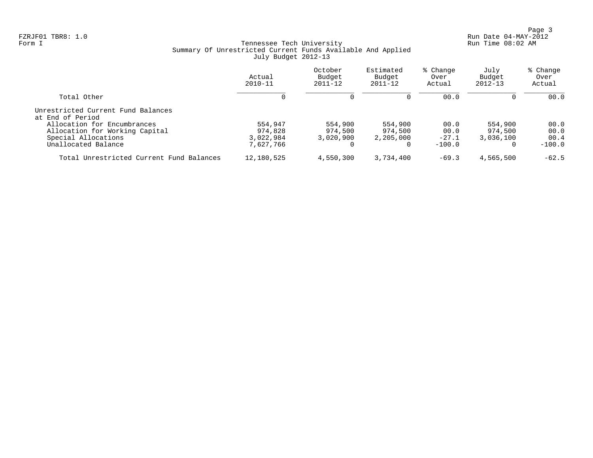Page 3<br>Run Date 04-MAY-2012 Run Date 04-MAY-2012 FZRJF01 TBR8: 1.0 Run Date 04-MAY-2012

## Form I Georgian Communication of the Communication of Tennessee Tech University Communication Run Time 08:02 AM Summary Of Unrestricted Current Funds Available And Applied July Budget 2012-13

|                                                        | Actual<br>$2010 - 11$ | October<br>Budget<br>$2011 - 12$ | Estimated<br>Budget<br>$2011 - 12$ | % Change<br>Over<br>Actual | July<br>Budget<br>$2012 - 13$ | % Change<br>Over<br>Actual |
|--------------------------------------------------------|-----------------------|----------------------------------|------------------------------------|----------------------------|-------------------------------|----------------------------|
| Total Other                                            |                       | $\Omega$                         | $\Omega$                           | 00.0                       | 0                             | 00.0                       |
| Unrestricted Current Fund Balances<br>at End of Period |                       |                                  |                                    |                            |                               |                            |
| Allocation for Encumbrances                            | 554,947               | 554,900                          | 554,900                            | 00.0                       | 554,900                       | 00.0                       |
| Allocation for Working Capital                         | 974,828               | 974,500                          | 974,500                            | 00.0                       | 974,500                       | 00.0                       |
| Special Allocations                                    | 3,022,984             | 3,020,900                        | 2,205,000                          | $-27.1$                    | 3,036,100                     | 00.4                       |
| Unallocated Balance                                    | 7,627,766             |                                  |                                    | $-100.0$                   | $\Omega$                      | $-100.0$                   |
| Total Unrestricted Current Fund Balances               | 12,180,525            | 4,550,300                        | 3,734,400                          | $-69.3$                    | 4,565,500                     | $-62.5$                    |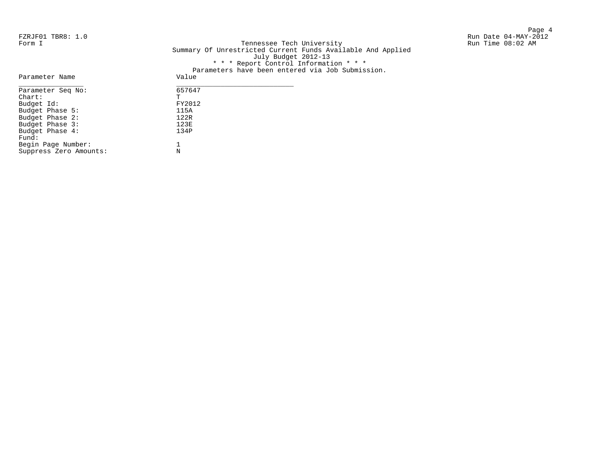Page 4

FZRJF01 TBR8: 1.0<br>Form I Run Date 04-MAY-2012<br>Form I Run Time 08:02 AM Tennessee Tech University Summary Of Unrestricted Current Funds Available And Applied July Budget 2012-13 \* \* \* Report Control Information \* \* \* Parameters have been entered via Job Submission.

| Parameter Name         | Value  |
|------------------------|--------|
| Parameter Seq No:      | 657647 |
| $chart$ :              | т      |
| Budget Id:             | FY2012 |
| Budget Phase 5:        | 115A   |
| Budget Phase 2:        | 122R   |
| Budget Phase 3:        | 123E   |
| Budget Phase 4:        | 134P   |
| Fund:                  |        |
| Begin Page Number:     |        |
| Suppress Zero Amounts: | N      |
|                        |        |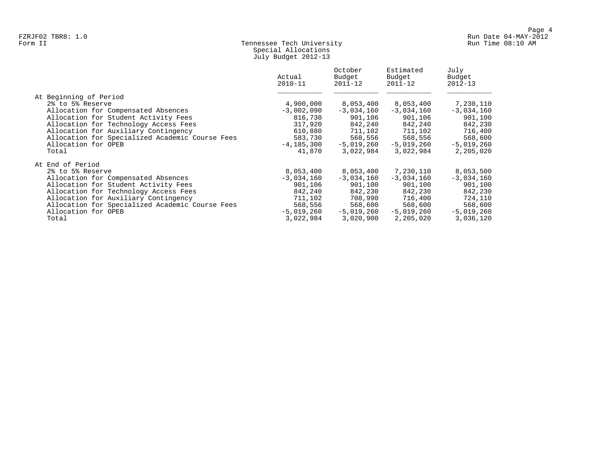## Form II Tennessee Tech University Run Time 08:10 AM Special Allocations July Budget 2012-13

|                                                                                                                                                                                                                                                                                               | Actual<br>$2010 - 11$                                                                              | October<br>Budget<br>$2011 - 12$                                                                   | Estimated<br>Budget<br>$2011 - 12$                                                                 | July<br>Budget<br>$2012 - 13$                                                                      |
|-----------------------------------------------------------------------------------------------------------------------------------------------------------------------------------------------------------------------------------------------------------------------------------------------|----------------------------------------------------------------------------------------------------|----------------------------------------------------------------------------------------------------|----------------------------------------------------------------------------------------------------|----------------------------------------------------------------------------------------------------|
| At Beginning of Period<br>2% to 5% Reserve<br>Allocation for Compensated Absences<br>Allocation for Student Activity Fees<br>Allocation for Technology Access Fees<br>Allocation for Auxiliary Contingency<br>Allocation for Specialized Academic Course Fees<br>Allocation for OPEB<br>Total | 4,900,000<br>$-3,002,090$<br>816,730<br>317,920<br>610,880<br>583,730<br>$-4, 185, 300$<br>41,870  | 8,053,400<br>$-3,034,160$<br>901,106<br>842,240<br>711,102<br>568,556<br>$-5,019,260$<br>3,022,984 | 8,053,400<br>$-3,034,160$<br>901,106<br>842,240<br>711,102<br>568,556<br>$-5,019,260$<br>3,022,984 | 7,230,110<br>$-3,034,160$<br>901,100<br>842,230<br>716,400<br>568,600<br>$-5,019,260$<br>2,205,020 |
| At End of Period<br>2% to 5% Reserve<br>Allocation for Compensated Absences<br>Allocation for Student Activity Fees<br>Allocation for Technology Access Fees<br>Allocation for Auxiliary Contingency<br>Allocation for Specialized Academic Course Fees<br>Allocation for OPEB<br>Total       | 8,053,400<br>$-3,034,160$<br>901,106<br>842,240<br>711,102<br>568,556<br>$-5,019,260$<br>3,022,984 | 8,053,400<br>$-3,034,160$<br>901,100<br>842,230<br>708,990<br>568,600<br>$-5,019,260$<br>3,020,900 | 7,230,110<br>$-3,034,160$<br>901,100<br>842,230<br>716,400<br>568,600<br>$-5,019,260$<br>2,205,020 | 8,053,500<br>$-3,034,160$<br>901,100<br>842,230<br>724,110<br>568,600<br>$-5,019,260$<br>3,036,120 |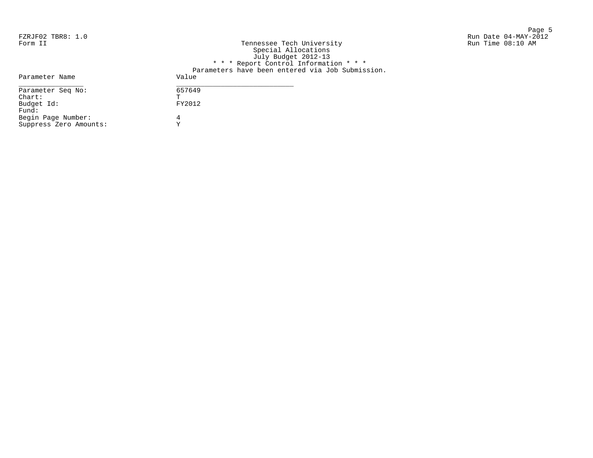en de la provincia de la provincia de la provincia de la provincia de la provincia de la provincia de la provi<br>Page 5 FZRJF02 TBR8: 1.0 Run Date 04-MAY-2012 kun Dale U4-MA1-20<br>Form Iniversity Run Time 08:10 AM في Run Time 08:10 AM

| Form II                | Tennessee Tech University<br>Special Allocations<br>July Budget 2012-13 |
|------------------------|-------------------------------------------------------------------------|
|                        | * * * Report Control Information * * *                                  |
|                        | Parameters have been entered via Job Submission.                        |
| Parameter Name         | Value                                                                   |
| Parameter Seq No:      | 657649                                                                  |
| $chart$ :              | Ͳ                                                                       |
| Budget Id:             | FY2012                                                                  |
| Fund:                  |                                                                         |
| Begin Page Number:     | 4                                                                       |
| Suppress Zero Amounts: | v                                                                       |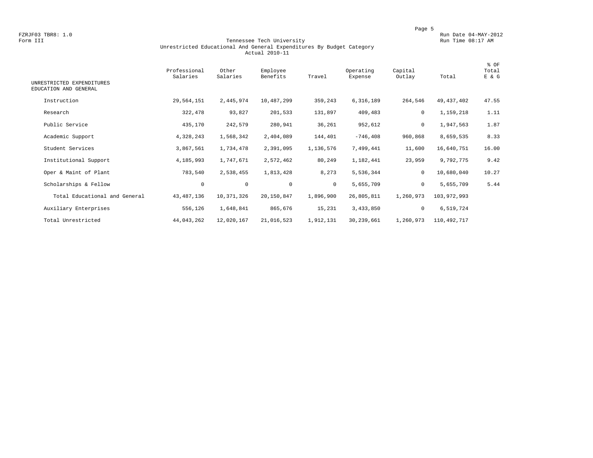#### Form III Tennessee Tech University Run Time 08:17 AM Unrestricted Educational And General Expenditures By Budget Category Actual 2010-11

| UNRESTRICTED EXPENDITURES<br>EDUCATION AND GENERAL | Professional<br>Salaries | Other<br>Salaries | Employee<br>Benefits | Travel       | Operating<br>Expense | Capital<br>Outlay | Total       | % OF<br>Total<br>E & G |
|----------------------------------------------------|--------------------------|-------------------|----------------------|--------------|----------------------|-------------------|-------------|------------------------|
| Instruction                                        | 29,564,151               | 2,445,974         | 10,487,299           | 359,243      | 6,316,189            | 264,546           | 49,437,402  | 47.55                  |
| Research                                           | 322,478                  | 93,827            | 201,533              | 131,897      | 409,483              | $\mathbf 0$       | 1,159,218   | 1.11                   |
| Public Service                                     | 435,170                  | 242,579           | 280,941              | 36,261       | 952,612              | 0                 | 1,947,563   | 1.87                   |
| Academic Support                                   | 4,328,243                | 1,568,342         | 2,404,089            | 144,401      | $-746, 408$          | 960,868           | 8,659,535   | 8.33                   |
| Student Services                                   | 3,867,561                | 1,734,478         | 2,391,095            | 1,136,576    | 7,499,441            | 11,600            | 16,640,751  | 16.00                  |
| Institutional Support                              | 4,185,993                | 1,747,671         | 2,572,462            | 80,249       | 1,182,441            | 23,959            | 9,792,775   | 9.42                   |
| Oper & Maint of Plant                              | 783,540                  | 2,538,455         | 1,813,428            | 8,273        | 5,536,344            | $\mathbf 0$       | 10,680,040  | 10.27                  |
| Scholarships & Fellow                              | $\mathbf 0$              | $\mathsf{O}$      | $\mathbf 0$          | $\mathbf{0}$ | 5,655,709            | $\mathsf{O}$      | 5,655,709   | 5.44                   |
| Total Educational and General                      | 43, 487, 136             | 10,371,326        | 20,150,847           | 1,896,900    | 26,805,811           | 1,260,973         | 103,972,993 |                        |
| Auxiliary Enterprises                              | 556,126                  | 1,648,841         | 865,676              | 15,231       | 3,433,850            | $\mathsf{O}$      | 6,519,724   |                        |
| Total Unrestricted                                 | 44,043,262               | 12,020,167        | 21,016,523           | 1,912,131    | 30,239,661           | 1,260,973         | 110,492,717 |                        |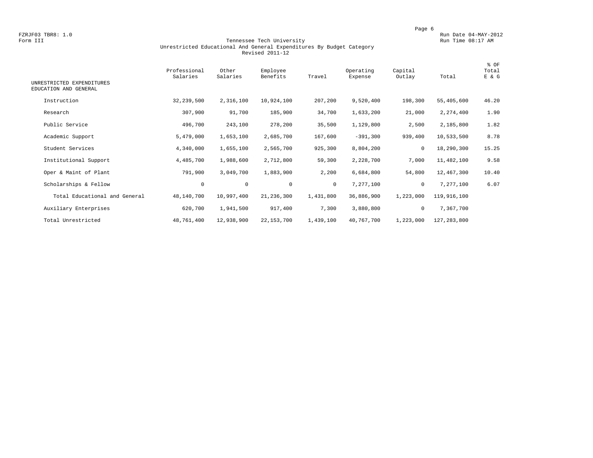#### Form III Tennessee Tech University Run Time 08:17 AM Unrestricted Educational And General Expenditures By Budget Category Revised 2011-12

| UNRESTRICTED EXPENDITURES<br>EDUCATION AND GENERAL | Professional<br>Salaries | Other<br>Salaries | Employee<br>Benefits | Travel       | Operating<br>Expense | Capital<br>Outlay | Total       | % OF<br>Total<br>E & G |
|----------------------------------------------------|--------------------------|-------------------|----------------------|--------------|----------------------|-------------------|-------------|------------------------|
| Instruction                                        | 32, 239, 500             | 2,316,100         | 10,924,100           | 207,200      | 9,520,400            | 198,300           | 55,405,600  | 46.20                  |
|                                                    |                          |                   |                      |              |                      |                   |             |                        |
| Research                                           | 307,900                  | 91,700            | 185,900              | 34,700       | 1,633,200            | 21,000            | 2,274,400   | 1.90                   |
| Public Service                                     | 496,700                  | 243,100           | 278,200              | 35,500       | 1,129,800            | 2,500             | 2,185,800   | 1.82                   |
| Academic Support                                   | 5,479,000                | 1,653,100         | 2,685,700            | 167,600      | $-391,300$           | 939,400           | 10,533,500  | 8.78                   |
| Student Services                                   | 4,340,000                | 1,655,100         | 2,565,700            | 925,300      | 8,804,200            | 0                 | 18,290,300  | 15.25                  |
| Institutional Support                              | 4,485,700                | 1,988,600         | 2,712,800            | 59,300       | 2,228,700            | 7,000             | 11,482,100  | 9.58                   |
| Oper & Maint of Plant                              | 791,900                  | 3,049,700         | 1,883,900            | 2,200        | 6,684,800            | 54,800            | 12,467,300  | 10.40                  |
| Scholarships & Fellow                              | $\circ$                  | $\mathsf{O}$      | $\mathbf 0$          | $\mathbf{0}$ | 7,277,100            | 0                 | 7,277,100   | 6.07                   |
| Total Educational and General                      | 48,140,700               | 10,997,400        | 21,236,300           | 1,431,800    | 36,886,900           | 1,223,000         | 119,916,100 |                        |
| Auxiliary Enterprises                              | 620,700                  | 1,941,500         | 917,400              | 7,300        | 3,880,800            | 0                 | 7,367,700   |                        |
| Total Unrestricted                                 | 48,761,400               | 12,938,900        | 22, 153, 700         | 1,439,100    | 40,767,700           | 1,223,000         | 127,283,800 |                        |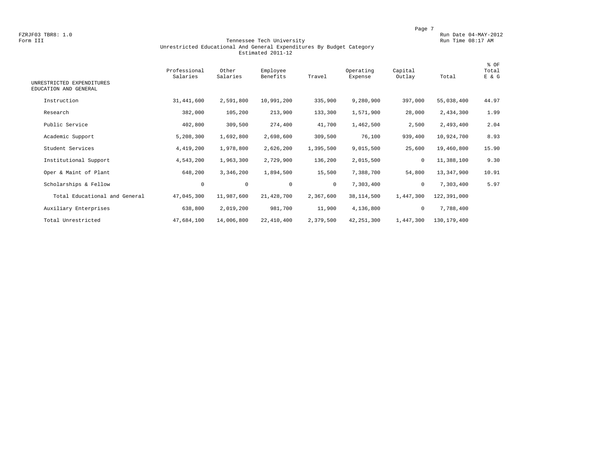#### Form III Tennessee Tech University Run Time 08:17 AM Unrestricted Educational And General Expenditures By Budget Category Estimated 2011-12

| UNRESTRICTED EXPENDITURES<br>EDUCATION AND GENERAL | Professional<br>Salaries | Other<br>Salaries | Employee<br>Benefits | Travel       | Operating<br>Expense | Capital<br>Outlay | Total         | % OF<br>Total<br>E & G |
|----------------------------------------------------|--------------------------|-------------------|----------------------|--------------|----------------------|-------------------|---------------|------------------------|
| Instruction                                        | 31,441,600               | 2,591,800         | 10,991,200           | 335,900      | 9,280,900            | 397,000           | 55,038,400    | 44.97                  |
| Research                                           | 382,000                  | 105,200           | 213,900              | 133,300      | 1,571,900            | 28,000            | 2,434,300     | 1.99                   |
| Public Service                                     | 402,800                  | 309,500           | 274,400              | 41,700       | 1,462,500            | 2,500             | 2,493,400     | 2.04                   |
| Academic Support                                   | 5,208,300                | 1,692,800         | 2,698,600            | 309,500      | 76,100               | 939,400           | 10,924,700    | 8.93                   |
| Student Services                                   | 4,419,200                | 1,978,800         | 2,626,200            | 1,395,500    | 9,015,500            | 25,600            | 19,460,800    | 15.90                  |
| Institutional Support                              | 4,543,200                | 1,963,300         | 2,729,900            | 136,200      | 2,015,500            | 0                 | 11,388,100    | 9.30                   |
| Oper & Maint of Plant                              | 648,200                  | 3,346,200         | 1,894,500            | 15,500       | 7,388,700            | 54,800            | 13,347,900    | 10.91                  |
| Scholarships & Fellow                              | $\circ$                  | $\mathbf 0$       | $\mathbf 0$          | $\mathbf{0}$ | 7,303,400            | $\mathbf 0$       | 7,303,400     | 5.97                   |
| Total Educational and General                      | 47,045,300               | 11,987,600        | 21,428,700           | 2,367,600    | 38,114,500           | 1,447,300         | 122,391,000   |                        |
| Auxiliary Enterprises                              | 638,800                  | 2,019,200         | 981,700              | 11,900       | 4,136,800            | 0                 | 7,788,400     |                        |
| Total Unrestricted                                 | 47,684,100               | 14,006,800        | 22,410,400           | 2,379,500    | 42, 251, 300         | 1,447,300         | 130, 179, 400 |                        |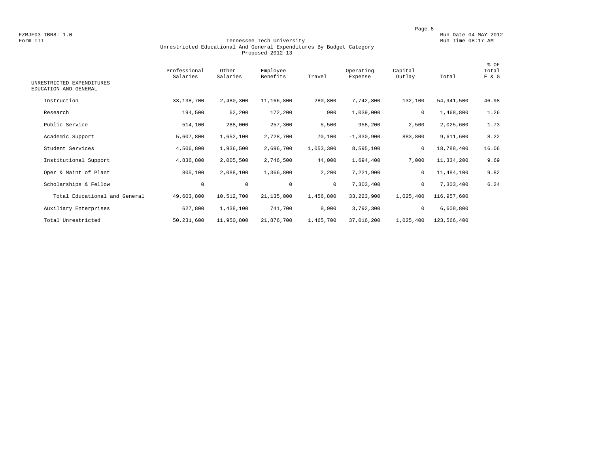#### Form III Tennessee Tech University Run Time 08:17 AM Unrestricted Educational And General Expenditures By Budget Category Proposed 2012-13

| UNRESTRICTED EXPENDITURES     | Professional<br>Salaries | Other<br>Salaries | Employee<br>Benefits | Travel    | Operating<br>Expense | Capital<br>Outlay | Total       | % OF<br>Total<br>E & G |
|-------------------------------|--------------------------|-------------------|----------------------|-----------|----------------------|-------------------|-------------|------------------------|
| EDUCATION AND GENERAL         |                          |                   |                      |           |                      |                   |             |                        |
| Instruction                   | 33,138,700               | 2,480,300         | 11,166,800           | 280,800   | 7,742,800            | 132,100           | 54,941,500  | 46.98                  |
| Research                      | 194,500                  | 62,200            | 172,200              | 900       | 1,039,000            | $\mathbf 0$       | 1,468,800   | 1.26                   |
| Public Service                | 514,100                  | 288,000           | 257,300              | 5,500     | 958,200              | 2,500             | 2,025,600   | 1.73                   |
| Academic Support              | 5,607,800                | 1,652,100         | 2,728,700            | 70,100    | $-1,330,900$         | 883,800           | 9,611,600   | 8.22                   |
| Student Services              | 4,506,800                | 1,936,500         | 2,696,700            | 1,053,300 | 8,595,100            | 0                 | 18,788,400  | 16.06                  |
| Institutional Support         | 4,836,800                | 2,005,500         | 2,746,500            | 44,000    | 1,694,400            | 7,000             | 11,334,200  | 9.69                   |
| Oper & Maint of Plant         | 805,100                  | 2,088,100         | 1,366,800            | 2,200     | 7,221,900            | 0                 | 11,484,100  | 9.82                   |
| Scholarships & Fellow         | $\mathbf 0$              | $\mathbf 0$       | $\mathbf 0$          | $\circ$   | 7,303,400            | 0                 | 7,303,400   | 6.24                   |
| Total Educational and General | 49,603,800               | 10,512,700        | 21, 135, 000         | 1,456,800 | 33, 223, 900         | 1,025,400         | 116,957,600 |                        |
| Auxiliary Enterprises         | 627,800                  | 1,438,100         | 741,700              | 8,900     | 3,792,300            | $\mathsf{O}$      | 6,608,800   |                        |
| Total Unrestricted            | 50,231,600               | 11,950,800        | 21,876,700           | 1,465,700 | 37,016,200           | 1,025,400         | 123,566,400 |                        |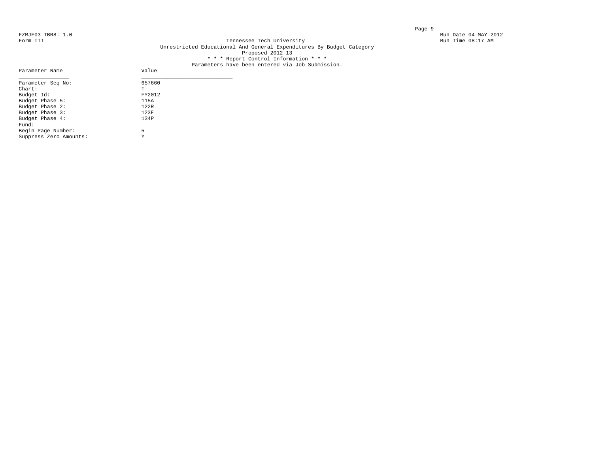Parameter Name

#### FZRJF03 TBR8: 1.0<br>Form III Run Date 04-MAY-2012<br>Form III Run Time 08:17 AM Tennessee Tech University Unrestricted Educational And General Expenditures By Budget Category Proposed 2012-13 \* \* \* Report Control Information \* \* \*

# Parameters have been entered via Job Submission.<br>Value

| Parameter Seq No:      | 657660 |
|------------------------|--------|
| $Chart$ :              | T      |
| Budget Id:             | FY2012 |
| Budget Phase 5:        | 115A   |
| Budget Phase 2:        | 122R   |
| Budget Phase 3:        | 123E   |
| Budget Phase 4:        | 134P   |
| Fund:                  |        |
| Begin Page Number:     | 5      |
| Suppress Zero Amounts: | Y      |
|                        |        |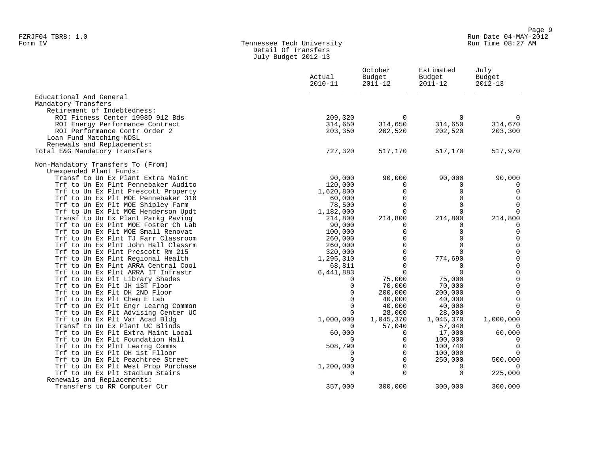## Form IV Tennessee Tech University Run Time 08:27 AM Detail Of Transfers July Budget 2012-13

|                                                                           | Actual<br>$2010 - 11$ | October<br>Budget<br>$2011 - 12$ | Estimated<br>Budget<br>$2011 - 12$ | July<br>Budget<br>$2012 - 13$ |
|---------------------------------------------------------------------------|-----------------------|----------------------------------|------------------------------------|-------------------------------|
| Educational And General                                                   |                       |                                  |                                    |                               |
| Mandatory Transfers                                                       |                       |                                  |                                    |                               |
| Retirement of Indebtedness:                                               |                       |                                  |                                    |                               |
| ROI Fitness Center 1998D 912 Bds<br>ROI Energy Performance Contract       | 209,320<br>314,650    | 0<br>314,650                     | 0<br>314,650                       | $\Omega$<br>314,670           |
| ROI Performance Contr Order 2                                             | 203,350               | 202,520                          | 202,520                            | 203,300                       |
| Loan Fund Matching-NDSL                                                   |                       |                                  |                                    |                               |
| Renewals and Replacements:                                                |                       |                                  |                                    |                               |
| Total E&G Mandatory Transfers                                             | 727,320               | 517,170                          | 517,170                            | 517,970                       |
| Non-Mandatory Transfers To (From)                                         |                       |                                  |                                    |                               |
| Unexpended Plant Funds:                                                   |                       |                                  |                                    |                               |
| Transf to Un Ex Plant Extra Maint                                         | 90,000                | 90,000                           | 90,000                             | 90,000                        |
| Trf to Un Ex Plnt Pennebaker Audito                                       | 120,000               | $\Omega$                         | 0                                  |                               |
| Trf to Un Ex Plnt Prescott Property                                       | 1,620,800             | $\mathbf 0$                      | $\mathbf 0$                        | $\mathbf 0$                   |
| Trf to Un Ex Plt MOE Pennebaker 310                                       | 60,000                | $\Omega$                         | $\Omega$                           | $\mathbf 0$                   |
| Trf to Un Ex Plt MOE Shipley Farm                                         | 78,500                | $\mathbf 0$                      | $\mathbf 0$                        | $\overline{0}$                |
| Trf to Un Ex Plt MOE Henderson Updt                                       | 1,182,000             | $\Omega$                         | $\mathbf 0$                        | $\mathbf 0$                   |
| Transf to Un Ex Plant Parkg Paving                                        | 214,800               | 214,800                          | 214,800                            | 214,800                       |
| Trf to Un Ex Plnt MOE Foster Ch Lab<br>Trf to Un Ex Plt MOE Small Renovat | 90,000                | 0<br>$\mathbf 0$                 | 0<br>$\mathbf 0$                   | 0<br>$\mathbf 0$              |
| Trf to Un Ex Plnt TJ Farr Classroom                                       | 100,000<br>260,000    | $\overline{0}$                   | $\mathbf 0$                        | $\mathbb O$                   |
| Trf to Un Ex Plnt John Hall Classrm                                       | 260,000               | $\Omega$                         | $\mathbf 0$                        | $\mathbb O$                   |
| Trf to Un Ex Plnt Prescott Rm 215                                         | 320,000               | $\Omega$                         | $\mathbf 0$                        | $\mathsf 0$                   |
| Trf to Un Ex Plnt Regional Health                                         | 1,295,310             | $\mathbf 0$                      | 774,690                            | $\mathbb O$                   |
| Trf to Un Ex Plnt ARRA Central Cool                                       | 68,811                | $\mathbf 0$                      | 0                                  | $\mathbb O$                   |
| Trf to Un Ex Plnt ARRA IT Infrastr                                        | 6,441,883             | $\Omega$                         | 0                                  | $\mathsf 0$                   |
| Trf to Un Ex Plt Library Shades                                           | 0                     | 75,000                           | 75,000                             | $\mathsf 0$                   |
| Trf to Un Ex Plt JH 1ST Floor                                             | 0                     | 70,000                           | 70,000                             | $\mathsf 0$                   |
| Trf to Un Ex Plt DH 2ND Floor                                             | $\Omega$              | 200,000                          | 200,000                            | $\mathsf 0$                   |
| Trf to Un Ex Plt Chem E Lab                                               | $\Omega$              | 40,000                           | 40,000                             | $\mathsf 0$                   |
| Trf to Un Ex Plt Engr Learng Common                                       | $\Omega$              | 40,000                           | 40,000                             | $\Omega$                      |
| Trf to Un Ex Plt Advising Center UC                                       | 0                     | 28,000                           | 28,000                             | $\Omega$                      |
| Trf to Un Ex Plt Var Acad Bldg                                            | 1,000,000             | 1,045,370                        | 1,045,370                          | 1,000,000                     |
| Transf to Un Ex Plant UC Blinds                                           | $\Omega$              | 57,040                           | 57,040                             | $\Omega$                      |
| Trf to Un Ex Plt Extra Maint Local                                        | 60,000                | $\Omega$                         | 17,000                             | 60,000                        |
| Trf to Un Ex Plt Foundation Hall                                          | $\Omega$              | $\Omega$                         | 100,000                            | 0                             |
| Trf to Un Ex Plnt Learng Comms<br>Trf to Un Ex Plt DH 1st Flloor          | 508,790<br>$\Omega$   | $\mathbf 0$<br>$\Omega$          | 100,740                            | $\overline{0}$<br>$\Omega$    |
| Trf to Un Ex Plt Peachtree Street                                         | 0                     | $\mathbf 0$                      | 100,000<br>250,000                 | 500,000                       |
| Trf to Un Ex Plt West Prop Purchase                                       | 1,200,000             | $\Omega$                         | 0                                  |                               |
| Trf to Un Ex Plt Stadium Stairs                                           | $\Omega$              | $\Omega$                         | $\mathbf 0$                        | 225,000                       |
| Renewals and Replacements:                                                |                       |                                  |                                    |                               |
| Transfers to RR Computer Ctr                                              | 357,000               | 300,000                          | 300,000                            | 300,000                       |
|                                                                           |                       |                                  |                                    |                               |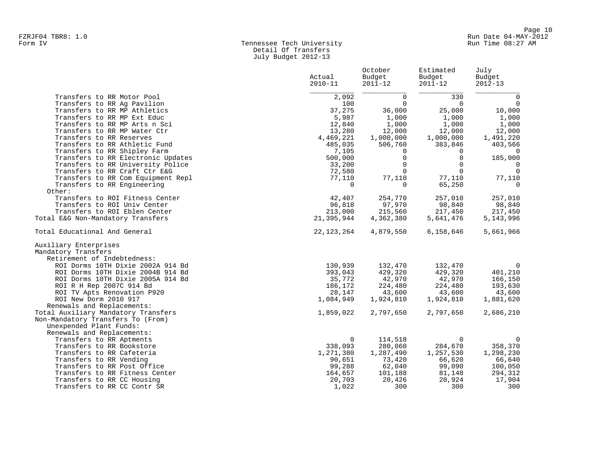## Form IV Tennessee Tech University Run Time 08:27 AM Detail Of Transfers July Budget 2012-13

|                                     | Actual<br>$2010 - 11$ | October<br>Budget<br>$2011 - 12$ | Estimated<br>Budget<br>$2011 - 12$ | July<br>Budget<br>$2012 - 13$ |
|-------------------------------------|-----------------------|----------------------------------|------------------------------------|-------------------------------|
| Transfers to RR Motor Pool          | 2,092                 | $\Omega$                         | 330                                | $\mathbf 0$                   |
| Transfers to RR Ag Pavilion         | 100                   | $\mathbf 0$                      | $\overline{0}$                     | $\overline{0}$                |
| Transfers to RR MP Athletics        | 37,275                | 36,000                           | 25,000                             | 10,000                        |
| Transfers to RR MP Ext Educ         | 5,987                 | 1,000                            | 1,000                              | 1,000                         |
| Transfers to RR MP Arts n Sci       | 12,840                | 1,000                            | 1,000                              | 1,000                         |
| Transfers to RR MP Water Ctr        | 13,280                | 12,000                           | 12,000                             | 12,000                        |
| Transfers to RR Reserves            | 4,469,221             | 1,000,000                        | 1,000,000                          | 1,491,220                     |
| Transfers to RR Athletic Fund       | 485,035               | 506,760                          | 383,846                            | 403,566                       |
| Transfers to RR Shipley Farm        | 7,105                 | 0                                | 0                                  | $\Omega$                      |
| Transfers to RR Electronic Updates  | 500,000               | $\Omega$                         | $\Omega$                           | 185,000                       |
| Transfers to RR University Police   | 33,200                | 0                                | $\mathbf 0$                        | $\overline{0}$                |
| Transfers to RR Craft Ctr E&G       | 72,580                | $\Omega$                         | $\Omega$                           | $\overline{0}$                |
| Transfers to RR Com Equipment Repl  | 77,110                | 77,110                           | 77,110                             | 77,110                        |
| Transfers to RR Engineering         | $\Omega$              | $\Omega$                         | 65,250                             | $\overline{0}$                |
| Other:                              |                       |                                  |                                    |                               |
| Transfers to ROI Fitness Center     | 42,407                | 254,770                          | 257,010                            | 257,010                       |
| Transfers to ROI Univ Center        | 96,818                | 97,970                           | 98,840                             | 98,840                        |
| Transfers to ROI Eblen Center       | 213,000               | 215,560                          | 217,450                            | 217,450                       |
| Total E&G Non-Mandatory Transfers   | 21,395,944            | 4,362,380                        | 5,641,476                          | 5, 143, 996                   |
| Total Educational And General       | 22, 123, 264          | 4,879,550                        | 6,158,646                          | 5,661,966                     |
| Auxiliary Enterprises               |                       |                                  |                                    |                               |
| Mandatory Transfers                 |                       |                                  |                                    |                               |
| Retirement of Indebtedness:         |                       |                                  |                                    |                               |
| ROI Dorms 10TH Dixie 2002A 914 Bd   | 130,939               | 132,470                          | 132,470                            | 0                             |
| ROI Dorms 10TH Dixie 2004B 914 Bd   | 393,043               | 429,320                          | 429,320                            | 401,210                       |
| ROI Dorms 10TH Dixie 2005A 914 Bd   | 35,772                | 42,970                           | 42,970                             | 166,150                       |
| ROI R H Rep 2007C 914 Bd            | 186,172               | 224,480                          | 224,480                            | 193,630                       |
| ROI TV Apts Renovation P920         | 28,147                | 43,600                           | 43,600                             | 43,600                        |
| ROI New Dorm 2010 917               | 1,084,949             | 1,924,810                        | 1,924,810                          | 1,881,620                     |
| Renewals and Replacements:          |                       |                                  |                                    |                               |
| Total Auxiliary Mandatory Transfers | 1,859,022             | 2,797,650                        | 2,797,650                          | 2,686,210                     |
| Non-Mandatory Transfers To (From)   |                       |                                  |                                    |                               |
| Unexpended Plant Funds:             |                       |                                  |                                    |                               |
| Renewals and Replacements:          |                       |                                  |                                    |                               |
| Transfers to RR Aptments            | $\mathbf{0}$          | 114,518                          | $\Omega$                           | 0                             |
| Transfers to RR Bookstore           | 338,093               | 280,060                          | 284,670                            | 358,370                       |
| Transfers to RR Cafeteria           | 1,271,380             | 1,287,490                        | 1,257,530                          | 1,298,230                     |
| Transfers to RR Vending             | 90,651                | 73,420                           | 66,620                             | 66,640                        |
| Transfers to RR Post Office         | 99,288                | 62,040                           | 99,090                             | 100,050                       |
| Transfers to RR Fitness Center      | 164,657               | 101,188                          | 81,148                             | 294,312                       |
| Transfers to RR CC Housing          | 20,703                | 20,426                           | 20,924                             | 17,904                        |
| Transfers to RR CC Contr SR         | 1,022                 | 300                              | 300                                | 300                           |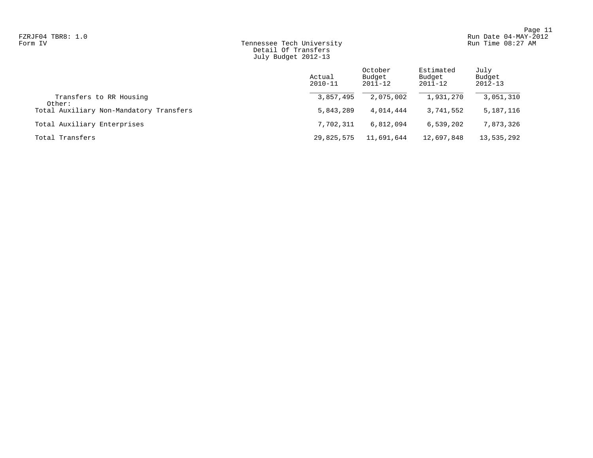## Form IV Tennessee Tech University Run Time 08:27 AM Detail Of Transfers July Budget 2012-13

|                                         | Actual<br>$2010 - 11$ | October<br>Budget<br>2011-12 | Estimated<br>Budget<br>2011-12 | July<br>Budget<br>$2012 - 13$ |
|-----------------------------------------|-----------------------|------------------------------|--------------------------------|-------------------------------|
| Transfers to RR Housing<br>Other:       | 3,857,495             | 2,075,002                    | 1,931,270                      | 3,051,310                     |
| Total Auxiliary Non-Mandatory Transfers | 5,843,289             | 4,014,444                    | 3,741,552                      | 5,187,116                     |
| Total Auxiliary Enterprises             | 7,702,311             | 6,812,094                    | 6,539,202                      | 7,873,326                     |
| Total Transfers                         | 29,825,575            | 11,691,644                   | 12,697,848                     | 13,535,292                    |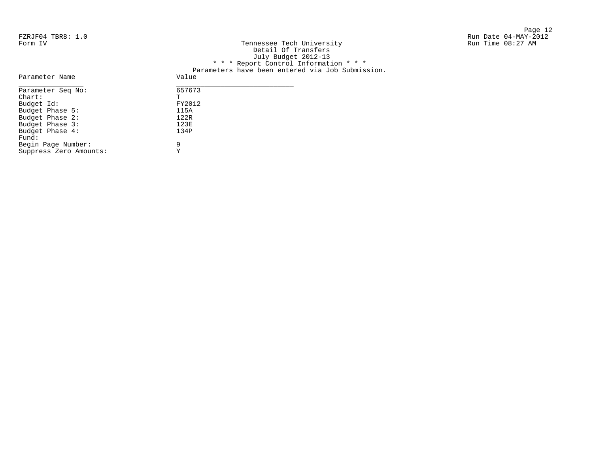| FZRJF04 TBR8: 1.0 |                                                  | Run Date 04-MAY-2012 |
|-------------------|--------------------------------------------------|----------------------|
| Form IV           | Tennessee Tech University                        | Run Time 08:27 AM    |
|                   | Detail Of Transfers                              |                      |
|                   | July Budget 2012-13                              |                      |
|                   | * * * Report Control Information * * *           |                      |
|                   | Parameters have been entered via Job Submission. |                      |
| Parameter Name    | Value                                            |                      |
| Parameter Seq No: | 657673                                           |                      |
| Chart:            | m.                                               |                      |
| Budget Id:        | FY2012                                           |                      |
| Budget Dhage 5:   | 115 A                                            |                      |

| Parameter Seq No:      | 65767 |
|------------------------|-------|
| $char:$                | Ͳ     |
| Budget Id:             | FY201 |
| Budget Phase 5:        | 115A  |
| Budget Phase 2:        | 122R  |
| Budget Phase 3:        | 123E  |
| Budget Phase 4:        | 134P  |
| Fund:                  |       |
| Begin Page Number:     | 9     |
| Suppress Zero Amounts: | Y     |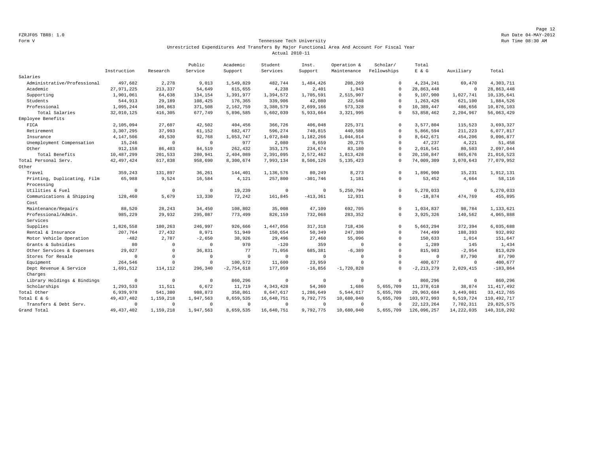Page 12 FZRJF05 TBR8: 1.0 Run Date 04-MAY-2012

#### Form V Tennessee Tech University Run Time 08:30 AM Unrestricted Expenditures And Transfers By Major Functional Area And Account For Fiscal Year Actual 2010-11

|                             |                |              | Public       | Academic     | Student     | Inst.          | Operation &  | Scholar/    | Total        |                     |               |
|-----------------------------|----------------|--------------|--------------|--------------|-------------|----------------|--------------|-------------|--------------|---------------------|---------------|
|                             | Instruction    | Research     | Service      | Support      | Services    | Support        | Maintenance  | Fellowships | $E$ & $G$    | Auxiliary           | Total         |
| Salaries                    |                |              |              |              |             |                |              |             |              |                     |               |
| Administrative/Professional | 497,682        | 2,278        | 9,013        | 1,549,829    | 482,744     | 1,484,426      | 208,269      | $\Omega$    | 4,234,241    | 69,470              | 4,303,711     |
| Academic                    | 27, 971, 225   | 213,337      | 54,649       | 615,655      | 4,238       | 2,401          | 1,943        | $\Omega$    | 28,863,448   | 0                   | 28,863,448    |
| Supporting                  | 1,901,061      | 64,638       | 134,154      | 1,391,977    | 1,394,572   | 1,705,591      | 2,515,907    | $^{\circ}$  | 9,107,900    | 1,027,741           | 10, 135, 641  |
| Students                    | 544,913        | 29,189       | 108,425      | 176,365      | 339,906     | 42,080         | 22,548       | $\Omega$    | 1,263,426    | 621,100             | 1,884,526     |
| Professional                | 1,095,244      | 106,863      | 371,508      | 2,162,759    | 3,380,579   | 2,699,166      | 573,328      | $\Omega$    | 10,389,447   | 486,656             | 10,876,103    |
| Total Salaries              | 32,010,125     | 416,305      | 677,749      | 5,896,585    | 5,602,039   | 5,933,664      | 3,321,995    | $^{\circ}$  | 53,858,462   | 2,204,967           | 56,063,429    |
| Employee Benefits           |                |              |              |              |             |                |              |             |              |                     |               |
| FICA                        | 2,105,094      | 27,607       | 42,502       | 404,456      | 366,726     | 406,048        | 225,371      | $\Omega$    | 3,577,804    | 115,523             | 3,693,327     |
| Retirement                  | 3,307,295      | 37,993       | 61,152       | 682,477      | 596,274     | 740,815        | 440,588      | $\Omega$    | 5,866,594    | 211,223             | 6,077,817     |
| Insurance                   | 4,147,506      | 49,530       | 92,768       | 1,053,747    | 1,072,840   | 1,182,266      | 1,044,014    | $\mathbf 0$ | 8,642,671    | 454,206             | 9,096,877     |
| Unemployment Compensation   | 15,246         | $\circ$      | $\mathbf{0}$ | 977          | 2,080       | 8,659          | 20,275       | $\mathbf 0$ | 47,237       | 4,221               | 51,458        |
| Other                       | 912,158        | 86,403       | 84,519       | 262,432      | 353,175     | 234,674        | 83,180       | $\mathbf 0$ | 2,016,541    | 80,503              | 2,097,044     |
| Total Benefits              | 10,487,299     | 201,533      | 280,941      | 2,404,089    | 2,391,095   | 2,572,462      | 1,813,428    | $\Omega$    | 20,150,847   | 865,676             | 21,016,523    |
| Total Personal Serv.        | 42, 497, 424   | 617,838      | 958,690      | 8,300,674    | 7,993,134   | 8,506,126      | 5, 135, 423  | $\Omega$    | 74,009,309   | 3,070,643           | 77,079,952    |
| Other                       |                |              |              |              |             |                |              |             |              |                     |               |
| Travel                      | 359,243        | 131,897      | 36,261       | 144,401      | 1,136,576   | 80,249         | 8,273        | $^{\circ}$  | 1,896,900    | 15,231              | 1,912,131     |
| Printing, Duplicating, Film | 65,988         | 9,524        | 16,584       | 4,121        | 257,800     | $-301,746$     | 1,181        | $\Omega$    | 53,452       | 4,664               | 58,116        |
| Processing                  |                |              |              |              |             |                |              |             |              |                     |               |
| Utilities & Fuel            | $\mathbf{0}$   | $\mathbf 0$  | $\circ$      | 19,239       | $\mathbf 0$ | $^{\circ}$     | 5,250,794    | $\Omega$    | 5,270,033    | $\mathsf{O}\xspace$ | 5,270,033     |
| Communications & Shipping   | 128,460        | 5,679        | 13,330       | 72,242       | 161,845     | $-413, 361$    | 12,931       | $\mathbf 0$ | $-18,874$    | 474,769             | 455,895       |
| Cost                        |                |              |              |              |             |                |              |             |              |                     |               |
| Maintenance/Repairs         | 88,520         | 28,243       | 34,450       | 108,802      | 35,008      | 47,109         | 692,705      | $\Omega$    | 1,034,837    | 98,784              | 1,133,621     |
| Professional/Admin.         | 985,229        | 29,932       | 295,087      | 773,499      | 826,159     | 732,068        | 283,352      | $\Omega$    | 3,925,326    | 140,562             | 4,065,888     |
| Services                    |                |              |              |              |             |                |              |             |              |                     |               |
| Supplies                    | 1,826,558      | 180,263      | 246,997      | 926,666      | 1,447,056   | 317,318        | 718,436      | $\mathbf 0$ | 5,663,294    | 372,394             | 6,035,688     |
| Rental & Insurance          | 207,764        | 27,432       | 8,971        | 51,949       | 150,654     | 50,349         | 247,380      | $\Omega$    | 744,499      | 188,393             | 932,892       |
| Motor Vehicle Operation     | $-482$         | 2,787        | $-2,650$     | 38,926       | 29,496      | 27,460         | 55,096       | $\Omega$    | 150,633      | 1,014               | 151,647       |
| Grants & Subsidies          | 80             | $\circ$      | $\Omega$     | 970          | $-120$      | 359            | $\mathbf{0}$ | $\Omega$    | 1,289        | 145                 | 1,434         |
| Other Services & Expenses   | 29,027         | $\mathbf{0}$ | 36,831       | 77           | 71,056      | 685,381        | $-6, 389$    | $\Omega$    | 815,983      | $-2,954$            | 813,029       |
| Stores for Resale           | $\Omega$       | $\mathbf{0}$ | $\Omega$     | $\mathbf 0$  | $\Omega$    | $\circ$        | $\mathbf{0}$ | $\mathbf 0$ | $^{\circ}$   | 87,790              | 87,790        |
| Equipment                   | 264,546        | $\mathbf 0$  | $\mathbf{0}$ | 100,572      | 11,600      | 23,959         | $\mathbf 0$  | $\Omega$    | 400,677      | $\mathbf{0}$        | 400,677       |
| Dept Revenue & Service      | 1,691,512      | 114,112      | 296.340      | $-2,754,618$ | 177,059     | $-16,856$      | $-1,720,828$ | $\mathbf 0$ | $-2.213.279$ | 2,029,415           | $-183,864$    |
| Charges                     |                |              |              |              |             |                |              |             |              |                     |               |
| Library Holdings & Bindings | $\overline{0}$ | $\circ$      | $\mathbf{0}$ | 860,296      | $\mathbf 0$ | $\circ$        | $\mathbf{0}$ | $\circ$     | 860,296      | $\mathsf{O}\xspace$ | 860,296       |
| Scholarships                | 1,293,533      | 11,511       | 6,672        | 11,719       | 4, 343, 428 | 54,360         | 1,686        | 5,655,709   | 11,378,618   | 38,874              | 11, 417, 492  |
| Total Other                 | 6,939,978      | 541,380      | 988,873      | 358,861      | 8,647,617   | 1,286,649      | 5,544,617    | 5,655,709   | 29,963,684   | 3,449,081           | 33, 412, 765  |
| Total E & G                 | 49, 437, 402   | 1,159,218    | 1,947,563    | 8,659,535    | 16,640,751  | 9,792,775      | 10,680,040   | 5,655,709   | 103,972,993  | 6,519,724           | 110, 492, 717 |
| Transfers & Debt Serv.      | $\mathbf{0}$   | $\mathbf 0$  | $\Omega$     | $^{\circ}$   | $\Omega$    | $\overline{0}$ | $^{\circ}$   | $\Omega$    | 22, 123, 264 | 7,702,311           | 29,825,575    |
| Grand Total                 | 49, 437, 402   | 1,159,218    | 1,947,563    | 8,659,535    | 16,640,751  | 9,792,775      | 10,680,040   | 5,655,709   | 126,096,257  | 14, 222, 035        | 140, 318, 292 |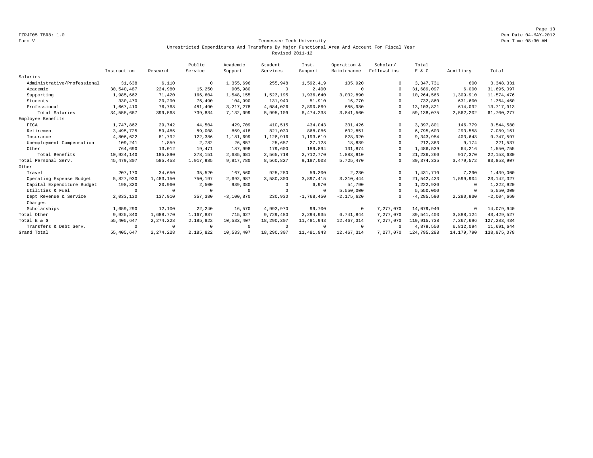Page 13 FZRJF05 TBR8: 1.0 Run Date 04-MAY-2012

#### Form V Tennessee Tech University Run Time 08:30 AM Unrestricted Expenditures And Transfers By Major Functional Area And Account For Fiscal Year Revised 2011-12

|                             |              |             | Public     | Academic     | Student    | Inst.        | Operation &    | Scholar/    | Total          |              |               |
|-----------------------------|--------------|-------------|------------|--------------|------------|--------------|----------------|-------------|----------------|--------------|---------------|
|                             | Instruction  | Research    | Service    | Support      | Services   | Support      | Maintenance    | Fellowships | E & G          | Auxiliary    | Total         |
| Salaries                    |              |             |            |              |            |              |                |             |                |              |               |
| Administrative/Professional | 31,638       | 6,110       | $^{\circ}$ | 1,355,696    | 255,948    | 1,592,419    | 105,920        | $\Omega$    | 3, 347, 731    | 600          | 3, 348, 331   |
| Academic                    | 30,540,487   | 224,980     | 15,250     | 905,980      | $\Omega$   | 2,400        | $\Omega$       | $\cap$      | 31,689,097     | 6,000        | 31,695,097    |
| Supporting                  | 1,985,662    | 71,420      | 166,604    | 1,548,155    | 1,523,195  | 1,936,640    | 3,032,890      | $\cap$      | 10,264,566     | 1,309,910    | 11,574,476    |
| Students                    | 330,470      | 20,290      | 76,490     | 104,990      | 131,940    | 51,910       | 16,770         | $\Omega$    | 732,860        | 631,600      | 1,364,460     |
| Professional                | 1,667,410    | 76,768      | 481,490    | 3, 217, 278  | 4,084,026  | 2,890,869    | 685,980        | $\cap$      | 13, 103, 821   | 614,092      | 13,717,913    |
| Total Salaries              | 34, 555, 667 | 399,568     | 739,834    | 7,132,099    | 5,995,109  | 6,474,238    | 3,841,560      | $\Omega$    | 59, 138, 075   | 2,562,202    | 61,700,277    |
| Employee Benefits           |              |             |            |              |            |              |                |             |                |              |               |
| FICA                        | 1,747,862    | 29,742      | 44,504     | 429,709      | 410,515    | 434,043      | 301,426        | $\Omega$    | 3,397,801      | 146,779      | 3,544,580     |
| Retirement                  | 3,495,725    | 59,485      | 89,008     | 859,418      | 821,030    | 868,086      | 602,851        | $\Omega$    | 6,795,603      | 293,558      | 7,089,161     |
| Insurance                   | 4,806,622    | 81,792      | 122,386    | 1,181,699    | 1,128,916  | 1,193,619    | 828,920        | 0           | 9,343,954      | 403,643      | 9,747,597     |
| Unemployment Compensation   | 109,241      | 1,859       | 2,782      | 26,857       | 25,657     | 27,128       | 18,839         |             | 212,363        | 9,174        | 221,537       |
| Other                       | 764,690      | 13,012      | 19,471     | 187,998      | 179,600    | 189,894      | 131,874        |             | 1,486,539      | 64,216       | 1,550,755     |
| Total Benefits              | 10,924,140   | 185,890     | 278,151    | 2,685,681    | 2,565,718  | 2,712,770    | 1,883,910      |             | 21, 236, 260   | 917,370      | 22, 153, 630  |
| Total Personal Serv.        | 45, 479, 807 | 585,458     | 1,017,985  | 9,817,780    | 8,560,827  | 9,187,008    | 5,725,470      | $\Omega$    | 80, 374, 335   | 3,479,572    | 83, 853, 907  |
| Other                       |              |             |            |              |            |              |                |             |                |              |               |
| Travel                      | 207,170      | 34,650      | 35,520     | 167,560      | 925,280    | 59,300       | 2,230          | $\Omega$    | 1,431,710      | 7,290        | 1,439,000     |
| Operating Expense Budget    | 5,827,930    | 1,483,150   | 750,197    | 2,692,987    | 3,580,300  | 3,897,415    | 3,310,444      |             | 21, 542, 423   | 1,599,904    | 23, 142, 327  |
| Capital Expenditure Budget  | 198,320      | 20,960      | 2,500      | 939,380      | $\Omega$   | 6,970        | 54,790         | $\Omega$    | 1,222,920      | $^{\circ}$   | 1,222,920     |
| Utilities & Fuel            | $\Omega$     | $^{\circ}$  | $\Omega$   | $\mathbf 0$  | $\Omega$   | $\Omega$     | 5,550,000      | $\Omega$    | 5,550,000      | 0            | 5,550,000     |
| Dept Revenue & Service      | 2,033,130    | 137,910     | 357,380    | $-3,100,870$ | 230,930    | $-1,768,450$ | $-2, 175, 620$ |             | $-4, 285, 590$ | 2,280,930    | $-2,004,660$  |
| Charges                     |              |             |            |              |            |              |                |             |                |              |               |
| Scholarships                | 1,659,290    | 12,100      | 22,240     | 16,570       | 4,992,970  | 99,700       | $^{\circ}$     | 7,277,070   | 14,079,940     | $\circ$      | 14,079,940    |
| Total Other                 | 9,925,840    | 1,688,770   | 1,167,837  | 715.627      | 9,729,480  | 2,294,935    | 6,741,844      | 7,277,070   | 39, 541, 403   | 3,888,124    | 43, 429, 527  |
| Total E & G                 | 55, 405, 647 | 2,274,228   | 2,185,822  | 10,533,407   | 18,290,307 | 11,481,943   | 12, 467, 314   | 7,277,070   | 119,915,738    | 7,367,696    | 127, 283, 434 |
| Transfers & Debt Serv.      | $\Omega$     | $^{\circ}$  | $\Omega$   | $^{\circ}$   | $\Omega$   | $\Omega$     | $^{\circ}$     | $\Omega$    | 4,879,550      | 6,812,094    | 11,691,644    |
| Grand Total                 | 55, 405, 647 | 2, 274, 228 | 2,185,822  | 10,533,407   | 18,290,307 | 11,481,943   | 12, 467, 314   | 7,277,070   | 124,795,288    | 14, 179, 790 | 138,975,078   |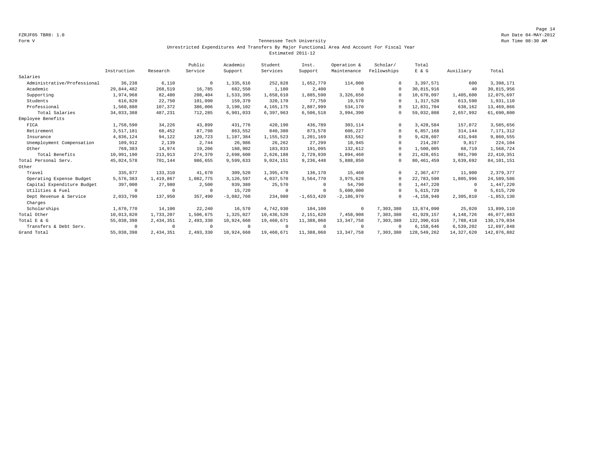Page 14 FZRJF05 TBR8: 1.0 Run Date 04-MAY-2012

#### Form V Tennessee Tech University Run Time 08:30 AM Unrestricted Expenditures And Transfers By Major Functional Area And Account For Fiscal Year Estimated 2011-12

|                             |             |            | Public    | Academic     | Student     | Inst.        | Operation &  | Scholar/    | Total          |              |                |
|-----------------------------|-------------|------------|-----------|--------------|-------------|--------------|--------------|-------------|----------------|--------------|----------------|
|                             | Instruction | Research   | Service   | Support      | Services    | Support      | Maintenance  | Fellowships | $E$ & $G$      | Auxiliary    | Total          |
| Salaries                    |             |            |           |              |             |              |              |             |                |              |                |
| Administrative/Professional | 36,238      | 6,110      | $\Omega$  | 1,335,616    | 252,828     | 1,652,779    | 114,000      | $\Omega$    | 3,397,571      | 600          | 3,398,171      |
| Academic                    | 29,844,482  | 268,519    | 16,785    | 682,550      | 1,180       | 2,400        | $^{\circ}$   | $\cap$      | 30,815,916     | 40           | 30,815,956     |
| Supporting                  | 1,974,968   | 82,480     | 208,404   | 1,533,395    | 1,658,610   | 1,885,590    | 3,326,650    |             | 10,670,097     | 1,405,600    | 12,075,697     |
| Students                    | 616,820     | 22,750     | 101,090   | 159,370      | 320,170     | 77,750       | 19,570       | $\Omega$    | 1,317,520      | 613,590      | 1,931,110      |
| Professional                | 1,560,880   | 107,372    | 386,006   | 3,190,102    | 4, 165, 175 | 2,887,999    | 534,170      | $\Omega$    | 12,831,704     | 638,162      | 13,469,866     |
| Total Salaries              | 34,033,388  | 487,231    | 712,285   | 6,901,033    | 6,397,963   | 6,506,518    | 3,994,390    | $\Omega$    | 59,032,808     | 2,657,992    | 61,690,800     |
| Employee Benefits           |             |            |           |              |             |              |              |             |                |              |                |
| FICA                        | 1,758,590   | 34,226     | 43,899    | 431,776      | 420,190     | 436,789      | 303,114      | $\Omega$    | 3,428,584      | 157,072      | 3,585,656      |
| Retirement                  | 3,517,181   | 68,452     | 87,798    | 863,552      | 840,380     | 873,578      | 606,227      | $\Omega$    | 6,857,168      | 314,144      | 7,171,312      |
| Insurance                   | 4,836,124   | 94,122     | 120,723   | 1,187,384    | 1,155,523   | 1,201,169    | 833,562      | $\Omega$    | 9,428,607      | 431,948      | 9,860,555      |
| Unemployment Compensation   | 109,912     | 2,139      | 2,744     | 26,986       | 26,262      | 27,299       | 18,945       | $\Omega$    | 214,287        | 9,817        | 224,104        |
| Other                       | 769,383     | 14,974     | 19,206    | 188,902      | 183,833     | 191,095      | 132,612      | $\Omega$    | 1,500,005      | 68,719       | 1,568,724      |
| Total Benefits              | 10,991,190  | 213,913    | 274,370   | 2,698,600    | 2,626,188   | 2,729,930    | 1,894,460    | $\Omega$    | 21, 428, 651   | 981,700      | 22, 410, 351   |
| Total Personal Serv.        | 45,024,578  | 701,144    | 986,655   | 9,599,633    | 9,024,151   | 9,236,448    | 5,888,850    | $\Omega$    | 80, 461, 459   | 3,639,692    | 84, 101, 151   |
| Other                       |             |            |           |              |             |              |              |             |                |              |                |
| Travel                      | 335,877     | 133,310    | 41,670    | 309,520      | 1,395,470   | 136,170      | 15,460       | $\Omega$    | 2,367,477      | 11,900       | 2,379,377      |
| Operating Expense Budget    | 5,576,383   | 1,419,867  | 1,082,775 | 3,126,597    | 4,037,570   | 3,564,770    | 3,975,628    | $\Omega$    | 22,783,590     | 1,805,996    | 24,589,586     |
| Capital Expenditure Budget  | 397,000     | 27,980     | 2,500     | 939,380      | 25,570      | $\Omega$     | 54,790       | $\Omega$    | 1,447,220      | $^{\circ}$   | 1,447,220      |
| Utilities & Fuel            | $\Omega$    | $^{\circ}$ | $\Omega$  | 15,720       | $\mathbf 0$ | $\Omega$     | 5,600,000    | $\Omega$    | 5,615,720      | 0            | 5,615,720      |
| Dept Revenue & Service      | 2,033,790   | 137,950    | 357,490   | $-3,082,760$ | 234,980     | $-1,653,420$ | $-2,186,970$ | $\Omega$    | $-4, 158, 940$ | 2,305,810    | $-1, 853, 130$ |
| Charges                     |             |            |           |              |             |              |              |             |                |              |                |
| Scholarships                | 1,670,770   | 14,100     | 22,240    | 16,570       | 4,742,930   | 104,100      | $^{\circ}$   | 7,303,380   | 13,874,090     | 25,020       | 13,899,110     |
| Total Other                 | 10,013,820  | 1,733,207  | 1,506,675 | 1,325,027    | 10,436,520  | 2,151,620    | 7,458,908    | 7,303,380   | 41,929,157     | 4,148,726    | 46,077,883     |
| Total E & G                 | 55,038,398  | 2,434,351  | 2,493,330 | 10,924,660   | 19,460,671  | 11,388,068   | 13, 347, 758 | 7,303,380   | 122,390,616    | 7,788,418    | 130, 179, 034  |
| Transfers & Debt Serv.      | $\Omega$    | $^{\circ}$ |           | $^{\circ}$   | $\circ$     | $\Omega$     | $^{\circ}$   | $\Omega$    | 6,158,646      | 6,539,202    | 12,697,848     |
| Grand Total                 | 55,038,398  | 2,434,351  | 2,493,330 | 10,924,660   | 19,460,671  | 11,388,068   | 13, 347, 758 | 7,303,380   | 128,549,262    | 14, 327, 620 | 142,876,882    |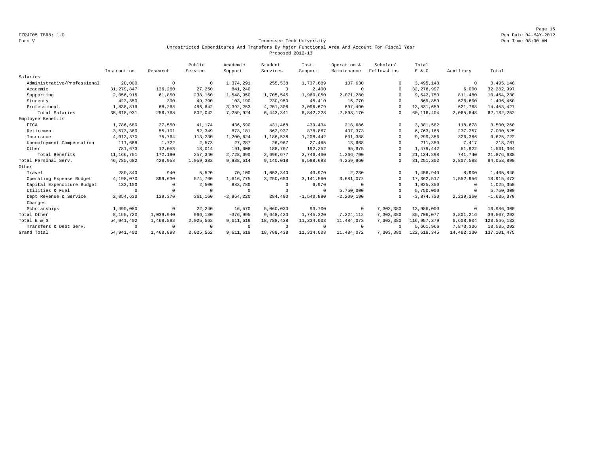Page 15 FZRJF05 TBR8: 1.0 Run Date 04-MAY-2012

#### Form V Tennessee Tech University Run Time 08:30 AM Unrestricted Expenditures And Transfers By Major Functional Area And Account For Fiscal Year Proposed 2012-13

|                             |              |            | Public    | Academic     | Student     | Inst.        | Operation &    | Scholar/    | Total        |             |               |
|-----------------------------|--------------|------------|-----------|--------------|-------------|--------------|----------------|-------------|--------------|-------------|---------------|
|                             | Instruction  | Research   | Service   | Support      | Services    | Support      | Maintenance    | Fellowships | E & G        | Auxiliary   | Total         |
| Salaries                    |              |            |           |              |             |              |                |             |              |             |               |
| Administrative/Professional | 20,000       | $^{\circ}$ | $\Omega$  | 1,374,291    | 255,538     | 1,737,689    | 107,630        | $\Omega$    | 3,495,148    | $\mathbf 0$ | 3,495,148     |
| Academic                    | 31, 279, 847 | 126,260    | 27,250    | 841,240      | $\circ$     | 2,400        | $\Omega$       | $\Omega$    | 32, 276, 997 | 6,000       | 32, 282, 997  |
| Supporting                  | 2,056,915    | 61,850     | 238,160   | 1,548,950    | 1,705,545   | 1,960,050    | 2,071,280      | $\Omega$    | 9,642,750    | 811,480     | 10,454,230    |
| Students                    | 423,350      | 390        | 49,790    | 103,190      | 230,950     | 45,410       | 16,770         | $\cap$      | 869,850      | 626,600     | 1,496,450     |
| Professional                | 1,838,819    | 68,268     | 486,842   | 3,392,253    | 4,251,308   | 3,096,679    | 697,490        | $\cap$      | 13,831,659   | 621,768     | 14, 453, 427  |
| Total Salaries              | 35,618,931   | 256,768    | 802,042   | 7,259,924    | 6, 443, 341 | 6,842,228    | 2,893,170      | $\Omega$    | 60,116,404   | 2,065,848   | 62, 182, 252  |
| Employee Benefits           |              |            |           |              |             |              |                |             |              |             |               |
| FICA                        | 1,786,680    | 27,550     | 41,174    | 436,590      | 431,468     | 439,434      | 218,686        | $\Omega$    | 3,381,582    | 118,678     | 3,500,260     |
| Retirement                  | 3,573,360    | 55,101     | 82,349    | 873,181      | 862,937     | 878.867      | 437,373        | $\Omega$    | 6,763,168    | 237,357     | 7,000,525     |
| Insurance                   | 4,913,370    | 75,764     | 113,230   | 1,200,624    | 1,186,538   | 1,208,442    | 601,388        | $\Omega$    | 9,299,356    | 326,366     | 9,625,722     |
| Unemployment Compensation   | 111,668      | 1,722      | 2,573     | 27,287       | 26,967      | 27,465       | 13,668         | $\Omega$    | 211,350      | 7,417       | 218,767       |
| Other                       | 781,673      | 12,053     | 18,014    | 191,008      | 188,767     | 192,252      | 95,675         | $\Omega$    | 1,479,442    | 51,922      | 1,531,364     |
| Total Benefits              | 11,166,751   | 172,190    | 257,340   | 2,728,690    | 2,696,677   | 2,746,460    | 1,366,790      | $\Omega$    | 21, 134, 898 | 741,740     | 21,876,638    |
| Total Personal Serv.        | 46,785,682   | 428,958    | 1,059,382 | 9,988,614    | 9,140,018   | 9,588,688    | 4,259,960      | $\Omega$    | 81, 251, 302 | 2,807,588   | 84,058,890    |
| Other                       |              |            |           |              |             |              |                |             |              |             |               |
| Travel                      | 280,840      | 940        | 5,520     | 70,100       | 1,053,340   | 43,970       | 2,230          | $\cap$      | 1,456,940    | 8,900       | 1,465,840     |
| Operating Expense Budget    | 4,198,070    | 899,630    | 574,760   | 1,616,775    | 3,250,650   | 3,141,560    | 3,681,072      | $\Omega$    | 17,362,517   | 1,552,956   | 18, 915, 473  |
| Capital Expenditure Budget  | 132,100      | $\Omega$   | 2,500     | 883,780      | 0           | 6,970        | $\Omega$       | $\Omega$    | 1,025,350    | $^{\circ}$  | 1,025,350     |
| Utilities & Fuel            |              | $\Omega$   |           | $^{\circ}$   | $\Omega$    | $^{\circ}$   | 5,750,000      | $\Omega$    | 5,750,000    | $\circ$     | 5,750,000     |
| Dept Revenue & Service      | 2,054,630    | 139,370    | 361,160   | $-2,964,220$ | 284,400     | $-1,540,880$ | $-2, 209, 190$ | $\Omega$    | $-3,874,730$ | 2,239,360   | $-1,635,370$  |
| Charges                     |              |            |           |              |             |              |                |             |              |             |               |
| Scholarships                | 1,490,080    | $\circ$    | 22,240    | 16,570       | 5,060,030   | 93,700       | $^{\circ}$     | 7,303,380   | 13,986,000   | $^{\circ}$  | 13,986,000    |
| Total Other                 | 8,155,720    | 1,039,940  | 966,180   | $-376,995$   | 9,648,420   | 1,745,320    | 7,224,112      | 7,303,380   | 35,706,077   | 3,801,216   | 39,507,293    |
| Total E & G                 | 54, 941, 402 | 1,468,898  | 2,025,562 | 9,611,619    | 18,788,438  | 11,334,008   | 11,484,072     | 7,303,380   | 116,957,379  | 6,608,804   | 123,566,183   |
| Transfers & Debt Serv.      | $\Omega$     | $^{\circ}$ | $\Omega$  | $^{\circ}$   | $\Omega$    | $\Omega$     | $^{\circ}$     | $\Omega$    | 5,661,966    | 7,873,326   | 13,535,292    |
| Grand Total                 | 54, 941, 402 | 1,468,898  | 2,025,562 | 9,611,619    | 18,788,438  | 11,334,008   | 11,484,072     | 7,303,380   | 122,619,345  | 14,482,130  | 137, 101, 475 |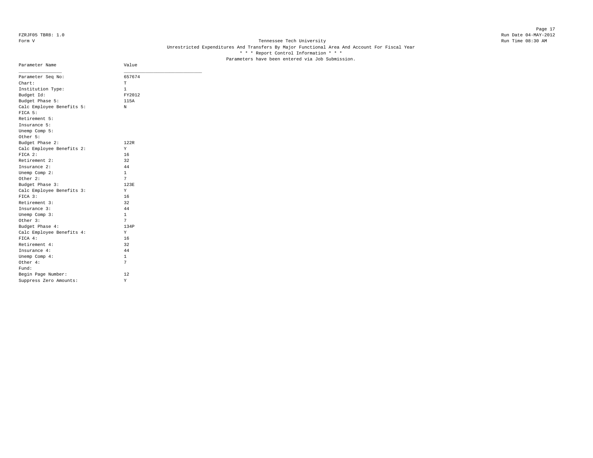## Form V Tennessee Tech University Run Time 08:30 AM Unrestricted Expenditures And Transfers By Major Functional Area And Account For Fiscal Year \* \* \* Report Control Information \* \* \* Parameters have been entered via Job Submission.

| Parameter Name            | Value  |
|---------------------------|--------|
| Parameter Seq No:         | 657674 |
| Chart:                    | т      |
| Institution Type:         | 1      |
| Budget Id:                | FY2012 |
| Budget Phase 5:           | 115A   |
| Calc Employee Benefits 5: | N      |
| FICA 5:                   |        |
| Retirement 5:             |        |
| Insurance 5:              |        |
| Unemp Comp 5:             |        |
| Other 5:                  |        |
| Budget Phase 2:           | 122R   |
| Calc Employee Benefits 2: | Y      |
| FICA 2:                   | 16     |
| Retirement 2:             | 32     |
| Insurance 2:              | 44     |
| Unemp Comp 2:             | 1      |
| Other 2:                  | 7      |
| Budget Phase 3:           | 123E   |
| Calc Employee Benefits 3: | Y      |
| FICA 3:                   | 16     |
| Retirement 3:             | 32     |
| Insurance 3:              | 44     |
| Unemp Comp 3:             | 1      |
| Other 3:                  | 7      |
| Budget Phase 4:           | 134P   |
| Calc Employee Benefits 4: | Υ      |
| FICA 4:                   | 16     |
| Retirement 4:             | 32     |
| Insurance 4:              | 44     |
| Unemp Comp 4:             | 1      |
| Other 4:                  | 7      |
| Fund:                     |        |
| Begin Page Number:        | 12     |
| Suppress Zero Amounts:    | Υ      |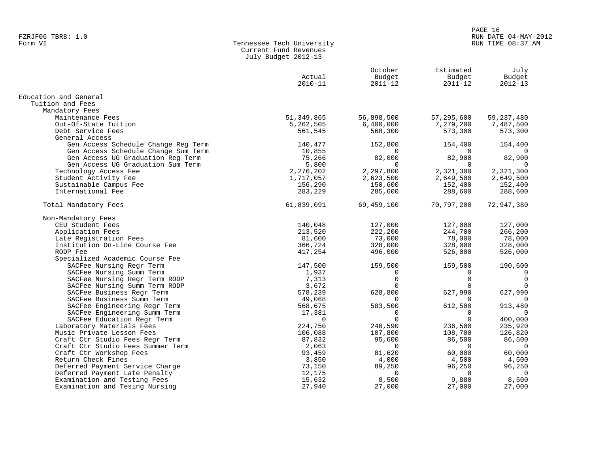#### PAGE 16 FZRJF06 TBR8: 1.0<br>Form VI RUN DATE 04-MAY-2012 RUN DATE 04-MAY-2012 RUN TIME 08:37 AM

| Form VI | Tennessee Tech University |
|---------|---------------------------|
|         | Current Fund Revenues     |
|         | July Budget 2012-13       |

|                                     | Actual<br>$2010 - 11$ | October<br>Budget<br>$2011 - 12$ | Estimated<br>Budget<br>$2011 - 12$ | July<br>Budget<br>$2012 - 13$ |
|-------------------------------------|-----------------------|----------------------------------|------------------------------------|-------------------------------|
| Education and General               |                       |                                  |                                    |                               |
| Tuition and Fees                    |                       |                                  |                                    |                               |
| Mandatory Fees                      |                       |                                  |                                    |                               |
| Maintenance Fees                    | 51,349,865            | 56,898,500                       | 57,295,600                         | 59, 237, 480                  |
| Out-Of-State Tuition                | 5,262,505             | 6,400,000                        | 7,279,200                          | 7,487,500                     |
| Debt Service Fees                   | 561,545               | 568,300                          | 573,300                            | 573,300                       |
| General Access                      |                       |                                  |                                    |                               |
| Gen Access Schedule Change Reg Term | 140,477               | 152,800                          | 154,400                            | 154,400                       |
| Gen Access Schedule Change Sum Term | 10,855                | 0                                | $\Omega$                           | 0                             |
| Gen Access UG Graduation Reg Term   | 75,266                | 82,000                           | 82,900                             | 82,900                        |
| Gen Access UG Graduation Sum Term   | 5,800                 | $\Omega$                         | $\Omega$                           | $\Omega$                      |
| Technology Access Fee               | 2,276,202             | 2,297,800                        | 2,321,300                          | 2,321,300                     |
| Student Activity Fee                | 1,717,057             | 2,623,500                        | 2,649,500                          | 2,649,500                     |
| Sustainable Campus Fee              | 156,290               | 150,600                          | 152,400                            | 152,400                       |
| International Fee                   | 283,229               | 285,600                          | 288,600                            | 288,600                       |
| Total Mandatory Fees                | 61,839,091            | 69,459,100                       | 70,797,200                         | 72,947,380                    |
| Non-Mandatory Fees                  |                       |                                  |                                    |                               |
| CEU Student Fees                    | 140,048               | 127,000                          | 127,000                            | 127,000                       |
| Application Fees                    | 213,520               | 222,200                          | 244,700                            | 266,200                       |
| Late Registration Fees              | 81,600                | 73,000                           | 78,000                             | 78,000                        |
| Institution On-Line Course Fee      | 366,724               | 328,000                          | 328,000                            | 328,000                       |
| RODP Fee                            | 417,254               | 496,000                          | 526,000                            | 526,000                       |
| Specialized Academic Course Fee     |                       |                                  |                                    |                               |
| SACFee Nursing Regr Term            | 147,500               | 159,500                          | 159,500                            | 190,600                       |
| SACFee Nursing Summ Term            | 1,937                 | 0                                | 0                                  | 0                             |
| SACFee Nursing Regr Term RODP       | 7,313                 | $\mathbf 0$                      | $\Omega$                           | $\mathbf 0$                   |
| SACFee Nursing Summ Term RODP       | 3,672                 | $\Omega$                         | $\Omega$                           | $\mathbf 0$                   |
| SACFee Business Regr Term           | 578,239               | 628,800                          | 627,990                            | 627,990                       |
| SACFee Business Summ Term           | 49,068                | 0                                | $\Omega$                           | $\mathbf 0$                   |
| SACFee Engineering Regr Term        | 568,675               | 583,500                          | 612,500                            | 913,480                       |
| SACFee Engineering Summ Term        | 17,381                | 0                                | 0                                  | $\Omega$                      |
| SACFee Education Regr Term          | $\Omega$              | $\Omega$                         | $\Omega$                           | 400,000                       |
| Laboratory Materials Fees           | 224,750               | 240,590                          | 236,500                            | 235,920                       |
| Music Private Lesson Fees           | 106,088               | 107,800                          | 108,700                            | 126,820                       |
| Craft Ctr Studio Fees Regr Term     | 87,832                | 95,600                           | 86,500                             | 86,500                        |
| Craft Ctr Studio Fees Summer Term   | 2,063                 | $\mathbf 0$                      | $\overline{0}$                     | $\overline{0}$                |
| Craft Ctr Workshop Fees             | 93,459                | 81,620                           | 60,000                             | 60,000                        |
| Return Check Fines                  | 3,850                 | 4,000                            | 4,500                              | 4,500                         |
| Deferred Payment Service Charge     | 73,150                | 89,250                           | 96,250                             | 96,250                        |
| Deferred Payment Late Penalty       | 12,175                | $\Omega$                         | $\Omega$                           | $\Omega$                      |
| Examination and Testing Fees        | 15,632                | 8,500                            | 9,880                              | 8,500                         |
| Examination and Tesing Nursing      | 27,940                | 27,000                           | 27,000                             | 27,000                        |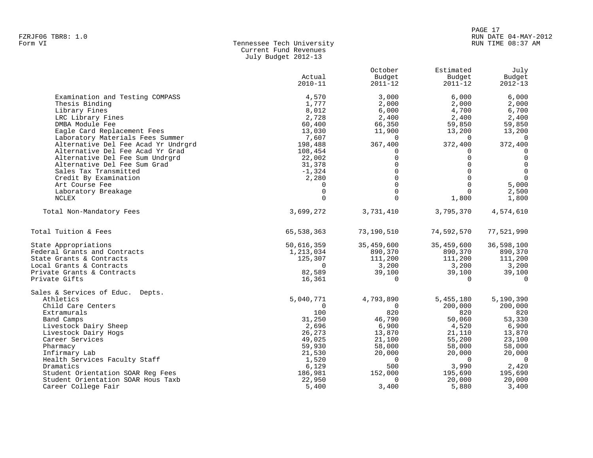#### PAGE 17 FZRJF06 TBR8: 1.0<br>Form VI RUN DATE 04-MAY-2012<br>Form VI RUN TIME 08:37 AM RUN TIME 08:37 AM

| Form VI | Tennessee Tech University |
|---------|---------------------------|
|         | Current Fund Revenues     |
|         | July Budget 2012-13       |

|                                                                         | Actual<br>$2010 - 11$ | October<br>Budget<br>2011-12 | Estimated<br>Budget<br>$2011 - 12$ | July<br>Budget<br>$2012 - 13$ |
|-------------------------------------------------------------------------|-----------------------|------------------------------|------------------------------------|-------------------------------|
| Examination and Testing COMPASS                                         | 4,570                 | 3,000                        | 6,000                              | 6,000                         |
| Thesis Binding                                                          | 1,777                 | 2,000                        | 2,000                              | 2,000                         |
| Library Fines                                                           | 8,012                 | 6,000                        | 4,700                              | 6,700                         |
| LRC Library Fines                                                       | 2,728                 | 2,400                        | 2,400                              | 2,400                         |
| DMBA Module Fee                                                         | 60,400                | 66,350                       | 59,850                             | 59,850                        |
| Eagle Card Replacement Fees                                             | 13,030                | 11,900                       | 13,200                             | 13,200                        |
| Laboratory Materials Fees Summer                                        | 7,607                 | $\Omega$                     | $\Omega$                           | $\Omega$                      |
| Alternative Del Fee Acad Yr Undrgrd                                     | 198,488               | 367,400                      | 372,400                            | 372,400                       |
| Alternative Del Fee Acad Yr Grad                                        | 108,454               | 0                            | $\Omega$                           | 0                             |
| Alternative Del Fee Sum Undrgrd                                         | 22,002                | $\Omega$<br>$\Omega$         | $\Omega$<br>$\Omega$               | $\mathbf 0$<br>$\mathbf 0$    |
| Alternative Del Fee Sum Grad<br>Sales Tax Transmitted                   | 31,378<br>$-1,324$    | $\Omega$                     | $\Omega$                           | $\overline{0}$                |
| Credit By Examination                                                   | 2,280                 | $\Omega$                     | $\Omega$                           | $\Omega$                      |
| Art Course Fee                                                          | $\Omega$              | $\Omega$                     | $\Omega$                           | 5,000                         |
| Laboratory Breakage                                                     | $\mathbf 0$           | $\Omega$                     | $\Omega$                           | 2,500                         |
| NCLEX                                                                   | $\Omega$              | $\Omega$                     | 1,800                              | 1,800                         |
|                                                                         |                       |                              |                                    |                               |
| Total Non-Mandatory Fees                                                | 3,699,272             | 3,731,410                    | 3,795,370                          | 4,574,610                     |
| Total Tuition & Fees                                                    | 65,538,363            | 73,190,510                   | 74,592,570                         | 77,521,990                    |
| State Appropriations                                                    | 50,616,359            | 35,459,600                   | 35,459,600                         | 36,598,100                    |
| Federal Grants and Contracts                                            | 1,213,034             | 890,370                      | 890,370                            | 890,370                       |
| State Grants & Contracts                                                | 125,307               | 111,200                      | 111,200                            | 111,200                       |
| Local Grants & Contracts                                                | $\Omega$              | 3,200                        | 3,200                              | 3,200                         |
| Private Grants & Contracts                                              | 82,589                | 39,100                       | 39,100                             | 39,100                        |
| Private Gifts                                                           | 16,361                | $\Omega$                     | $\Omega$                           | $\Omega$                      |
| Sales & Services of Educ. Depts.                                        |                       |                              |                                    |                               |
| Athletics                                                               | 5,040,771             | 4,793,890                    | 5,455,180                          | 5,190,390                     |
| Child Care Centers                                                      | $\Omega$              | $\mathbf 0$                  | 200,000                            | 200,000                       |
| Extramurals                                                             | 100                   | 820                          | 820                                | 820                           |
| Band Camps                                                              | 31,250                | 46,790                       | 50,060                             | 53,330                        |
| Livestock Dairy Sheep                                                   | 2,696                 | 6,900                        | 4,520                              | 6,900                         |
| Livestock Dairy Hogs                                                    | 26,273                | 13,870                       | 21,110                             | 13,870                        |
| Career Services                                                         | 49,025                | 21,100                       | 55,200                             | 23,100                        |
| Pharmacy                                                                | 59,930                | 58,000                       | 58,000                             | 58,000                        |
| Infirmary Lab                                                           | 21,530                | 20,000                       | 20,000                             | 20,000                        |
| Health Services Faculty Staff                                           | 1,520                 | $\Omega$                     | $\Omega$                           | $\Omega$                      |
| Dramatics                                                               | 6,129                 | 500                          | 3,990                              | 2,420                         |
| Student Orientation SOAR Reg Fees<br>Student Orientation SOAR Hous Taxb | 186,981<br>22,950     | 152,000<br>0                 | 195,690<br>20,000                  | 195,690<br>20,000             |
| Career College Fair                                                     | 5,400                 | 3,400                        | 5,880                              | 3,400                         |
|                                                                         |                       |                              |                                    |                               |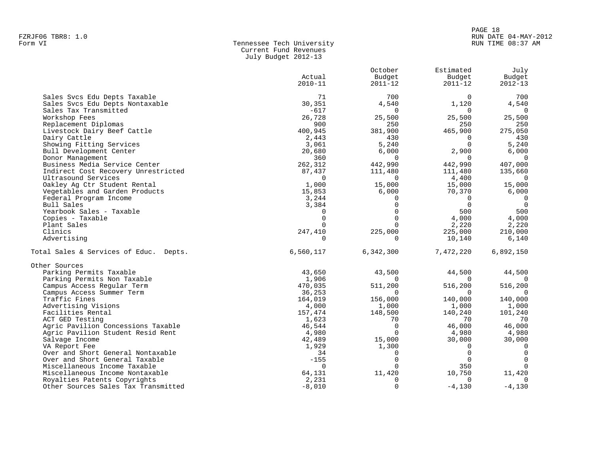## PAGE 18 FZRJF06 TBR8: 1.0<br>Form VI RUN DATE 04-MAY-2012<br>Form VI RUN TIME 08:37 AM RUN TIME 08:37 AM

| Form VI | Tennessee Tech University |
|---------|---------------------------|
|         | Current Fund Revenues     |
|         | July Budget 2012-13       |

|                                        | Actual<br>$2010 - 11$      | October<br>Budget<br>$2011 - 12$ | Estimated<br>Budget<br>$2011 - 12$ | July<br>Budget<br>$2012 - 13$ |
|----------------------------------------|----------------------------|----------------------------------|------------------------------------|-------------------------------|
| Sales Svcs Edu Depts Taxable           | 71                         | 700                              | $\Omega$                           | 700                           |
| Sales Svcs Edu Depts Nontaxable        | 30,351                     | 4,540                            | 1,120                              | 4,540                         |
| Sales Tax Transmitted                  | $-617$                     | $\Omega$                         | $\Omega$                           | $\overline{0}$                |
| Workshop Fees                          | 26,728                     | 25,500                           | 25,500                             | 25,500                        |
| Replacement Diplomas                   | 900                        | 250                              | 250                                | 250                           |
| Livestock Dairy Beef Cattle            | 400,945                    | 381,900                          | 465,900                            | 275,050                       |
| Dairy Cattle                           | 2,443                      | 430                              | $\Omega$                           | 430                           |
| Showing Fitting Services               | 3,061                      | 5,240                            | $\Omega$                           | 5,240                         |
| Bull Development Center                | 20,680                     | 6,000                            | 2,900                              | 6,000                         |
| Donor Management                       | 360                        | $\Omega$                         | $\Omega$                           | $\Omega$                      |
| Business Media Service Center          | 262,312                    | 442,990                          | 442,990                            | 407,000                       |
| Indirect Cost Recovery Unrestricted    | 87,437                     | 111,480                          | 111,480                            | 135,660                       |
| Ultrasound Services                    | $\mathbf 0$                | $\Omega$                         | 4,400                              | $\Omega$                      |
| Oakley Ag Ctr Student Rental           | 1,000                      | 15,000                           | 15,000                             | 15,000                        |
| Vegetables and Garden Products         | 15,853                     | 6,000                            | 70,370                             | 6,000                         |
| Federal Program Income                 | 3,244                      | $\Omega$                         | $\Omega$<br>$\Omega$               | $\Omega$<br>$\overline{0}$    |
| Bull Sales<br>Yearbook Sales - Taxable | 3,384                      | $\mathbf 0$<br>$\Omega$          | 500                                | 500                           |
| Copies - Taxable                       | $\mathbf 0$<br>$\mathbf 0$ | $\Omega$                         | 4,000                              | 4,000                         |
| Plant Sales                            | $\Omega$                   | $\Omega$                         |                                    |                               |
| Clinics                                | 247,410                    | 225,000                          | 2,220<br>225,000                   | 2,220<br>210,000              |
| Advertising                            | $\Omega$                   | $\Omega$                         | 10,140                             | 6,140                         |
|                                        |                            |                                  |                                    |                               |
| Total Sales & Services of Educ. Depts. | 6,560,117                  | 6,342,300                        | 7,472,220                          | 6,892,150                     |
| Other Sources                          |                            |                                  |                                    |                               |
| Parking Permits Taxable                | 43,650                     | 43,500                           | 44,500                             | 44,500                        |
| Parking Permits Non Taxable            | 1,906                      | $\Omega$                         |                                    |                               |
| Campus Access Regular Term             | 470,035                    | 511,200                          | 516,200                            | 516,200                       |
| Campus Access Summer Term              | 36,253                     | $\Omega$                         | $\Omega$                           | $\Omega$                      |
| Traffic Fines                          | 164,019                    | 156,000                          | 140,000                            | 140,000                       |
| Advertising Visions                    | 4,000                      | 1,000                            | 1,000                              | 1,000                         |
| Facilities Rental                      | 157,474                    | 148,500                          | 140,240                            | 101,240                       |
| ACT GED Testing                        | 1,623                      | 70                               | 70                                 | 70                            |
| Agric Pavilion Concessions Taxable     | 46,544                     | $\Omega$                         | 46,000                             | 46,000                        |
| Agric Pavilion Student Resid Rent      | 4,980                      | $\Omega$                         | 4,980                              | 4,980                         |
| Salvage Income                         | 42,489                     | 15,000                           | 30,000                             | 30,000                        |
| VA Report Fee                          | 1,929                      | 1,300                            | $\Omega$                           | $\overline{0}$                |
| Over and Short General Nontaxable      | 34                         | $\Omega$                         | $\Omega$                           | $\Omega$                      |
| Over and Short General Taxable         | $-155$                     | $\Omega$                         | $\Omega$                           | $\Omega$                      |
| Miscellaneous Income Taxable           | $\Omega$                   | <sup>n</sup>                     | 350                                |                               |
| Miscellaneous Income Nontaxable        | 64,131                     | 11,420                           | 10,750                             | 11,420                        |
| Royalties Patents Copyrights           | 2,231                      | O                                | $\Omega$                           | $\Omega$                      |
| Other Sources Sales Tax Transmitted    | $-8,010$                   | $\mathbf 0$                      | $-4,130$                           | $-4,130$                      |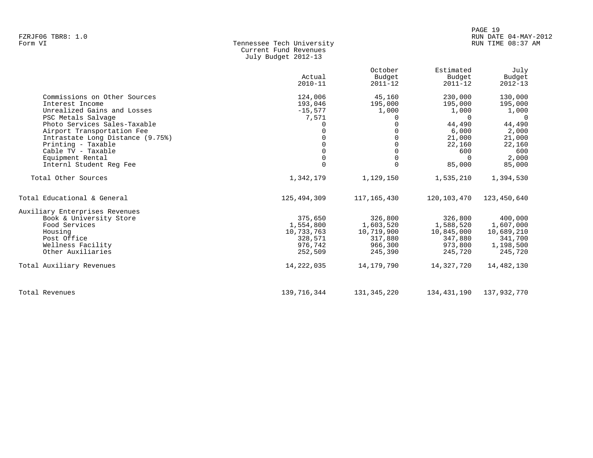| Form VI | Tennessee Tech University |  |
|---------|---------------------------|--|
|         | Current Fund Revenues     |  |
|         | July Budget 2012-13       |  |

|                                  | Actual<br>$2010 - 11$ | October<br>Budget<br>$2011 - 12$ | Estimated<br>Budget<br>$2011 - 12$ | July<br>Budget<br>$2012 - 13$ |
|----------------------------------|-----------------------|----------------------------------|------------------------------------|-------------------------------|
| Commissions on Other Sources     | 124,006               | 45,160                           | 230,000                            | 130,000                       |
| Interest Income                  | 193,046               | 195,000                          | 195,000                            | 195,000                       |
| Unrealized Gains and Losses      | $-15,577$             | 1,000                            | 1,000                              | 1,000                         |
| PSC Metals Salvage               | 7,571                 | $\Omega$                         | $\Omega$                           | $\cap$                        |
| Photo Services Sales-Taxable     |                       | $\Omega$                         | 44,490                             | 44,490                        |
| Airport Transportation Fee       |                       |                                  | 6,000                              | 2,000                         |
| Intrastate Long Distance (9.75%) |                       | $\Omega$                         | 21,000                             | 21,000                        |
| Printing - Taxable               |                       | $\Omega$                         | 22,160                             | 22,160                        |
| Cable TV - Taxable               |                       | $\Omega$                         | 600                                | 600                           |
| Equipment Rental                 |                       | $\Omega$                         | $\Omega$                           | 2,000                         |
| Internl Student Reg Fee          | $\Omega$              | $\Omega$                         | 85,000                             | 85,000                        |
| Total Other Sources              | 1,342,179             | 1,129,150                        | 1,535,210                          | 1,394,530                     |
| Total Educational & General      | 125,494,309           | 117,165,430                      | 120,103,470                        | 123,450,640                   |
| Auxiliary Enterprises Revenues   |                       |                                  |                                    |                               |
| Book & University Store          | 375,650               | 326,800                          | 326,800                            | 400,000                       |
| Food Services                    | 1,554,800             | 1,603,520                        | 1,588,520                          | 1,607,000                     |
| Housing                          | 10,733,763            | 10,719,900                       | 10,845,000                         | 10,689,210                    |
| Post Office                      | 328,571               | 317,880                          | 347,880                            | 341,700                       |
| Wellness Facility                | 976,742               | 966,300                          | 973,800                            | 1,198,500                     |
| Other Auxiliaries                | 252,509               | 245,390                          | 245,720                            | 245,720                       |
| Total Auxiliary Revenues         | 14,222,035            | 14,179,790                       | 14,327,720                         | 14,482,130                    |
| Total Revenues                   | 139,716,344           | 131,345,220                      | 134,431,190                        | 137,932,770                   |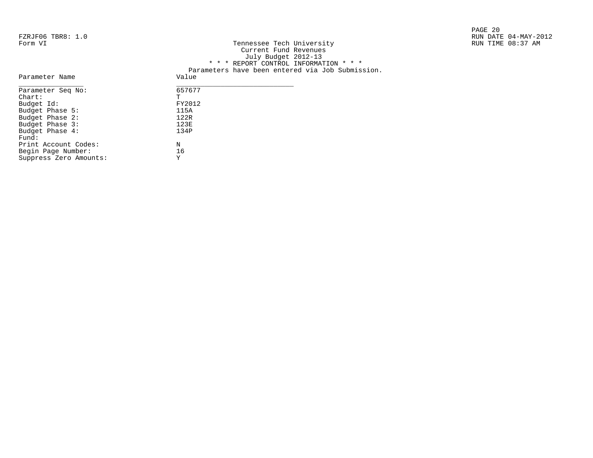|                   |                           | PAGE 20              |
|-------------------|---------------------------|----------------------|
| FZRJF06 TBR8: 1.0 |                           | RUN DATE 04-MAY-2012 |
| Form VI           | Tennessee Tech University | RUN TIME 08:37 AM    |

| RUN TIME 08:37 AM |
|-------------------|
|                   |
|                   |
|                   |
|                   |
|                   |
|                   |
|                   |
|                   |
|                   |
|                   |
|                   |
|                   |

| Parameter Seg No:    | 6576 |
|----------------------|------|
| $char$ :             | Ͳ    |
| Budget Id:           | FY20 |
| Budget Phase 5:      | 115A |
| Budget Phase 2:      | 122R |
| Budget Phase 3:      | 123E |
| Budget Phase 4:      | 134P |
| Fund:                |      |
| Print Account Codes: | N    |
| Begin Page Number:   | 16   |

Suppress Zero Amounts: Y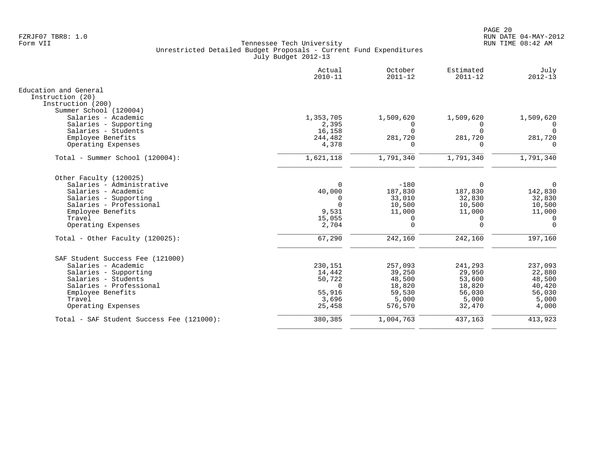|                                           | Actual<br>$2010 - 11$ | October<br>$2011 - 12$ | Estimated<br>$2011 - 12$ | July<br>$2012 - 13$ |
|-------------------------------------------|-----------------------|------------------------|--------------------------|---------------------|
| Education and General                     |                       |                        |                          |                     |
| Instruction (20)<br>Instruction (200)     |                       |                        |                          |                     |
| Summer School (120004)                    |                       |                        |                          |                     |
| Salaries - Academic                       | 1,353,705             | 1,509,620              | 1,509,620                | 1,509,620           |
| Salaries - Supporting                     | 2,395                 | $\Omega$               | $\Omega$                 | $\Omega$            |
| Salaries - Students                       | 16,158                |                        | $\Omega$                 |                     |
| Employee Benefits                         | 244,482               | 281,720                | 281,720                  | 281,720             |
| Operating Expenses                        | 4,378                 | $\Omega$               | $\Omega$                 | $\Omega$            |
| Total - Summer School (120004):           | 1,621,118             | 1,791,340              | 1,791,340                | 1,791,340           |
| Other Faculty (120025)                    |                       |                        |                          |                     |
| Salaries - Administrative                 | $\Omega$              | $-180$                 | $\Omega$                 | $\overline{0}$      |
| Salaries - Academic                       | 40,000                | 187,830                | 187,830                  | 142,830             |
| Salaries - Supporting                     | $\Omega$              | 33,010                 | 32,830                   | 32,830              |
| Salaries - Professional                   | $\Omega$              | 10,500                 | 10,500                   | 10,500              |
| Employee Benefits                         | 9,531                 | 11,000                 | 11,000                   | 11,000              |
| Travel                                    | 15,055                | $\Omega$               | 0                        | $\overline{0}$      |
| Operating Expenses                        | 2,704                 | $\Omega$               | $\Omega$                 | $\Omega$            |
| Total - Other Faculty $(120025)$ :        | 67,290                | 242,160                | 242,160                  | 197,160             |
| SAF Student Success Fee (121000)          |                       |                        |                          |                     |
| Salaries - Academic                       | 230,151               | 257,093                | 241,293                  | 237,093             |
| Salaries - Supporting                     | 14,442                | 39,250                 | 29,950                   | 22,880              |
| Salaries - Students                       | 50,722                | 48,500                 | 53,600                   | 48,500              |
| Salaries - Professional                   | $\Omega$              | 18,820                 | 18,820                   | 40,420              |
| Employee Benefits                         | 55,916                | 59,530                 | 56,030                   | 56,030              |
| Travel                                    | 3,696                 | 5,000                  | 5,000                    | 5,000               |
| Operating Expenses                        | 25,458                | 576,570                | 32,470                   | 4,000               |
| Total - SAF Student Success Fee (121000): | 380,385               | 1,004,763              | 437,163                  | 413,923             |
|                                           |                       |                        |                          |                     |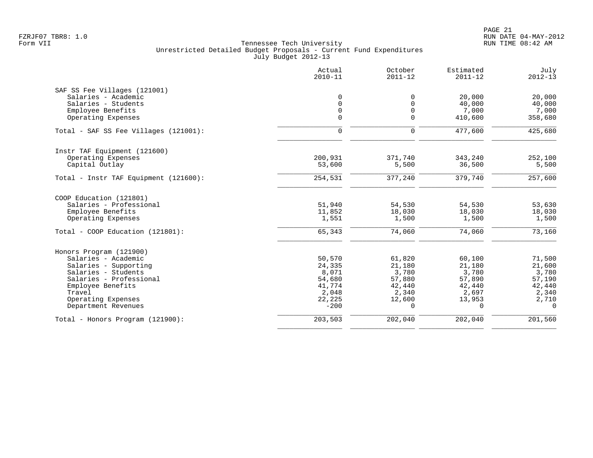|                                       | Actual<br>$2010 - 11$ | October<br>$2011 - 12$ | Estimated<br>$2011 - 12$ | July<br>$2012 - 13$ |
|---------------------------------------|-----------------------|------------------------|--------------------------|---------------------|
| SAF SS Fee Villages (121001)          |                       |                        |                          |                     |
| Salaries - Academic                   | $\mathbf 0$           | $\Omega$               | 20,000                   | 20,000              |
| Salaries - Students                   | $\mathbf 0$           | $\Omega$               | 40,000                   | 40,000              |
| Employee Benefits                     | $\mathbf 0$           | $\mathbf 0$            | 7,000                    | 7,000               |
| Operating Expenses                    | 0                     | $\mathbf 0$            | 410,600                  | 358,680             |
| Total - SAF SS Fee Villages (121001): | $\mathbf 0$           | $\Omega$               | 477,600                  | 425,680             |
| Instr TAF Equipment (121600)          |                       |                        |                          |                     |
| Operating Expenses                    | 200,931               | 371,740                | 343,240                  | 252,100             |
| Capital Outlay                        | 53,600                | 5,500                  | 36,500                   | 5,500               |
| Total - Instr TAF Equipment (121600): | 254,531               | 377,240                | 379,740                  | 257,600             |
| COOP Education (121801)               |                       |                        |                          |                     |
| Salaries - Professional               | 51,940                | 54,530                 | 54,530                   | 53,630              |
| Employee Benefits                     | 11,852                | 18,030                 | 18,030                   | 18,030              |
| Operating Expenses                    | 1,551                 | 1,500                  | 1,500                    | 1,500               |
| Total - COOP Education (121801):      | 65,343                | 74,060                 | 74,060                   | 73,160              |
| Honors Program (121900)               |                       |                        |                          |                     |
| Salaries - Academic                   | 50,570                | 61,820                 | 60,100                   | 71,500              |
| Salaries - Supporting                 | 24,335                | 21,180                 | 21,180                   | 21,600              |
| Salaries - Students                   | 8,071                 | 3,780                  | 3,780                    | 3,780               |
| Salaries - Professional               | 54,680                | 57,880                 | 57,890                   | 57,190              |
| Employee Benefits                     | 41,774                | 42,440                 | 42,440                   | 42,440              |
| Travel                                | 2,048                 | 2,340                  | 2,697                    | 2,340               |
| Operating Expenses                    | 22,225                | 12,600                 | 13,953                   | 2,710               |
| Department Revenues                   | $-200$                | $\Omega$               | $\Omega$                 | $\Omega$            |
| Total - Honors Program (121900):      | 203,503               | 202,040                | 202,040                  | 201,560             |
|                                       |                       |                        |                          |                     |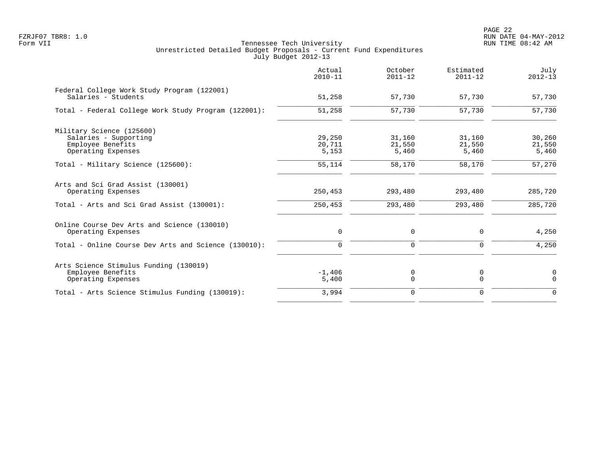|                                                                                   | Actual<br>$2010 - 11$ | October<br>$2011 - 12$ | Estimated<br>$2011 - 12$ | July<br>$2012 - 13$     |
|-----------------------------------------------------------------------------------|-----------------------|------------------------|--------------------------|-------------------------|
| Federal College Work Study Program (122001)<br>Salaries - Students                | 51,258                | 57,730                 | 57,730                   | 57,730                  |
| Total - Federal College Work Study Program (122001):                              | 51,258                | 57,730                 | 57,730                   | 57,730                  |
| Military Science (125600)<br>Salaries - Supporting                                | 29,250                | 31,160                 | 31,160                   | 30,260                  |
| Employee Benefits<br>Operating Expenses                                           | 20,711<br>5,153       | 21,550<br>5,460        | 21,550<br>5,460          | 21,550<br>5,460         |
| Total - Military Science (125600):                                                | 55,114                | 58,170                 | 58,170                   | 57,270                  |
| Arts and Sci Grad Assist (130001)<br>Operating Expenses                           | 250,453               | 293,480                | 293,480                  | 285,720                 |
| Total - Arts and Sci Grad Assist (130001):                                        | 250,453               | 293,480                | 293,480                  | 285,720                 |
| Online Course Dev Arts and Science (130010)<br>Operating Expenses                 | 0                     | 0                      | 0                        | 4,250                   |
| Total - Online Course Dev Arts and Science (130010):                              | $\mathbf 0$           | 0                      | 0                        | 4,250                   |
| Arts Science Stimulus Funding (130019)<br>Employee Benefits<br>Operating Expenses | $-1,406$<br>5,400     | 0<br>$\Omega$          | 0<br>$\Omega$            | $\mathbf 0$<br>$\Omega$ |
| Total - Arts Science Stimulus Funding (130019):                                   | 3,994                 | 0                      | $\Omega$                 | $\Omega$                |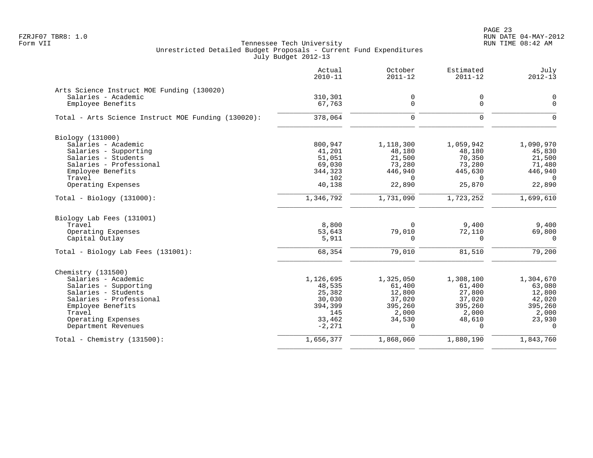|                                                     | Actual<br>$2010 - 11$ | October<br>$2011 - 12$ | Estimated<br>$2011 - 12$ | July<br>$2012 - 13$ |
|-----------------------------------------------------|-----------------------|------------------------|--------------------------|---------------------|
| Arts Science Instruct MOE Funding (130020)          |                       |                        |                          |                     |
| Salaries - Academic                                 | 310,301               | 0                      | 0                        | 0                   |
| Employee Benefits                                   | 67,763                | $\mathbf 0$            | 0                        | $\mathbf 0$         |
| Total - Arts Science Instruct MOE Funding (130020): | 378,064               | 0                      | $\mathbf 0$              | $\mathbf 0$         |
| Biology (131000)                                    |                       |                        |                          |                     |
| Salaries - Academic                                 | 800,947               | 1,118,300              | 1,059,942                | 1,090,970           |
| Salaries - Supporting                               | 41,201                | 48,180                 | 48,180                   | 45,830              |
| Salaries - Students                                 | 51,051                | 21,500                 | 70,350                   | 21,500              |
| Salaries - Professional                             | 69,030                | 73,280                 | 73,280                   | 71,480              |
| Employee Benefits                                   | 344,323               | 446,940                | 445,630                  | 446,940             |
| Travel                                              | 102                   | $\Omega$               | $\Omega$                 | $\Omega$            |
| Operating Expenses                                  | 40,138                | 22,890                 | 25,870                   | 22,890              |
| $Total - Biology (131000):$                         | 1,346,792             | 1,731,090              | 1,723,252                | 1,699,610           |
| Biology Lab Fees (131001)                           |                       |                        |                          |                     |
| Travel                                              | 8,800                 | $\Omega$               | 9,400                    | 9,400               |
| Operating Expenses                                  | 53,643                | 79,010                 | 72,110                   | 69,800              |
| Capital Outlay                                      | 5,911                 | 0                      | $\mathbf 0$              | $\mathbf 0$         |
| Total - Biology Lab Fees (131001):                  | 68,354                | 79,010                 | 81,510                   | 79,200              |
| Chemistry (131500)                                  |                       |                        |                          |                     |
| Salaries - Academic                                 | 1,126,695             | 1,325,050              | 1,308,100                | 1,304,670           |
| Salaries - Supporting                               | 48,535                | 61,400                 | 61,400                   | 63,080              |
| Salaries - Students                                 | 25,382                | 12,800                 | 27,800                   | 12,800              |
| Salaries - Professional                             | 30,030                | 37,020                 | 37,020                   | 42,020              |
| Employee Benefits                                   | 394,399               | 395,260                | 395,260                  | 395,260             |
| Travel                                              | 145                   | 2,000                  | 2,000                    | 2,000               |
| Operating Expenses                                  | 33,462                | 34,530                 | 48,610                   | 23,930              |
| Department Revenues                                 | $-2,271$              | 0                      | $\Omega$                 | $\Omega$            |
| Total - Chemistry $(131500)$ :                      | 1,656,377             | 1,868,060              | 1,880,190                | 1,843,760           |
|                                                     |                       |                        |                          |                     |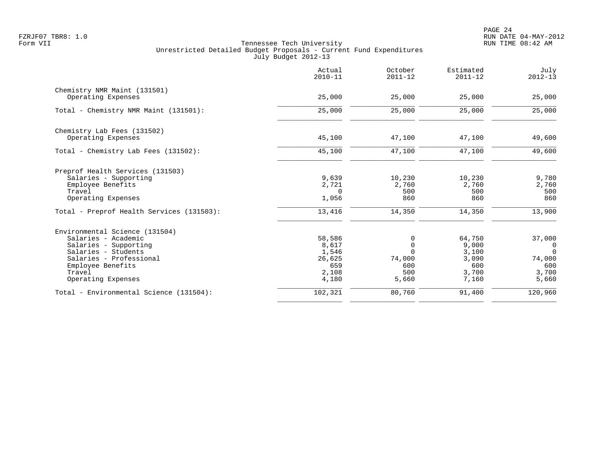|                                                                                                                                                                                       | Actual<br>$2010 - 11$                                       | October<br>$2011 - 12$                              | Estimated<br>$2011 - 12$                                   | July<br>$2012 - 13$                                                     |
|---------------------------------------------------------------------------------------------------------------------------------------------------------------------------------------|-------------------------------------------------------------|-----------------------------------------------------|------------------------------------------------------------|-------------------------------------------------------------------------|
| Chemistry NMR Maint (131501)<br>Operating Expenses                                                                                                                                    | 25,000                                                      | 25,000                                              | 25,000                                                     | 25,000                                                                  |
| Total - Chemistry NMR Maint (131501):                                                                                                                                                 | 25,000                                                      | 25,000                                              | 25,000                                                     | 25,000                                                                  |
| Chemistry Lab Fees (131502)<br>Operating Expenses                                                                                                                                     | 45,100                                                      | 47,100                                              | 47,100                                                     | 49,600                                                                  |
| Total - Chemistry Lab Fees (131502):                                                                                                                                                  | 45,100                                                      | 47,100                                              | 47,100                                                     | 49,600                                                                  |
| Preprof Health Services (131503)<br>Salaries - Supporting<br>Employee Benefits<br>Travel<br>Operating Expenses                                                                        | 9,639<br>2,721<br>$\Omega$<br>1,056                         | 10,230<br>2,760<br>500<br>860                       | 10,230<br>2,760<br>500<br>860                              | 9,780<br>2,760<br>500<br>860                                            |
| Total - Preprof Health Services (131503):                                                                                                                                             | 13,416                                                      | 14,350                                              | 14,350                                                     | 13,900                                                                  |
| Environmental Science (131504)<br>Salaries - Academic<br>Salaries - Supporting<br>Salaries - Students<br>Salaries - Professional<br>Employee Benefits<br>Travel<br>Operating Expenses | 58,586<br>8,617<br>1,546<br>26,625<br>659<br>2,108<br>4,180 | 0<br>0<br>$\Omega$<br>74,000<br>600<br>500<br>5,660 | 64,750<br>9,000<br>3,100<br>3,090<br>600<br>3,700<br>7,160 | 37,000<br>$\overline{0}$<br>$\Omega$<br>74,000<br>600<br>3,700<br>5,660 |
| Total - Environmental Science (131504):                                                                                                                                               | 102,321                                                     | 80,760                                              | 91,400                                                     | 120,960                                                                 |
|                                                                                                                                                                                       |                                                             |                                                     |                                                            |                                                                         |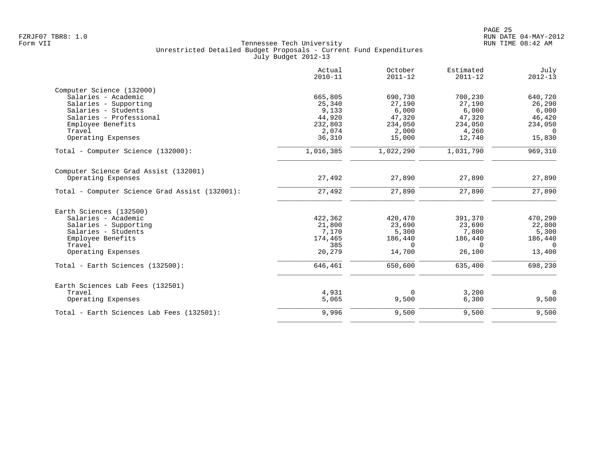|                                                | Actual<br>$2010 - 11$ | October<br>$2011 - 12$ | Estimated<br>$2011 - 12$ | July<br>$2012 - 13$ |
|------------------------------------------------|-----------------------|------------------------|--------------------------|---------------------|
| Computer Science (132000)                      |                       |                        |                          |                     |
| Salaries - Academic                            | 665,805               | 690,730                | 700,230                  | 640,720             |
| Salaries - Supporting                          | 25,340                | 27,190                 | 27,190                   | 26,290              |
| Salaries - Students                            | 9,133                 | 6,000                  | 6,000                    | 6,000               |
| Salaries - Professional                        | 44,920                | 47,320                 | 47,320                   | 46,420              |
| Employee Benefits                              | 232,803               | 234,050                | 234,050                  | 234,050             |
| Travel                                         | 2,074                 | 2,000                  | 4,260                    | $\Omega$            |
| Operating Expenses                             | 36,310                | 15,000                 | 12,740                   | 15,830              |
| Total - Computer Science (132000):             | 1,016,385             | 1,022,290              | 1,031,790                | 969,310             |
| Computer Science Grad Assist (132001)          |                       |                        |                          |                     |
| Operating Expenses                             | 27,492                | 27,890                 | 27,890                   | 27,890              |
| Total - Computer Science Grad Assist (132001): | 27,492                | 27,890                 | 27,890                   | 27,890              |
| Earth Sciences (132500)                        |                       |                        |                          |                     |
| Salaries - Academic                            | 422,362               | 420,470                | 391,370                  | 470,290             |
| Salaries - Supporting                          | 21,800                | 23,690                 | 23,690                   | 22,800              |
| Salaries - Students                            | 7,170                 | 5,300                  | 7,800                    | 5,300               |
| Employee Benefits                              | 174,465               | 186,440                | 186,440                  | 186,440             |
| Travel                                         | 385                   | $\Omega$               | $\Omega$                 | $\Omega$            |
| Operating Expenses                             | 20,279                | 14,700                 | 26,100                   | 13,400              |
| Total - Earth Sciences (132500):               | 646,461               | 650,600                | 635,400                  | 698,230             |
| Earth Sciences Lab Fees (132501)               |                       |                        |                          |                     |
| Travel                                         | 4,931                 | $\Omega$               | 3,200                    | $\mathbf{0}$        |
| Operating Expenses                             | 5,065                 | 9,500                  | 6,300                    | 9,500               |
| Total - Earth Sciences Lab Fees (132501):      | 9,996                 | 9,500                  | 9,500                    | 9,500               |
|                                                |                       |                        |                          |                     |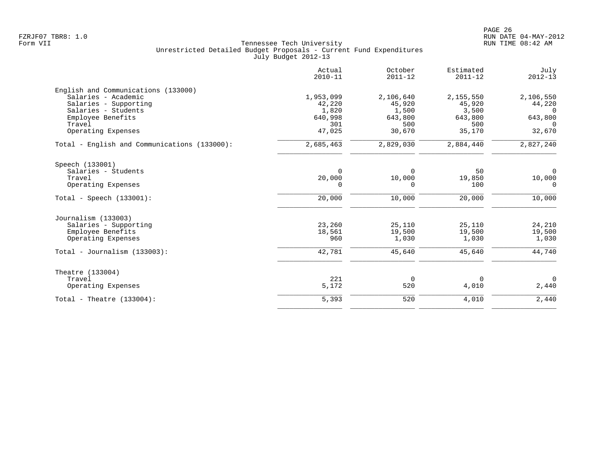|                                              | Actual<br>$2010 - 11$ | October<br>$2011 - 12$ | Estimated<br>$2011 - 12$ | July<br>$2012 - 13$ |
|----------------------------------------------|-----------------------|------------------------|--------------------------|---------------------|
| English and Communications (133000)          |                       |                        |                          |                     |
| Salaries - Academic                          | 1,953,099             | 2,106,640              | 2,155,550                | 2,106,550           |
| Salaries - Supporting                        | 42,220                | 45,920                 | 45,920                   | 44,220              |
| Salaries - Students                          | 1,820                 | 1,500                  | 3,500                    | $\overline{0}$      |
| Employee Benefits                            | 640,998               | 643,800                | 643,800                  | 643,800             |
| Travel                                       | 301                   | 500                    | 500                      | $\Omega$            |
| Operating Expenses                           | 47,025                | 30,670                 | 35,170                   | 32,670              |
| Total - English and Communications (133000): | 2,685,463             | 2,829,030              | 2,884,440                | 2,827,240           |
| Speech (133001)                              |                       |                        |                          |                     |
| Salaries - Students                          | 0                     | 0                      | 50                       | $\overline{0}$      |
| Travel                                       | 20,000                | 10,000                 | 19,850                   | 10,000              |
| Operating Expenses                           | $\Omega$              | $\Omega$               | 100                      | $\Omega$            |
| Total - Speech $(133001)$ :                  | 20,000                | 10,000                 | 20,000                   | 10,000              |
| Journalism (133003)                          |                       |                        |                          |                     |
| Salaries - Supporting                        | 23,260                | 25,110                 | 25,110                   | 24,210              |
| Employee Benefits                            | 18,561                | 19,500                 | 19,500                   | 19,500              |
| Operating Expenses                           | 960                   | 1,030                  | 1,030                    | 1,030               |
| Total - Journalism $(133003)$ :              | 42,781                | 45,640                 | 45,640                   | 44,740              |
| Theatre (133004)                             |                       |                        |                          |                     |
| Travel                                       | 221                   | 0                      | $\Omega$                 | $\Omega$            |
| Operating Expenses                           | 5,172                 | 520                    | 4,010                    | 2,440               |
| Total - Theatre $(133004)$ :                 | 5,393                 | 520                    | 4,010                    | 2,440               |
|                                              |                       |                        |                          |                     |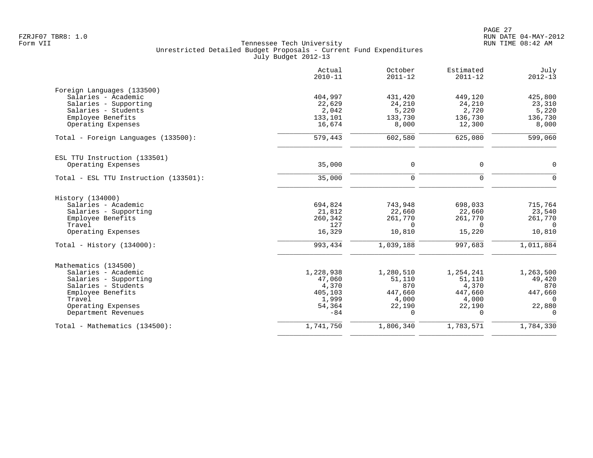|                                       | Actual<br>$2010 - 11$ | October<br>$2011 - 12$ | Estimated<br>$2011 - 12$ | July<br>$2012 - 13$ |
|---------------------------------------|-----------------------|------------------------|--------------------------|---------------------|
| Foreign Languages (133500)            |                       |                        |                          |                     |
| Salaries - Academic                   | 404,997               | 431,420                | 449,120                  | 425,800             |
| Salaries - Supporting                 | 22,629                | 24,210                 | 24,210                   | 23,310              |
| Salaries - Students                   | 2,042                 | 5,220                  | 2,720                    | 5,220               |
| Employee Benefits                     | 133,101               | 133,730                | 136,730                  | 136,730             |
| Operating Expenses                    | 16,674                | 8,000                  | 12,300                   | 8,000               |
| Total - Foreign Languages (133500):   | 579,443               | 602,580                | 625,080                  | 599,060             |
| ESL TTU Instruction (133501)          |                       |                        |                          |                     |
| Operating Expenses                    | 35,000                | 0                      | 0                        | 0                   |
| Total - ESL TTU Instruction (133501): | 35,000                | $\mathbf 0$            | $\mathbf 0$              | $\Omega$            |
| History (134000)                      |                       |                        |                          |                     |
| Salaries - Academic                   | 694,824               | 743,948                | 698,033                  | 715,764             |
| Salaries - Supporting                 | 21,812                | 22,660                 | 22,660                   | 23,540              |
| Employee Benefits                     | 260,342               | 261,770                | 261,770                  | 261,770             |
| Travel                                | 127                   | $\Omega$               | $\Omega$                 | $\Omega$            |
| Operating Expenses                    | 16,329                | 10,810                 | 15,220                   | 10,810              |
| Total - History $(134000)$ :          | 993,434               | 1,039,188              | 997,683                  | 1,011,884           |
| Mathematics (134500)                  |                       |                        |                          |                     |
| Salaries - Academic                   | 1,228,938             | 1,280,510              | 1,254,241                | 1,263,500           |
| Salaries - Supporting                 | 47,060                | 51,110                 | 51,110                   | 49,420              |
| Salaries - Students                   | 4,370                 | 870                    | 4,370                    | 870                 |
| Employee Benefits                     | 405,103               | 447,660                | 447,660                  | 447,660             |
| Travel                                | 1,999                 | 4,000                  | 4,000                    | $\Omega$            |
| Operating Expenses                    | 54,364                | 22,190                 | 22,190                   | 22,880              |
| Department Revenues                   | $-84$                 | $\Omega$               | $\Omega$                 | $\Omega$            |
| Total - Mathematics (134500):         | 1,741,750             | 1,806,340              | 1,783,571                | 1,784,330           |
|                                       |                       |                        |                          |                     |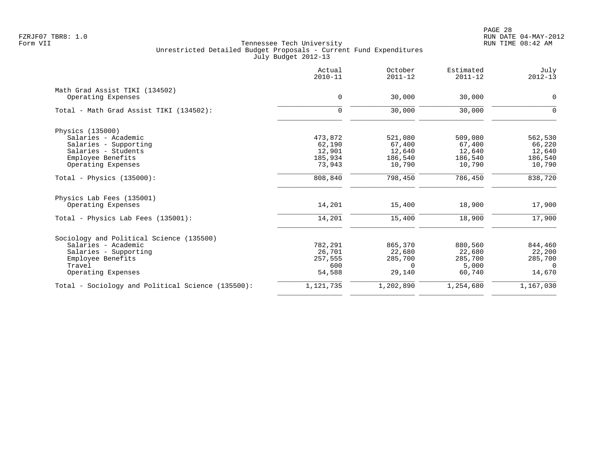PAGE 28 FZRJF07 TBR8: 1.0 RUN DATE 04-MAY-2012

|                                                   | Actual<br>$2010 - 11$ | October<br>$2011 - 12$ | Estimated<br>$2011 - 12$ | July<br>$2012 - 13$ |
|---------------------------------------------------|-----------------------|------------------------|--------------------------|---------------------|
| Math Grad Assist TIKI (134502)                    |                       |                        |                          |                     |
| Operating Expenses                                | $\mathbf 0$           | 30,000                 | 30,000                   | $\mathbf 0$         |
| Total - Math Grad Assist TIKI (134502):           | $\mathbf 0$           | 30,000                 | 30,000                   | $\Omega$            |
| Physics (135000)                                  |                       |                        |                          |                     |
| Salaries - Academic                               | 473,872               | 521,080                | 509,080                  | 562,530             |
| Salaries - Supporting                             | 62,190                | 67,400                 | 67,400                   | 66,220              |
| Salaries - Students                               | 12,901                | 12,640                 | 12,640                   | 12,640              |
| Employee Benefits                                 | 185,934               | 186,540                | 186,540                  | 186,540             |
| Operating Expenses                                | 73,943                | 10,790                 | 10,790                   | 10,790              |
| Total - Physics $(135000)$ :                      | 808,840               | 798,450                | 786,450                  | 838,720             |
| Physics Lab Fees (135001)                         |                       |                        |                          |                     |
| Operating Expenses                                | 14,201                | 15,400                 | 18,900                   | 17,900              |
| Total - Physics Lab Fees (135001):                | 14,201                | 15,400                 | 18,900                   | 17,900              |
| Sociology and Political Science (135500)          |                       |                        |                          |                     |
| Salaries - Academic                               | 782,291               | 865,370                | 880,560                  | 844,460             |
| Salaries - Supporting                             | 26,701                | 22,680                 | 22,680                   | 22,200              |
| Employee Benefits                                 | 257,555               | 285,700                | 285,700                  | 285,700             |
| Travel                                            | 600                   | $\Omega$               | 5,000                    | $\Omega$            |
| Operating Expenses                                | 54,588                | 29,140                 | 60,740                   | 14,670              |
| Total - Sociology and Political Science (135500): | 1,121,735             | 1,202,890              | 1,254,680                | 1,167,030           |
|                                                   |                       |                        |                          |                     |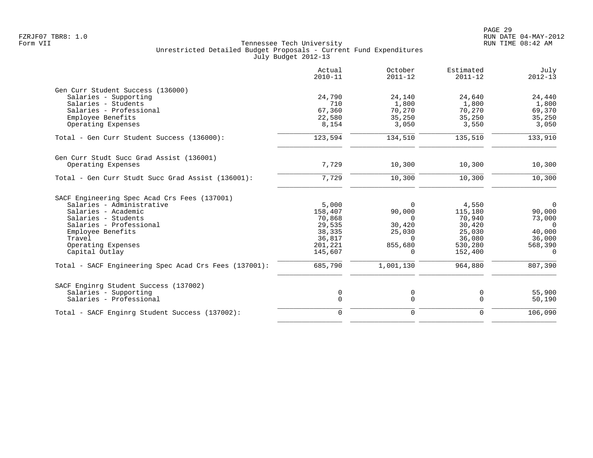|                                                       | Actual<br>$2010 - 11$ | October<br>$2011 - 12$ | Estimated<br>$2011 - 12$ | July<br>$2012 - 13$ |
|-------------------------------------------------------|-----------------------|------------------------|--------------------------|---------------------|
| Gen Curr Student Success (136000)                     |                       |                        |                          |                     |
| Salaries - Supporting                                 | 24,790                | 24,140                 | 24,640                   | 24,440              |
| Salaries - Students                                   | 710                   | 1,800                  | 1,800                    | 1,800               |
| Salaries - Professional                               | 67,360                | 70,270                 | 70,270                   | 69,370              |
| Employee Benefits                                     | 22,580                | 35,250                 | 35,250                   | 35,250              |
| Operating Expenses                                    | 8,154                 | 3,050                  | 3,550                    | 3,050               |
| Total - Gen Curr Student Success (136000):            | 123,594               | 134,510                | 135,510                  | 133,910             |
| Gen Curr Studt Succ Grad Assist (136001)              |                       |                        |                          |                     |
| Operating Expenses                                    | 7,729                 | 10,300                 | 10,300                   | 10,300              |
| Total - Gen Curr Studt Succ Grad Assist (136001):     | 7,729                 | 10,300                 | 10,300                   | 10,300              |
| SACF Engineering Spec Acad Crs Fees (137001)          |                       |                        |                          |                     |
| Salaries - Administrative                             | 5,000                 | $\mathbf 0$            | 4,550                    | $\overline{0}$      |
| Salaries - Academic                                   | 158,407               | 90,000                 | 115,180                  | 90,000              |
| Salaries - Students                                   | 70,868                | $\Omega$               | 70,940                   | 73,000              |
| Salaries - Professional                               | 29,535                | 30,420                 | 30,420                   | $\Omega$            |
| Employee Benefits                                     | 38,335                | 25,030                 | 25,030                   | 40,000              |
| Travel                                                | 36,817                | $\Omega$               | 36,080                   | 36,000              |
| Operating Expenses                                    | 201,221               | 855,680                | 530,280                  | 568,390             |
| Capital Outlay                                        | 145,607               | $\Omega$               | 152,400                  | $\Omega$            |
| Total - SACF Engineering Spec Acad Crs Fees (137001): | 685,790               | 1,001,130              | 964,880                  | 807,390             |
| SACF Enginrg Student Success (137002)                 |                       |                        |                          |                     |
| Salaries - Supporting                                 | 0                     | 0                      | 0                        | 55,900              |
| Salaries - Professional                               | $\mathbf 0$           | $\mathsf{O}$           | $\Omega$                 | 50,190              |
| Total - SACF Enginrg Student Success (137002):        | $\mathbf 0$           | $\mathbf 0$            | $\Omega$                 | 106,090             |
|                                                       |                       |                        |                          |                     |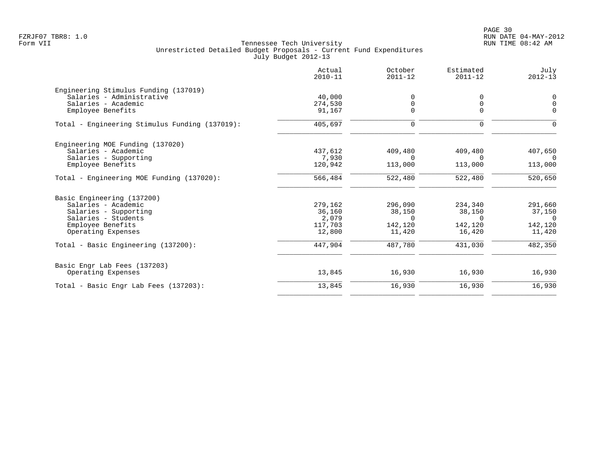PAGE 30 FZRJF07 TBR8: 1.0 RUN DATE 04-MAY-2012

|                                                | Actual<br>$2010 - 11$ | October<br>$2011 - 12$ | Estimated<br>$2011 - 12$ | July<br>$2012 - 13$ |
|------------------------------------------------|-----------------------|------------------------|--------------------------|---------------------|
| Engineering Stimulus Funding (137019)          |                       |                        |                          |                     |
| Salaries - Administrative                      | 40,000                | $\Omega$               | $\Omega$                 | $\mathbf 0$         |
| Salaries - Academic                            | 274,530               | 0                      | 0                        | $\mathbf 0$         |
| Employee Benefits                              | 91,167                | $\Omega$               | $\Omega$                 | $\Omega$            |
| Total - Engineering Stimulus Funding (137019): | 405,697               | 0                      | 0                        | $\Omega$            |
| Engineering MOE Funding (137020)               |                       |                        |                          |                     |
| Salaries - Academic                            | 437,612               | 409,480                | 409,480                  | 407,650             |
| Salaries - Supporting                          | 7,930                 | $\Omega$               | $\cap$                   | $\Omega$            |
| Employee Benefits                              | 120,942               | 113,000                | 113,000                  | 113,000             |
| Total - Engineering MOE Funding (137020):      | 566,484               | 522,480                | 522,480                  | 520,650             |
| Basic Engineering (137200)                     |                       |                        |                          |                     |
| Salaries - Academic                            | 279,162               | 296,090                | 234,340                  | 291,660             |
| Salaries - Supporting                          | 36,160                | 38,150                 | 38,150                   | 37,150              |
| Salaries - Students                            | 2,079                 | $\overline{0}$         | $\Omega$                 | $\overline{0}$      |
| Employee Benefits                              | 117,703               | 142,120                | 142,120                  | 142,120             |
| Operating Expenses                             | 12,800                | 11,420                 | 16,420                   | 11,420              |
| Total - Basic Engineering (137200):            | 447,904               | 487,780                | 431,030                  | 482,350             |
| Basic Engr Lab Fees (137203)                   |                       |                        |                          |                     |
| Operating Expenses                             | 13,845                | 16,930                 | 16,930                   | 16,930              |
| Total - Basic Engr Lab Fees (137203):          | 13,845                | 16,930                 | 16,930                   | 16,930              |
|                                                |                       |                        |                          |                     |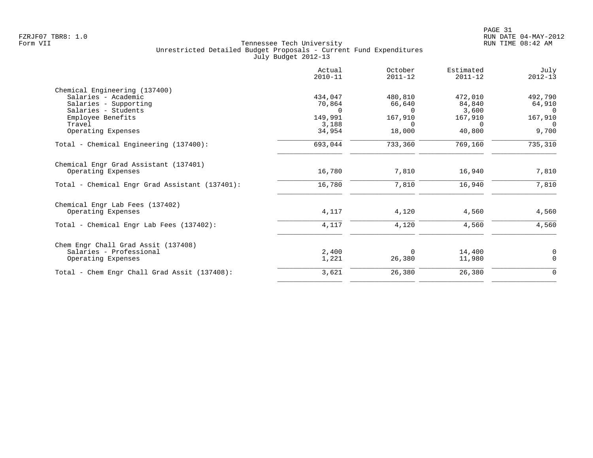|                                                | Actual<br>$2010 - 11$ | October<br>$2011 - 12$ | Estimated<br>$2011 - 12$ | July<br>$2012 - 13$ |
|------------------------------------------------|-----------------------|------------------------|--------------------------|---------------------|
| Chemical Engineering (137400)                  |                       |                        |                          |                     |
| Salaries - Academic<br>Salaries - Supporting   | 434,047<br>70,864     | 480,810<br>66,640      | 472,010<br>84,840        | 492,790<br>64,910   |
| Salaries - Students                            | $\Omega$              | $\Omega$               | 3,600                    | $\overline{0}$      |
| Employee Benefits                              | 149,991               | 167,910                | 167,910                  | 167,910             |
| Travel                                         | 3,188                 | $\Omega$               | $\Omega$                 | $\Omega$            |
| Operating Expenses                             | 34,954                | 18,000                 | 40,800                   | 9,700               |
| Total - Chemical Engineering (137400):         | 693,044               | 733,360                | 769,160                  | 735,310             |
| Chemical Engr Grad Assistant (137401)          |                       |                        |                          |                     |
| Operating Expenses                             | 16,780                | 7,810                  | 16,940                   | 7,810               |
| Total - Chemical Engr Grad Assistant (137401): | 16,780                | 7,810                  | 16,940                   | 7,810               |
| Chemical Engr Lab Fees (137402)                |                       |                        |                          |                     |
| Operating Expenses                             | 4,117                 | 4,120                  | 4,560                    | 4,560               |
| Total - Chemical Engr Lab Fees (137402):       | 4,117                 | 4,120                  | 4,560                    | 4,560               |
| Chem Engr Chall Grad Assit (137408)            |                       |                        |                          |                     |
| Salaries - Professional                        | 2,400                 | $\Omega$               | 14,400                   | 0                   |
| Operating Expenses                             | 1,221                 | 26,380                 | 11,980                   | $\Omega$            |
| Total - Chem Engr Chall Grad Assit (137408):   | 3,621                 | 26,380                 | 26,380                   | $\mathbf 0$         |
|                                                |                       |                        |                          |                     |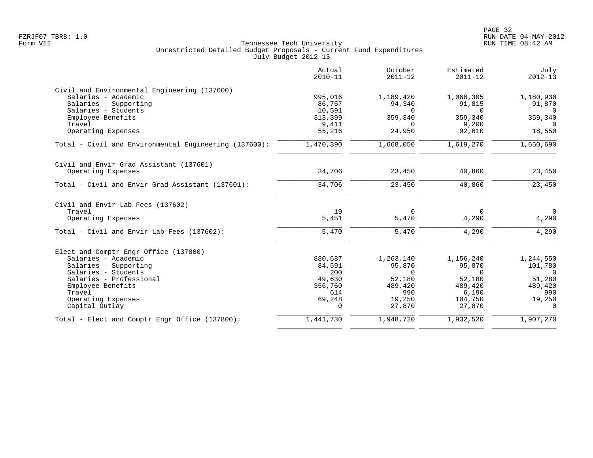|                                                       | Actual<br>$2010 - 11$ | October<br>$2011 - 12$ | Estimated<br>$2011 - 12$ | July<br>$2012 - 13$ |
|-------------------------------------------------------|-----------------------|------------------------|--------------------------|---------------------|
| Civil and Environmental Engineering (137600)          |                       |                        |                          |                     |
| Salaries - Academic                                   | 995,016               | 1,189,420              | 1,066,305                | 1,180,930           |
| Salaries - Supporting<br>Salaries - Students          | 86,757                | 94,340<br>$\Omega$     | 91,815<br>$\Omega$       | 91,870<br>$\Omega$  |
| Employee Benefits                                     | 10,591<br>313,399     | 359,340                | 359,340                  | 359,340             |
| Travel                                                | 9,411                 | $\Omega$               | 9,200                    | $\Omega$            |
| Operating Expenses                                    | 55,216                | 24,950                 | 92,610                   | 18,550              |
| Total - Civil and Environmental Engineering (137600): | 1,470,390             | 1,668,050              | 1,619,270                | 1,650,690           |
| Civil and Envir Grad Assistant (137601)               |                       |                        |                          |                     |
| Operating Expenses                                    | 34,706                | 23,450                 | 40,860                   | 23,450              |
| Total - Civil and Envir Grad Assistant (137601):      | 34,706                | 23,450                 | 40,860                   | 23,450              |
| Civil and Envir Lab Fees (137602)                     |                       |                        |                          |                     |
| Travel                                                | 19                    | $\Omega$               | $\Omega$                 | $\overline{0}$      |
| Operating Expenses                                    | 5,451                 | 5,470                  | 4,290                    | 4,290               |
| Total - Civil and Envir Lab Fees (137602):            | 5,470                 | 5,470                  | 4,290                    | 4,290               |
| Elect and Comptr Engr Office (137800)                 |                       |                        |                          |                     |
| Salaries - Academic                                   | 880,687               | 1,263,140              | 1,156,240                | 1,244,550           |
| Salaries - Supporting                                 | 84,591                | 95,870                 | 95,870                   | 101,780             |
| Salaries - Students                                   | 200                   | $\Omega$               | $\Omega$                 | $\Omega$            |
| Salaries - Professional                               | 49,630                | 52,180                 | 52,180                   | 51,280              |
| Employee Benefits<br>Travel                           | 356,760               | 489,420                | 489,420                  | 489,420             |
| Operating Expenses                                    | 614<br>69,248         | 990<br>19,250          | 6,190<br>104,750         | 990<br>19,250       |
| Capital Outlay                                        | $\Omega$              | 27,870                 | 27,870                   | $\Omega$            |
| Total - Elect and Comptr Engr Office (137800):        | 1,441,730             | 1,948,720              | 1,932,520                | 1,907,270           |
|                                                       |                       |                        |                          |                     |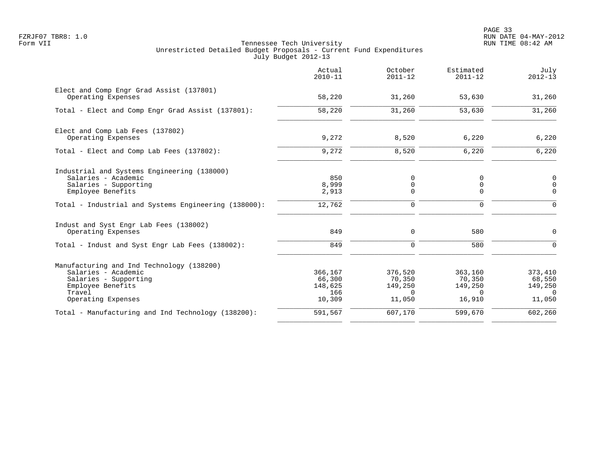PAGE 33 FZRJF07 TBR8: 1.0 RUN DATE 04-MAY-2012

|                                                                                                                                                | Actual<br>$2010 - 11$                         | October<br>$2011 - 12$                             | Estimated<br>$2011 - 12$                           | July<br>$2012 - 13$                                |
|------------------------------------------------------------------------------------------------------------------------------------------------|-----------------------------------------------|----------------------------------------------------|----------------------------------------------------|----------------------------------------------------|
| Elect and Comp Engr Grad Assist (137801)<br>Operating Expenses                                                                                 | 58,220                                        | 31,260                                             | 53,630                                             | 31,260                                             |
| Total - Elect and Comp Engr Grad Assist (137801):                                                                                              | 58,220                                        | 31,260                                             | 53,630                                             | 31,260                                             |
| Elect and Comp Lab Fees (137802)<br>Operating Expenses                                                                                         | 9,272                                         | 8,520                                              | 6,220                                              | 6,220                                              |
| Total - Elect and Comp Lab Fees (137802):                                                                                                      | 9,272                                         | 8,520                                              | 6,220                                              | 6,220                                              |
| Industrial and Systems Engineering (138000)<br>Salaries - Academic<br>Salaries - Supporting<br>Employee Benefits                               | 850<br>8,999<br>2,913                         | 0<br>0<br>0                                        | 0<br>0<br>0                                        | 0<br>$\mathbf 0$<br>$\Omega$                       |
| Total - Industrial and Systems Engineering (138000):                                                                                           | 12,762                                        | $\Omega$                                           | $\Omega$                                           | $\Omega$                                           |
| Indust and Syst Engr Lab Fees (138002)<br>Operating Expenses                                                                                   | 849                                           | $\Omega$                                           | 580                                                | $\Omega$                                           |
| Total - Indust and Syst Engr Lab Fees (138002):                                                                                                | 849                                           | $\Omega$                                           | 580                                                | $\Omega$                                           |
| Manufacturing and Ind Technology (138200)<br>Salaries - Academic<br>Salaries - Supporting<br>Employee Benefits<br>Travel<br>Operating Expenses | 366,167<br>66,300<br>148,625<br>166<br>10,309 | 376,520<br>70,350<br>149,250<br>$\Omega$<br>11,050 | 363,160<br>70,350<br>149,250<br>$\Omega$<br>16,910 | 373,410<br>68,550<br>149,250<br>$\Omega$<br>11,050 |
| Total - Manufacturing and Ind Technology (138200):                                                                                             | 591,567                                       | 607,170                                            | 599,670                                            | 602, 260                                           |
|                                                                                                                                                |                                               |                                                    |                                                    |                                                    |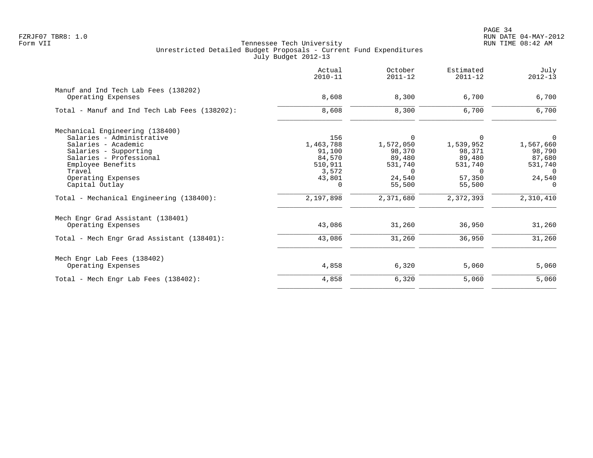|                                                            | Actual<br>$2010 - 11$ | October<br>$2011 - 12$ | Estimated<br>$2011 - 12$ | July<br>$2012 - 13$ |
|------------------------------------------------------------|-----------------------|------------------------|--------------------------|---------------------|
| Manuf and Ind Tech Lab Fees (138202)<br>Operating Expenses | 8,608                 | 8,300                  | 6,700                    | 6,700               |
|                                                            |                       |                        |                          |                     |
| Total - Manuf and Ind Tech Lab Fees (138202):              | 8,608                 | 8,300                  | 6,700                    | 6,700               |
| Mechanical Engineering (138400)                            |                       |                        |                          |                     |
| Salaries - Administrative                                  | 156                   | 0                      | $\Omega$                 | 0                   |
| Salaries - Academic                                        | 1,463,788             | 1,572,050              | 1,539,952                | 1,567,660           |
| Salaries - Supporting                                      | 91,100                | 98,370                 | 98,371                   | 98,790              |
| Salaries - Professional                                    | 84,570                | 89,480                 | 89,480                   | 87,680              |
| Employee Benefits                                          | 510,911               | 531,740                | 531,740                  | 531,740             |
| Travel                                                     | 3,572                 | $\Omega$               | $\Omega$                 | $\Omega$            |
| Operating Expenses                                         | 43,801                | 24,540                 | 57,350                   | 24,540              |
| Capital Outlay                                             | $\Omega$              | 55,500                 | 55,500                   | $\Omega$            |
| Total - Mechanical Engineering (138400):                   | 2,197,898             | 2,371,680              | 2,372,393                | 2,310,410           |
| Mech Engr Grad Assistant (138401)                          |                       |                        |                          |                     |
| Operating Expenses                                         | 43,086                | 31,260                 | 36,950                   | 31,260              |
| Total - Mech Engr Grad Assistant (138401):                 | 43,086                | 31,260                 | 36,950                   | 31,260              |
| Mech Engr Lab Fees (138402)                                |                       |                        |                          |                     |
| Operating Expenses                                         | 4,858                 | 6,320                  | 5,060                    | 5,060               |
| Total - Mech Engr Lab Fees (138402):                       | 4,858                 | 6,320                  | 5,060                    | 5,060               |
|                                                            |                       |                        |                          |                     |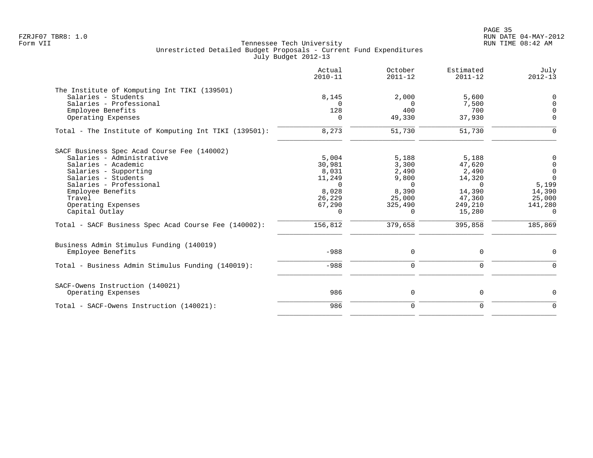|                                                                                                                                                                                                                                                                                                           | Actual<br>$2010 - 11$                                                                              | October<br>$2011 - 12$                                                                            | Estimated<br>$2011 - 12$                                                                           | July<br>$2012 - 13$                                                                                      |
|-----------------------------------------------------------------------------------------------------------------------------------------------------------------------------------------------------------------------------------------------------------------------------------------------------------|----------------------------------------------------------------------------------------------------|---------------------------------------------------------------------------------------------------|----------------------------------------------------------------------------------------------------|----------------------------------------------------------------------------------------------------------|
| The Institute of Komputing Int TIKI (139501)<br>Salaries - Students<br>Salaries - Professional<br>Employee Benefits<br>Operating Expenses                                                                                                                                                                 | 8,145<br>128                                                                                       | 2,000<br>$\Omega$<br>400<br>49,330                                                                | 5,600<br>7,500<br>700<br>37,930                                                                    | 0<br>$\mathbf 0$<br>$\Omega$<br>$\Omega$                                                                 |
| Total - The Institute of Komputing Int TIKI (139501):                                                                                                                                                                                                                                                     | 8,273                                                                                              | 51,730                                                                                            | 51,730                                                                                             | $\Omega$                                                                                                 |
| SACF Business Spec Acad Course Fee (140002)<br>Salaries - Administrative<br>Salaries - Academic<br>Salaries - Supporting<br>Salaries - Students<br>Salaries - Professional<br>Employee Benefits<br>Travel<br>Operating Expenses<br>Capital Outlay<br>Total - SACF Business Spec Acad Course Fee (140002): | 5,004<br>30,981<br>8,031<br>11,249<br>$\Omega$<br>8,028<br>26,229<br>67,290<br>$\Omega$<br>156,812 | 5,188<br>3,300<br>2,490<br>9,800<br>$\Omega$<br>8,390<br>25,000<br>325,490<br>$\Omega$<br>379,658 | 5,188<br>47,620<br>2,490<br>14,320<br>$\Omega$<br>14,390<br>47,360<br>249,210<br>15,280<br>395,858 | 0<br>$\mathbf 0$<br>$\overline{0}$<br>$\Omega$<br>5,199<br>14,390<br>25,000<br>141,280<br>- 0<br>185,869 |
| Business Admin Stimulus Funding (140019)<br>Employee Benefits                                                                                                                                                                                                                                             | $-988$                                                                                             | 0                                                                                                 | 0                                                                                                  | $\mathbf 0$                                                                                              |
| Total - Business Admin Stimulus Funding (140019):                                                                                                                                                                                                                                                         | $-988$                                                                                             | $\mathbf 0$                                                                                       | 0                                                                                                  | $\mathbf 0$                                                                                              |
| SACF-Owens Instruction (140021)<br>Operating Expenses                                                                                                                                                                                                                                                     | 986                                                                                                | 0                                                                                                 | 0                                                                                                  | $\mathbf 0$                                                                                              |
| Total - SACF-Owens Instruction (140021):                                                                                                                                                                                                                                                                  | 986                                                                                                | $\mathbf 0$                                                                                       | 0                                                                                                  | $\Omega$                                                                                                 |
|                                                                                                                                                                                                                                                                                                           |                                                                                                    |                                                                                                   |                                                                                                    |                                                                                                          |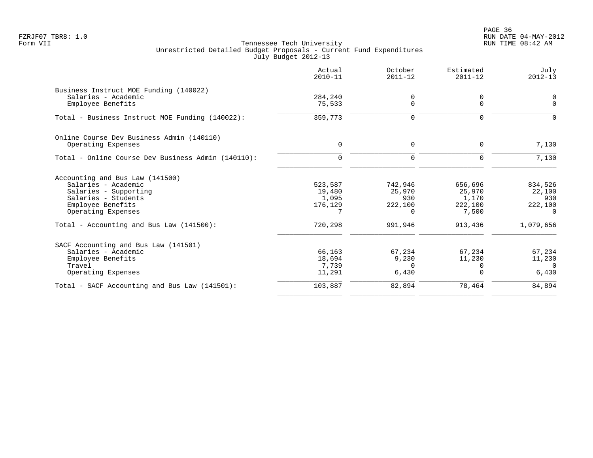en and the state of the state of the state of the state of the state of the state of the state of the state of the state of the state of the state of the state of the state of the state of the state of the state of the sta FZRJF07 TBR8: 1.0 RUN DATE 04-MAY-2012

|                                                    | Actual<br>$2010 - 11$ | October<br>$2011 - 12$ | Estimated<br>$2011 - 12$ | July<br>$2012 - 13$ |
|----------------------------------------------------|-----------------------|------------------------|--------------------------|---------------------|
| Business Instruct MOE Funding (140022)             |                       |                        |                          |                     |
| Salaries - Academic<br>Employee Benefits           | 284,240<br>75,533     | 0<br>$\mathbf 0$       | 0<br>0                   | 0<br>$\Omega$       |
| Total - Business Instruct MOE Funding (140022):    | 359,773               | $\mathbf 0$            | $\Omega$                 | $\Omega$            |
| Online Course Dev Business Admin (140110)          |                       |                        |                          |                     |
| Operating Expenses                                 | $\mathbf 0$           | $\mathbf 0$            | $\mathbf 0$              | 7,130               |
| Total - Online Course Dev Business Admin (140110): | $\Omega$              | $\mathbf 0$            | $\Omega$                 | 7,130               |
| Accounting and Bus Law (141500)                    |                       |                        |                          |                     |
| Salaries - Academic                                | 523,587               | 742,946                | 656,696                  | 834,526             |
| Salaries - Supporting                              | 19,480                | 25,970                 | 25,970                   | 22,100              |
| Salaries - Students                                | 1,095                 | 930                    | 1,170                    | 930                 |
| Employee Benefits<br>Operating Expenses            | 176,129               | 222,100<br>$\Omega$    | 222,100<br>7,500         | 222,100<br>$\Omega$ |
| Total - Accounting and Bus Law $(141500)$ :        | 720,298               | 991,946                | 913,436                  | 1,079,656           |
| SACF Accounting and Bus Law (141501)               |                       |                        |                          |                     |
| Salaries - Academic                                | 66,163                | 67,234                 | 67,234                   | 67,234              |
| Employee Benefits                                  | 18,694                | 9,230                  | 11,230                   | 11,230              |
| Travel                                             | 7,739                 | $\Omega$               | $\Omega$                 | $\Omega$            |
| Operating Expenses                                 | 11,291                | 6,430                  | $\Omega$                 | 6,430               |
| Total - SACF Accounting and Bus Law (141501):      | 103,887               | 82,894                 | 78,464                   | 84,894              |
|                                                    |                       |                        |                          |                     |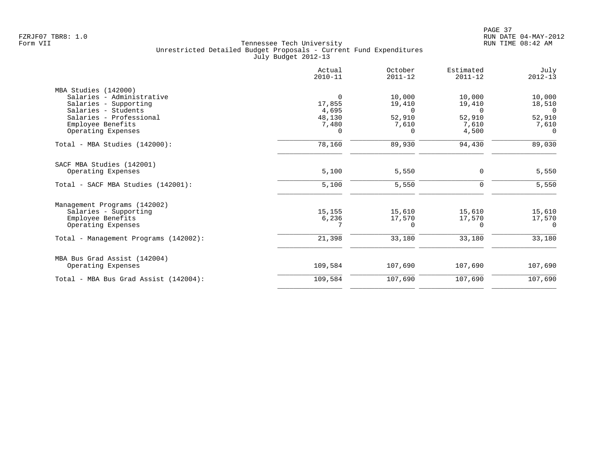|                                       | Actual<br>$2010 - 11$ | October<br>$2011 - 12$ | Estimated<br>$2011 - 12$ | July<br>$2012 - 13$ |
|---------------------------------------|-----------------------|------------------------|--------------------------|---------------------|
| MBA Studies (142000)                  |                       |                        |                          |                     |
| Salaries - Administrative             | 0                     | 10,000                 | 10,000                   | 10,000              |
| Salaries - Supporting                 | 17,855                | 19,410                 | 19,410                   | 18,510              |
| Salaries - Students                   | 4,695                 | $\Omega$               | $\cap$                   | $\Omega$            |
| Salaries - Professional               | 48,130                | 52,910                 | 52,910                   | 52,910              |
| Employee Benefits                     | 7,480                 | 7,610                  | 7,610                    | 7,610               |
| Operating Expenses                    | 0                     | 0                      | 4,500                    | $\Omega$            |
| Total - MBA Studies (142000):         | 78,160                | 89,930                 | 94,430                   | 89,030              |
| SACF MBA Studies (142001)             |                       |                        |                          |                     |
| Operating Expenses                    | 5,100                 | 5,550                  | 0                        | 5,550               |
| Total - SACF MBA Studies (142001):    | 5,100                 | 5,550                  | $\mathbf 0$              | 5,550               |
| Management Programs (142002)          |                       |                        |                          |                     |
| Salaries - Supporting                 | 15,155                | 15,610                 | 15,610                   | 15,610              |
| Employee Benefits                     | 6,236                 | 17,570                 | 17,570                   | 17,570              |
| Operating Expenses                    |                       | $\Omega$               | $\Omega$                 | $\Omega$            |
| Total - Management Programs (142002): | 21,398                | 33,180                 | 33,180                   | 33,180              |
| MBA Bus Grad Assist (142004)          |                       |                        |                          |                     |
| Operating Expenses                    | 109,584               | 107,690                | 107,690                  | 107,690             |
| Total - MBA Bus Grad Assist (142004): | 109,584               | 107,690                | 107,690                  | 107,690             |
|                                       |                       |                        |                          |                     |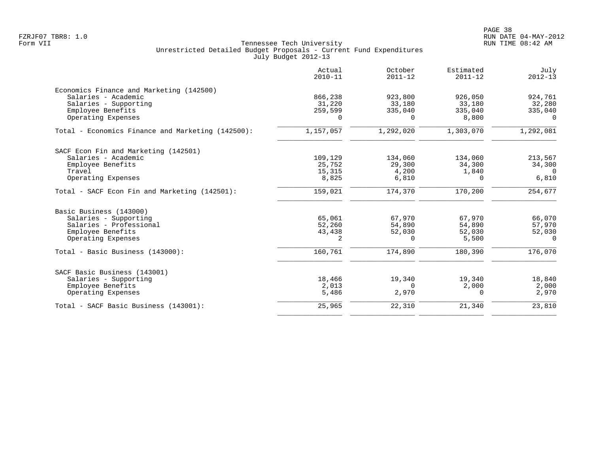|                                                   | Actual<br>$2010 - 11$ | October<br>$2011 - 12$ | Estimated<br>$2011 - 12$ | July<br>$2012 - 13$ |
|---------------------------------------------------|-----------------------|------------------------|--------------------------|---------------------|
| Economics Finance and Marketing (142500)          |                       |                        |                          |                     |
| Salaries - Academic                               | 866,238               | 923,800                | 926,050                  | 924,761             |
| Salaries - Supporting                             | 31,220                | 33,180                 | 33,180                   | 32,280              |
| Employee Benefits                                 | 259,599               | 335,040                | 335,040                  | 335,040             |
| Operating Expenses                                | $\Omega$              | 0                      | 8,800                    | $\Omega$            |
| Total - Economics Finance and Marketing (142500): | 1,157,057             | 1,292,020              | 1,303,070                | 1,292,081           |
| SACF Econ Fin and Marketing (142501)              |                       |                        |                          |                     |
| Salaries - Academic                               | 109,129               | 134,060                | 134,060                  | 213,567             |
| Employee Benefits                                 | 25,752                | 29,300                 | 34,300                   | 34,300              |
| Travel                                            | 15,315                | 4,200                  | 1,840                    | $\Omega$            |
| Operating Expenses                                | 8,825                 | 6,810                  | $\Omega$                 | 6,810               |
| Total - SACF Econ Fin and Marketing (142501):     | 159,021               | 174,370                | 170,200                  | 254,677             |
| Basic Business (143000)                           |                       |                        |                          |                     |
| Salaries - Supporting                             | 65,061                | 67,970                 | 67,970                   | 66,070              |
| Salaries - Professional                           | 52,260                | 54,890                 | 54,890                   | 57,970              |
| Employee Benefits                                 | 43,438                | 52,030                 | 52,030                   | 52,030              |
| Operating Expenses                                | 2                     | 0                      | 5,500                    | $\Omega$            |
| Total - Basic Business (143000):                  | 160,761               | 174,890                | 180,390                  | 176,070             |
| SACF Basic Business (143001)                      |                       |                        |                          |                     |
| Salaries - Supporting                             | 18,466                | 19,340                 | 19,340                   | 18,840              |
| Employee Benefits                                 | 2,013                 | 0                      | 2,000                    | 2,000               |
| Operating Expenses                                | 5,486                 | 2,970                  | 0                        | 2,970               |
| Total - SACF Basic Business (143001):             | 25,965                | 22,310                 | 21,340                   | 23,810              |
|                                                   |                       |                        |                          |                     |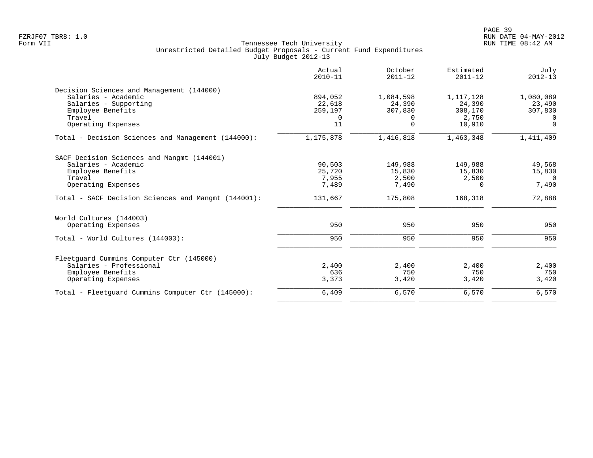|                                                     | Actual<br>$2010 - 11$ | October<br>$2011 - 12$ | Estimated<br>$2011 - 12$ | July<br>$2012 - 13$ |
|-----------------------------------------------------|-----------------------|------------------------|--------------------------|---------------------|
| Decision Sciences and Management (144000)           |                       |                        |                          |                     |
| Salaries - Academic                                 | 894,052               | 1,084,598              | 1,117,128                | 1,080,089           |
| Salaries - Supporting                               | 22,618                | 24,390                 | 24,390                   | 23,490              |
| Employee Benefits                                   | 259,197               | 307,830                | 308,170                  | 307,830             |
| Travel                                              | 0                     | $\Omega$               | 2,750                    | $\Omega$            |
| Operating Expenses                                  | 11                    | $\Omega$               | 10,910                   | $\Omega$            |
| Total - Decision Sciences and Management (144000):  | 1,175,878             | 1,416,818              | 1,463,348                | 1,411,409           |
| SACF Decision Sciences and Mangmt (144001)          |                       |                        |                          |                     |
| Salaries - Academic                                 | 90,503                | 149,988                | 149,988                  | 49,568              |
| Employee Benefits                                   | 25,720                | 15,830                 | 15,830                   | 15,830              |
| Travel                                              | 7,955                 | 2,500                  | 2,500                    | $\Omega$            |
| Operating Expenses                                  | 7,489                 | 7,490                  | 0                        | 7,490               |
| Total - SACF Decision Sciences and Mangmt (144001): | 131,667               | 175,808                | 168,318                  | 72,888              |
| World Cultures (144003)                             |                       |                        |                          |                     |
| Operating Expenses                                  | 950                   | 950                    | 950                      | 950                 |
| Total - World Cultures (144003):                    | 950                   | 950                    | 950                      | 950                 |
| Fleetquard Cummins Computer Ctr (145000)            |                       |                        |                          |                     |
| Salaries - Professional                             | 2,400                 | 2,400                  | 2,400                    | 2,400               |
| Employee Benefits                                   | 636                   | 750                    | 750                      | 750                 |
| Operating Expenses                                  | 3,373                 | 3,420                  | 3,420                    | 3,420               |
| Total - Fleetquard Cummins Computer Ctr (145000):   | 6,409                 | 6,570                  | 6,570                    | 6,570               |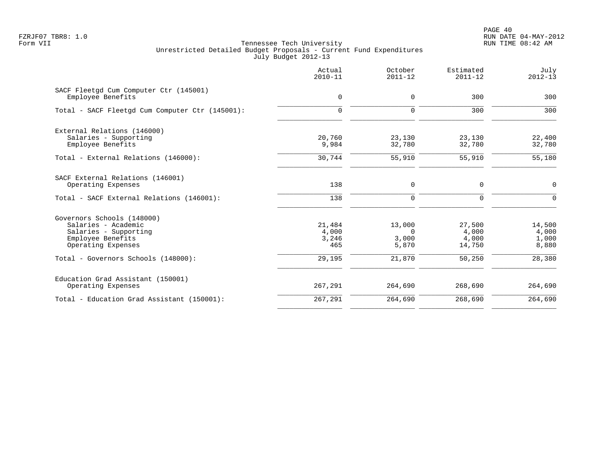PAGE 40 FZRJF07 TBR8: 1.0 RUN DATE 04-MAY-2012

|                                                                                                                       | Actual<br>$2010 - 11$           | October<br>$2011 - 12$               | Estimated<br>$2011 - 12$           | July<br>$2012 - 13$               |
|-----------------------------------------------------------------------------------------------------------------------|---------------------------------|--------------------------------------|------------------------------------|-----------------------------------|
| SACF Fleetgd Cum Computer Ctr (145001)<br>Employee Benefits                                                           | $\mathsf{O}$                    | 0                                    | 300                                | 300                               |
| Total - SACF Fleetgd Cum Computer Ctr (145001):                                                                       | $\mathbf 0$                     | $\mathbf 0$                          | 300                                | 300                               |
| External Relations (146000)<br>Salaries - Supporting<br>Employee Benefits                                             | 20,760<br>9,984                 | 23,130<br>32,780                     | 23,130<br>32,780                   | 22,400<br>32,780                  |
| Total - External Relations (146000):                                                                                  | 30,744                          | 55,910                               | 55,910                             | 55,180                            |
| SACF External Relations (146001)<br>Operating Expenses                                                                | 138                             | $\mathbf 0$                          | $\mathbf 0$                        | $\mathbf 0$                       |
| Total - SACF External Relations (146001):                                                                             | 138                             | $\Omega$                             | $\Omega$                           | $\Omega$                          |
| Governors Schools (148000)<br>Salaries - Academic<br>Salaries - Supporting<br>Employee Benefits<br>Operating Expenses | 21,484<br>4,000<br>3,246<br>465 | 13,000<br>$\Omega$<br>3,000<br>5,870 | 27,500<br>4,000<br>4,000<br>14,750 | 14,500<br>4,000<br>1,000<br>8,880 |
| Total - Governors Schools (148000):                                                                                   | 29,195                          | 21,870                               | 50,250                             | 28,380                            |
| Education Grad Assistant (150001)<br>Operating Expenses                                                               | 267,291                         | 264,690                              | 268,690                            | 264,690                           |
| Total - Education Grad Assistant (150001):                                                                            | 267,291                         | 264,690                              | 268,690                            | 264,690                           |
|                                                                                                                       |                                 |                                      |                                    |                                   |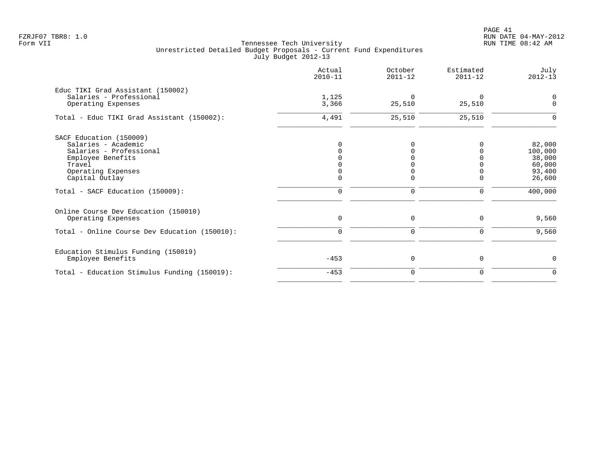# PAGE 41 FZRJF07 TBR8: 1.0 RUN DATE 04-MAY-2012

|                                                              | Actual<br>$2010 - 11$ | October<br>$2011 - 12$ | Estimated<br>$2011 - 12$ | July<br>$2012 - 13$ |
|--------------------------------------------------------------|-----------------------|------------------------|--------------------------|---------------------|
| Educ TIKI Grad Assistant (150002)<br>Salaries - Professional | 1,125                 | $\mathbf 0$            | $\Omega$                 |                     |
| Operating Expenses                                           | 3,366                 | 25,510                 | 25,510                   | 0<br>0              |
| Total - Educ TIKI Grad Assistant (150002):                   | 4,491                 | 25,510                 | 25,510                   | $\Omega$            |
| SACF Education (150009)                                      |                       |                        |                          |                     |
| Salaries - Academic                                          |                       |                        |                          | 82,000              |
| Salaries - Professional                                      |                       |                        |                          | 100,000             |
| Employee Benefits                                            |                       |                        |                          | 38,000              |
| Travel                                                       |                       |                        |                          | 60,000              |
| Operating Expenses                                           |                       |                        |                          | 93,400              |
| Capital Outlay                                               |                       | $\Omega$               | $\Omega$                 | 26,600              |
| Total - SACF Education (150009):                             | $\mathbf 0$           | $\mathbf 0$            | $\mathbf 0$              | 400,000             |
| Online Course Dev Education (150010)                         |                       |                        |                          |                     |
| Operating Expenses                                           | $\mathbf 0$           | 0                      | 0                        | 9,560               |
| Total - Online Course Dev Education (150010):                | $\mathbf 0$           | $\mathbf 0$            | 0                        | 9,560               |
| Education Stimulus Funding (150019)                          |                       |                        |                          |                     |
| Employee Benefits                                            | $-453$                | 0                      | $\mathbf 0$              | 0                   |
| Total - Education Stimulus Funding (150019):                 | $-453$                | $\mathbf 0$            | 0                        | 0                   |
|                                                              |                       |                        |                          |                     |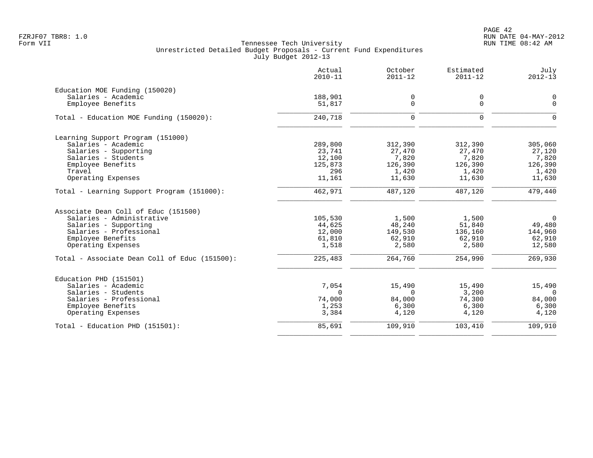PAGE 42 FZRJF07 TBR8: 1.0 RUN DATE 04-MAY-2012

|                                               | Actual<br>$2010 - 11$ | October<br>$2011 - 12$ | Estimated<br>$2011 - 12$ | July<br>$2012 - 13$ |
|-----------------------------------------------|-----------------------|------------------------|--------------------------|---------------------|
| Education MOE Funding (150020)                |                       |                        |                          |                     |
| Salaries - Academic                           | 188,901               | $\mathbf 0$            | 0                        | $\mathbf 0$         |
| Employee Benefits                             | 51,817                | $\mathbf 0$            | $\mathbf 0$              | $\overline{0}$      |
| Total - Education MOE Funding (150020):       | 240,718               | $\Omega$               | $\mathbf 0$              | $\Omega$            |
| Learning Support Program (151000)             |                       |                        |                          |                     |
| Salaries - Academic                           | 289,800               | 312,390                | 312,390                  | 305,060             |
| Salaries - Supporting                         | 23,741                | 27,470                 | 27,470                   | 27,120              |
| Salaries - Students                           | 12,100                | 7,820                  | 7,820                    | 7,820               |
| Employee Benefits                             | 125,873               | 126,390                | 126,390                  | 126,390             |
| Travel                                        | 296                   | 1,420                  | 1,420                    | 1,420               |
| Operating Expenses                            | 11,161                | 11,630                 | 11,630                   | 11,630              |
| Total - Learning Support Program (151000):    | 462,971               | 487,120                | 487,120                  | 479,440             |
| Associate Dean Coll of Educ (151500)          |                       |                        |                          |                     |
| Salaries - Administrative                     | 105,530               | 1,500                  | 1,500                    | $\overline{0}$      |
| Salaries - Supporting                         | 44,625                | 48,240                 | 51,840                   | 49,480              |
| Salaries - Professional                       | 12,000                | 149,530                | 136,160                  | 144,960             |
| Employee Benefits                             | 61,810                | 62,910                 | 62,910                   | 62,910              |
| Operating Expenses                            | 1,518                 | 2,580                  | 2,580                    | 12,580              |
| Total - Associate Dean Coll of Educ (151500): | 225,483               | 264,760                | 254,990                  | 269,930             |
| Education PHD (151501)                        |                       |                        |                          |                     |
| Salaries - Academic                           | 7,054                 | 15,490                 | 15,490                   | 15,490              |
| Salaries - Students                           | $\Omega$              | $\Omega$               | 3,200                    | $\Omega$            |
| Salaries - Professional                       | 74,000                | 84,000                 | 74,300                   | 84,000              |
| Employee Benefits                             | 1,253                 | 6,300                  | 6,300                    | 6,300               |
| Operating Expenses                            | 3,384                 | 4,120                  | 4,120                    | 4,120               |
| Total - Education PHD (151501):               | 85,691                | 109,910                | 103,410                  | 109,910             |
|                                               |                       |                        |                          |                     |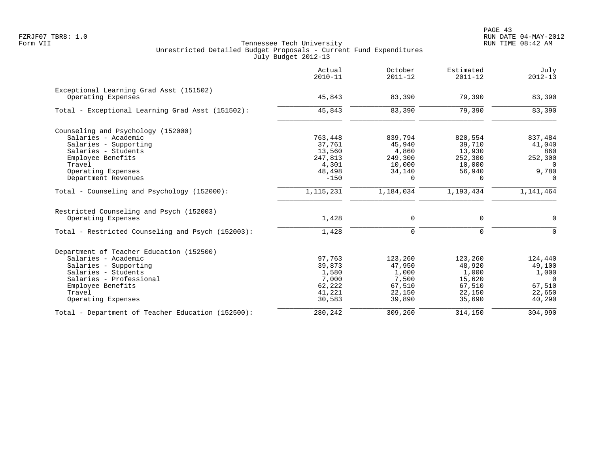|                                                   | Actual<br>$2010 - 11$ | October<br>$2011 - 12$ | Estimated<br>$2011 - 12$ | July<br>$2012 - 13$ |
|---------------------------------------------------|-----------------------|------------------------|--------------------------|---------------------|
| Exceptional Learning Grad Asst (151502)           |                       |                        |                          |                     |
| Operating Expenses                                | 45,843                | 83,390                 | 79,390                   | 83,390              |
| Total - Exceptional Learning Grad Asst (151502):  | 45,843                | 83,390                 | 79,390                   | 83,390              |
| Counseling and Psychology (152000)                |                       |                        |                          |                     |
| Salaries - Academic                               | 763,448               | 839,794                | 820,554                  | 837,484             |
| Salaries - Supporting                             | 37,761                | 45,940                 | 39,710                   | 41,040              |
| Salaries - Students                               | 13,560                | 4,860                  | 13,930                   | 860                 |
| Employee Benefits                                 | 247,813               | 249,300                | 252,300                  | 252,300             |
| Travel                                            | 4,301                 | 10,000                 | 10,000                   | $\Omega$            |
| Operating Expenses                                | 48,498                | 34,140                 | 56,940                   | 9,780               |
| Department Revenues                               | $-150$                | $\Omega$               | $\Omega$                 | $\Omega$            |
| Total - Counseling and Psychology (152000):       | 1, 115, 231           | 1,184,034              | 1,193,434                | 1,141,464           |
| Restricted Counseling and Psych (152003)          |                       |                        |                          |                     |
| Operating Expenses                                | 1,428                 | 0                      | 0                        | 0                   |
| Total - Restricted Counseling and Psych (152003): | 1,428                 | $\Omega$               | $\Omega$                 | $\Omega$            |
| Department of Teacher Education (152500)          |                       |                        |                          |                     |
| Salaries - Academic                               | 97,763                | 123,260                | 123,260                  | 124,440             |
| Salaries - Supporting                             | 39,873                | 47,950                 | 48,920                   | 49,100              |
| Salaries - Students                               | 1,580                 | 1,000                  | 1,000                    | 1,000               |
| Salaries - Professional                           | 7,000                 | 7,500                  | 15,620                   | $\Omega$            |
| Employee Benefits                                 | 62,222                | 67,510                 | 67,510                   | 67,510              |
| Travel                                            | 41,221                | 22,150                 | 22,150                   | 22,650              |
| Operating Expenses                                | 30,583                | 39,890                 | 35,690                   | 40,290              |
| Total - Department of Teacher Education (152500): | 280,242               | 309,260                | 314,150                  | 304,990             |
|                                                   |                       |                        |                          |                     |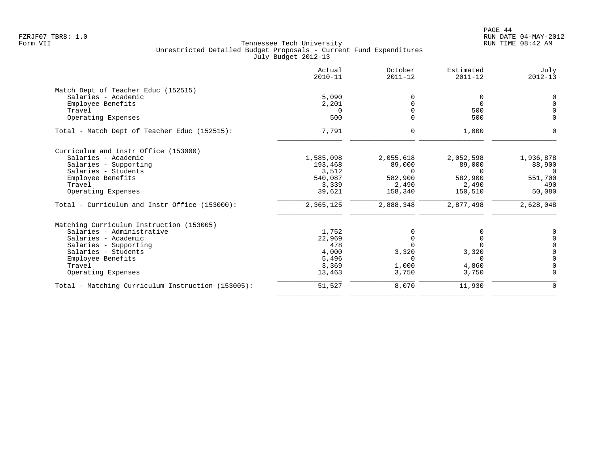|                                                   | Actual<br>$2010 - 11$ | October<br>$2011 - 12$ | Estimated<br>$2011 - 12$ | July<br>$2012 - 13$ |
|---------------------------------------------------|-----------------------|------------------------|--------------------------|---------------------|
| Match Dept of Teacher Educ (152515)               |                       |                        |                          |                     |
| Salaries - Academic                               | 5,090                 |                        | 0                        | $\Omega$            |
| Employee Benefits                                 | 2,201                 |                        | $\Omega$                 |                     |
| Travel                                            | $\Omega$              |                        | 500                      |                     |
| Operating Expenses                                | 500                   |                        | 500                      | $\Omega$            |
| Total - Match Dept of Teacher Educ (152515):      | 7,791                 | 0                      | 1,000                    |                     |
| Curriculum and Instr Office (153000)              |                       |                        |                          |                     |
| Salaries - Academic                               | 1,585,098             | 2,055,618              | 2,052,598                | 1,936,878           |
| Salaries - Supporting                             | 193,468               | 89,000                 | 89,000                   | 88,900              |
| Salaries - Students                               | 3,512                 | $\Omega$               | $\Omega$                 | $\Omega$            |
| Employee Benefits                                 | 540,087               | 582,900                | 582,900                  | 551,700             |
| Travel                                            | 3,339                 | 2,490                  | 2,490                    | 490                 |
| Operating Expenses                                | 39,621                | 158,340                | 150,510                  | 50,080              |
| Total - Curriculum and Instr Office (153000):     | 2,365,125             | 2,888,348              | 2,877,498                | 2,628,048           |
| Matching Curriculum Instruction (153005)          |                       |                        |                          |                     |
| Salaries - Administrative                         | 1,752                 |                        |                          |                     |
| Salaries - Academic                               | 22,969                |                        | $\Omega$                 |                     |
| Salaries - Supporting                             | 478                   |                        |                          |                     |
| Salaries - Students                               | 4,000                 | 3,320                  | 3,320                    |                     |
| Employee Benefits                                 | 5,496                 | U                      | $\Omega$                 | $\Omega$            |
| Travel                                            | 3,369                 | 1,000                  | 4,860                    |                     |
| Operating Expenses                                | 13,463                | 3,750                  | 3,750                    | $\Omega$            |
| Total - Matching Curriculum Instruction (153005): | 51,527                | 8,070                  | 11,930                   | 0                   |
|                                                   |                       |                        |                          |                     |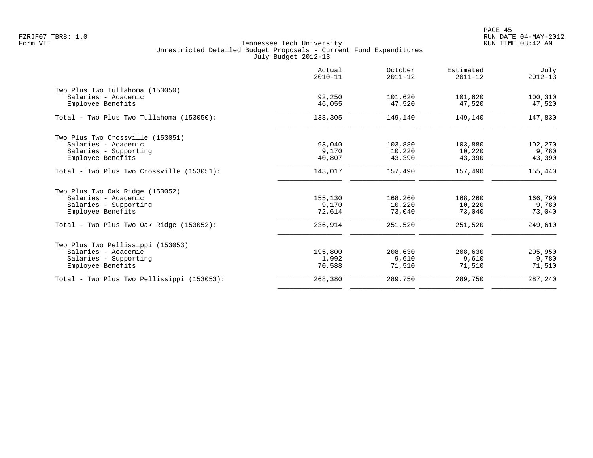|                                             | Actual<br>$2010 - 11$ | October<br>$2011 - 12$ | Estimated<br>$2011 - 12$ | July<br>$2012 - 13$ |
|---------------------------------------------|-----------------------|------------------------|--------------------------|---------------------|
| Two Plus Two Tullahoma (153050)             |                       |                        |                          |                     |
| Salaries - Academic                         | 92,250                | 101,620                | 101,620                  | 100,310             |
| Employee Benefits                           | 46,055                | 47,520                 | 47,520                   | 47,520              |
| Total - Two Plus Two Tullahoma (153050):    | 138,305               | 149,140                | 149,140                  | 147,830             |
| Two Plus Two Crossville (153051)            |                       |                        |                          |                     |
| Salaries - Academic                         | 93,040                | 103,880                | 103,880                  | 102,270             |
| Salaries - Supporting                       | 9,170                 | 10,220                 | 10,220                   | 9,780               |
| Employee Benefits                           | 40,807                | 43,390                 | 43,390                   | 43,390              |
| Total - Two Plus Two Crossville (153051):   | 143,017               | 157,490                | 157,490                  | 155,440             |
| Two Plus Two Oak Ridge (153052)             |                       |                        |                          |                     |
| Salaries - Academic                         | 155,130               | 168,260                | 168,260                  | 166,790             |
| Salaries - Supporting                       | 9,170                 | 10,220                 | 10,220                   | 9,780               |
| Employee Benefits                           | 72,614                | 73,040                 | 73,040                   | 73,040              |
| Total - Two Plus Two Oak Ridge $(153052)$ : | 236,914               | 251,520                | 251,520                  | 249,610             |
| Two Plus Two Pellissippi (153053)           |                       |                        |                          |                     |
| Salaries - Academic                         | 195,800               | 208,630                | 208,630                  | 205,950             |
| Salaries - Supporting                       | 1,992                 | 9,610                  | 9,610                    | 9,780               |
| Employee Benefits                           | 70,588                | 71,510                 | 71,510                   | 71,510              |
| Total - Two Plus Two Pellissippi (153053):  | 268,380               | 289,750                | 289,750                  | 287,240             |
|                                             |                       |                        |                          |                     |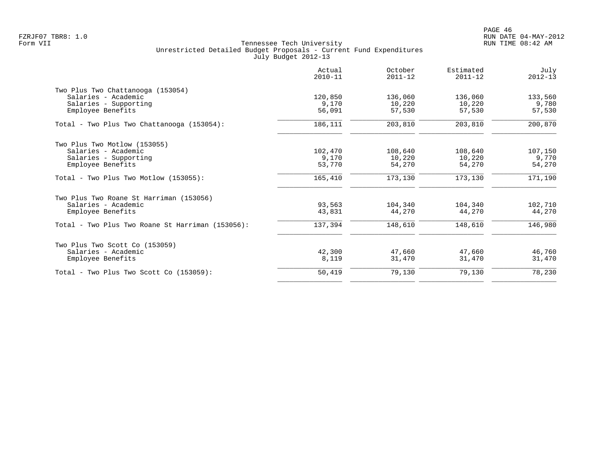|                                                  | Actual<br>$2010 - 11$ | October<br>$2011 - 12$ | Estimated<br>$2011 - 12$ | July<br>$2012 - 13$ |
|--------------------------------------------------|-----------------------|------------------------|--------------------------|---------------------|
| Two Plus Two Chattanooga (153054)                |                       |                        |                          |                     |
| Salaries - Academic                              | 120,850               | 136,060                | 136,060                  | 133,560             |
| Salaries - Supporting                            | 9,170                 | 10,220                 | 10,220                   | 9,780               |
| Employee Benefits                                | 56,091                | 57,530                 | 57,530                   | 57,530              |
| Total - Two Plus Two Chattanooga (153054):       | 186,111               | 203,810                | 203,810                  | 200,870             |
| Two Plus Two Motlow (153055)                     |                       |                        |                          |                     |
| Salaries - Academic                              | 102,470               | 108,640                | 108,640                  | 107,150             |
| Salaries - Supporting                            | 9,170                 | 10,220                 | 10,220                   | 9,770               |
| Employee Benefits                                | 53,770                | 54,270                 | 54,270                   | 54,270              |
| $Total - Two Plus Two Motion (153055):$          | 165,410               | 173,130                | 173,130                  | 171,190             |
| Two Plus Two Roane St Harriman (153056)          |                       |                        |                          |                     |
| Salaries - Academic                              | 93,563                | 104,340                | 104,340                  | 102,710             |
| Employee Benefits                                | 43,831                | 44,270                 | 44,270                   | 44,270              |
| Total - Two Plus Two Roane St Harriman (153056): | 137,394               | 148,610                | 148,610                  | 146,980             |
| Two Plus Two Scott Co (153059)                   |                       |                        |                          |                     |
| Salaries - Academic                              | 42,300                | 47,660                 | 47,660                   | 46,760              |
| Employee Benefits                                | 8,119                 | 31,470                 | 31,470                   | 31,470              |
| $Total - Two Plus Two Scott Co (153059):$        | 50,419                | 79,130                 | 79,130                   | 78,230              |
|                                                  |                       |                        |                          |                     |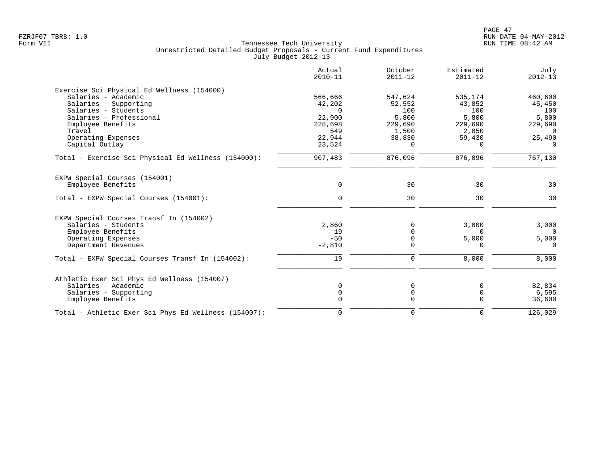|                                                      | Actual<br>$2010 - 11$ | October<br>$2011 - 12$ | Estimated<br>$2011 - 12$ | July<br>$2012 - 13$ |
|------------------------------------------------------|-----------------------|------------------------|--------------------------|---------------------|
| Exercise Sci Physical Ed Wellness (154000)           |                       |                        |                          |                     |
| Salaries - Academic                                  | 566,666               | 547,624                | 535,174                  | 460,600             |
| Salaries - Supporting                                | 42,202                | 52,552                 | 43,852                   | 45,450              |
| Salaries - Students                                  | $\Omega$              | 100                    | 100                      | 100                 |
| Salaries - Professional                              | 22,900                | 5,800                  | 5,800                    | 5,800               |
| Employee Benefits                                    | 228,698               | 229,690                | 229,690                  | 229,690             |
| Travel                                               | 549                   | 1,500                  | 2,050                    | $\overline{0}$      |
| Operating Expenses                                   | 22,944                | 38,830                 | 59,430                   | 25,490              |
| Capital Outlay                                       | 23,524                | $\Omega$               | $\Omega$                 | $\Omega$            |
| Total - Exercise Sci Physical Ed Wellness (154000):  | 907,483               | 876,096                | 876,096                  | 767,130             |
| EXPW Special Courses (154001)                        |                       |                        |                          |                     |
| Employee Benefits                                    | $\mathbf 0$           | 30                     | 30                       | 30                  |
| Total - EXPW Special Courses (154001):               | $\Omega$              | 30                     | 30                       | 30                  |
| EXPW Special Courses Transf In (154002)              |                       |                        |                          |                     |
| Salaries - Students                                  | 2,860                 | $\Omega$               | 3,000                    | 3,000               |
| Employee Benefits                                    | 19                    | $\Omega$               | $\Omega$                 | $\Omega$            |
| Operating Expenses                                   | $-50$                 | $\Omega$               | 5,000                    | 5,000               |
| Department Revenues                                  | $-2,810$              | $\Omega$               | $\Omega$                 | $\Omega$            |
| Total - EXPW Special Courses Transf In (154002):     | 19                    | 0                      | 8,000                    | 8,000               |
| Athletic Exer Sci Phys Ed Wellness (154007)          |                       |                        |                          |                     |
| Salaries - Academic                                  | $\mathbf 0$           | 0                      | 0                        | 82,834              |
| Salaries - Supporting                                | $\mathbf 0$           | $\mathsf{O}$           | $\mathbf 0$              | 6,595               |
| Employee Benefits                                    | 0                     | $\mathbf 0$            | $\mathbf 0$              | 36,600              |
| Total - Athletic Exer Sci Phys Ed Wellness (154007): | $\mathbf 0$           | $\mathbf 0$            | $\Omega$                 | 126,029             |
|                                                      |                       |                        |                          |                     |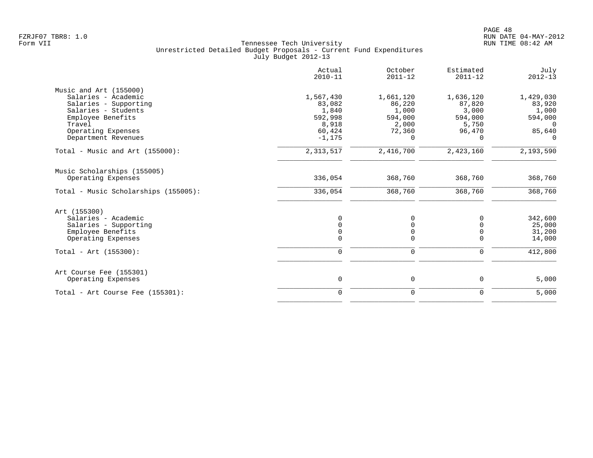|                                               | Actual<br>$2010 - 11$ | October<br>$2011 - 12$ | Estimated<br>$2011 - 12$ | July<br>$2012 - 13$ |
|-----------------------------------------------|-----------------------|------------------------|--------------------------|---------------------|
| Music and Art (155000)<br>Salaries - Academic | 1,567,430             | 1,661,120              | 1,636,120                | 1,429,030           |
| Salaries - Supporting                         | 83,082                | 86,220                 | 87,820                   | 83,920              |
| Salaries - Students                           | 1,840                 | 1,000                  | 3,000                    | 1,000               |
| Employee Benefits                             | 592,998               | 594,000                | 594,000                  | 594,000             |
| Travel                                        | 8,918                 | 2,000                  | 5,750                    | $\overline{0}$      |
| Operating Expenses                            | 60,424                | 72,360                 | 96,470                   | 85,640              |
| Department Revenues                           | $-1, 175$             | $\Omega$               | $\Omega$                 | $\Omega$            |
| Total - Music and Art $(155000)$ :            | 2,313,517             | 2,416,700              | 2,423,160                | 2,193,590           |
| Music Scholarships (155005)                   |                       |                        |                          |                     |
| Operating Expenses                            | 336,054               | 368,760                | 368,760                  | 368,760             |
| Total - Music Scholarships (155005):          | 336,054               | 368,760                | 368,760                  | 368,760             |
| Art (155300)                                  |                       |                        |                          |                     |
| Salaries - Academic                           | 0                     | $\mathbf 0$            | $\Omega$                 | 342,600             |
| Salaries - Supporting                         | $\Omega$              | 0                      | $\Omega$                 | 25,000              |
| Employee Benefits                             | $\overline{0}$        | 0                      | $\mathbf 0$              | 31,200              |
| Operating Expenses                            | $\Omega$              | $\mathbf 0$            | $\Omega$                 | 14,000              |
| $Total - Art (155300):$                       | $\mathbf 0$           | $\mathbf 0$            | 0                        | 412,800             |
| Art Course Fee (155301)                       |                       |                        |                          |                     |
| Operating Expenses                            | 0                     | 0                      | 0                        | 5,000               |
| Total - Art Course Fee $(155301)$ :           | $\mathbf 0$           | $\mathbf 0$            | $\mathbf 0$              | 5,000               |
|                                               |                       |                        |                          |                     |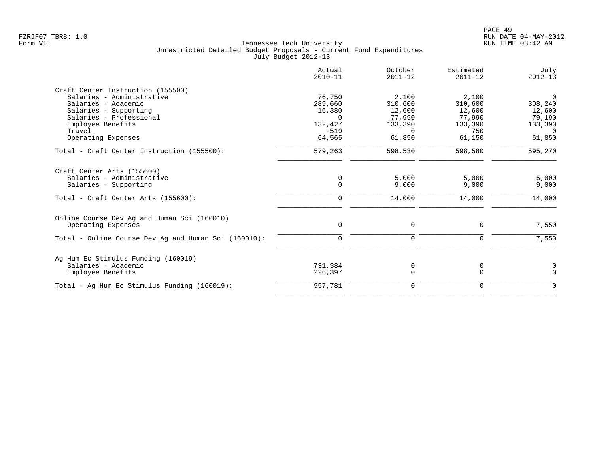| Actual<br>$2010 - 11$ | October<br>$2011 - 12$ | Estimated<br>$2011 - 12$ | July<br>$2012 - 13$ |
|-----------------------|------------------------|--------------------------|---------------------|
|                       |                        |                          |                     |
| 76,750                | 2,100                  | 2,100                    | $\Omega$            |
| 289,660               |                        | 310,600                  | 308,240             |
| 16,380                | 12,600                 | 12,600                   | 12,600              |
| $\Omega$              | 77,990                 | 77,990                   | 79,190              |
| 132,427               | 133,390                | 133,390                  | 133,390             |
| $-519$                | $\Omega$               | 750                      | $\Omega$            |
| 64,565                | 61,850                 | 61,150                   | 61,850              |
| 579,263               | 598,530                | 598,580                  | 595,270             |
|                       |                        |                          |                     |
|                       |                        |                          | 5,000               |
| $\Omega$              | 9,000                  | 9,000                    | 9,000               |
| $\Omega$              | 14,000                 | 14,000                   | 14,000              |
|                       |                        |                          |                     |
| 0                     | 0                      | 0                        | 7,550               |
| $\Omega$              | $\Omega$               | $\Omega$                 | 7,550               |
|                       |                        |                          | 0                   |
| 226,397               | $\Omega$               | $\Omega$                 | $\Omega$            |
| 957,781               | 0                      | 0                        | $\mathbf 0$         |
|                       | 0<br>731,384           | 310,600<br>5,000<br>0    | 5,000<br>0          |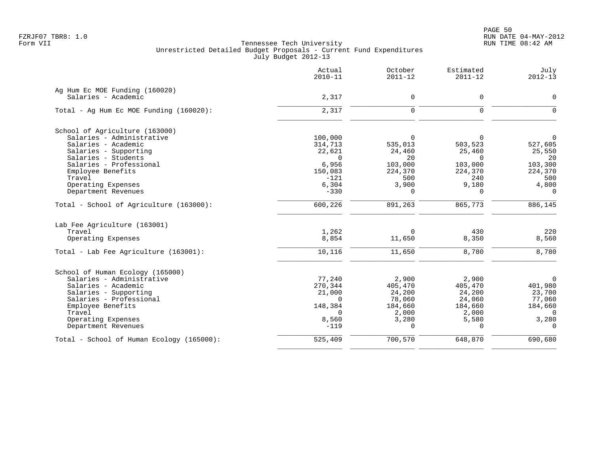PAGE 50 FZRJF07 TBR8: 1.0 RUN DATE 04-MAY-2012

|                                                       | Actual<br>$2010 - 11$ | October<br>$2011 - 12$ | Estimated<br>$2011 - 12$ | July<br>$2012 - 13$ |
|-------------------------------------------------------|-----------------------|------------------------|--------------------------|---------------------|
| Ag Hum Ec MOE Funding (160020)<br>Salaries - Academic | 2,317                 | 0                      | 0                        | $\mathbf 0$         |
| Total - Ag Hum Ec MOE Funding (160020):               | 2,317                 | 0                      | $\mathbf 0$              | $\overline{0}$      |
| School of Agriculture (163000)                        |                       |                        |                          |                     |
| Salaries - Administrative                             | 100,000               | $\Omega$               | $\Omega$                 | $\Omega$            |
| Salaries - Academic                                   | 314,713               | 535,013                | 503,523                  | 527,605             |
| Salaries - Supporting                                 | 22,621                | 24,460                 | 25,460                   | 25,550              |
| Salaries - Students<br>Salaries - Professional        | $\Omega$<br>6,956     | 20<br>103,000          | $\Omega$<br>103,000      | 20<br>103,300       |
| Employee Benefits                                     | 150,083               | 224,370                | 224,370                  | 224,370             |
| Travel                                                | $-121$                | 500                    | 240                      | 500                 |
| Operating Expenses                                    | 6,304                 | 3,900                  | 9,180                    | 4,800               |
| Department Revenues                                   | $-330$                | $\Omega$               | $\Omega$                 | $\Omega$            |
| Total - School of Agriculture (163000):               | 600,226               | 891,263                | 865,773                  | 886,145             |
| Lab Fee Agriculture (163001)                          |                       |                        |                          |                     |
| Travel                                                | 1,262                 | $\Omega$               | 430                      | 220                 |
| Operating Expenses                                    | 8,854                 | 11,650                 | 8,350                    | 8,560               |
| Total - Lab Fee Agriculture (163001):                 | 10,116                | 11,650                 | 8,780                    | 8,780               |
| School of Human Ecology (165000)                      |                       |                        |                          |                     |
| Salaries - Administrative                             | 77,240                | 2,900                  | 2,900                    | 0                   |
| Salaries - Academic                                   | 270,344               | 405,470                | 405,470                  | 401,980             |
| Salaries - Supporting                                 | 21,000                | 24,200                 | 24,200                   | 23,700              |
| Salaries - Professional                               | $\Omega$              | 78,060                 | 24,060                   | 77,060              |
| Employee Benefits                                     | 148,384               | 184,660                | 184,660                  | 184,660<br>$\Omega$ |
| Travel<br>Operating Expenses                          | $\Omega$<br>8,560     | 2,000<br>3,280         | 2,000<br>5,580           | 3,280               |
| Department Revenues                                   | $-119$                | $\Omega$               | $\Omega$                 | $\Omega$            |
| Total - School of Human Ecology (165000):             | 525,409               | 700,570                | 648,870                  | 690,680             |
|                                                       |                       |                        |                          |                     |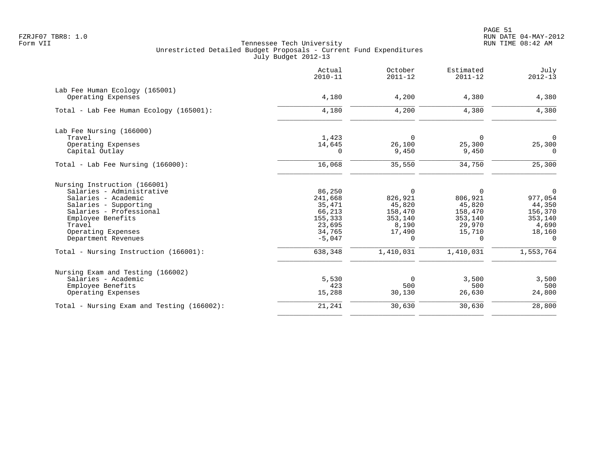|                                                      | Actual<br>$2010 - 11$ | October<br>$2011 - 12$ | Estimated<br>$2011 - 12$ | July<br>$2012 - 13$ |
|------------------------------------------------------|-----------------------|------------------------|--------------------------|---------------------|
| Lab Fee Human Ecology (165001)<br>Operating Expenses | 4,180                 | 4,200                  | 4,380                    | 4,380               |
| Total - Lab Fee Human Ecology (165001):              | 4,180                 | 4,200                  | 4,380                    | 4,380               |
| Lab Fee Nursing (166000)                             |                       |                        |                          |                     |
| Travel                                               | 1,423                 | $\mathbf 0$            | $\Omega$                 | $\Omega$            |
| Operating Expenses                                   | 14,645                | 26,100                 | 25,300                   | 25,300              |
| Capital Outlay                                       | 0                     | 9,450                  | 9,450                    | $\Omega$            |
| Total - Lab Fee Nursing (166000):                    | 16,068                | 35,550                 | 34,750                   | 25,300              |
| Nursing Instruction (166001)                         |                       |                        |                          |                     |
| Salaries - Administrative                            | 86,250                | 0                      | $\Omega$                 | $\Omega$            |
| Salaries - Academic                                  | 241,668               | 826,921                | 806,921                  | 977,054             |
| Salaries - Supporting                                | 35,471                | 45,820                 | 45,820                   | 44,350              |
| Salaries - Professional                              | 66,213                | 158,470                | 158,470                  | 156,370             |
| Employee Benefits<br>Travel                          | 155,333<br>23,695     | 353,140<br>8,190       | 353,140<br>29,970        | 353,140<br>4,690    |
| Operating Expenses                                   | 34,765                | 17,490                 | 15,710                   | 18,160              |
| Department Revenues                                  | $-5,047$              | 0                      | 0                        | $\Omega$            |
| Total - Nursing Instruction (166001):                | 638,348               | 1,410,031              | 1,410,031                | 1,553,764           |
| Nursing Exam and Testing (166002)                    |                       |                        |                          |                     |
| Salaries - Academic                                  | 5,530                 | 0                      | 3,500                    | 3,500               |
| Employee Benefits                                    | 423                   | 500                    | 500                      | 500                 |
| Operating Expenses                                   | 15,288                | 30,130                 | 26,630                   | 24,800              |
| Total - Nursing Exam and Testing (166002):           | 21,241                | 30,630                 | 30,630                   | 28,800              |
|                                                      |                       |                        |                          |                     |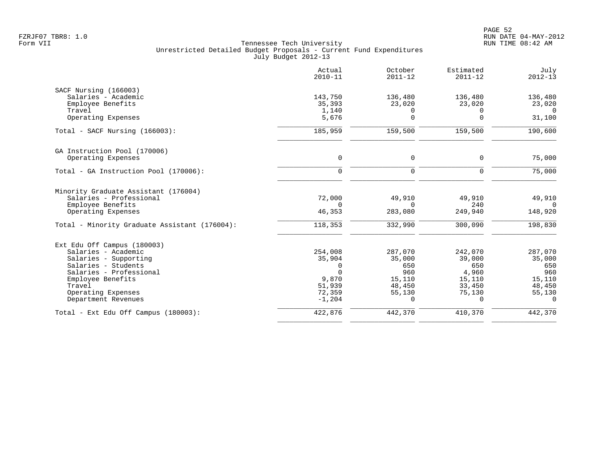|                                               | Actual<br>$2010 - 11$ | October<br>$2011 - 12$ | Estimated<br>$2011 - 12$ | July<br>$2012 - 13$ |
|-----------------------------------------------|-----------------------|------------------------|--------------------------|---------------------|
| SACF Nursing (166003)                         |                       |                        |                          |                     |
| Salaries - Academic                           | 143,750               | 136,480                | 136,480                  | 136,480             |
| Employee Benefits                             | 35,393                | 23,020                 | 23,020                   | 23,020              |
| Travel<br>Operating Expenses                  | 1,140<br>5,676        | 0<br>$\Omega$          | $\Omega$<br>$\Omega$     | $\Omega$<br>31,100  |
| Total - SACF Nursing (166003):                | 185,959               | 159,500                | 159,500                  | 190,600             |
| GA Instruction Pool (170006)                  |                       |                        |                          |                     |
| Operating Expenses                            | $\mathbf 0$           | 0                      | 0                        | 75,000              |
| Total - GA Instruction Pool (170006):         | $\mathbf 0$           | $\mathbf 0$            | $\Omega$                 | 75,000              |
| Minority Graduate Assistant (176004)          |                       |                        |                          |                     |
| Salaries - Professional                       | 72,000                | 49,910                 | 49,910                   | 49,910              |
| Employee Benefits                             | $\Omega$              | $\Omega$               | 240                      | $\Omega$            |
| Operating Expenses                            | 46,353                | 283,080                | 249,940                  | 148,920             |
| Total - Minority Graduate Assistant (176004): | 118,353               | 332,990                | 300,090                  | 198,830             |
| Ext Edu Off Campus (180003)                   |                       |                        |                          |                     |
| Salaries - Academic                           | 254,008               | 287,070                | 242,070                  | 287,070             |
| Salaries - Supporting                         | 35,904                | 35,000                 | 39,000                   | 35,000              |
| Salaries - Students                           | $\Omega$              | 650                    | 650                      | 650                 |
| Salaries - Professional                       | $\Omega$              | 960                    | 4,960                    | 960                 |
| Employee Benefits                             | 9,870                 | 15,110                 | 15,110                   | 15,110              |
| Travel<br>Operating Expenses                  | 51,939<br>72,359      | 48,450<br>55,130       | 33,450<br>75,130         | 48,450<br>55,130    |
| Department Revenues                           | $-1,204$              | $\Omega$               | $\Omega$                 | $\Omega$            |
| Total - Ext Edu Off Campus (180003):          | 422,876               | 442,370                | 410,370                  | 442,370             |
|                                               |                       |                        |                          |                     |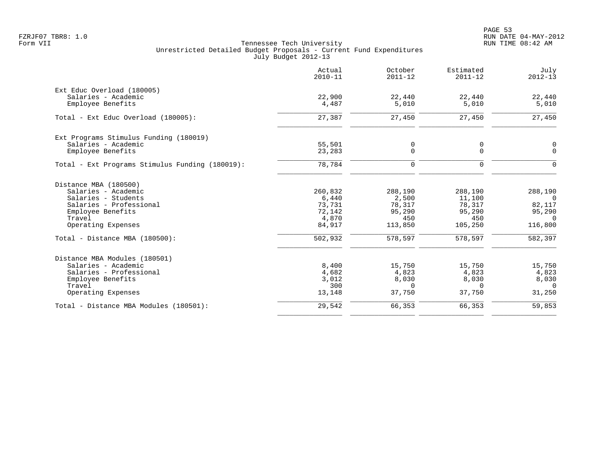|                                                 | Actual<br>$2010 - 11$ | October<br>$2011 - 12$ | Estimated<br>$2011 - 12$ | July<br>$2012 - 13$ |
|-------------------------------------------------|-----------------------|------------------------|--------------------------|---------------------|
| Ext Educ Overload (180005)                      |                       |                        |                          |                     |
| Salaries - Academic<br>Employee Benefits        | 22,900<br>4,487       | 22,440<br>5,010        | 22,440<br>5,010          | 22,440<br>5,010     |
| Total - Ext Educ Overload (180005):             | 27,387                | 27,450                 | 27,450                   | 27,450              |
| Ext Programs Stimulus Funding (180019)          |                       |                        |                          |                     |
| Salaries - Academic                             | 55,501                | 0                      | 0                        | $\mathbf 0$         |
| Employee Benefits                               | 23,283                | 0                      | 0                        | $\mathbf 0$         |
| Total - Ext Programs Stimulus Funding (180019): | 78,784                | 0                      | 0                        | $\mathbf 0$         |
| Distance MBA (180500)                           |                       |                        |                          |                     |
| Salaries - Academic                             | 260,832               | 288,190                | 288,190                  | 288,190             |
| Salaries - Students                             | 6,440                 | 2,500                  | 11,100                   | $\overline{0}$      |
| Salaries - Professional                         | 73,731                | 78,317                 | 78,317                   | 82,117              |
| Employee Benefits                               | 72,142<br>4,870       | 95,290<br>450          | 95,290<br>450            | 95,290              |
| Travel<br>Operating Expenses                    | 84,917                | 113,850                | 105,250                  | $\Omega$<br>116,800 |
| Total - Distance MBA (180500):                  | 502,932               | 578,597                | 578,597                  | 582,397             |
| Distance MBA Modules (180501)                   |                       |                        |                          |                     |
| Salaries - Academic                             | 8,400                 | 15,750                 | 15,750                   | 15,750              |
| Salaries - Professional                         | 4,682                 | 4,823                  | 4,823                    | 4,823               |
| Employee Benefits                               | 3,012                 | 8,030                  | 8,030                    | 8,030               |
| Travel                                          | 300                   | $\Omega$               | $\Omega$                 | $\Omega$            |
| Operating Expenses                              | 13,148                | 37,750                 | 37,750                   | 31,250              |
| Total - Distance MBA Modules (180501):          | 29,542                | 66,353                 | 66,353                   | 59,853              |
|                                                 |                       |                        |                          |                     |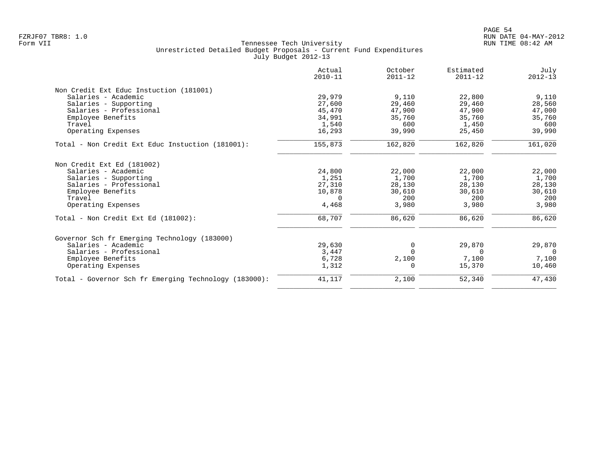| Actual<br>$2010 - 11$ | October<br>$2011 - 12$ | Estimated<br>$2011 - 12$ | July<br>$2012 - 13$ |
|-----------------------|------------------------|--------------------------|---------------------|
|                       |                        |                          |                     |
| 29,979                | 9,110                  | 22,800                   | 9,110               |
| 27,600                | 29,460                 | 29,460                   | 28,560              |
| 45,470                | 47,900                 | 47,900                   | 47,000              |
| 34,991                | 35,760                 | 35,760                   | 35,760              |
| 1,540                 | 600                    | 1,450                    | 600                 |
| 16,293                | 39,990                 | 25,450                   | 39,990              |
| 155,873               | 162,820                | 162,820                  | 161,020             |
|                       |                        |                          |                     |
| 24,800                | 22,000                 | 22,000                   | 22,000              |
| 1,251                 | 1,700                  | 1,700                    | 1,700               |
| 27,310                | 28,130                 | 28,130                   | 28,130              |
| 10,878                | 30,610                 | 30,610                   | 30,610              |
| $\Omega$              | 200                    | 200                      | 200                 |
| 4,468                 | 3,980                  | 3,980                    | 3,980               |
| 68,707                | 86,620                 | 86,620                   | 86,620              |
|                       |                        |                          |                     |
| 29,630                | 0                      | 29,870                   | 29,870              |
| 3,447                 | $\Omega$               | $\Omega$                 | $\Omega$            |
| 6,728                 | 2,100                  | 7,100                    | 7,100               |
| 1,312                 | $\Omega$               | 15,370                   | 10,460              |
| 41,117                | 2,100                  | 52,340                   | 47,430              |
|                       |                        |                          |                     |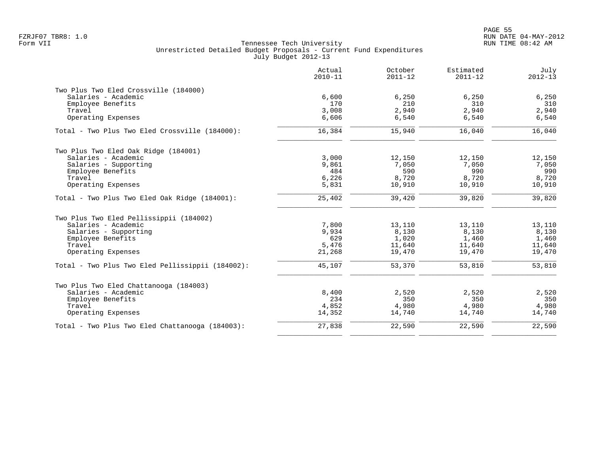|                                                  | Actual<br>$2010 - 11$ | October<br>$2011 - 12$ | Estimated<br>$2011 - 12$ | July<br>$2012 - 13$ |
|--------------------------------------------------|-----------------------|------------------------|--------------------------|---------------------|
| Two Plus Two Eled Crossville (184000)            |                       |                        |                          |                     |
| Salaries - Academic                              | 6,600                 | 6,250                  | 6,250                    | 6,250               |
| Employee Benefits                                | 170                   | 210                    | 310                      | 310                 |
| Travel                                           | 3,008                 | 2,940                  | 2,940                    | 2,940               |
| Operating Expenses                               | 6,606                 | 6,540                  | 6,540                    | 6,540               |
| Total - Two Plus Two Eled Crossville (184000):   | 16,384                | 15,940                 | 16,040                   | 16,040              |
| Two Plus Two Eled Oak Ridge (184001)             |                       |                        |                          |                     |
| Salaries - Academic                              | 3,000                 | 12,150                 | 12,150                   | 12,150              |
| Salaries - Supporting                            | 9,861                 | 7,050                  | 7,050                    | 7,050               |
| Employee Benefits                                | 484                   | 590                    | 990                      | 990                 |
| Travel                                           | 6,226                 | 8,720                  | 8,720                    | 8,720               |
| Operating Expenses                               | 5,831                 | 10,910                 | 10,910                   | 10,910              |
| Total - Two Plus Two Eled Oak Ridge (184001):    | 25,402                | 39,420                 | 39,820                   | 39,820              |
| Two Plus Two Eled Pellissippii (184002)          |                       |                        |                          |                     |
| Salaries - Academic                              | 7,800                 | 13,110                 | 13,110                   | 13,110              |
| Salaries - Supporting                            | 9,934                 | 8,130                  | 8,130                    | 8,130               |
| Employee Benefits                                | 629                   | 1,020                  | 1,460                    | 1,460               |
| Travel                                           | 5,476                 | 11,640                 | 11,640                   | 11,640              |
| Operating Expenses                               | 21,268                | 19,470                 | 19,470                   | 19,470              |
| Total - Two Plus Two Eled Pellissippii (184002): | 45,107                | 53,370                 | 53,810                   | 53,810              |
| Two Plus Two Eled Chattanooga (184003)           |                       |                        |                          |                     |
| Salaries - Academic                              | 8,400                 | 2,520                  | 2,520                    | 2,520               |
| Employee Benefits                                | 234                   | 350                    | 350                      | 350                 |
| Travel                                           | 4,852                 | 4,980                  | 4,980                    | 4,980               |
| Operating Expenses                               | 14,352                | 14,740                 | 14,740                   | 14,740              |
| Total - Two Plus Two Eled Chattanooga (184003):  | 27,838                | 22,590                 | 22,590                   | 22,590              |
|                                                  |                       |                        |                          |                     |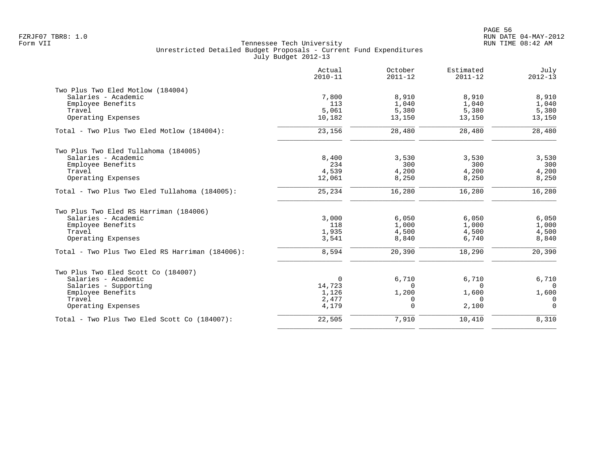|                                                 | Actual<br>$2010 - 11$ | October<br>$2011 - 12$ | Estimated<br>$2011 - 12$ | July<br>$2012 - 13$ |
|-------------------------------------------------|-----------------------|------------------------|--------------------------|---------------------|
| Two Plus Two Eled Motlow (184004)               |                       |                        |                          |                     |
| Salaries - Academic                             | 7,800                 | 8,910                  | 8,910                    | 8,910               |
| Employee Benefits                               | 113                   | 1,040                  | 1,040                    | 1,040               |
| Travel                                          | 5,061                 | 5,380                  | 5,380                    | 5,380               |
| Operating Expenses                              | 10,182                | 13,150                 | 13,150                   | 13,150              |
| Total - Two Plus Two Eled Motlow (184004):      | 23,156                | 28,480                 | 28,480                   | 28,480              |
| Two Plus Two Eled Tullahoma (184005)            |                       |                        |                          |                     |
| Salaries - Academic                             | 8,400                 | 3,530                  | 3,530                    | 3,530               |
| Employee Benefits                               | 234                   | 300                    | 300                      | 300                 |
| Travel                                          | 4,539                 | 4,200                  | 4,200                    | 4,200               |
| Operating Expenses                              | 12,061                | 8,250                  | 8,250                    | 8,250               |
| Total - Two Plus Two Eled Tullahoma (184005):   | 25,234                | 16,280                 | 16,280                   | 16,280              |
| Two Plus Two Eled RS Harriman (184006)          |                       |                        |                          |                     |
| Salaries - Academic                             | 3,000                 | 6,050                  | 6,050                    | 6,050               |
| Employee Benefits                               | 118                   | 1,000                  | 1,000                    | 1,000               |
| Travel                                          | 1,935                 | 4,500                  | 4,500                    | 4,500               |
| Operating Expenses                              | 3,541                 | 8,840                  | 6,740                    | 8,840               |
| Total - Two Plus Two Eled RS Harriman (184006): | 8,594                 | 20,390                 | 18,290                   | 20,390              |
| Two Plus Two Eled Scott Co (184007)             |                       |                        |                          |                     |
| Salaries - Academic                             | $\mathbf 0$           | 6,710                  | 6,710                    | 6,710               |
| Salaries - Supporting                           | 14,723                | $\Omega$               | $\Omega$                 | $\Omega$            |
| Employee Benefits                               | 1,126                 | 1,200                  | 1,600                    | 1,600               |
| Travel                                          | 2,477                 | $\Omega$               | $\Omega$                 | 0                   |
| Operating Expenses                              | 4,179                 | $\Omega$               | 2,100                    | $\Omega$            |
| Total - Two Plus Two Eled Scott Co (184007):    | 22,505                | 7,910                  | 10,410                   | 8,310               |
|                                                 |                       |                        |                          |                     |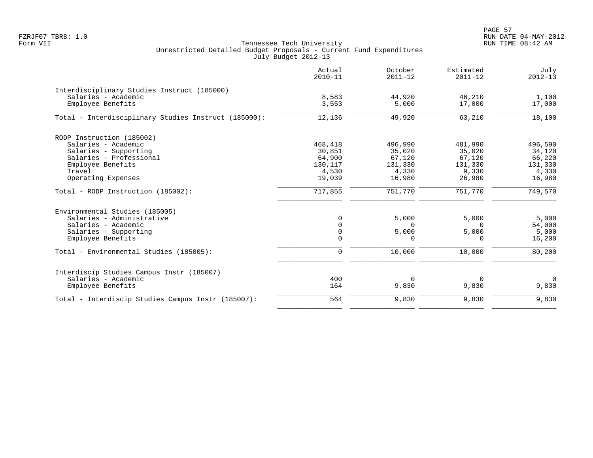PAGE 57 FZRJF07 TBR8: 1.0 RUN DATE 04-MAY-2012

|                                                      | Actual<br>$2010 - 11$ | October<br>$2011 - 12$ | Estimated<br>$2011 - 12$ | July<br>$2012 - 13$ |
|------------------------------------------------------|-----------------------|------------------------|--------------------------|---------------------|
| Interdisciplinary Studies Instruct (185000)          |                       |                        |                          |                     |
| Salaries - Academic                                  | 8,583                 | 44,920                 | 46,210                   | 1,100               |
| Employee Benefits                                    | 3,553                 | 5,000                  | 17,000                   | 17,000              |
| Total - Interdisciplinary Studies Instruct (185000): | 12,136                | 49,920                 | 63,210                   | 18,100              |
| RODP Instruction (185002)                            |                       |                        |                          |                     |
| Salaries - Academic                                  | 468,418               | 496,990                | 481,990                  | 496,590             |
| Salaries - Supporting                                | 30,851                | 35,020                 | 35,020                   | 34,120              |
| Salaries - Professional                              | 64,900                | 67,120                 | 67,120                   | 66,220              |
| Employee Benefits                                    | 130,117               | 131,330                | 131,330                  | 131,330             |
| Travel                                               | 4,530                 | 4,330                  | 9,330                    | 4,330               |
| Operating Expenses                                   | 19,039                | 16,980                 | 26,980                   | 16,980              |
| Total - RODP Instruction (185002):                   | 717,855               | 751,770                | 751,770                  | 749,570             |
| Environmental Studies (185005)                       |                       |                        |                          |                     |
| Salaries - Administrative                            | $\Omega$              | 5,000                  | 5,000                    | 5,000               |
| Salaries - Academic                                  | $\Omega$              | <sup>n</sup>           | <sup>n</sup>             | 54,000              |
| Salaries - Supporting                                | $\mathbf 0$           | 5,000                  | 5,000                    | 5,000               |
| Employee Benefits                                    | $\Omega$              | $\Omega$               | $\Omega$                 | 16,200              |
| Total - Environmental Studies (185005):              | $\mathbf 0$           | 10,000                 | 10,000                   | 80,200              |
| Interdiscip Studies Campus Instr (185007)            |                       |                        |                          |                     |
| Salaries - Academic                                  | 400                   | $\Omega$               | $\Omega$                 | $\Omega$            |
| Employee Benefits                                    | 164                   | 9,830                  | 9,830                    | 9,830               |
| Total - Interdiscip Studies Campus Instr (185007):   | 564                   | 9,830                  | 9,830                    | 9,830               |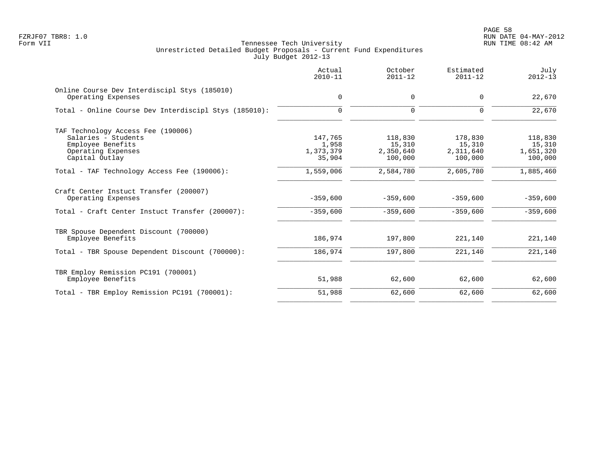|                                                                    | Actual<br>$2010 - 11$ | October<br>$2011 - 12$ | Estimated<br>$2011 - 12$ | July<br>$2012 - 13$ |
|--------------------------------------------------------------------|-----------------------|------------------------|--------------------------|---------------------|
| Online Course Dev Interdiscipl Stys (185010)<br>Operating Expenses | 0                     | 0                      | $\Omega$                 | 22,670              |
|                                                                    |                       |                        |                          |                     |
| Total - Online Course Dev Interdiscipl Stys (185010):              | $\mathbf 0$           | $\Omega$               | $\Omega$                 | 22,670              |
| TAF Technology Access Fee (190006)                                 |                       |                        |                          |                     |
| Salaries - Students                                                | 147,765               | 118,830                | 178,830                  | 118,830             |
| Employee Benefits                                                  | 1,958                 | 15,310                 | 15,310                   | 15,310              |
| Operating Expenses                                                 | 1,373,379             | 2,350,640              | 2,311,640                | 1,651,320           |
| Capital Outlay                                                     | 35,904                | 100,000                | 100,000                  | 100,000             |
| Total - TAF Technology Access Fee (190006):                        | 1,559,006             | 2,584,780              | 2,605,780                | 1,885,460           |
| Craft Center Instuct Transfer (200007)<br>Operating Expenses       | $-359,600$            | $-359,600$             | $-359,600$               | $-359,600$          |
| Total - Craft Center Instuct Transfer (200007):                    | $-359,600$            | $-359,600$             | $-359,600$               | $-359,600$          |
| TBR Spouse Dependent Discount (700000)                             |                       |                        |                          |                     |
| Employee Benefits                                                  | 186,974               | 197,800                | 221,140                  | 221,140             |
| Total - TBR Spouse Dependent Discount (700000):                    | 186,974               | 197,800                | 221,140                  | 221,140             |
| TBR Employ Remission PC191 (700001)                                |                       |                        |                          |                     |
| Employee Benefits                                                  | 51,988                | 62,600                 | 62,600                   | 62,600              |
| Total - TBR Employ Remission PC191 (700001):                       | 51,988                | 62,600                 | 62,600                   | 62,600              |
|                                                                    |                       |                        |                          |                     |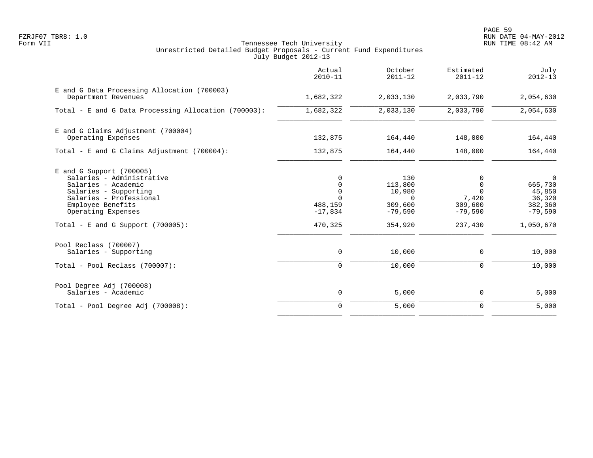PAGE 59 FZRJF07 TBR8: 1.0 RUN DATE 04-MAY-2012

|                                                                                                                                                                                                                       | Actual<br>$2010 - 11$                                                                 | October<br>$2011 - 12$                                                  | Estimated<br>$2011 - 12$                                              | July<br>$2012 - 13$                                                             |
|-----------------------------------------------------------------------------------------------------------------------------------------------------------------------------------------------------------------------|---------------------------------------------------------------------------------------|-------------------------------------------------------------------------|-----------------------------------------------------------------------|---------------------------------------------------------------------------------|
| E and G Data Processing Allocation (700003)<br>Department Revenues                                                                                                                                                    | 1,682,322                                                                             | 2,033,130                                                               | 2,033,790                                                             | 2,054,630                                                                       |
| Total - E and G Data Processing Allocation (700003):                                                                                                                                                                  | 1,682,322                                                                             | 2,033,130                                                               | 2,033,790                                                             | 2,054,630                                                                       |
| E and G Claims Adjustment (700004)<br>Operating Expenses                                                                                                                                                              | 132,875                                                                               | 164,440                                                                 | 148,000                                                               | 164,440                                                                         |
| Total - E and G Claims Adjustment (700004):                                                                                                                                                                           | 132,875                                                                               | 164,440                                                                 | 148,000                                                               | 164,440                                                                         |
| $E$ and G Support (700005)<br>Salaries - Administrative<br>Salaries - Academic<br>Salaries - Supporting<br>Salaries - Professional<br>Employee Benefits<br>Operating Expenses<br>Total - E and G Support $(700005)$ : | $\Omega$<br>$\mathbf 0$<br>$\mathbf 0$<br>$\Omega$<br>488,159<br>$-17,834$<br>470,325 | 130<br>113,800<br>10,980<br>$\Omega$<br>309,600<br>$-79,590$<br>354,920 | 0<br>$\Omega$<br>$\Omega$<br>7,420<br>309,600<br>$-79,590$<br>237,430 | $\mathbf 0$<br>665,730<br>45,850<br>36,320<br>382,360<br>$-79,590$<br>1,050,670 |
| Pool Reclass (700007)<br>Salaries - Supporting                                                                                                                                                                        | 0                                                                                     | 10,000                                                                  | 0                                                                     | 10,000                                                                          |
| Total - Pool Reclass (700007):                                                                                                                                                                                        | $\mathbf 0$                                                                           | 10,000                                                                  | $\mathbf 0$                                                           | 10,000                                                                          |
| Pool Degree Adj (700008)<br>Salaries - Academic                                                                                                                                                                       | $\mathbf 0$                                                                           | 5,000                                                                   | 0                                                                     | 5,000                                                                           |
| Total - Pool Degree Adj (700008):                                                                                                                                                                                     | $\mathbf 0$                                                                           | 5,000                                                                   | $\mathbf 0$                                                           | 5,000                                                                           |
|                                                                                                                                                                                                                       |                                                                                       |                                                                         |                                                                       |                                                                                 |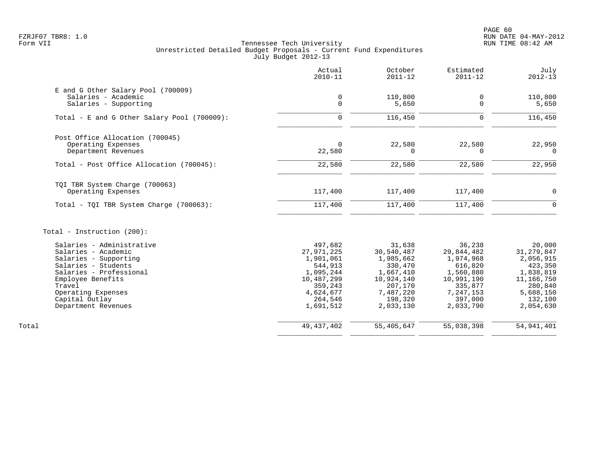PAGE 60 FZRJF07 TBR8: 1.0 RUN DATE 04-MAY-2012

|                                                                                                                                                                                                                           | Actual<br>$2010 - 11$                                                                                                    | October<br>$2011 - 12$                                                                                                  | Estimated<br>$2011 - 12$                                                                                                | July<br>$2012 - 13$                                                                                                         |
|---------------------------------------------------------------------------------------------------------------------------------------------------------------------------------------------------------------------------|--------------------------------------------------------------------------------------------------------------------------|-------------------------------------------------------------------------------------------------------------------------|-------------------------------------------------------------------------------------------------------------------------|-----------------------------------------------------------------------------------------------------------------------------|
| E and G Other Salary Pool (700009)<br>Salaries - Academic<br>Salaries - Supporting                                                                                                                                        | $\mathbf 0$<br>$\mathbf 0$                                                                                               | 110,800<br>5,650                                                                                                        | 0<br>$\Omega$                                                                                                           | 110,800<br>5,650                                                                                                            |
| Total - E and G Other Salary Pool (700009):                                                                                                                                                                               | $\mathbf 0$                                                                                                              | 116,450                                                                                                                 | $\Omega$                                                                                                                | 116,450                                                                                                                     |
| Post Office Allocation (700045)<br>Operating Expenses<br>Department Revenues                                                                                                                                              | $\Omega$<br>22,580                                                                                                       | 22,580<br>0                                                                                                             | 22,580<br>$\Omega$                                                                                                      | 22,950<br>$\mathbf 0$                                                                                                       |
| Total - Post Office Allocation (700045):                                                                                                                                                                                  | 22,580                                                                                                                   | 22,580                                                                                                                  | 22,580                                                                                                                  | 22,950                                                                                                                      |
| TQI TBR System Charge (700063)<br>Operating Expenses                                                                                                                                                                      | 117,400                                                                                                                  | 117,400                                                                                                                 | 117,400                                                                                                                 | $\mathbf 0$                                                                                                                 |
| Total - TOI TBR System Charge (700063):                                                                                                                                                                                   | 117,400                                                                                                                  | 117,400                                                                                                                 | 117,400                                                                                                                 | $\Omega$                                                                                                                    |
| Total - Instruction (200):                                                                                                                                                                                                |                                                                                                                          |                                                                                                                         |                                                                                                                         |                                                                                                                             |
| Salaries - Administrative<br>Salaries - Academic<br>Salaries - Supporting<br>Salaries - Students<br>Salaries - Professional<br>Employee Benefits<br>Travel<br>Operating Expenses<br>Capital Outlay<br>Department Revenues | 497,682<br>27,971,225<br>1,901,061<br>544,913<br>1,095,244<br>10,487,299<br>359,243<br>4,624,677<br>264,546<br>1,691,512 | 31,638<br>30,540,487<br>1,985,662<br>330,470<br>1,667,410<br>10,924,140<br>207,170<br>7,487,220<br>198,320<br>2,033,130 | 36,238<br>29,844,482<br>1,974,968<br>616,820<br>1,560,880<br>10,991,190<br>335,877<br>7,247,153<br>397,000<br>2,033,790 | 20,000<br>31, 279, 847<br>2,056,915<br>423,350<br>1,838,819<br>11, 166, 750<br>280,840<br>5,688,150<br>132,100<br>2,054,630 |
| Total                                                                                                                                                                                                                     | 49, 437, 402                                                                                                             | 55,405,647                                                                                                              | 55,038,398                                                                                                              | 54, 941, 401                                                                                                                |
|                                                                                                                                                                                                                           |                                                                                                                          |                                                                                                                         |                                                                                                                         |                                                                                                                             |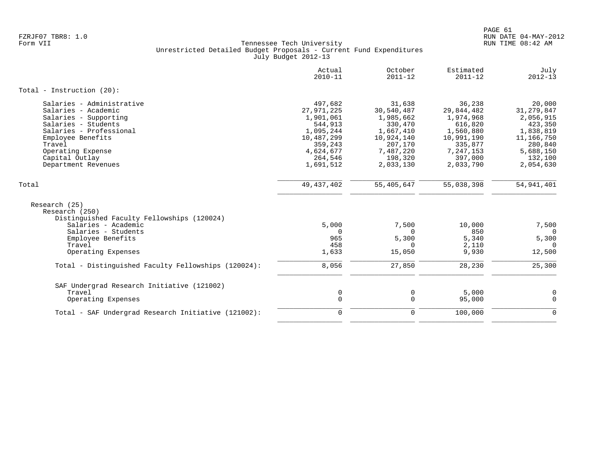|                                                                               | Actual<br>$2010 - 11$ | October<br>$2011 - 12$ | Estimated<br>$2011 - 12$ | July<br>$2012 - 13$ |
|-------------------------------------------------------------------------------|-----------------------|------------------------|--------------------------|---------------------|
| Total - Instruction $(20)$ :                                                  |                       |                        |                          |                     |
| Salaries - Administrative                                                     | 497,682               | 31,638                 | 36,238                   | 20,000              |
| Salaries - Academic                                                           | 27,971,225            | 30,540,487             | 29,844,482               | 31, 279, 847        |
| Salaries - Supporting                                                         | 1,901,061             | 1,985,662              | 1,974,968                | 2,056,915           |
| Salaries - Students                                                           | 544,913               | 330,470                | 616,820                  | 423,350             |
| Salaries - Professional                                                       | 1,095,244             | 1,667,410              | 1,560,880                | 1,838,819           |
| Employee Benefits                                                             | 10,487,299            | 10,924,140             | 10,991,190               | 11,166,750          |
| Travel                                                                        | 359,243               | 207,170                | 335,877                  | 280,840             |
| Operating Expense                                                             | 4,624,677             | 7,487,220              | 7,247,153                | 5,688,150           |
| Capital Outlay                                                                | 264,546               | 198,320                | 397,000                  | 132,100             |
| Department Revenues                                                           | 1,691,512             | 2,033,130              | 2,033,790                | 2,054,630           |
| Total                                                                         | 49, 437, 402          | 55,405,647             | 55,038,398               | 54, 941, 401        |
| Research (25)<br>Research (250)<br>Distinguished Faculty Fellowships (120024) |                       |                        |                          |                     |
| Salaries - Academic                                                           | 5,000                 | 7,500                  | 10,000                   | 7,500               |
| Salaries - Students                                                           | $\Omega$              | $\Omega$               | 850                      | $\Omega$            |
| Employee Benefits                                                             | 965                   | 5,300                  | 5,340                    | 5,300               |
| Travel                                                                        | 458                   | $\Omega$               | 2,110                    | $\Omega$            |
| Operating Expenses                                                            | 1,633                 | 15,050                 | 9,930                    | 12,500              |
| Total - Distinguished Faculty Fellowships (120024):                           | 8,056                 | 27,850                 | 28,230                   | 25,300              |
| SAF Undergrad Research Initiative (121002)                                    |                       |                        |                          |                     |
| Travel                                                                        | 0                     | 0                      | 5,000                    | 0                   |
| Operating Expenses                                                            | $\Omega$              | $\mathbf 0$            | 95,000                   | $\mathbf 0$         |
| Total - SAF Undergrad Research Initiative (121002):                           | $\Omega$              | $\mathbf 0$            | 100,000                  | $\mathbf 0$         |
|                                                                               |                       |                        |                          |                     |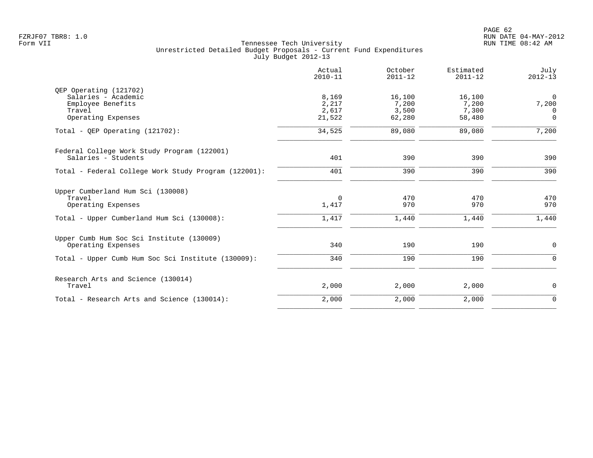|                                                      | Actual<br>$2010 - 11$ | October<br>$2011 - 12$ | Estimated<br>$2011 - 12$ | July<br>$2012 - 13$ |
|------------------------------------------------------|-----------------------|------------------------|--------------------------|---------------------|
| QEP Operating (121702)                               |                       |                        |                          |                     |
| Salaries - Academic                                  | 8,169                 | 16,100                 | 16,100                   | $\mathbf 0$         |
| Employee Benefits                                    | 2,217                 | 7,200                  | 7,200                    | 7,200               |
| Travel                                               | 2,617                 | 3,500                  | 7,300                    | $\Omega$            |
| Operating Expenses                                   | 21,522                | 62,280                 | 58,480                   | $\Omega$            |
| Total - OEP Operating $(121702)$ :                   | 34,525                | 89,080                 | 89,080                   | 7,200               |
| Federal College Work Study Program (122001)          |                       |                        |                          |                     |
| Salaries - Students                                  | 401                   | 390                    | 390                      | 390                 |
| Total - Federal College Work Study Program (122001): | 401                   | 390                    | 390                      | 390                 |
| Upper Cumberland Hum Sci (130008)                    |                       |                        |                          |                     |
| Travel                                               | $\Omega$              | 470                    | 470                      | 470                 |
| Operating Expenses                                   | 1,417                 | 970                    | 970                      | 970                 |
| Total - Upper Cumberland Hum Sci (130008):           | 1,417                 | 1,440                  | 1,440                    | 1,440               |
| Upper Cumb Hum Soc Sci Institute (130009)            |                       |                        |                          |                     |
| Operating Expenses                                   | 340                   | 190                    | 190                      | $\mathbf 0$         |
| Total - Upper Cumb Hum Soc Sci Institute (130009):   | 340                   | 190                    | 190                      | $\mathbf 0$         |
| Research Arts and Science (130014)                   |                       |                        |                          |                     |
| Travel                                               | 2,000                 | 2,000                  | 2,000                    | $\mathbf 0$         |
| Total - Research Arts and Science (130014):          | 2,000                 | 2,000                  | 2,000                    | $\mathbf 0$         |
|                                                      |                       |                        |                          |                     |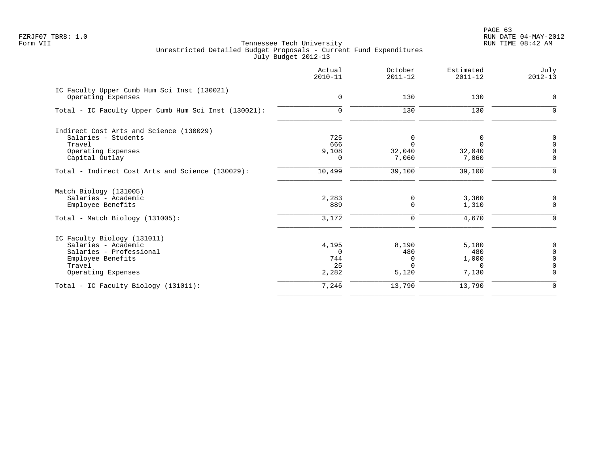| Actual<br>$2010 - 11$ | October<br>$2011 - 12$ | Estimated<br>$2011 - 12$ | July<br>$2012 - 13$                   |
|-----------------------|------------------------|--------------------------|---------------------------------------|
|                       |                        |                          | 0                                     |
|                       |                        |                          |                                       |
| $\mathbf 0$           | 130                    | 130                      | $\Omega$                              |
|                       |                        |                          |                                       |
| 725                   | 0                      | 0                        | 0                                     |
| 666                   | $\Omega$               | $\Omega$                 | $\Omega$                              |
| 9,108                 | 32,040                 | 32,040                   | $\Omega$                              |
| $\Omega$              | 7,060                  | 7,060                    | $\overline{0}$                        |
| 10,499                | 39,100                 | 39,100                   | $\Omega$                              |
|                       |                        |                          |                                       |
| 2,283                 | 0                      |                          | 0                                     |
| 889                   | $\Omega$               | 1,310                    | $\Omega$                              |
| 3,172                 | 0                      | 4,670                    | $\mathbf 0$                           |
|                       |                        |                          |                                       |
|                       |                        |                          | 0                                     |
| $\Omega$              |                        |                          | $\Omega$                              |
| 744                   | <sup>0</sup>           |                          | $\Omega$                              |
| 25                    | U                      | $\Omega$                 | $\Omega$                              |
| 2,282                 | 5,120                  | 7,130                    | $\Omega$                              |
| 7,246                 | 13,790                 | 13,790                   | $\mathbf 0$                           |
|                       | 0<br>4,195             | 130<br>8,190<br>480      | 130<br>3,360<br>5,180<br>480<br>1,000 |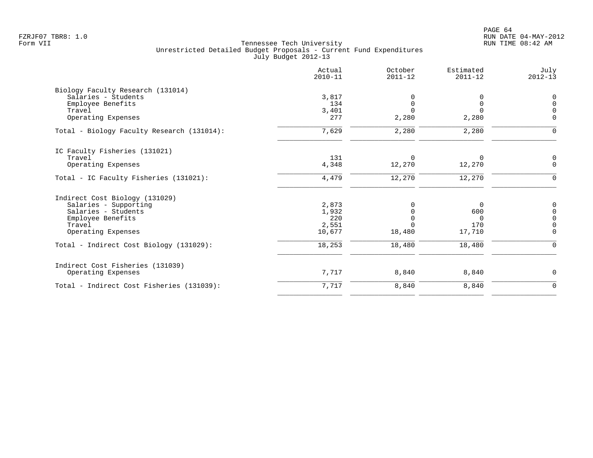|                                                         | Actual<br>$2010 - 11$ | October<br>$2011 - 12$ | Estimated<br>$2011 - 12$ | July<br>$2012 - 13$ |
|---------------------------------------------------------|-----------------------|------------------------|--------------------------|---------------------|
| Biology Faculty Research (131014)                       |                       |                        |                          |                     |
| Salaries - Students                                     | 3,817                 |                        | $\Omega$                 | 0                   |
| Employee Benefits                                       | 134                   | $\Omega$               | 0                        | $\Omega$            |
| Travel                                                  | 3,401                 | $\Omega$               | $\Omega$                 | $\Omega$            |
| Operating Expenses                                      | 277                   | 2,280                  | 2,280                    | $\Omega$            |
| Total - Biology Faculty Research (131014):              | 7,629                 | 2,280                  | 2,280                    | $\Omega$            |
| IC Faculty Fisheries (131021)                           |                       |                        |                          |                     |
| Travel                                                  | 131                   | $\Omega$               | $\Omega$                 | 0                   |
| Operating Expenses                                      | 4,348                 | 12,270                 | 12,270                   | $\Omega$            |
| Total - IC Faculty Fisheries (131021):                  | 4,479                 | 12,270                 | 12,270                   | $\mathbf 0$         |
|                                                         |                       |                        |                          |                     |
| Indirect Cost Biology (131029)<br>Salaries - Supporting | 2,873                 |                        | $\Omega$                 | 0                   |
| Salaries - Students                                     | 1,932                 |                        | 600                      | $\overline{0}$      |
| Employee Benefits                                       | 220                   |                        | 0                        | $\Omega$            |
| Travel                                                  | 2,551                 |                        | 170                      | $\Omega$            |
| Operating Expenses                                      | 10,677                | 18,480                 | 17,710                   | $\Omega$            |
| Total - Indirect Cost Biology (131029):                 | 18,253                | 18,480                 | 18,480                   | $\Omega$            |
| Indirect Cost Fisheries (131039)                        |                       |                        |                          |                     |
| Operating Expenses                                      | 7,717                 | 8,840                  | 8,840                    | $\Omega$            |
| Total - Indirect Cost Fisheries (131039):               | 7,717                 | 8,840                  | 8,840                    | $\mathbf 0$         |
|                                                         |                       |                        |                          |                     |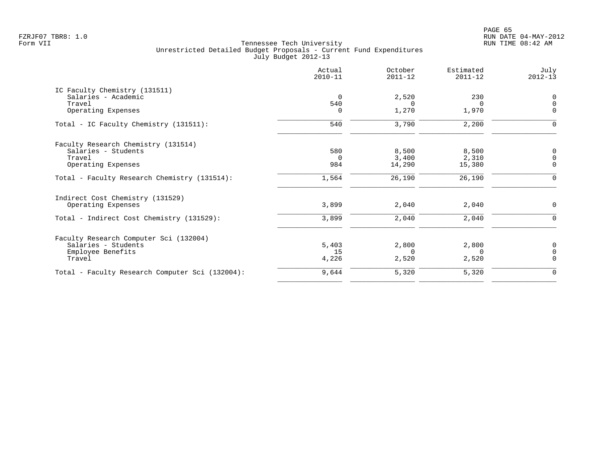en and the set of the set of the set of the set of the set of the set of the set of the set of the set of the set of the set of the set of the set of the set of the set of the set of the set of the set of the set of the se FZRJF07 TBR8: 1.0 RUN DATE 04-MAY-2012

|                                                 | Actual<br>$2010 - 11$ | October<br>$2011 - 12$ | Estimated<br>$2011 - 12$ | July<br>$2012 - 13$ |
|-------------------------------------------------|-----------------------|------------------------|--------------------------|---------------------|
| IC Faculty Chemistry (131511)                   |                       |                        |                          |                     |
| Salaries - Academic                             | $\Omega$              | 2,520                  | 230                      | 0                   |
| Travel                                          | 540                   | $\left( \right)$       | $\Omega$                 | $\Omega$            |
| Operating Expenses                              | $\Omega$              | 1,270                  | 1,970                    | $\mathbf 0$         |
| Total - IC Faculty Chemistry (131511):          | 540                   | 3,790                  | 2,200                    | $\Omega$            |
| Faculty Research Chemistry (131514)             |                       |                        |                          |                     |
| Salaries - Students                             | 580                   | 8,500                  | 8,500                    | $\mathbf 0$         |
| Travel                                          | $\Omega$              | 3.400                  | 2,310                    | $\Omega$            |
| Operating Expenses                              | 984                   | 14,290                 | 15,380                   | $\Omega$            |
| Total - Faculty Research Chemistry (131514):    | 1,564                 | 26,190                 | 26,190                   | n                   |
| Indirect Cost Chemistry (131529)                |                       |                        |                          |                     |
| Operating Expenses                              | 3,899                 | 2,040                  | 2,040                    | $\mathbf 0$         |
| Total - Indirect Cost Chemistry (131529):       | 3,899                 | 2,040                  | 2,040                    | $\Omega$            |
| Faculty Research Computer Sci (132004)          |                       |                        |                          |                     |
| Salaries - Students                             | 5,403                 | 2,800                  | 2,800                    | 0                   |
| Employee Benefits                               | 15                    | $\Omega$               | $\Omega$                 | $\Omega$            |
| Travel                                          | 4,226                 | 2,520                  | 2,520                    | $\Omega$            |
| Total - Faculty Research Computer Sci (132004): | 9,644                 | 5,320                  | 5,320                    | $\mathbf 0$         |
|                                                 |                       |                        |                          |                     |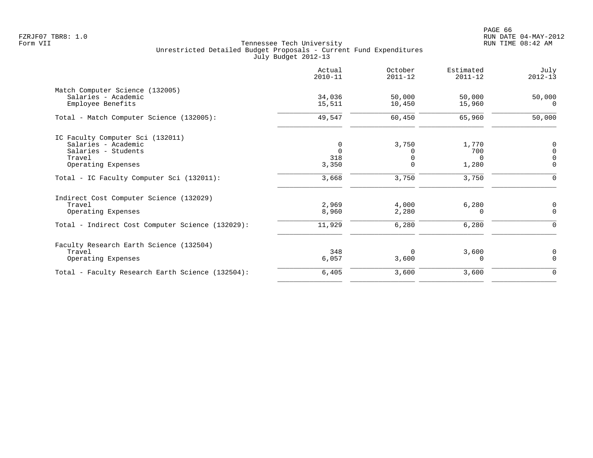PAGE 66 FZRJF07 TBR8: 1.0 RUN DATE 04-MAY-2012

|                                                  | Actual<br>$2010 - 11$ | October<br>$2011 - 12$ | Estimated<br>$2011 - 12$ | July<br>$2012 - 13$ |
|--------------------------------------------------|-----------------------|------------------------|--------------------------|---------------------|
| Match Computer Science (132005)                  |                       |                        |                          |                     |
| Salaries - Academic                              | 34,036                | 50,000                 | 50,000                   | 50,000              |
| Employee Benefits                                | 15,511                | 10,450                 | 15,960                   | 0                   |
| Total - Match Computer Science (132005):         | 49,547                | 60,450                 | 65,960                   | 50,000              |
| IC Faculty Computer Sci (132011)                 |                       |                        |                          |                     |
| Salaries - Academic                              | 0                     | 3,750                  | 1,770                    | 0                   |
| Salaries - Students                              | $\Omega$              | O                      | 700                      | $\Omega$            |
| Travel                                           | 318                   |                        | $\Omega$                 | $\Omega$            |
| Operating Expenses                               | 3,350                 | $\Omega$               | 1,280                    | $\Omega$            |
| Total - IC Faculty Computer Sci (132011):        | 3,668                 | 3,750                  | 3,750                    |                     |
| Indirect Cost Computer Science (132029)          |                       |                        |                          |                     |
| Travel                                           | 2,969                 | 4,000                  | 6,280                    | 0                   |
| Operating Expenses                               | 8,960                 | 2,280                  | $\Omega$                 | $\Omega$            |
| Total - Indirect Cost Computer Science (132029): | 11,929                | 6,280                  | 6,280                    | $\Omega$            |
| Faculty Research Earth Science (132504)          |                       |                        |                          |                     |
| Travel                                           | 348                   | $\Omega$               | 3,600                    | 0                   |
| Operating Expenses                               | 6,057                 | 3,600                  | 0                        | $\Omega$            |
| Total - Faculty Research Earth Science (132504): | 6,405                 | 3,600                  | 3,600                    | 0                   |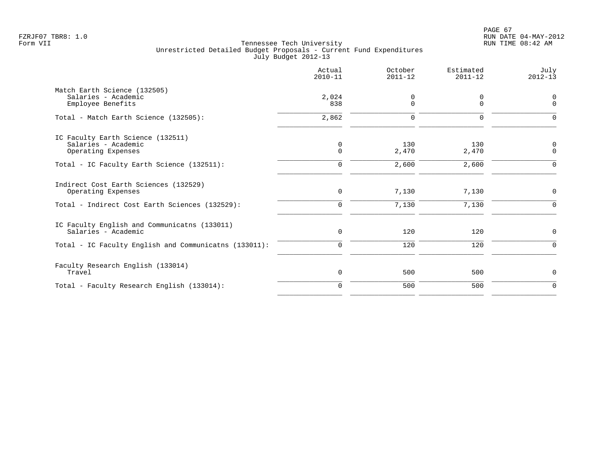|                                                                                                                              | Actual<br>$2010 - 11$      | October<br>$2011 - 12$ | Estimated<br>$2011 - 12$ | July<br>$2012 - 13$        |
|------------------------------------------------------------------------------------------------------------------------------|----------------------------|------------------------|--------------------------|----------------------------|
| Match Earth Science (132505)<br>Salaries - Academic<br>Employee Benefits                                                     | 2,024<br>838               | 0<br>0                 | 0<br>$\mathbf 0$         | 0<br>$\Omega$              |
| Total - Match Earth Science (132505):                                                                                        | 2,862                      | $\Omega$               | $\Omega$                 | n                          |
| IC Faculty Earth Science (132511)<br>Salaries - Academic<br>Operating Expenses                                               | 0<br>$\mathbf 0$           | 130<br>2,470           | 130<br>2,470             | $\mathbf 0$<br>$\mathbf 0$ |
| Total - IC Faculty Earth Science (132511):                                                                                   | $\Omega$                   | 2,600                  | 2,600                    | $\Omega$                   |
| Indirect Cost Earth Sciences (132529)<br>Operating Expenses<br>Total - Indirect Cost Earth Sciences (132529):                | 0<br>0                     | 7,130<br>7,130         | 7,130<br>7,130           | 0<br>$\Omega$              |
| IC Faculty English and Communicatns (133011)<br>Salaries - Academic<br>Total - IC Faculty English and Communicatns (133011): | $\mathbf 0$<br>$\mathbf 0$ | 120<br>120             | 120<br>120               | 0<br>$\Omega$              |
| Faculty Research English (133014)<br>Travel                                                                                  | 0                          | 500                    | 500                      | $\mathbf 0$                |
| Total - Faculty Research English (133014):                                                                                   | $\mathbf 0$                | 500                    | 500                      | $\mathbf 0$                |
|                                                                                                                              |                            |                        |                          |                            |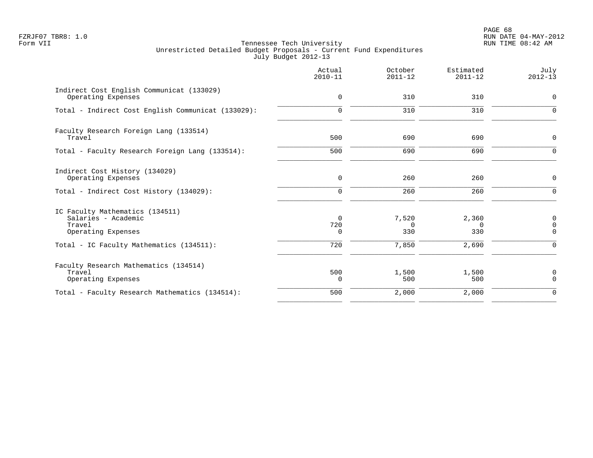PAGE 68 FZRJF07 TBR8: 1.0 RUN DATE 04-MAY-2012

|                                                                                                 | Actual<br>$2010 - 11$       | October<br>$2011 - 12$   | Estimated<br>$2011 - 12$ | July<br>$2012 - 13$                    |
|-------------------------------------------------------------------------------------------------|-----------------------------|--------------------------|--------------------------|----------------------------------------|
| Indirect Cost English Communicat (133029)<br>Operating Expenses                                 | 0                           | 310                      | 310                      | $\mathbf 0$                            |
| Total - Indirect Cost English Communicat (133029):                                              | $\mathbf 0$                 | 310                      | 310                      | $\Omega$                               |
| Faculty Research Foreign Lang (133514)<br>Travel                                                | 500                         | 690                      | 690                      | $\mathbf 0$                            |
| Total - Faculty Research Foreign Lang (133514):                                                 | 500                         | 690                      | 690                      | $\Omega$                               |
| Indirect Cost History (134029)<br>Operating Expenses<br>Total - Indirect Cost History (134029): | $\mathbf 0$<br>$\mathbf 0$  | 260<br>260               | 260<br>260               | $\mathbf 0$<br>$\mathbf 0$             |
| IC Faculty Mathematics (134511)<br>Salaries - Academic<br>Travel<br>Operating Expenses          | $\Omega$<br>720<br>$\Omega$ | 7,520<br>$\Omega$<br>330 | 2,360<br>$\Omega$<br>330 | $\mathbf 0$<br>$\mathbf 0$<br>$\Omega$ |
| Total - IC Faculty Mathematics (134511):                                                        | 720                         | 7,850                    | 2,690                    | $\Omega$                               |
| Faculty Research Mathematics (134514)<br>Travel<br>Operating Expenses                           | 500<br>$\Omega$             | 1,500<br>500             | 1,500<br>500             | $\mathbf 0$<br>$\Omega$                |
| Total - Faculty Research Mathematics (134514):                                                  | 500                         | 2,000                    | 2,000                    | $\Omega$                               |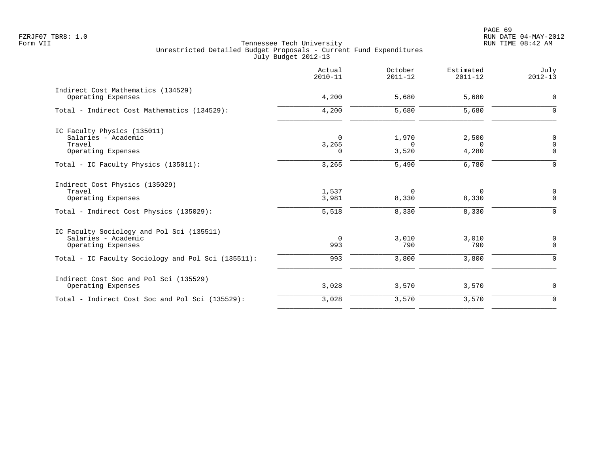|                                                                                                           | Actual<br>$2010 - 11$         | October<br>$2011 - 12$        | Estimated<br>$2011 - 12$      | July<br>$2012 - 13$             |
|-----------------------------------------------------------------------------------------------------------|-------------------------------|-------------------------------|-------------------------------|---------------------------------|
| Indirect Cost Mathematics (134529)<br>Operating Expenses                                                  | 4,200                         | 5,680                         | 5,680                         | $\mathsf{O}$                    |
| Total - Indirect Cost Mathematics (134529):                                                               | 4,200                         | 5,680                         | 5,680                         | $\mathbf 0$                     |
| IC Faculty Physics (135011)<br>Salaries - Academic<br>Travel<br>Operating Expenses                        | $\Omega$<br>3,265<br>$\Omega$ | 1,970<br>$\Omega$<br>3,520    | 2,500<br>$\Omega$<br>4,280    | $\mathbf 0$<br>0<br>$\mathbf 0$ |
| Total - IC Faculty Physics (135011):                                                                      | 3,265                         | 5,490                         | 6,780                         | $\Omega$                        |
| Indirect Cost Physics (135029)<br>Travel<br>Operating Expenses<br>Total - Indirect Cost Physics (135029): | 1,537<br>3,981<br>5,518       | $\mathbf 0$<br>8,330<br>8,330 | $\mathbf 0$<br>8,330<br>8,330 | 0<br>$\mathbf 0$<br>$\mathbf 0$ |
| IC Faculty Sociology and Pol Sci (135511)<br>Salaries - Academic<br>Operating Expenses                    | $\overline{0}$<br>993         | 3,010<br>790                  | 3,010<br>790                  | $\mathbf 0$<br>$\mathbf 0$      |
| Total - IC Faculty Sociology and Pol Sci (135511):                                                        | 993                           | 3,800                         | 3,800                         | $\mathbf 0$                     |
| Indirect Cost Soc and Pol Sci (135529)<br>Operating Expenses                                              | 3,028                         | 3,570                         | 3,570                         | $\mathbf 0$                     |
| Total - Indirect Cost Soc and Pol Sci (135529):                                                           | 3,028                         | 3,570                         | 3,570                         | $\mathbf 0$                     |
|                                                                                                           |                               |                               |                               |                                 |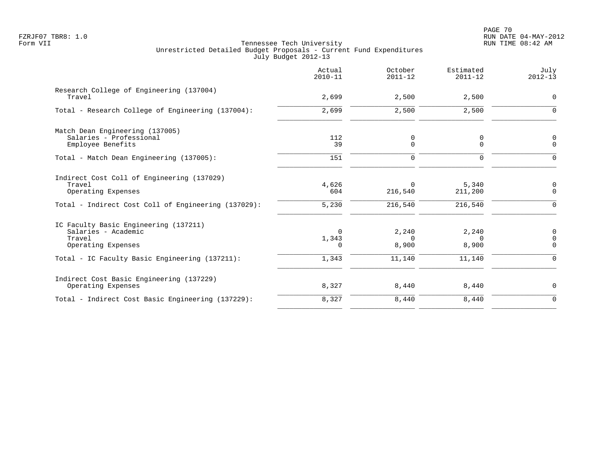|                                                                                              | Actual<br>$2010 - 11$         | October<br>$2011 - 12$     | Estimated<br>$2011 - 12$   | July<br>$2012 - 13$                        |
|----------------------------------------------------------------------------------------------|-------------------------------|----------------------------|----------------------------|--------------------------------------------|
| Research College of Engineering (137004)<br>Travel                                           | 2,699                         | 2,500                      | 2,500                      | 0                                          |
| Total - Research College of Engineering (137004):                                            | 2,699                         | 2,500                      | 2,500                      | $\mathbf 0$                                |
| Match Dean Engineering (137005)<br>Salaries - Professional<br>Employee Benefits              | 112<br>39                     | 0<br>$\Omega$              | 0<br>$\Omega$              | 0<br>$\mathbf 0$                           |
| Total - Match Dean Engineering (137005):                                                     | 151                           | $\mathbf 0$                | $\Omega$                   | $\Omega$                                   |
| Indirect Cost Coll of Engineering (137029)<br>Travel<br>Operating Expenses                   | 4,626<br>604                  | $\Omega$<br>216,540        | 5,340<br>211,200           | 0<br>$\Omega$                              |
| Total - Indirect Cost Coll of Engineering (137029):                                          | 5,230                         | 216,540                    | 216,540                    | $\mathbf 0$                                |
| IC Faculty Basic Engineering (137211)<br>Salaries - Academic<br>Travel<br>Operating Expenses | $\Omega$<br>1,343<br>$\Omega$ | 2,240<br>$\Omega$<br>8,900 | 2,240<br>$\Omega$<br>8,900 | $\mathsf{0}$<br>$\overline{0}$<br>$\Omega$ |
| Total - IC Faculty Basic Engineering (137211):                                               | 1,343                         | 11,140                     | 11,140                     | 0                                          |
| Indirect Cost Basic Engineering (137229)<br>Operating Expenses                               | 8,327                         | 8,440                      | 8,440                      | 0                                          |
| Total - Indirect Cost Basic Engineering (137229):                                            | 8,327                         | 8,440                      | 8,440                      | $\Omega$                                   |
|                                                                                              |                               |                            |                            |                                            |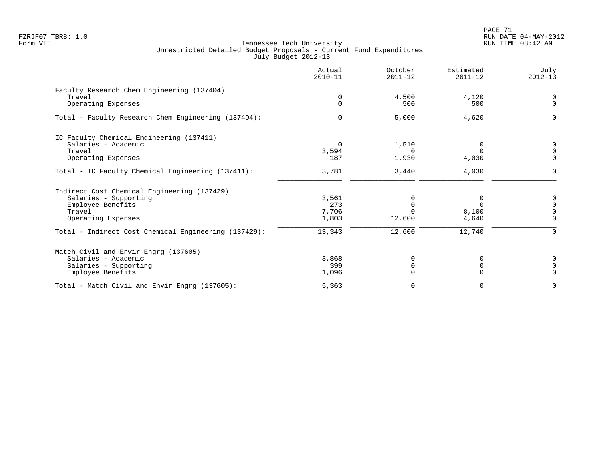|                                                      | Actual<br>$2010 - 11$ | October<br>$2011 - 12$ | Estimated<br>$2011 - 12$ | July<br>$2012 - 13$ |
|------------------------------------------------------|-----------------------|------------------------|--------------------------|---------------------|
| Faculty Research Chem Engineering (137404)           |                       |                        |                          |                     |
| Travel                                               | 0                     | 4,500                  | 4,120                    | $\Omega$            |
| Operating Expenses                                   | $\Omega$              | 500                    | 500                      | $\Omega$            |
| Total - Faculty Research Chem Engineering (137404):  | $\mathbf 0$           | 5,000                  | 4,620                    | $\Omega$            |
| IC Faculty Chemical Engineering (137411)             |                       |                        |                          |                     |
| Salaries - Academic                                  | $\Omega$              | 1,510                  | 0                        | $\mathbf 0$         |
| Travel                                               | 3,594                 | $\Omega$               | $\Omega$                 | $\Omega$            |
| Operating Expenses                                   | 187                   | 1,930                  | 4,030                    | $\Omega$            |
| Total - IC Faculty Chemical Engineering (137411):    | 3,781                 | 3,440                  | 4,030                    | $\Omega$            |
| Indirect Cost Chemical Engineering (137429)          |                       |                        |                          |                     |
| Salaries - Supporting                                | 3,561                 |                        | 0                        | 0                   |
| Employee Benefits                                    | 273                   | $\mathbf 0$            | $\Omega$                 | $\Omega$            |
| Travel                                               | 7,706                 |                        | 8,100                    |                     |
| Operating Expenses                                   | 1,803                 | 12,600                 | 4,640                    | $\Omega$            |
| Total - Indirect Cost Chemical Engineering (137429): | 13,343                | 12,600                 | 12,740                   | $\Omega$            |
| Match Civil and Envir Engrg (137605)                 |                       |                        |                          |                     |
| Salaries - Academic                                  | 3,868                 | 0                      |                          | $\Omega$            |
| Salaries - Supporting                                | 399                   | $\mathbf 0$            | 0                        | $\Omega$            |
| Employee Benefits                                    | 1,096                 | $\Omega$               | $\Omega$                 | $\Omega$            |
| Total - Match Civil and Envir Engrg (137605):        | 5,363                 | $\mathbf 0$            | $\mathbf 0$              | $\mathbf 0$         |
|                                                      |                       |                        |                          |                     |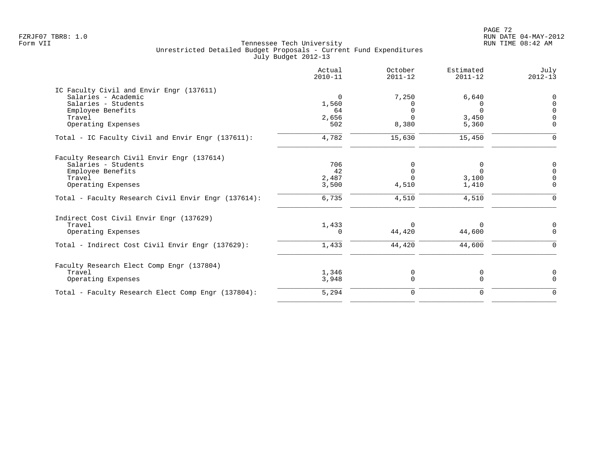| Actual<br>$2010 - 11$ | October<br>$2011 - 12$ | Estimated<br>$2011 - 12$ | July<br>$2012 - 13$ |
|-----------------------|------------------------|--------------------------|---------------------|
|                       |                        |                          |                     |
| $\Omega$              | 7,250                  | 6,640                    | $\Omega$            |
| 1,560                 | <sup>n</sup>           | $\Omega$                 | $\cap$              |
| 64                    |                        | $\Omega$                 | $\cap$              |
|                       |                        |                          |                     |
|                       |                        |                          | $\Omega$            |
| 4,782                 | 15,630                 | 15,450                   | $\Omega$            |
|                       |                        |                          |                     |
| 706                   |                        | 0                        | 0                   |
| 42                    |                        | $\Omega$                 | $\Omega$            |
| 2,487                 |                        | 3,100                    |                     |
| 3,500                 | 4,510                  | 1,410                    | $\mathbf 0$         |
| 6,735                 | 4,510                  | 4,510                    | $\Omega$            |
|                       |                        |                          |                     |
| 1,433                 | $\Omega$               | $\Omega$                 | 0                   |
| $\Omega$              | 44,420                 | 44,600                   | $\Omega$            |
| 1,433                 | 44,420                 | 44,600                   | $\Omega$            |
|                       |                        |                          |                     |
|                       |                        |                          | 0                   |
| 3,948                 | $\Omega$               | $\Omega$                 | $\Omega$            |
| 5,294                 | $\mathbf 0$            | $\mathbf 0$              | $\mathbf 0$         |
|                       | 2,656<br>502<br>1,346  | 8,380<br>0               | 3,450<br>5,360<br>0 |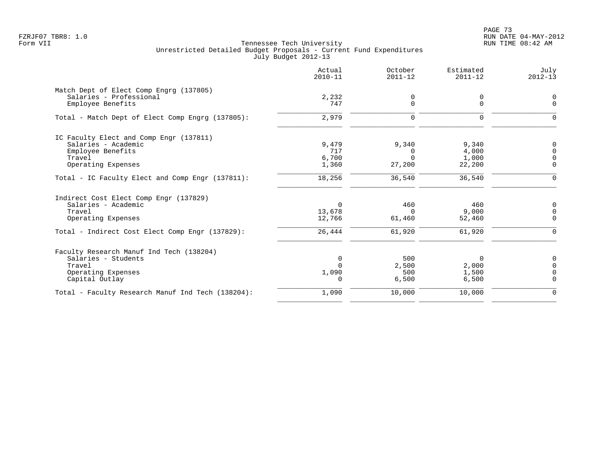PAGE 73 FZRJF07 TBR8: 1.0 RUN DATE 04-MAY-2012

|                                                   | Actual<br>$2010 - 11$ | October<br>$2011 - 12$ | Estimated<br>$2011 - 12$ | July<br>$2012 - 13$ |
|---------------------------------------------------|-----------------------|------------------------|--------------------------|---------------------|
| Match Dept of Elect Comp Engrg (137805)           |                       |                        |                          |                     |
| Salaries - Professional                           | 2,232                 | 0                      | 0                        | $\Omega$            |
| Employee Benefits                                 | 747                   | 0                      | $\mathbf 0$              | $\mathbf 0$         |
| Total - Match Dept of Elect Comp Engrg (137805):  | 2,979                 | 0                      | $\mathbf 0$              | $\Omega$            |
| IC Faculty Elect and Comp Engr (137811)           |                       |                        |                          |                     |
| Salaries - Academic                               | 9,479                 | 9,340                  | 9,340                    | 0                   |
| Employee Benefits                                 | 717                   | 0                      | 4,000                    | $\Omega$            |
| Travel                                            | 6,700                 | $\Omega$               | 1,000                    | $\Omega$            |
| Operating Expenses                                | 1,360                 | 27,200                 | 22,200                   | $\Omega$            |
| Total - IC Faculty Elect and Comp Engr (137811):  | 18,256                | 36,540                 | 36,540                   | $\mathbf 0$         |
| Indirect Cost Elect Comp Engr (137829)            |                       |                        |                          |                     |
| Salaries - Academic                               | $\Omega$              | 460                    | 460                      | $\Omega$            |
| Travel                                            | 13,678                | $\Omega$               | 9,000                    | $\Omega$            |
| Operating Expenses                                | 12,766                | 61,460                 | 52,460                   | $\Omega$            |
| Total - Indirect Cost Elect Comp Engr (137829):   | 26,444                | 61,920                 | 61,920                   | $\Omega$            |
| Faculty Research Manuf Ind Tech (138204)          |                       |                        |                          |                     |
| Salaries - Students                               | $\Omega$              | 500                    | $\Omega$                 | $\Omega$            |
| Travel                                            | $\Omega$              | 2,500                  | 2,000                    | $\Omega$            |
| Operating Expenses                                | 1,090                 | 500                    | 1,500                    | $\cap$              |
| Capital Outlay                                    | $\Omega$              | 6,500                  | 6,500                    | $\Omega$            |
| Total - Faculty Research Manuf Ind Tech (138204): | 1,090                 | 10,000                 | 10,000                   | $\Omega$            |
|                                                   |                       |                        |                          |                     |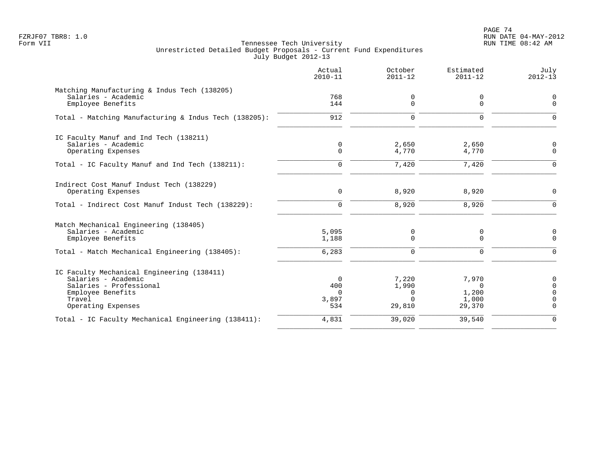PAGE 74 FZRJF07 TBR8: 1.0 RUN DATE 04-MAY-2012

|                                                                                                                                                   | Actual<br>$2010 - 11$                | October<br>$2011 - 12$                           | Estimated<br>$2011 - 12$                      | July<br>$2012 - 13$            |
|---------------------------------------------------------------------------------------------------------------------------------------------------|--------------------------------------|--------------------------------------------------|-----------------------------------------------|--------------------------------|
| Matching Manufacturing & Indus Tech (138205)<br>Salaries - Academic<br>Employee Benefits                                                          | 768<br>144                           | 0<br>$\Omega$                                    | 0<br>$\Omega$                                 | 0<br>$\Omega$                  |
| Total - Matching Manufacturing & Indus Tech (138205):                                                                                             | 912                                  | $\mathbf 0$                                      | $\mathbf 0$                                   | $\Omega$                       |
| IC Faculty Manuf and Ind Tech (138211)<br>Salaries - Academic<br>Operating Expenses                                                               | 0<br>$\Omega$                        | 2,650<br>4,770                                   | 2,650<br>4,770                                | O<br>$\Omega$                  |
| Total - IC Faculty Manuf and Ind Tech (138211):                                                                                                   | $\Omega$                             | 7,420                                            | 7,420                                         | $\Omega$                       |
| Indirect Cost Manuf Indust Tech (138229)<br>Operating Expenses                                                                                    | 0                                    | 8,920                                            | 8,920                                         | $\mathbf 0$                    |
| Total - Indirect Cost Manuf Indust Tech (138229):                                                                                                 | $\mathbf 0$                          | 8,920                                            | 8,920                                         | $\mathbf 0$                    |
| Match Mechanical Engineering (138405)<br>Salaries - Academic<br>Employee Benefits                                                                 | 5,095<br>1,188                       | 0<br>$\Omega$                                    | 0<br>$\Omega$                                 | 0<br>$\Omega$                  |
| Total - Match Mechanical Engineering (138405):                                                                                                    | 6,283                                | $\mathbf 0$                                      | 0                                             | $\Omega$                       |
| IC Faculty Mechanical Engineering (138411)<br>Salaries - Academic<br>Salaries - Professional<br>Employee Benefits<br>Travel<br>Operating Expenses | 0<br>400<br>$\Omega$<br>3,897<br>534 | 7,220<br>1,990<br>$\Omega$<br>$\Omega$<br>29,810 | 7,970<br>$\Omega$<br>1,200<br>1,000<br>29,370 | 0<br>$\Omega$<br>$\Omega$<br>∩ |
| Total - IC Faculty Mechanical Engineering (138411):                                                                                               | 4,831                                | 39,020                                           | 39,540                                        | $\Omega$                       |
|                                                                                                                                                   |                                      |                                                  |                                               |                                |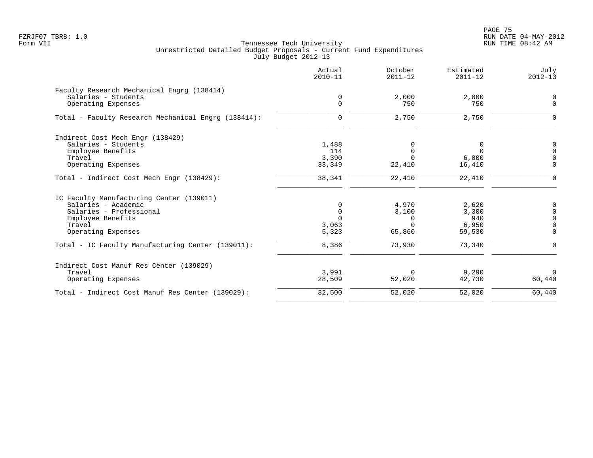|                                                     | Actual<br>$2010 - 11$ | October<br>$2011 - 12$ | Estimated<br>$2011 - 12$ | July<br>$2012 - 13$ |
|-----------------------------------------------------|-----------------------|------------------------|--------------------------|---------------------|
| Faculty Research Mechanical Engrg (138414)          |                       |                        |                          |                     |
| Salaries - Students                                 | $\mathbf 0$           | 2,000                  | 2,000                    | $\Omega$            |
| Operating Expenses                                  | $\mathbf 0$           | 750                    | 750                      | $\overline{0}$      |
| Total - Faculty Research Mechanical Engrg (138414): | $\mathbf 0$           | 2,750                  | 2,750                    | $\Omega$            |
| Indirect Cost Mech Engr (138429)                    |                       |                        |                          |                     |
| Salaries - Students                                 | 1,488                 |                        | 0                        | 0                   |
| Employee Benefits                                   | 114                   | $\Omega$               | $\Omega$                 | $\Omega$            |
| Travel                                              | 3,390                 | $\Omega$               | 6,000                    | $\Omega$            |
| Operating Expenses                                  | 33,349                | 22,410                 | 16,410                   | $\Omega$            |
| Total - Indirect Cost Mech Engr (138429):           | 38,341                | 22,410                 | 22,410                   | $\mathbf 0$         |
| IC Faculty Manufacturing Center (139011)            |                       |                        |                          |                     |
| Salaries - Academic                                 | 0                     | 4,970                  | 2,620                    |                     |
| Salaries - Professional                             | $\mathbf 0$           | 3,100                  | 3,300                    | $\Omega$            |
| Employee Benefits                                   | $\Omega$              | 0                      | 940                      | $\Omega$            |
| Travel                                              | 3,063                 | $\Omega$               | 6,950                    |                     |
| Operating Expenses                                  | 5,323                 | 65,860                 | 59,530                   | $\Omega$            |
| Total - IC Faculty Manufacturing Center (139011):   | 8,386                 | 73,930                 | 73,340                   | $\Omega$            |
| Indirect Cost Manuf Res Center (139029)             |                       |                        |                          |                     |
| Travel                                              | 3,991                 | $\mathbf 0$            | 9,290                    | $\Omega$            |
| Operating Expenses                                  | 28,509                | 52,020                 | 42,730                   | 60,440              |
| Total - Indirect Cost Manuf Res Center (139029):    | 32,500                | 52,020                 | 52,020                   | 60,440              |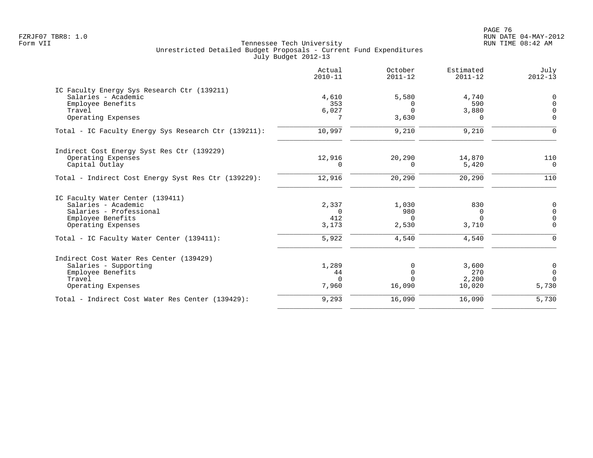en and the set of the set of the set of the set of the set of the set of the set of the set of the set of the set of the set of the set of the set of the set of the set of the set of the set of the set of the set of the se FZRJF07 TBR8: 1.0 RUN DATE 04-MAY-2012

|                                                      | Actual<br>$2010 - 11$ | October<br>$2011 - 12$ | Estimated<br>$2011 - 12$ | July<br>$2012 - 13$ |
|------------------------------------------------------|-----------------------|------------------------|--------------------------|---------------------|
| IC Faculty Energy Sys Research Ctr (139211)          |                       |                        |                          |                     |
| Salaries - Academic                                  | 4,610                 | 5,580                  | 4,740                    | $\mathbf 0$         |
| Employee Benefits                                    | 353                   | 0                      | 590                      | $\Omega$            |
| Travel                                               | $6,027$               | $\Omega$               | 3,880                    | $\Omega$            |
| Operating Expenses                                   | 7                     | 3,630                  | $\Omega$                 | $\mathbf 0$         |
| Total - IC Faculty Energy Sys Research Ctr (139211): | 10,997                | 9,210                  | 9,210                    | $\Omega$            |
| Indirect Cost Energy Syst Res Ctr (139229)           |                       |                        |                          |                     |
| Operating Expenses                                   | 12,916                | 20,290                 | 14,870                   | 110                 |
| Capital Outlay                                       | $\Omega$              | $\Omega$               | 5,420                    | $\overline{0}$      |
| Total - Indirect Cost Energy Syst Res Ctr (139229):  | 12,916                | 20,290                 | 20,290                   | 110                 |
| IC Faculty Water Center (139411)                     |                       |                        |                          |                     |
| Salaries - Academic                                  | 2,337                 | 1,030                  | 830                      | $\overline{0}$      |
| Salaries - Professional                              | $\Omega$              | 980                    | 0                        | $\Omega$            |
| Employee Benefits                                    | 412                   | $\Omega$               | $\Omega$                 | $\Omega$            |
| Operating Expenses                                   | 3,173                 | 2,530                  | 3,710                    | $\Omega$            |
| Total - IC Faculty Water Center (139411):            | 5,922                 | 4,540                  | 4,540                    | $\Omega$            |
| Indirect Cost Water Res Center (139429)              |                       |                        |                          |                     |
| Salaries - Supporting                                | 1,289                 | 0                      | 3,600                    | $\overline{0}$      |
| Employee Benefits                                    | 44                    | $\Omega$               | 270                      | $\mathbf 0$         |
| Travel                                               | $\Omega$              | $\cap$                 | 2,200                    | $\Omega$            |
| Operating Expenses                                   | 7,960                 | 16,090                 | 10,020                   | 5,730               |
| Total - Indirect Cost Water Res Center (139429):     | 9,293                 | 16,090                 | 16,090                   | 5,730               |
|                                                      |                       |                        |                          |                     |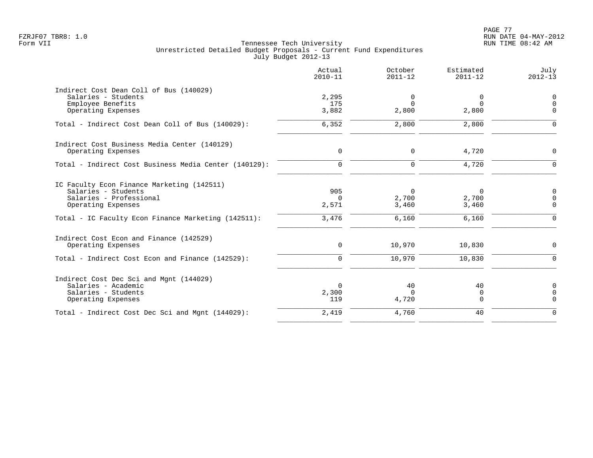PAGE 77 FZRJF07 TBR8: 1.0 RUN DATE 04-MAY-2012

|                                                                                                                                                                           | Actual<br>$2010 - 11$             | October<br>$2011 - 12$              | Estimated<br>$2011 - 12$            | July<br>$2012 - 13$                      |
|---------------------------------------------------------------------------------------------------------------------------------------------------------------------------|-----------------------------------|-------------------------------------|-------------------------------------|------------------------------------------|
| Indirect Cost Dean Coll of Bus (140029)<br>Salaries - Students<br>Employee Benefits<br>Operating Expenses                                                                 | 2,295<br>175<br>3,882             | 0<br>$\Omega$<br>2,800              | 0<br>$\Omega$<br>2,800              | $\mathsf{0}$<br>$\Omega$<br>$\Omega$     |
| Total - Indirect Cost Dean Coll of Bus (140029):                                                                                                                          | 6,352                             | 2,800                               | 2,800                               | $\Omega$                                 |
| Indirect Cost Business Media Center (140129)<br>Operating Expenses                                                                                                        | $\mathbf 0$                       | 0                                   | 4,720                               | $\Omega$                                 |
| Total - Indirect Cost Business Media Center (140129):                                                                                                                     | $\mathbf 0$                       | $\mathbf 0$                         | 4,720                               | $\Omega$                                 |
| IC Faculty Econ Finance Marketing (142511)<br>Salaries - Students<br>Salaries - Professional<br>Operating Expenses<br>Total - IC Faculty Econ Finance Marketing (142511): | 905<br>$\Omega$<br>2,571<br>3,476 | $\Omega$<br>2,700<br>3,460<br>6,160 | $\Omega$<br>2,700<br>3,460<br>6,160 | 0<br>$\mathbf 0$<br>$\Omega$<br>$\Omega$ |
| Indirect Cost Econ and Finance (142529)<br>Operating Expenses                                                                                                             | 0                                 | 10,970                              | 10,830                              | $\Omega$                                 |
| Total - Indirect Cost Econ and Finance (142529):                                                                                                                          | $\Omega$                          | 10,970                              | 10,830                              | $\Omega$                                 |
| Indirect Cost Dec Sci and Mgnt (144029)<br>Salaries - Academic<br>Salaries - Students<br>Operating Expenses                                                               | $\Omega$<br>2,300<br>119          | 40<br>$\Omega$<br>4,720             | 40<br>$\mathbf 0$<br>$\mathbf 0$    | $\mathbf 0$<br>$\mathbf 0$<br>$\Omega$   |
| Total - Indirect Cost Dec Sci and Mgnt (144029):                                                                                                                          | 2,419                             | 4,760                               | 40                                  | $\Omega$                                 |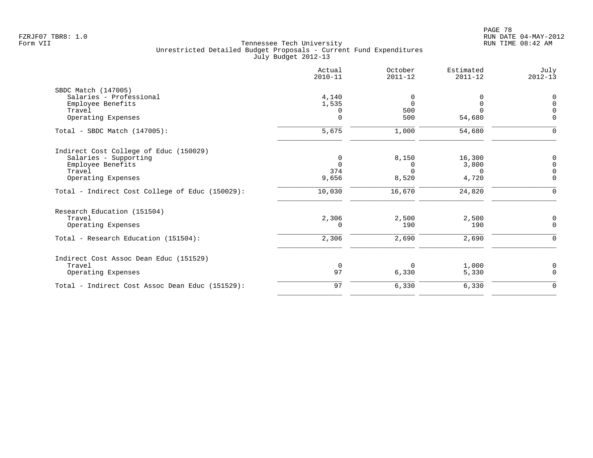|                                                 | Actual<br>$2010 - 11$ | October<br>$2011 - 12$ | Estimated<br>$2011 - 12$ | July<br>$2012 - 13$ |
|-------------------------------------------------|-----------------------|------------------------|--------------------------|---------------------|
| SBDC Match (147005)                             |                       |                        |                          |                     |
| Salaries - Professional                         | 4,140                 | <sup>0</sup>           |                          | 0                   |
| Employee Benefits                               | 1,535                 | $\Omega$               |                          | $\Omega$            |
| Travel                                          | 0                     | 500                    | U                        | $\Omega$            |
| Operating Expenses                              | $\Omega$              | 500                    | 54,680                   | $\Omega$            |
| $Total - SBDC Match (147005):$                  | 5,675                 | 1,000                  | 54,680                   | ∩                   |
| Indirect Cost College of Educ (150029)          |                       |                        |                          |                     |
| Salaries - Supporting                           | 0                     | 8,150                  | 16,300                   | 0                   |
| Employee Benefits                               | $\Omega$              | 0                      | 3,800                    | $\Omega$            |
| Travel                                          | 374                   | $\Omega$               | $\Omega$                 |                     |
| Operating Expenses                              | 9,656                 | 8,520                  | 4,720                    | $\mathbf 0$         |
| Total - Indirect Cost College of Educ (150029): | 10,030                | 16,670                 | 24,820                   | $\Omega$            |
| Research Education (151504)                     |                       |                        |                          |                     |
| Travel                                          | 2,306                 | 2,500                  | 2,500                    | 0                   |
| Operating Expenses                              | $\Omega$              | 190                    | 190                      | $\mathbf 0$         |
| Total - Research Education (151504):            | 2,306                 | 2,690                  | 2,690                    | $\Omega$            |
| Indirect Cost Assoc Dean Educ (151529)          |                       |                        |                          |                     |
| Travel                                          | $\mathbf 0$           | $\Omega$               | 1,000                    | 0                   |
| Operating Expenses                              | 97                    | 6,330                  | 5,330                    | $\Omega$            |
| Total - Indirect Cost Assoc Dean Educ (151529): | 97                    | 6,330                  | 6,330                    | $\mathbf 0$         |
|                                                 |                       |                        |                          |                     |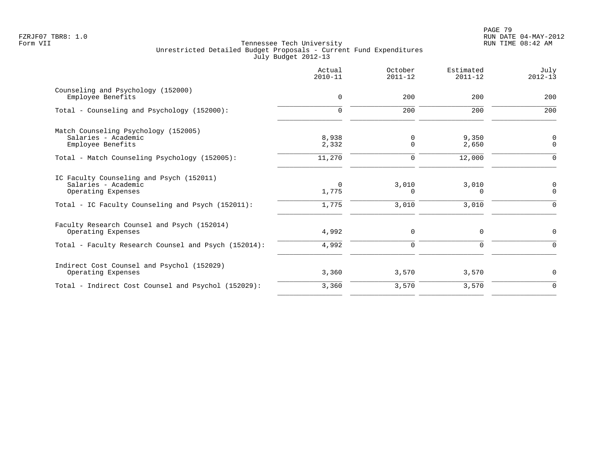|                                                                                                                                            | Actual<br>$2010 - 11$ | October<br>$2011 - 12$ | Estimated<br>$2011 - 12$ | July<br>$2012 - 13$        |
|--------------------------------------------------------------------------------------------------------------------------------------------|-----------------------|------------------------|--------------------------|----------------------------|
| Counseling and Psychology (152000)<br>Employee Benefits                                                                                    | $\mathbf 0$           | 200                    | 200                      | 200                        |
| Total - Counseling and Psychology (152000):                                                                                                | $\Omega$              | 200                    | 200                      | 200                        |
| Match Counseling Psychology (152005)<br>Salaries - Academic<br>Employee Benefits                                                           | 8,938<br>2,332        | 0<br>0                 | 9,350<br>2,650           | $\mathbf 0$<br>$\mathbf 0$ |
| Total - Match Counseling Psychology (152005):                                                                                              | 11,270                | 0                      | 12,000                   | $\Omega$                   |
| IC Faculty Counseling and Psych (152011)<br>Salaries - Academic<br>Operating Expenses<br>Total - IC Faculty Counseling and Psych (152011): | $\Omega$<br>1,775     | 3,010<br>0             | 3,010<br>$\Omega$        | 0<br>$\Omega$<br>$\Omega$  |
| Faculty Research Counsel and Psych (152014)<br>Operating Expenses                                                                          | 1,775<br>4,992        | 3,010<br>$\mathbf 0$   | 3,010<br>0               | $\mathbf 0$                |
| Total - Faculty Research Counsel and Psych (152014):                                                                                       | 4,992                 | $\Omega$               | $\Omega$                 | $\Omega$                   |
| Indirect Cost Counsel and Psychol (152029)<br>Operating Expenses                                                                           | 3,360                 | 3,570                  | 3,570                    | $\mathbf 0$                |
| Total - Indirect Cost Counsel and Psychol (152029):                                                                                        | 3,360                 | 3,570                  | 3,570                    | $\mathbf 0$                |
|                                                                                                                                            |                       |                        |                          |                            |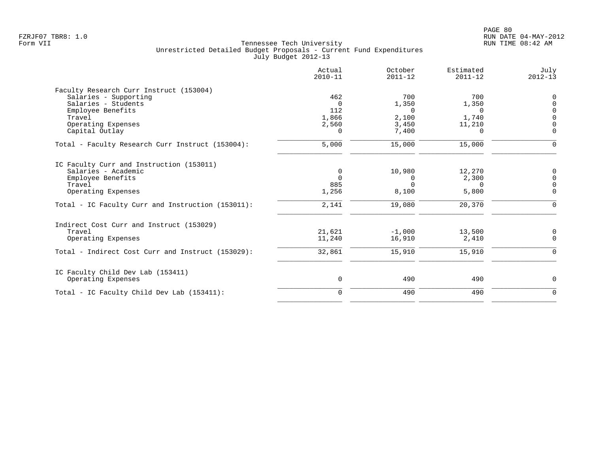| Actual<br>$2010 - 11$ | October<br>$2011 - 12$                                        | Estimated<br>$2011 - 12$                     | July<br>$2012 - 13$                               |
|-----------------------|---------------------------------------------------------------|----------------------------------------------|---------------------------------------------------|
|                       |                                                               |                                              |                                                   |
| 462                   | 700                                                           | 700                                          | $\mathbf 0$                                       |
| $\Omega$              | 1,350                                                         | 1,350                                        | $\mathbf 0$                                       |
|                       | $\Omega$                                                      | $\Omega$                                     | $\mathbf 0$                                       |
|                       |                                                               |                                              | $\Omega$                                          |
|                       |                                                               |                                              | $\overline{0}$                                    |
|                       |                                                               |                                              | $\Omega$                                          |
| 5,000                 | 15,000                                                        | 15,000                                       | $\Omega$                                          |
|                       |                                                               |                                              |                                                   |
| 0                     | 10,980                                                        | 12,270                                       | 0                                                 |
|                       | 0                                                             |                                              | $\mathbf 0$                                       |
|                       |                                                               | $\Omega$                                     | $\mathbf 0$                                       |
|                       |                                                               |                                              | $\mathbf 0$                                       |
| 2,141                 | 19,080                                                        | 20,370                                       | $\Omega$                                          |
|                       |                                                               |                                              |                                                   |
| 21,621                | $-1,000$                                                      | 13,500                                       | 0                                                 |
| 11,240                | 16,910                                                        | 2,410                                        | $\mathbf 0$                                       |
| 32,861                | 15,910                                                        | 15,910                                       | $\Omega$                                          |
|                       |                                                               |                                              |                                                   |
| 0                     | 490                                                           | 490                                          | 0                                                 |
| $\Omega$              | 490                                                           | 490                                          | $\Omega$                                          |
|                       | 112<br>1,866<br>2,560<br>$\Omega$<br>$\Omega$<br>885<br>1,256 | 2,100<br>3,450<br>7,400<br>$\Omega$<br>8,100 | 1,740<br>11,210<br><sup>n</sup><br>2,300<br>5,800 |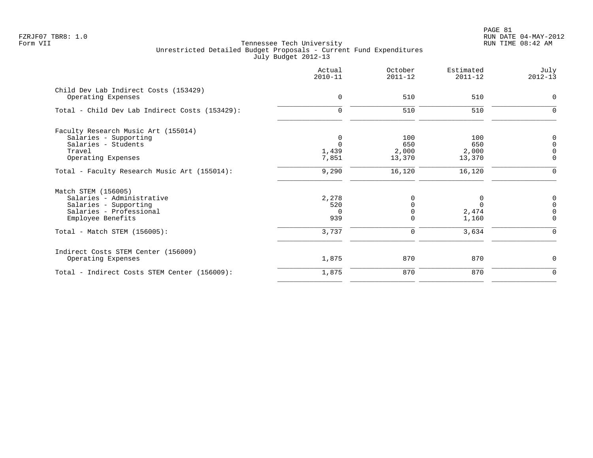PAGE 81 FZRJF07 TBR8: 1.0 RUN DATE 04-MAY-2012

| $\mathbf 0$                              | 510                           | 510                                      |                                                      |
|------------------------------------------|-------------------------------|------------------------------------------|------------------------------------------------------|
|                                          |                               |                                          | $\mathbf 0$                                          |
|                                          | 510                           | 510                                      | $\mathbf 0$                                          |
| 0<br>$\Omega$<br>1,439<br>7,851          | 100<br>650<br>2,000<br>13,370 | 100<br>650<br>2,000<br>13,370            | 0<br>$\mathbf 0$<br>$\overline{0}$<br>$\overline{0}$ |
| 9,290                                    | 16,120                        | 16,120                                   | $\Omega$                                             |
| 2,278<br>520<br>$\Omega$<br>939<br>3,737 | 0<br>$\Omega$<br>0            | 0<br>$\Omega$<br>2,474<br>1,160<br>3,634 | $\mathbf 0$<br>$\Omega$<br>$\Omega$<br>$\Omega$      |
| 1,875                                    | 870                           | 870                                      | $\Omega$                                             |
| 1,875                                    | 870                           | 870                                      | $\Omega$                                             |
|                                          | $\mathbf 0$                   |                                          |                                                      |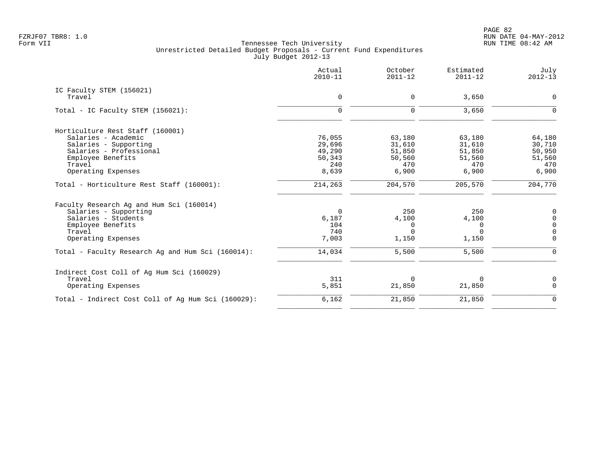PAGE 82 FZRJF07 TBR8: 1.0 RUN DATE 04-MAY-2012

|                                                    | Actual<br>$2010 - 11$ | October<br>$2011 - 12$ | Estimated<br>$2011 - 12$ | July<br>$2012 - 13$ |
|----------------------------------------------------|-----------------------|------------------------|--------------------------|---------------------|
| IC Faculty STEM (156021)                           |                       |                        |                          |                     |
| Travel                                             | $\mathbf 0$           | 0                      | 3,650                    | $\mathbf 0$         |
| Total - IC Faculty STEM (156021):                  | $\mathbf 0$           | $\mathbf 0$            | 3,650                    | $\Omega$            |
| Horticulture Rest Staff (160001)                   |                       |                        |                          |                     |
| Salaries - Academic                                | 76,055                | 63,180                 | 63,180                   | 64,180              |
| Salaries - Supporting                              | 29,696                | 31,610                 | 31,610                   | 30,710              |
| Salaries - Professional                            | 49,290                | 51,850                 | 51,850                   | 50,950              |
| Employee Benefits                                  | 50,343                | 50,560                 | 51,560                   | 51,560              |
| Travel<br>Operating Expenses                       | 240<br>8,639          | 470<br>6,900           | 470<br>6,900             | 470<br>6,900        |
|                                                    |                       |                        |                          |                     |
| Total - Horticulture Rest Staff (160001):          | 214,263               | 204,570                | 205,570                  | 204,770             |
| Faculty Research Ag and Hum Sci (160014)           |                       |                        |                          |                     |
| Salaries - Supporting                              | $\mathbf 0$           | 250                    | 250                      | $\mathbf 0$         |
| Salaries - Students                                | 6,187                 | 4,100                  | 4,100                    | 0                   |
| Employee Benefits                                  | 104                   | 0                      | 0                        | $\Omega$            |
| Travel                                             | 740                   | $\Omega$               | $\Omega$                 | $\Omega$            |
| Operating Expenses                                 | 7,003                 | 1,150                  | 1,150                    | $\Omega$            |
| Total - Faculty Research Ag and Hum Sci (160014):  | 14,034                | 5,500                  | 5,500                    | $\Omega$            |
| Indirect Cost Coll of Ag Hum Sci (160029)          |                       |                        |                          |                     |
| Travel                                             | 311                   | $\Omega$               | $\Omega$                 | 0                   |
| Operating Expenses                                 | 5,851                 | 21,850                 | 21,850                   | $\Omega$            |
| Total - Indirect Cost Coll of Aq Hum Sci (160029): | 6,162                 | 21,850                 | 21,850                   | $\mathbf 0$         |
|                                                    |                       |                        |                          |                     |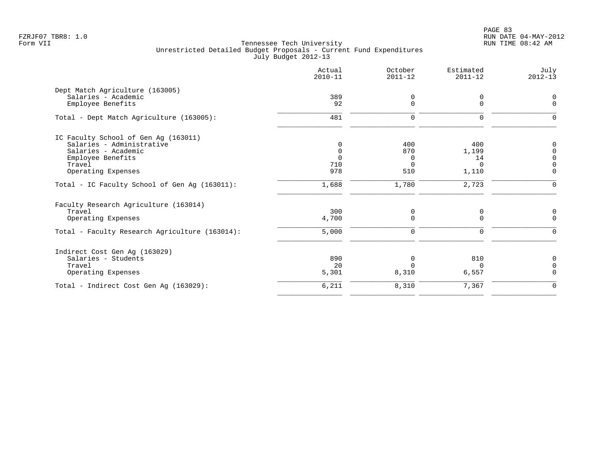PAGE 83 FZRJF07 TBR8: 1.0 RUN DATE 04-MAY-2012

|                                                | Actual<br>$2010 - 11$ | October<br>$2011 - 12$ | Estimated<br>$2011 - 12$ | July<br>$2012 - 13$ |
|------------------------------------------------|-----------------------|------------------------|--------------------------|---------------------|
| Dept Match Agriculture (163005)                |                       |                        |                          |                     |
| Salaries - Academic                            | 389                   | $\Omega$               | 0                        | $\Omega$            |
| Employee Benefits                              | 92                    | $\Omega$               | $\mathbf 0$              | $\Omega$            |
| Total - Dept Match Agriculture (163005):       | 481                   | $\Omega$               | $\Omega$                 |                     |
| IC Faculty School of Gen Ag (163011)           |                       |                        |                          |                     |
| Salaries - Administrative                      | $\Omega$              | 400                    | 400                      | $\Omega$            |
| Salaries - Academic                            | $\Omega$              | 870                    | 1,199                    | n                   |
| Employee Benefits                              | $\Omega$              | 0                      | 14                       | $\Omega$            |
| Travel                                         | 710<br>978            | $\Omega$<br>510        | $\Omega$                 | $\Omega$            |
| Operating Expenses                             |                       |                        | 1,110                    |                     |
| Total - IC Faculty School of Gen Aq (163011):  | 1,688                 | 1,780                  | 2,723                    | $\Omega$            |
| Faculty Research Agriculture (163014)          |                       |                        |                          |                     |
| Travel                                         | 300                   | 0                      | 0                        | 0                   |
| Operating Expenses                             | 4,700                 | 0                      | 0                        | $\Omega$            |
| Total - Faculty Research Agriculture (163014): | 5,000                 | 0                      | 0                        | $\Omega$            |
| Indirect Cost Gen Aq (163029)                  |                       |                        |                          |                     |
| Salaries - Students                            | 890                   | $\Omega$               | 810                      | $\Omega$            |
| Travel                                         | 20                    |                        | $\Omega$                 | $\Omega$            |
| Operating Expenses                             | 5,301                 | 8,310                  | 6,557                    | $\Omega$            |
| Total - Indirect Cost Gen Aq (163029):         | 6,211                 | 8,310                  | 7,367                    | $\mathbf 0$         |
|                                                |                       |                        |                          |                     |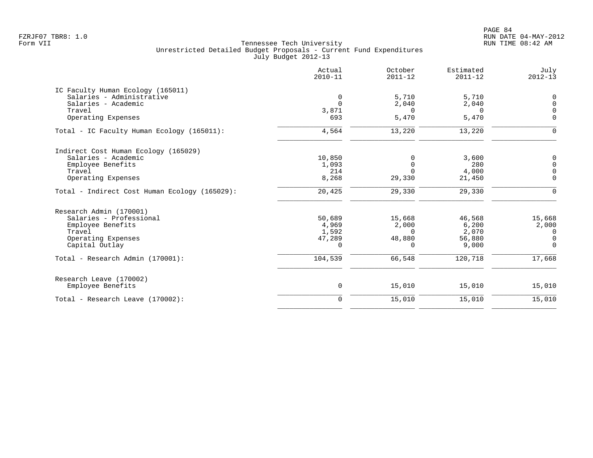|                                               | Actual<br>$2010 - 11$ | October<br>$2011 - 12$ | Estimated<br>$2011 - 12$ | July<br>$2012 - 13$ |
|-----------------------------------------------|-----------------------|------------------------|--------------------------|---------------------|
| IC Faculty Human Ecology (165011)             |                       |                        |                          |                     |
| Salaries - Administrative                     | 0                     | 5,710                  | 5,710                    | $\mathbf 0$         |
| Salaries - Academic                           | $\Omega$              | 2,040                  | 2,040                    | $\mathbf 0$         |
| Travel                                        | 3,871                 | $\Omega$               | $\Omega$                 | $\Omega$            |
| Operating Expenses                            | 693                   | 5,470                  | 5,470                    | $\mathbf 0$         |
| Total - IC Faculty Human Ecology (165011):    | 4,564                 | 13,220                 | 13,220                   | $\Omega$            |
| Indirect Cost Human Ecology (165029)          |                       |                        |                          |                     |
| Salaries - Academic                           | 10,850                | $\Omega$               | 3,600                    | 0                   |
| Employee Benefits                             | 1,093                 | $\mathbf 0$            | 280                      | $\mathsf{O}$        |
| Travel                                        | 214                   | $\Omega$               | 4,000                    | $\mathbf 0$         |
| Operating Expenses                            | 8,268                 | 29,330                 | 21,450                   | $\mathbf 0$         |
| Total - Indirect Cost Human Ecology (165029): | 20,425                | 29,330                 | 29,330                   | $\Omega$            |
| Research Admin (170001)                       |                       |                        |                          |                     |
| Salaries - Professional                       | 50,689                | 15,668                 | 46,568                   | 15,668              |
| Employee Benefits                             | 4,969                 | 2,000                  | 6,200                    | 2,000               |
| Travel                                        | 1,592                 | $\Omega$               | 2,070                    | 0                   |
| Operating Expenses                            | 47,289                | 48,880                 | 56,880                   | $\mathbf 0$         |
| Capital Outlay                                | $\Omega$              | $\Omega$               | 9,000                    | $\mathbf 0$         |
| Total - Research Admin (170001):              | 104,539               | 66,548                 | 120,718                  | 17,668              |
| Research Leave (170002)                       |                       |                        |                          |                     |
| Employee Benefits                             | 0                     | 15,010                 | 15,010                   | 15,010              |
| Total - Research Leave (170002):              | $\mathbf 0$           | 15,010                 | 15,010                   | 15,010              |
|                                               |                       |                        |                          |                     |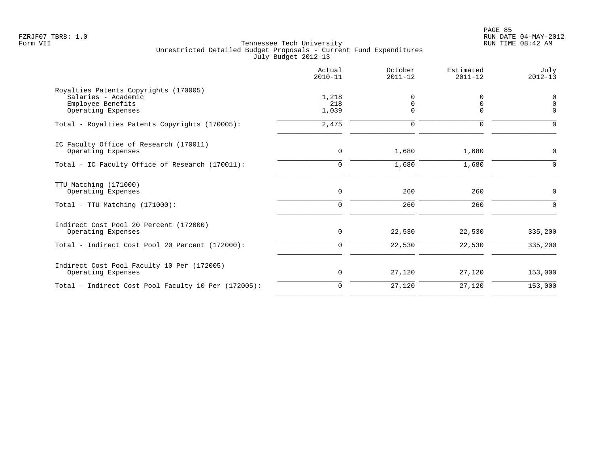|                                                                                                         | Actual<br>$2010 - 11$   | October<br>$2011 - 12$       | Estimated<br>$2011 - 12$  | July<br>$2012 - 13$          |
|---------------------------------------------------------------------------------------------------------|-------------------------|------------------------------|---------------------------|------------------------------|
| Royalties Patents Copyrights (170005)<br>Salaries - Academic<br>Employee Benefits<br>Operating Expenses | 1,218<br>218<br>1,039   | 0<br>$\mathbf 0$<br>$\Omega$ | $\Omega$<br>0<br>$\Omega$ | 0<br>$\mathbf 0$<br>$\Omega$ |
| Total - Royalties Patents Copyrights (170005):                                                          | 2,475                   | $\mathbf 0$                  | $\Omega$                  | $\Omega$                     |
| IC Faculty Office of Research (170011)<br>Operating Expenses                                            | $\mathbf 0$             | 1,680                        | 1,680                     | 0                            |
| Total - IC Faculty Office of Research (170011):                                                         | $\Omega$                | 1,680                        | 1,680                     | $\Omega$                     |
| TTU Matching (171000)<br>Operating Expenses<br>Total - TTU Matching (171000):                           | $\mathbf 0$<br>$\Omega$ | 260<br>260                   | 260<br>260                | $\mathbf 0$<br>$\Omega$      |
|                                                                                                         |                         |                              |                           |                              |
| Indirect Cost Pool 20 Percent (172000)<br>Operating Expenses                                            | $\mathbf 0$             | 22,530                       | 22,530                    | 335,200                      |
| Total - Indirect Cost Pool 20 Percent (172000):                                                         | $\Omega$                | 22,530                       | 22,530                    | 335,200                      |
| Indirect Cost Pool Faculty 10 Per (172005)<br>Operating Expenses                                        | 0                       | 27,120                       | 27,120                    | 153,000                      |
| Total - Indirect Cost Pool Faculty 10 Per (172005):                                                     | $\mathbf 0$             | 27,120                       | 27,120                    | 153,000                      |
|                                                                                                         |                         |                              |                           |                              |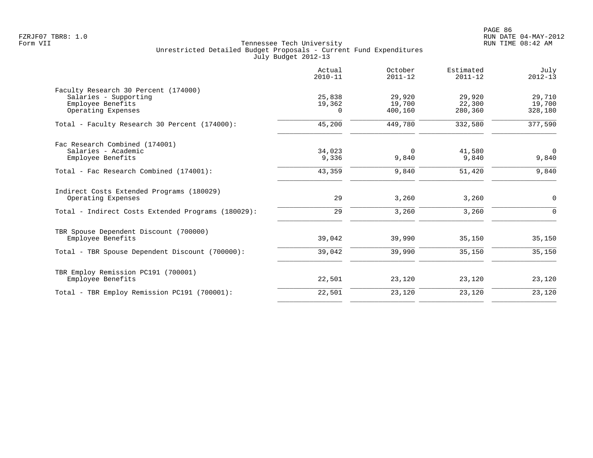|                                                    | Actual<br>$2010 - 11$ | October<br>$2011 - 12$ | Estimated<br>$2011 - 12$ | July<br>$2012 - 13$ |
|----------------------------------------------------|-----------------------|------------------------|--------------------------|---------------------|
| Faculty Research 30 Percent (174000)               |                       |                        |                          |                     |
| Salaries - Supporting                              | 25,838                | 29,920                 | 29,920                   | 29,710              |
| Employee Benefits                                  | 19,362                | 19,700                 | 22,300                   | 19,700              |
| Operating Expenses                                 | $\Omega$              | 400,160                | 280,360                  | 328,180             |
| Total - Faculty Research 30 Percent (174000):      | 45,200                | 449,780                | 332,580                  | 377,590             |
| Fac Research Combined (174001)                     |                       |                        |                          |                     |
| Salaries - Academic                                | 34,023                | 0                      | 41,580                   | $\overline{0}$      |
| Employee Benefits                                  | 9,336                 | 9,840                  | 9,840                    | 9,840               |
| Total - Fac Research Combined (174001):            | 43,359                | 9,840                  | 51,420                   | 9,840               |
| Indirect Costs Extended Programs (180029)          |                       |                        |                          |                     |
| Operating Expenses                                 | 29                    | 3,260                  | 3,260                    | 0                   |
| Total - Indirect Costs Extended Programs (180029): | 29                    | 3,260                  | 3,260                    | $\Omega$            |
| TBR Spouse Dependent Discount (700000)             |                       |                        |                          |                     |
| Employee Benefits                                  | 39,042                | 39,990                 | 35,150                   | 35,150              |
| Total - TBR Spouse Dependent Discount (700000):    | 39,042                | 39,990                 | 35,150                   | 35,150              |
| TBR Employ Remission PC191 (700001)                |                       |                        |                          |                     |
| Employee Benefits                                  | 22,501                | 23,120                 | 23,120                   | 23,120              |
| Total - TBR Employ Remission PC191 (700001):       | 22,501                | 23,120                 | 23,120                   | 23,120              |
|                                                    |                       |                        |                          |                     |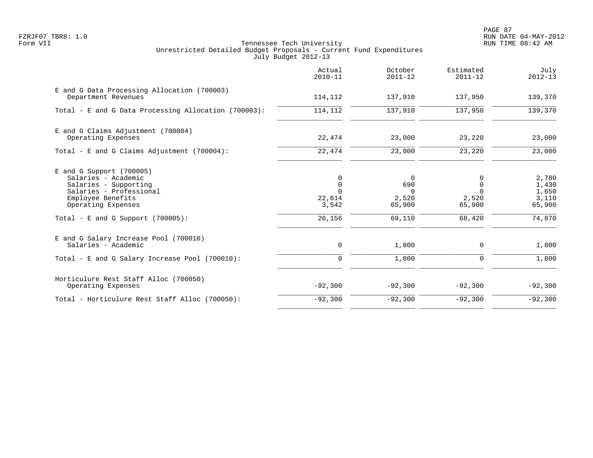PAGE 87 FZRJF07 TBR8: 1.0 RUN DATE 04-MAY-2012

|                                                                                                                                                                                          | Actual<br>$2010 - 11$                                     | October<br>$2011 - 12$                                   | Estimated<br>$2011 - 12$                             | July<br>$2012 - 13$                                  |
|------------------------------------------------------------------------------------------------------------------------------------------------------------------------------------------|-----------------------------------------------------------|----------------------------------------------------------|------------------------------------------------------|------------------------------------------------------|
| E and G Data Processing Allocation (700003)<br>Department Revenues                                                                                                                       | 114,112                                                   | 137,910                                                  | 137,950                                              | 139,370                                              |
| Total - E and G Data Processing Allocation (700003):                                                                                                                                     | 114,112                                                   | 137,910                                                  | 137,950                                              | 139,370                                              |
| E and G Claims Adjustment (700004)<br>Operating Expenses                                                                                                                                 | 22,474                                                    | 23,000                                                   | 23,220                                               | 23,000                                               |
| Total - E and G Claims Adjustment (700004):                                                                                                                                              | 22,474                                                    | 23,000                                                   | 23,220                                               | 23,000                                               |
| $E$ and G Support (700005)<br>Salaries - Academic<br>Salaries - Supporting<br>Salaries - Professional<br>Employee Benefits<br>Operating Expenses<br>Total - E and G Support $(700005)$ : | 0<br>$\mathbf 0$<br>$\Omega$<br>22,614<br>3,542<br>26,156 | $\Omega$<br>690<br>$\Omega$<br>2,520<br>65,900<br>69,110 | U<br>$\Omega$<br>$\cap$<br>2,520<br>65,900<br>68,420 | 2,780<br>1,430<br>1,650<br>3,110<br>65,900<br>74,870 |
| E and G Salary Increase Pool (700010)<br>Salaries - Academic                                                                                                                             | 0                                                         | 1,800                                                    | $\mathbf 0$                                          | 1,800                                                |
| Total - E and G Salary Increase Pool (700010):                                                                                                                                           | 0                                                         | 1,800                                                    | 0                                                    | 1,800                                                |
| Horticulure Rest Staff Alloc (700050)<br>Operating Expenses                                                                                                                              | $-92,300$                                                 | $-92,300$                                                | $-92,300$                                            | $-92,300$                                            |
| Total - Horticulure Rest Staff Alloc (700050):                                                                                                                                           | $-92,300$                                                 | $-92,300$                                                | $-92,300$                                            | $-92,300$                                            |
|                                                                                                                                                                                          |                                                           |                                                          |                                                      |                                                      |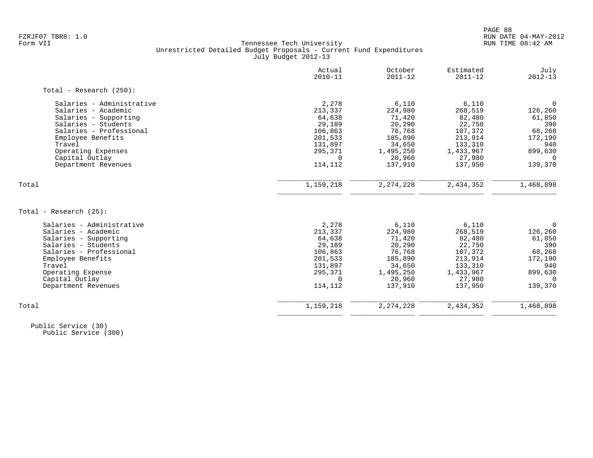# FZRJF07 TBR8: 1.0 RUN DATE 04-MAY-2012 Tennessee Tech University Unrestricted Detailed Budget Proposals - Current Fund Expenditures July Budget 2012-13

|                            | Actual<br>$2010 - 11$ | October<br>$2011 - 12$ | Estimated<br>$2011 - 12$ | July<br>$2012 - 13$ |
|----------------------------|-----------------------|------------------------|--------------------------|---------------------|
| Total - Research $(250)$ : |                       |                        |                          |                     |
| Salaries - Administrative  | 2,278                 | 6,110                  | 6,110                    | $\Omega$            |
| Salaries - Academic        | 213,337               | 224,980                | 268,519                  | 126,260             |
| Salaries - Supporting      | 64,638                | 71,420                 | 82,480                   | 61,850              |
| Salaries - Students        | 29,189                | 20,290                 | 22,750                   | 390                 |
| Salaries - Professional    | 106,863               | 76,768                 | 107,372                  | 68,268              |
| Employee Benefits          | 201,533               | 185,890                | 213,914                  | 172,190             |
| Travel                     | 131,897               | 34,650                 | 133,310                  | 940                 |
| Operating Expenses         | 295,371               | 1,495,250              | 1,433,967                | 899,630             |
| Capital Outlay             | $\Omega$              | 20,960                 | 27,980                   | $\Omega$            |
| Department Revenues        | 114,112               | 137,910                | 137,950                  | 139,370             |
| Total                      | 1,159,218             | 2, 274, 228            | 2,434,352                | 1,468,898           |
|                            |                       |                        |                          |                     |
| Total - Research (25):     |                       |                        |                          |                     |
| Salaries - Administrative  | 2,278                 | 6,110                  | 6,110                    | $\mathbf 0$         |
| Salaries - Academic        | 213,337               | 224,980                | 268,519                  | 126,260             |
| Salaries - Supporting      | 64,638                | 71,420                 | 82,480                   | 61,850              |
| Salaries - Students        | 29,189                | 20,290                 | 22,750                   | 390                 |
| Salaries - Professional    | 106,863               | 76,768                 | 107,372                  | 68,268              |
| Employee Benefits          | 201,533               | 185,890                | 213,914                  | 172,190             |
| Travel                     | 131,897               | 34,650                 | 133,310                  | 940                 |
| Operating Expense          | 295,371               | 1,495,250              | 1,433,967                | 899,630             |
| Capital Outlay             | $\Omega$              | 20,960                 | 27,980                   | $\Omega$            |
| Department Revenues        | 114,112               | 137,910                | 137,950                  | 139,370             |
| Total                      | 1,159,218             | 2, 274, 228            | 2,434,352                | 1,468,898           |
|                            |                       |                        |                          |                     |

 Public Service (30) Public Service (300)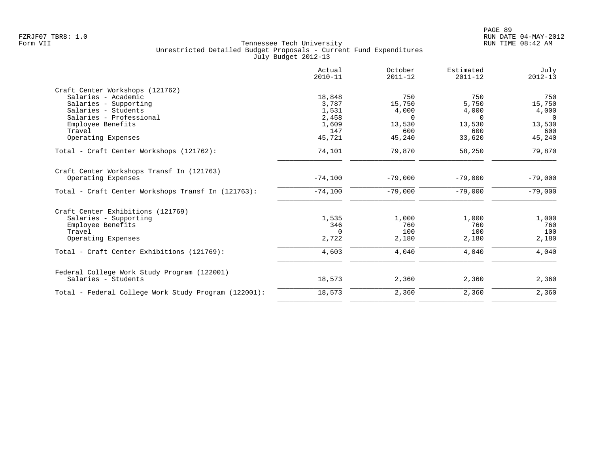|                                                      | Actual<br>$2010 - 11$ | October<br>$2011 - 12$ | Estimated<br>$2011 - 12$ | July<br>$2012 - 13$ |
|------------------------------------------------------|-----------------------|------------------------|--------------------------|---------------------|
| Craft Center Workshops (121762)                      |                       |                        |                          |                     |
| Salaries - Academic                                  | 18,848                | 750                    | 750                      | 750                 |
| Salaries - Supporting                                | 3,787                 | 15,750                 | 5,750                    | 15,750              |
| Salaries - Students                                  | 1,531                 | 4,000                  | 4,000                    | 4,000               |
| Salaries - Professional                              | 2,458                 | $\Omega$               | $\Omega$                 | $\Omega$            |
| Employee Benefits                                    | 1,609                 | 13,530                 | 13,530                   | 13,530              |
| Travel                                               | 147                   | 600                    | 600                      | 600                 |
| Operating Expenses                                   | 45,721                | 45,240                 | 33,620                   | 45,240              |
| Total - Craft Center Workshops (121762):             | 74,101                | 79,870                 | 58,250                   | 79,870              |
| Craft Center Workshops Transf In (121763)            |                       |                        |                          |                     |
| Operating Expenses                                   | $-74,100$             | $-79,000$              | $-79,000$                | $-79,000$           |
| Total - Craft Center Workshops Transf In (121763):   | $-74,100$             | $-79,000$              | $-79,000$                | $-79,000$           |
| Craft Center Exhibitions (121769)                    |                       |                        |                          |                     |
| Salaries - Supporting                                | 1,535                 | 1,000                  | 1,000                    | 1,000               |
| Employee Benefits                                    | 346                   | 760                    | 760                      | 760                 |
| Travel                                               | $\Omega$              | 100                    | 100                      | 100                 |
| Operating Expenses                                   | 2,722                 | 2,180                  | 2,180                    | 2,180               |
| Total - Craft Center Exhibitions (121769):           | 4,603                 | 4,040                  | 4,040                    | 4,040               |
| Federal College Work Study Program (122001)          |                       |                        |                          |                     |
| Salaries - Students                                  | 18,573                | 2,360                  | 2,360                    | 2,360               |
| Total - Federal College Work Study Program (122001): | 18,573                | 2,360                  | 2,360                    | 2,360               |
|                                                      |                       |                        |                          |                     |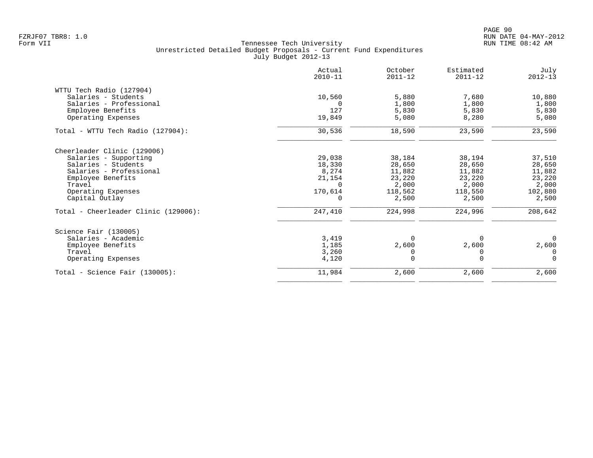|                                      | Actual<br>$2010 - 11$ | October<br>$2011 - 12$ | Estimated<br>$2011 - 12$ | July<br>$2012 - 13$ |
|--------------------------------------|-----------------------|------------------------|--------------------------|---------------------|
| WTTU Tech Radio (127904)             |                       |                        |                          |                     |
| Salaries - Students                  | 10,560                | 5,880                  | 7,680                    | 10,880              |
| Salaries - Professional              |                       | 1,800                  | 1,800                    | 1,800               |
| Employee Benefits                    | 127                   | 5,830                  | 5,830                    | 5,830               |
| Operating Expenses                   | 19,849                | 5,080                  | 8,280                    | 5,080               |
| Total - WTTU Tech Radio (127904):    | 30,536                | 18,590                 | 23,590                   | 23,590              |
| Cheerleader Clinic (129006)          |                       |                        |                          |                     |
| Salaries - Supporting                | 29,038                | 38,184                 | 38,194                   | 37,510              |
| Salaries - Students                  | 18,330                | 28,650                 | 28,650                   | 28,650              |
| Salaries - Professional              | 8,274                 | 11,882                 | 11,882                   | 11,882              |
| Employee Benefits                    | 21,154                | 23,220                 | 23,220                   | 23,220              |
| Travel                               | $\Omega$              | 2,000                  | 2,000                    | 2,000               |
| Operating Expenses                   | 170,614               | 118,562                | 118,550                  | 102,880             |
| Capital Outlay                       | 0                     | 2,500                  | 2,500                    | 2,500               |
| Total - Cheerleader Clinic (129006): | 247,410               | 224,998                | 224,996                  | 208,642             |
| Science Fair (130005)                |                       |                        |                          |                     |
| Salaries - Academic                  | 3,419                 | $\Omega$               | $\Omega$                 | $\Omega$            |
| Employee Benefits                    | 1,185                 | 2,600                  | 2,600                    | 2,600               |
| Travel                               | 3,260                 |                        | 0                        | $\Omega$            |
| Operating Expenses                   | 4,120                 | $\Omega$               | $\Omega$                 | $\Omega$            |
| $Total - Science Fair (130005):$     | 11,984                | 2,600                  | 2,600                    | 2,600               |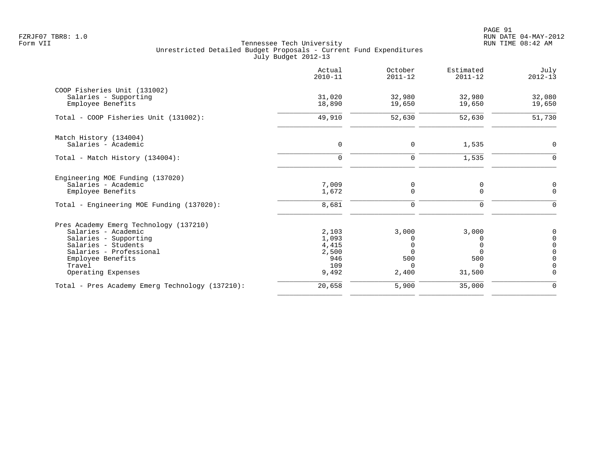PAGE 91 FZRJF07 TBR8: 1.0 RUN DATE 04-MAY-2012

|                                                 | Actual<br>$2010 - 11$ | October<br>$2011 - 12$ | Estimated<br>$2011 - 12$ | July<br>$2012 - 13$        |
|-------------------------------------------------|-----------------------|------------------------|--------------------------|----------------------------|
| COOP Fisheries Unit (131002)                    |                       |                        |                          |                            |
| Salaries - Supporting<br>Employee Benefits      | 31,020<br>18,890      | 32,980<br>19,650       | 32,980<br>19,650         | 32,080<br>19,650           |
| Total - COOP Fisheries Unit (131002):           | 49,910                | 52,630                 | 52,630                   | 51,730                     |
| Match History (134004)                          |                       |                        |                          |                            |
| Salaries - Academic                             | $\mathbf 0$           | 0                      | 1,535                    | $\mathbf 0$                |
| Total - Match History (134004):                 | $\Omega$              | $\mathbf 0$            | 1,535                    | $\Omega$                   |
| Engineering MOE Funding (137020)                |                       |                        |                          |                            |
| Salaries - Academic<br>Employee Benefits        | 7,009<br>1,672        | 0<br>$\Omega$          | 0<br>$\Omega$            | 0<br>$\Omega$              |
| Total - Engineering MOE Funding (137020):       | 8,681                 | $\mathbf 0$            | 0                        | 0                          |
| Pres Academy Emerg Technology (137210)          |                       |                        |                          |                            |
| Salaries - Academic                             | 2,103                 | 3,000                  | 3,000                    | 0                          |
| Salaries - Supporting                           | 1,093                 | $\Omega$               |                          | $\mathbf 0$                |
| Salaries - Students<br>Salaries - Professional  | 4,415<br>2,500        | $\Omega$<br>$\Omega$   | ∩                        | $\mathsf 0$<br>$\mathbf 0$ |
| Employee Benefits                               | 946                   | 500                    | 500                      | $\mathbf 0$                |
| Travel                                          | 109                   | $\Omega$               | <sup>n</sup>             | $\mathbf 0$                |
| Operating Expenses                              | 9,492                 | 2,400                  | 31,500                   | $\Omega$                   |
| Total - Pres Academy Emerg Technology (137210): | 20,658                | 5,900                  | 35,000                   | $\mathbf 0$                |
|                                                 |                       |                        |                          |                            |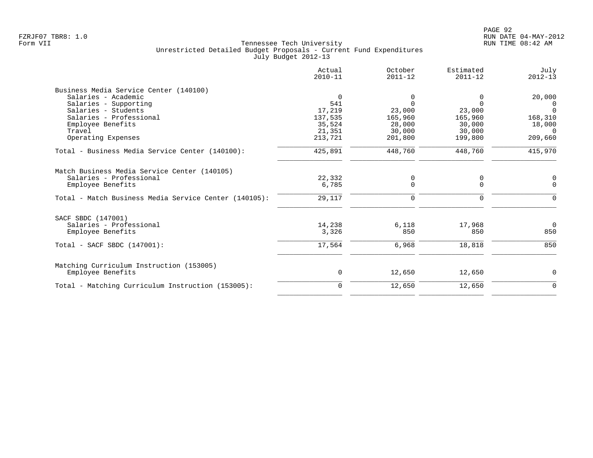| Actual<br>$2010 - 11$ | October<br>$2011 - 12$ | Estimated<br>$2011 - 12$ | July<br>$2012 - 13$ |
|-----------------------|------------------------|--------------------------|---------------------|
|                       |                        |                          |                     |
| $\Omega$              | 0                      | 0                        | 20,000              |
| 541                   | $\Omega$               | $\Omega$                 | $\Omega$            |
| 17,219                | 23,000                 | 23,000                   | $\Omega$            |
| 137,535               | 165,960                | 165,960                  | 168,310             |
| 35,524                | 28,000                 | 30,000                   | 18,000              |
| 21,351                | 30,000                 | 30,000                   | $\Omega$            |
| 213,721               | 201,800                | 199,800                  | 209,660             |
| 425,891               | 448,760                | 448,760                  | 415,970             |
|                       |                        |                          |                     |
| 22,332                | 0                      | 0                        | 0                   |
| 6,785                 | 0                      | 0                        | $\Omega$            |
| 29,117                | 0                      | $\Omega$                 |                     |
|                       |                        |                          |                     |
|                       |                        |                          | $\Omega$            |
| 3,326                 | 850                    | 850                      | 850                 |
| 17,564                | 6,968                  | 18,818                   | 850                 |
|                       |                        |                          |                     |
| 0                     | 12,650                 | 12,650                   | $\mathbf 0$         |
| 0                     | 12,650                 | 12,650                   | $\mathbf 0$         |
|                       | 14,238                 | 6,118                    | 17,968              |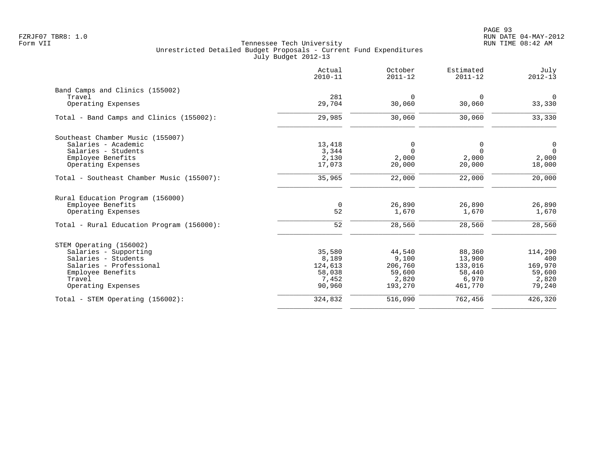|                                           | Actual<br>$2010 - 11$ | October<br>$2011 - 12$ | Estimated<br>$2011 - 12$ | July<br>$2012 - 13$ |
|-------------------------------------------|-----------------------|------------------------|--------------------------|---------------------|
| Band Camps and Clinics (155002)           |                       |                        |                          |                     |
| Travel                                    | 281                   | $\mathbf 0$            | $\mathbf 0$              | $\mathbf 0$         |
| Operating Expenses                        | 29,704                | 30,060                 | 30,060                   | 33,330              |
| Total - Band Camps and Clinics (155002):  | 29,985                | 30,060                 | 30,060                   | 33,330              |
| Southeast Chamber Music (155007)          |                       |                        |                          |                     |
| Salaries - Academic                       | 13,418                | 0                      | 0                        | 0                   |
| Salaries - Students                       | 3,344                 | $\Omega$               | $\Omega$                 | $\Omega$            |
| Employee Benefits                         | 2,130                 | 2,000                  | 2,000                    | 2,000               |
| Operating Expenses                        | 17,073                | 20,000                 | 20,000                   | 18,000              |
| Total - Southeast Chamber Music (155007): | 35,965                | 22,000                 | 22,000                   | 20,000              |
| Rural Education Program (156000)          |                       |                        |                          |                     |
| Employee Benefits                         | $\mathbf 0$           | 26,890                 | 26,890                   | 26,890              |
| Operating Expenses                        | 52                    | 1,670                  | 1,670                    | 1,670               |
| Total - Rural Education Program (156000): | 52                    | 28,560                 | 28,560                   | 28,560              |
| STEM Operating (156002)                   |                       |                        |                          |                     |
| Salaries - Supporting                     | 35,580                | 44,540                 | 88,360                   | 114,290             |
| Salaries - Students                       | 8,189                 | 9,100                  | 13,900                   | 400                 |
| Salaries - Professional                   | 124,613               | 206,760                | 133,016                  | 169,970             |
| Employee Benefits                         | 58,038                | 59,600                 | 58,440                   | 59,600              |
| Travel                                    | 7,452                 | 2,820                  | 6,970                    | 2,820               |
| Operating Expenses                        | 90,960                | 193,270                | 461,770                  | 79,240              |
| Total - STEM Operating (156002):          | 324,832               | 516,090                | 762,456                  | 426,320             |
|                                           |                       |                        |                          |                     |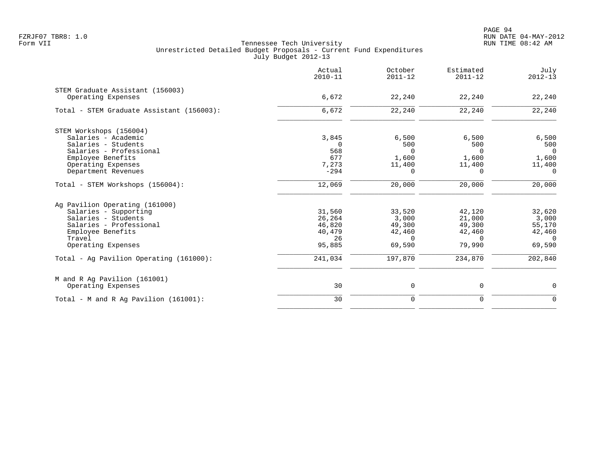PAGE 94 FZRJF07 TBR8: 1.0 RUN DATE 04-MAY-2012

|                                                                                                                                                                | Actual<br>$2010 - 11$                                | October<br>$2011 - 12$                                  | Estimated<br>$2011 - 12$                                   | July<br>$2012 - 13$                                       |
|----------------------------------------------------------------------------------------------------------------------------------------------------------------|------------------------------------------------------|---------------------------------------------------------|------------------------------------------------------------|-----------------------------------------------------------|
| STEM Graduate Assistant (156003)<br>Operating Expenses                                                                                                         | 6,672                                                | 22,240                                                  | 22,240                                                     | 22,240                                                    |
| Total - STEM Graduate Assistant (156003):                                                                                                                      | 6,672                                                | 22,240                                                  | 22,240                                                     | 22,240                                                    |
| STEM Workshops (156004)<br>Salaries - Academic<br>Salaries - Students<br>Salaries - Professional                                                               | 3,845<br>$\Omega$<br>568                             | 6,500<br>500<br>$\Omega$                                | 6,500<br>500<br>$\Omega$                                   | 6,500<br>500<br>$\overline{0}$                            |
| Employee Benefits<br>Operating Expenses<br>Department Revenues                                                                                                 | 677<br>7,273<br>$-294$                               | 1,600<br>11,400<br>$\Omega$                             | 1,600<br>11,400<br>$\Omega$                                | 1,600<br>11,400<br>$\Omega$                               |
| Total - STEM Workshops (156004):                                                                                                                               | 12,069                                               | 20,000                                                  | 20,000                                                     | 20,000                                                    |
| Ag Pavilion Operating (161000)<br>Salaries - Supporting<br>Salaries - Students<br>Salaries - Professional<br>Employee Benefits<br>Travel<br>Operating Expenses | 31,560<br>26,264<br>46,820<br>40,479<br>26<br>95,885 | 33,520<br>3,000<br>49,300<br>42,460<br>$\cap$<br>69,590 | 42,120<br>21,000<br>49,300<br>42,460<br>$\Omega$<br>79,990 | 32,620<br>3,000<br>55,170<br>42,460<br>$\Omega$<br>69,590 |
| Total - Ag Pavilion Operating (161000):                                                                                                                        | 241,034                                              | 197,870                                                 | 234,870                                                    | 202,840                                                   |
| M and R Ag Pavilion (161001)<br>Operating Expenses                                                                                                             | 30                                                   | 0                                                       | $\mathbf 0$                                                | 0                                                         |
| Total - M and R Ag Pavilion (161001):                                                                                                                          | 30                                                   | $\mathbf 0$                                             | $\mathbf 0$                                                | $\mathbf 0$                                               |
|                                                                                                                                                                |                                                      |                                                         |                                                            |                                                           |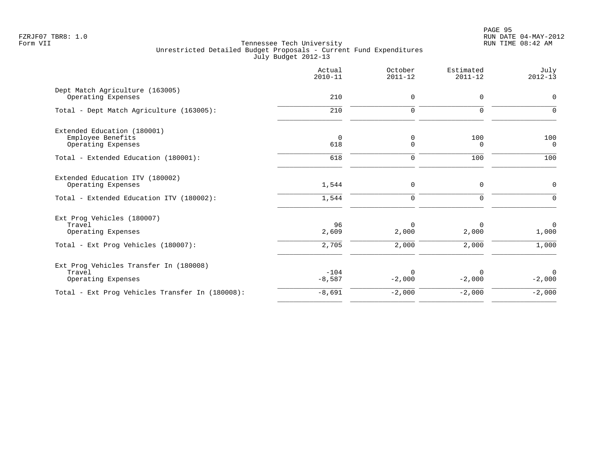|                                                                        | Actual<br>$2010 - 11$ | October<br>$2011 - 12$ | Estimated<br>$2011 - 12$ | July<br>$2012 - 13$  |
|------------------------------------------------------------------------|-----------------------|------------------------|--------------------------|----------------------|
| Dept Match Agriculture (163005)<br>Operating Expenses                  | 210                   | 0                      | 0                        | $\mathbf 0$          |
| Total - Dept Match Agriculture (163005):                               | 210                   | $\mathbf 0$            | $\Omega$                 | $\Omega$             |
| Extended Education (180001)<br>Employee Benefits<br>Operating Expenses | $\overline{0}$<br>618 | 0<br>0                 | 100<br>$\Omega$          | 100<br>$\Omega$      |
| Total - Extended Education (180001):                                   | 618                   | 0                      | 100                      | 100                  |
| Extended Education ITV (180002)<br>Operating Expenses                  | 1,544                 | $\mathsf 0$            | 0                        | $\mathbf 0$          |
| Total - Extended Education ITV (180002):                               | 1,544                 | 0                      | $\mathbf 0$              | $\Omega$             |
| Ext Prog Vehicles (180007)<br>Travel<br>Operating Expenses             | 96<br>2,609           | $\Omega$<br>2,000      | $\Omega$<br>2,000        | $\mathbf 0$<br>1,000 |
| Total - Ext Prog Vehicles (180007):                                    | 2,705                 | 2,000                  | 2,000                    | 1,000                |
| Ext Prog Vehicles Transfer In (180008)<br>Travel<br>Operating Expenses | $-104$<br>$-8,587$    | $\Omega$<br>$-2,000$   | $\Omega$<br>$-2,000$     | $\Omega$<br>$-2,000$ |
| Total - Ext Prog Vehicles Transfer In (180008):                        | $-8,691$              | $-2,000$               | $-2,000$                 | $-2,000$             |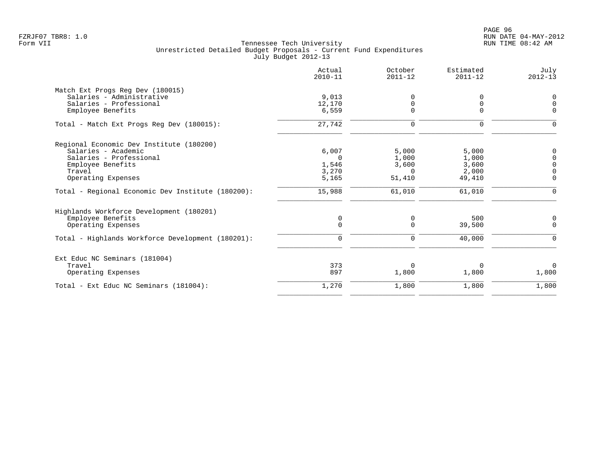|                                                      | Actual<br>$2010 - 11$ | October<br>$2011 - 12$ | Estimated<br>$2011 - 12$ | July<br>$2012 - 13$ |
|------------------------------------------------------|-----------------------|------------------------|--------------------------|---------------------|
| Match Ext Progs Reg Dev (180015)                     |                       |                        |                          |                     |
| Salaries - Administrative<br>Salaries - Professional | 9,013<br>12,170       | $\Omega$<br>$\Omega$   |                          | 0<br>$\mathbf 0$    |
| Employee Benefits                                    | 6,559                 | 0                      | $\Omega$                 | $\Omega$            |
| Total - Match Ext Progs Reg Dev (180015):            | 27,742                | $\Omega$               | 0                        | $\Omega$            |
| Regional Economic Dev Institute (180200)             |                       |                        |                          |                     |
| Salaries - Academic                                  | 6,007                 | 5,000                  | 5,000                    | 0                   |
| Salaries - Professional                              | $\Omega$              | 1,000                  | 1,000                    | $\overline{0}$      |
| Employee Benefits                                    | 1,546                 | 3,600                  | 3,600                    | $\mathbf 0$         |
| Travel                                               | 3,270                 | $\Omega$               | 2,000                    | $\Omega$            |
| Operating Expenses                                   | 5,165                 | 51,410                 | 49,410                   | $\Omega$            |
| Total - Regional Economic Dev Institute (180200):    | 15,988                | 61,010                 | 61,010                   | $\Omega$            |
| Highlands Workforce Development (180201)             |                       |                        |                          |                     |
| Employee Benefits                                    | $\mathbf 0$           | 0                      | 500                      | $\mathbf 0$         |
| Operating Expenses                                   | $\mathbf 0$           | $\mathbf 0$            | 39,500                   | $\mathbf 0$         |
| Total - Highlands Workforce Development (180201):    | $\Omega$              | $\mathbf 0$            | 40,000                   | $\Omega$            |
| Ext Educ NC Seminars (181004)                        |                       |                        |                          |                     |
| Travel                                               | 373                   | $\Omega$               |                          | $\Omega$            |
| Operating Expenses                                   | 897                   | 1,800                  | 1,800                    | 1,800               |
| Total - Ext Educ NC Seminars (181004):               | 1,270                 | 1,800                  | 1,800                    | 1,800               |
|                                                      |                       |                        |                          |                     |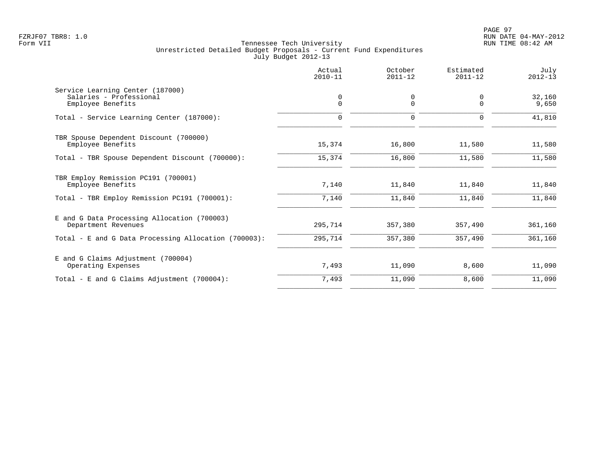|                                                                                  | Actual<br>$2010 - 11$ | October<br>$2011 - 12$ | Estimated<br>$2011 - 12$ | July<br>$2012 - 13$ |
|----------------------------------------------------------------------------------|-----------------------|------------------------|--------------------------|---------------------|
| Service Learning Center (187000)<br>Salaries - Professional<br>Employee Benefits | 0<br>$\Omega$         | 0<br>$\Omega$          | 0<br>$\Omega$            | 32,160<br>9,650     |
| Total - Service Learning Center (187000):                                        | 0                     | $\mathbf 0$            | 0                        | 41,810              |
| TBR Spouse Dependent Discount (700000)<br>Employee Benefits                      | 15,374                | 16,800                 | 11,580                   | 11,580              |
| Total - TBR Spouse Dependent Discount (700000):                                  | 15,374                | 16,800                 | 11,580                   | 11,580              |
| TBR Employ Remission PC191 (700001)<br>Employee Benefits                         | 7,140                 | 11,840                 | 11,840                   | 11,840              |
| Total - TBR Employ Remission PC191 (700001):                                     | 7,140                 | 11,840                 | 11,840                   | 11,840              |
| E and G Data Processing Allocation (700003)<br>Department Revenues               | 295,714               | 357,380                | 357,490                  | 361,160             |
| Total - E and G Data Processing Allocation (700003):                             | 295,714               | 357,380                | 357,490                  | 361,160             |
| E and G Claims Adjustment (700004)<br>Operating Expenses                         | 7,493                 | 11,090                 | 8,600                    | 11,090              |
| Total - E and G Claims Adjustment $(700004)$ :                                   | 7,493                 | 11,090                 | 8,600                    | 11,090              |
|                                                                                  |                       |                        |                          |                     |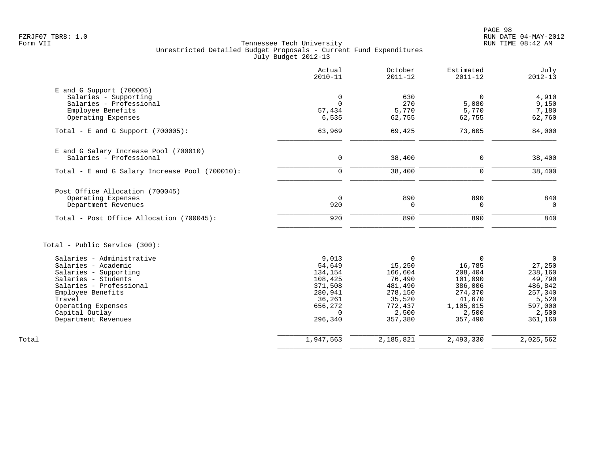| Actual<br>$2010 - 11$ | October<br>$2011 - 12$                                                               | Estimated<br>$2011 - 12$                                                            | July<br>$2012 - 13$                                                                               |
|-----------------------|--------------------------------------------------------------------------------------|-------------------------------------------------------------------------------------|---------------------------------------------------------------------------------------------------|
|                       |                                                                                      |                                                                                     |                                                                                                   |
| 0                     | 630                                                                                  | $\Omega$                                                                            | 4,910                                                                                             |
| $\Omega$              | 270                                                                                  | 5,080                                                                               | 9,150                                                                                             |
| 57,434                | 5,770                                                                                | 5,770                                                                               | 7,180                                                                                             |
| 6,535                 | 62,755                                                                               | 62,755                                                                              | 62,760                                                                                            |
| 63,969                | 69,425                                                                               | 73,605                                                                              | 84,000                                                                                            |
|                       |                                                                                      |                                                                                     |                                                                                                   |
| $\mathbf 0$           | 38,400                                                                               | $\mathbf 0$                                                                         | 38,400                                                                                            |
| $\mathbf 0$           | 38,400                                                                               | $\mathbf 0$                                                                         | 38,400                                                                                            |
|                       |                                                                                      |                                                                                     |                                                                                                   |
|                       |                                                                                      |                                                                                     | 840                                                                                               |
|                       |                                                                                      |                                                                                     | $\overline{0}$                                                                                    |
|                       |                                                                                      |                                                                                     |                                                                                                   |
| 920                   | 890                                                                                  | 890                                                                                 | 840                                                                                               |
|                       |                                                                                      |                                                                                     |                                                                                                   |
|                       |                                                                                      |                                                                                     | $\mathbf 0$                                                                                       |
|                       |                                                                                      |                                                                                     | 27,250                                                                                            |
|                       |                                                                                      |                                                                                     | 238,160                                                                                           |
|                       |                                                                                      |                                                                                     | 49,790                                                                                            |
|                       |                                                                                      |                                                                                     | 486,842                                                                                           |
| 280,941               | 278,150                                                                              | 274,370                                                                             | 257,340                                                                                           |
| 36,261                | 35,520                                                                               | 41,670                                                                              | 5,520                                                                                             |
| 656,272               | 772,437                                                                              | 1,105,015                                                                           | 597,000                                                                                           |
| $\Omega$              | 2,500                                                                                | 2,500                                                                               | 2,500                                                                                             |
|                       |                                                                                      |                                                                                     | 361,160                                                                                           |
| 1,947,563             | 2,185,821                                                                            |                                                                                     | 2,025,562                                                                                         |
|                       | $\overline{0}$<br>920<br>9.013<br>54,649<br>134,154<br>108,425<br>371,508<br>296,340 | 890<br>$\mathbf 0$<br>$\Omega$<br>15,250<br>166,604<br>76,490<br>481,490<br>357,380 | 890<br>$\mathbf 0$<br>$\Omega$<br>16,785<br>208,404<br>101,090<br>386,006<br>357,490<br>2,493,330 |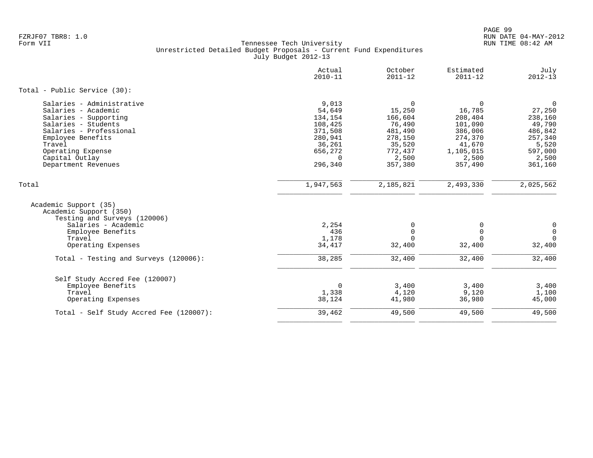|                                                                                                                                                                                                                          | Actual<br>$2010 - 11$                                                                                   | October<br>$2011 - 12$                                                                                    | Estimated<br>$2011 - 12$                                                                                     | July<br>$2012 - 13$                                                                                         |
|--------------------------------------------------------------------------------------------------------------------------------------------------------------------------------------------------------------------------|---------------------------------------------------------------------------------------------------------|-----------------------------------------------------------------------------------------------------------|--------------------------------------------------------------------------------------------------------------|-------------------------------------------------------------------------------------------------------------|
| Total - Public Service (30):                                                                                                                                                                                             |                                                                                                         |                                                                                                           |                                                                                                              |                                                                                                             |
| Salaries - Administrative<br>Salaries - Academic<br>Salaries - Supporting<br>Salaries - Students<br>Salaries - Professional<br>Employee Benefits<br>Travel<br>Operating Expense<br>Capital Outlay<br>Department Revenues | 9,013<br>54,649<br>134,154<br>108,425<br>371,508<br>280,941<br>36,261<br>656,272<br>$\Omega$<br>296,340 | $\mathbf 0$<br>15,250<br>166,604<br>76,490<br>481,490<br>278,150<br>35,520<br>772,437<br>2,500<br>357,380 | $\mathbf 0$<br>16,785<br>208,404<br>101,090<br>386,006<br>274,370<br>41,670<br>1,105,015<br>2,500<br>357,490 | $\overline{0}$<br>27,250<br>238,160<br>49,790<br>486,842<br>257,340<br>5,520<br>597,000<br>2,500<br>361,160 |
| Total                                                                                                                                                                                                                    | 1,947,563                                                                                               | 2,185,821                                                                                                 | 2,493,330                                                                                                    | 2,025,562                                                                                                   |
| Academic Support (35)<br>Academic Support (350)<br>Testing and Surveys (120006)                                                                                                                                          |                                                                                                         |                                                                                                           |                                                                                                              |                                                                                                             |
| Salaries - Academic<br>Employee Benefits<br>Travel<br>Operating Expenses                                                                                                                                                 | 2,254<br>436<br>1,178<br>34,417                                                                         | 0<br>$\mathbf 0$<br>$\Omega$<br>32,400                                                                    | 0<br>$\Omega$<br>$\Omega$<br>32,400                                                                          | 0<br>$\mathsf{O}\xspace$<br>$\mathbf 0$<br>32,400                                                           |
| Total - Testing and Surveys (120006):                                                                                                                                                                                    | 38,285                                                                                                  | 32,400                                                                                                    | 32,400                                                                                                       | 32,400                                                                                                      |
| Self Study Accred Fee (120007)<br>Employee Benefits<br>Travel<br>Operating Expenses                                                                                                                                      | $\Omega$<br>1,338<br>38,124                                                                             | 3,400<br>4,120<br>41,980                                                                                  | 3,400<br>9,120<br>36,980                                                                                     | 3,400<br>1,100<br>45,000                                                                                    |
| Total - Self Study Accred Fee (120007):                                                                                                                                                                                  | 39,462                                                                                                  | 49,500                                                                                                    | 49,500                                                                                                       | 49,500                                                                                                      |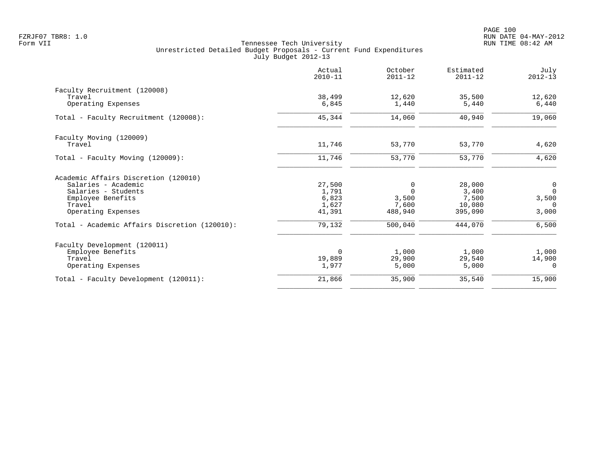|                                               | Actual<br>$2010 - 11$ | October<br>$2011 - 12$ | Estimated<br>$2011 - 12$ | July<br>$2012 - 13$ |
|-----------------------------------------------|-----------------------|------------------------|--------------------------|---------------------|
| Faculty Recruitment (120008)                  |                       |                        |                          |                     |
| Travel                                        | 38,499                | 12,620                 | 35,500                   | 12,620              |
| Operating Expenses                            | 6,845                 | 1,440                  | 5,440                    | 6,440               |
| Total - Faculty Recruitment (120008):         | 45,344                | 14,060                 | 40,940                   | 19,060              |
| Faculty Moving (120009)                       |                       |                        |                          |                     |
| Travel                                        | 11,746                | 53,770                 | 53,770                   | 4,620               |
| Total - Faculty Moving (120009):              | 11,746                | 53,770                 | 53,770                   | 4,620               |
| Academic Affairs Discretion (120010)          |                       |                        |                          |                     |
| Salaries - Academic                           | 27,500                | 0                      | 28,000                   | 0                   |
| Salaries - Students                           | 1,791                 | $\Omega$               | 3,400                    | $\mathbf 0$         |
| Employee Benefits                             | 6,823                 | 3,500                  | 7,500                    | 3,500               |
| Travel<br>Operating Expenses                  | 1,627<br>41,391       | 7,600<br>488,940       | 10,080<br>395,090        | $\Omega$<br>3,000   |
| Total - Academic Affairs Discretion (120010): | 79,132                | 500,040                | 444,070                  | 6,500               |
|                                               |                       |                        |                          |                     |
| Faculty Development (120011)                  |                       |                        |                          |                     |
| Employee Benefits                             | $\overline{0}$        | 1,000                  | 1,000                    | 1,000               |
| Travel                                        | 19,889                | 29,900                 | 29,540                   | 14,900              |
| Operating Expenses                            | 1,977                 | 5,000                  | 5,000                    | $\overline{0}$      |
| Total - Faculty Development (120011):         | 21,866                | 35,900                 | 35,540                   | 15,900              |
|                                               |                       |                        |                          |                     |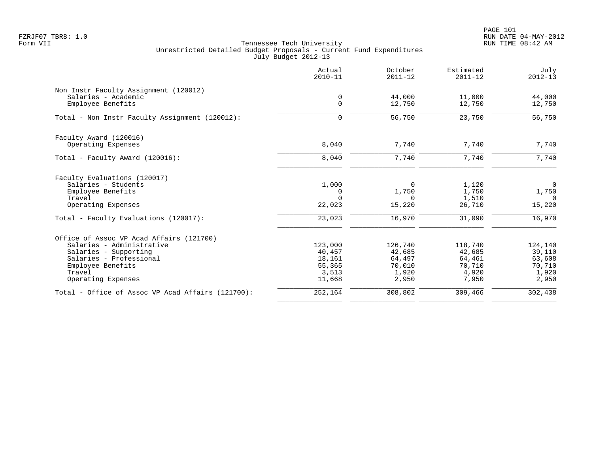PAGE 101 FZRJF07 TBR8: 1.0 RUN DATE 04-MAY-2012

|                                                   | Actual<br>$2010 - 11$ | October<br>$2011 - 12$ | Estimated<br>$2011 - 12$ | July<br>$2012 - 13$ |
|---------------------------------------------------|-----------------------|------------------------|--------------------------|---------------------|
| Non Instr Faculty Assignment (120012)             |                       |                        |                          |                     |
| Salaries - Academic                               | 0                     | 44,000                 | 11,000                   | 44,000              |
| Employee Benefits                                 | $\Omega$              | 12,750                 | 12,750                   | 12,750              |
| Total - Non Instr Faculty Assignment (120012):    | $\Omega$              | 56,750                 | 23,750                   | 56,750              |
| Faculty Award (120016)                            |                       |                        |                          |                     |
| Operating Expenses                                | 8,040                 | 7,740                  | 7,740                    | 7,740               |
| Total - Faculty Award (120016):                   | 8,040                 | 7,740                  | 7,740                    | 7,740               |
| Faculty Evaluations (120017)                      |                       |                        |                          |                     |
| Salaries - Students                               | 1,000                 | 0                      | 1,120                    | $\overline{0}$      |
| Employee Benefits                                 | 0                     | 1,750                  | 1,750                    | 1,750               |
| Travel                                            | $\Omega$              | $\Omega$               | 1,510                    | $\Omega$            |
| Operating Expenses                                | 22,023                | 15,220                 | 26,710                   | 15,220              |
| Total - Faculty Evaluations (120017):             | 23,023                | 16,970                 | 31,090                   | 16,970              |
| Office of Assoc VP Acad Affairs (121700)          |                       |                        |                          |                     |
| Salaries - Administrative                         | 123,000               | 126,740                | 118,740                  | 124,140             |
| Salaries - Supporting                             | 40,457                | 42,685                 | 42,685                   | 39,110              |
| Salaries - Professional                           | 18,161                | 64,497                 | 64,461                   | 63,608              |
| Employee Benefits                                 | 55,365                | 70,010                 | 70,710                   | 70,710              |
| Travel                                            | 3,513                 | 1,920                  | 4,920                    | 1,920               |
| Operating Expenses                                | 11,668                | 2,950                  | 7,950                    | 2,950               |
| Total - Office of Assoc VP Acad Affairs (121700): | 252,164               | 308,802                | 309,466                  | 302,438             |
|                                                   |                       |                        |                          |                     |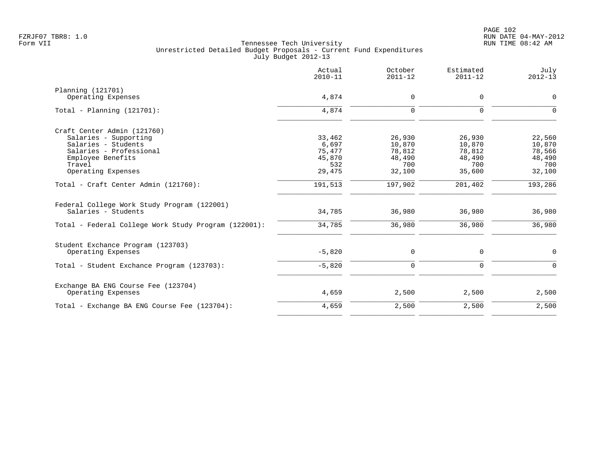|                                                                    | Actual<br>$2010 - 11$ | October<br>$2011 - 12$ | Estimated<br>$2011 - 12$ | July<br>$2012 - 13$ |
|--------------------------------------------------------------------|-----------------------|------------------------|--------------------------|---------------------|
| Planning (121701)                                                  |                       |                        |                          |                     |
| Operating Expenses                                                 | 4,874                 | $\mathbf 0$            | $\mathbf 0$              | 0                   |
| Total - Planning $(121701)$ :                                      | 4,874                 | $\Omega$               | $\Omega$                 | $\Omega$            |
| Craft Center Admin (121760)                                        |                       |                        |                          |                     |
| Salaries - Supporting                                              | 33,462                | 26,930                 | 26,930                   | 22,560              |
| Salaries - Students                                                | 6,697                 | 10,870                 | 10,870                   | 10,870              |
| Salaries - Professional                                            | 75,477                | 78,812                 | 78,812                   | 78,566              |
| Employee Benefits                                                  | 45,870                | 48,490                 | 48,490                   | 48,490              |
| Travel                                                             | 532                   | 700                    | 700                      | 700                 |
| Operating Expenses                                                 | 29,475                | 32,100                 | 35,600                   | 32,100              |
| Total - Craft Center Admin (121760):                               | 191,513               | 197,902                | 201,402                  | 193,286             |
| Federal College Work Study Program (122001)<br>Salaries - Students | 34,785                | 36,980                 | 36,980                   | 36,980              |
| Total - Federal College Work Study Program (122001):               | 34,785                | 36,980                 | 36,980                   | 36,980              |
| Student Exchance Program (123703)                                  |                       |                        |                          |                     |
| Operating Expenses                                                 | $-5,820$              | 0                      | 0                        | $\mathsf{O}$        |
| Total - Student Exchance Program (123703):                         | $-5,820$              | $\mathbf 0$            | $\mathbf 0$              | $\mathsf{O}$        |
| Exchange BA ENG Course Fee (123704)                                |                       |                        |                          |                     |
| Operating Expenses                                                 | 4,659                 | 2,500                  | 2,500                    | 2,500               |
| Total - Exchange BA ENG Course Fee (123704):                       | 4,659                 | 2,500                  | 2,500                    | 2,500               |
|                                                                    |                       |                        |                          |                     |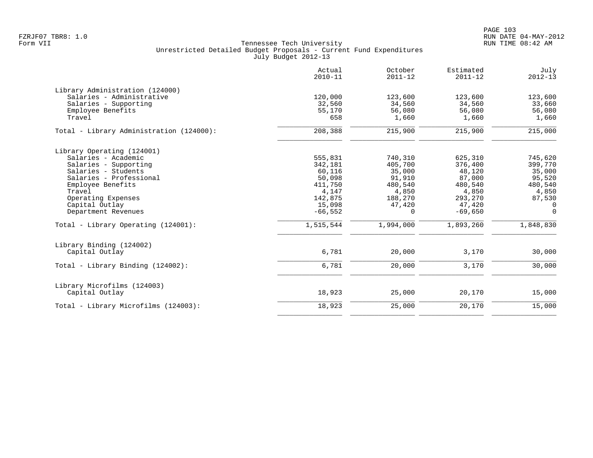|                                                                                                                                                                                                                                                                   | Actual<br>$2010 - 11$                                                                                     | October<br>$2011 - 12$                                                                            | Estimated<br>$2011 - 12$                                                                                  | July<br>$2012 - 13$                                                                                             |
|-------------------------------------------------------------------------------------------------------------------------------------------------------------------------------------------------------------------------------------------------------------------|-----------------------------------------------------------------------------------------------------------|---------------------------------------------------------------------------------------------------|-----------------------------------------------------------------------------------------------------------|-----------------------------------------------------------------------------------------------------------------|
| Library Administration (124000)<br>Salaries - Administrative<br>Salaries - Supporting<br>Employee Benefits<br>Travel                                                                                                                                              | 120,000<br>32,560<br>55,170<br>658                                                                        | 123,600<br>34,560<br>56,080<br>1,660                                                              | 123,600<br>34,560<br>56,080<br>1,660                                                                      | 123,600<br>33,660<br>56,080<br>1,660                                                                            |
| Total - Library Administration (124000):                                                                                                                                                                                                                          | 208,388                                                                                                   | 215,900                                                                                           | 215,900                                                                                                   | 215,000                                                                                                         |
| Library Operating (124001)<br>Salaries - Academic<br>Salaries - Supporting<br>Salaries - Students<br>Salaries - Professional<br>Employee Benefits<br>Travel<br>Operating Expenses<br>Capital Outlay<br>Department Revenues<br>Total - Library Operating (124001): | 555,831<br>342,181<br>60,116<br>50,098<br>411,750<br>4,147<br>142,875<br>15,098<br>$-66,552$<br>1,515,544 | 740,310<br>405,700<br>35,000<br>91,910<br>480,540<br>4,850<br>188,270<br>47,420<br>0<br>1,994,000 | 625,310<br>376,400<br>48,120<br>87,000<br>480,540<br>4,850<br>293,270<br>47,420<br>$-69,650$<br>1,893,260 | 745,620<br>399,770<br>35,000<br>95,520<br>480,540<br>4,850<br>87,530<br>$\Omega$<br>$\overline{0}$<br>1,848,830 |
| Library Binding (124002)<br>Capital Outlay                                                                                                                                                                                                                        | 6,781                                                                                                     | 20,000                                                                                            | 3,170                                                                                                     | 30,000                                                                                                          |
| Total - Library Binding (124002):                                                                                                                                                                                                                                 | 6,781                                                                                                     | 20,000                                                                                            | 3,170                                                                                                     | 30,000                                                                                                          |
| Library Microfilms (124003)<br>Capital Outlay                                                                                                                                                                                                                     | 18,923                                                                                                    | 25,000                                                                                            | 20,170                                                                                                    | 15,000                                                                                                          |
| Total - Library Microfilms (124003):                                                                                                                                                                                                                              | 18,923                                                                                                    | 25,000                                                                                            | 20,170                                                                                                    | 15,000                                                                                                          |
|                                                                                                                                                                                                                                                                   |                                                                                                           |                                                                                                   |                                                                                                           |                                                                                                                 |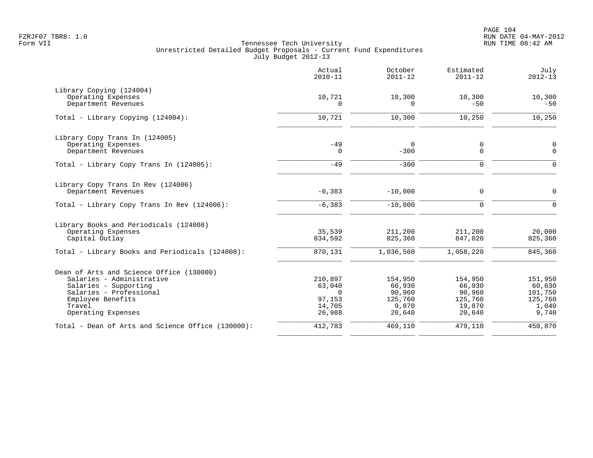|                                                           | Actual<br>$2010 - 11$ | October<br>$2011 - 12$ | Estimated<br>$2011 - 12$   | July<br>$2012 - 13$ |
|-----------------------------------------------------------|-----------------------|------------------------|----------------------------|---------------------|
| Library Copying (124004)                                  |                       |                        |                            |                     |
| Operating Expenses<br>Department Revenues                 | 10,721<br>$\Omega$    | 10,300<br>$\Omega$     | 10,300<br>$-50$            | 10,300<br>$-50$     |
| Total - Library Copying (124004):                         | 10,721                | 10,300                 | 10,250                     | 10,250              |
| Library Copy Trans In (124005)                            |                       |                        |                            |                     |
| Operating Expenses<br>Department Revenues                 | $-49$<br>$\mathbf 0$  | $\Omega$<br>$-300$     | $\mathbf 0$<br>$\mathbf 0$ | 0<br>$\mathbf 0$    |
| Total - Library Copy Trans In (124005):                   | $-49$                 | $-300$                 | 0                          | $\mathbf 0$         |
| Library Copy Trans In Rev (124006)<br>Department Revenues | $-6,383$              | $-10,000$              | $\mathbf 0$                | $\mathbf 0$         |
|                                                           |                       |                        |                            |                     |
| Total - Library Copy Trans In Rev (124006):               | $-6, 383$             | $-10,000$              | $\Omega$                   | $\Omega$            |
| Library Books and Periodicals (124008)                    |                       |                        |                            |                     |
| Operating Expenses<br>Capital Outlay                      | 35,539<br>834,592     | 211,200<br>825,360     | 211,200<br>847,020         | 20,000<br>825,360   |
| Total - Library Books and Periodicals (124008):           | 870,131               | 1,036,560              | 1,058,220                  | 845,360             |
| Dean of Arts and Science Office (130000)                  |                       |                        |                            |                     |
| Salaries - Administrative                                 | 210,897               | 154,950                | 154,950                    | 151,950             |
| Salaries - Supporting                                     | 63,040                | 66,930                 | 66,930                     | 60,630              |
| Salaries - Professional                                   | $\Omega$              | 90,960                 | 90,960                     | 101,750             |
| Employee Benefits<br>Travel                               | 97,153<br>14,705      | 125,760<br>9,870       | 125,760                    | 125,760             |
| Operating Expenses                                        | 26,988                | 20,640                 | 19,870<br>20,640           | 1,040<br>9,740      |
| Total - Dean of Arts and Science Office (130000):         | 412,783               | 469,110                | 479,110                    | 450,870             |
|                                                           |                       |                        |                            |                     |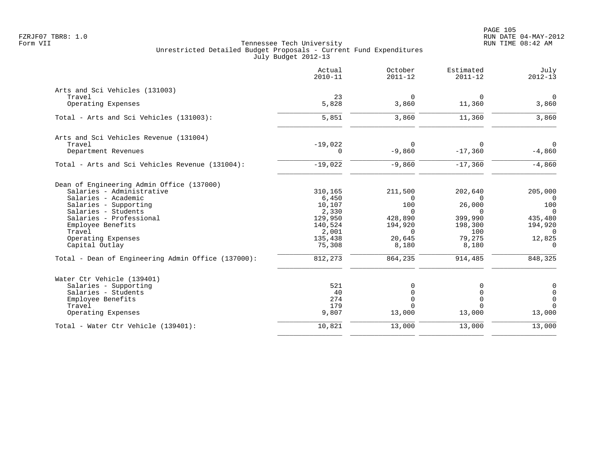|                                                    | Actual<br>$2010 - 11$ | October<br>$2011 - 12$ | Estimated<br>$2011 - 12$ | July<br>$2012 - 13$ |
|----------------------------------------------------|-----------------------|------------------------|--------------------------|---------------------|
| Arts and Sci Vehicles (131003)                     |                       |                        |                          |                     |
| Travel                                             | 23                    | $\overline{0}$         | $\mathbf 0$              | $\overline{0}$      |
| Operating Expenses                                 | 5,828                 | 3,860                  | 11,360                   | 3,860               |
| Total - Arts and Sci Vehicles (131003):            | 5,851                 | 3,860                  | 11,360                   | 3,860               |
| Arts and Sci Vehicles Revenue (131004)             |                       |                        |                          |                     |
| Travel                                             | $-19,022$             | $\Omega$               | $\Omega$                 | $\Omega$            |
| Department Revenues                                | 0                     | $-9,860$               | $-17,360$                | $-4,860$            |
| Total - Arts and Sci Vehicles Revenue (131004):    | $-19,022$             | $-9,860$               | $-17,360$                | $-4,860$            |
| Dean of Engineering Admin Office (137000)          |                       |                        |                          |                     |
| Salaries - Administrative                          | 310,165               | 211,500                | 202,640                  | 205,000             |
| Salaries - Academic                                | 6,450                 | 0                      | $\Omega$                 | $\Omega$            |
| Salaries - Supporting                              | 10,107                | 100                    | 26,000                   | 100                 |
| Salaries - Students                                | 2,330                 | $\Omega$               | $\Omega$                 | $\Omega$            |
| Salaries - Professional                            | 129,950               | 428,890                | 399,990                  | 435,480             |
| Employee Benefits                                  | 140,524               | 194,920                | 198,300                  | 194,920             |
| Travel                                             | 2,001                 | $\Omega$               | 100                      | $\overline{0}$      |
| Operating Expenses                                 | 135,438               | 20,645                 | 79,275                   | 12,825              |
| Capital Outlay                                     | 75,308                | 8,180                  | 8,180                    | $\overline{0}$      |
| Total - Dean of Engineering Admin Office (137000): | 812,273               | 864,235                | 914,485                  | 848,325             |
| Water Ctr Vehicle (139401)                         |                       |                        |                          |                     |
| Salaries - Supporting                              | 521                   | 0                      |                          | $\mathsf{O}$        |
| Salaries - Students                                | 40                    | $\Omega$               |                          | $\mathbf 0$         |
| Employee Benefits                                  | 274                   | $\Omega$               | $\Omega$                 | $\mathbf 0$         |
| Travel                                             | 179                   | $\Omega$               |                          | $\Omega$            |
| Operating Expenses                                 | 9,807                 | 13,000                 | 13,000                   | 13,000              |
| Total - Water Ctr Vehicle (139401):                | 10,821                | 13,000                 | 13,000                   | 13,000              |
|                                                    |                       |                        |                          |                     |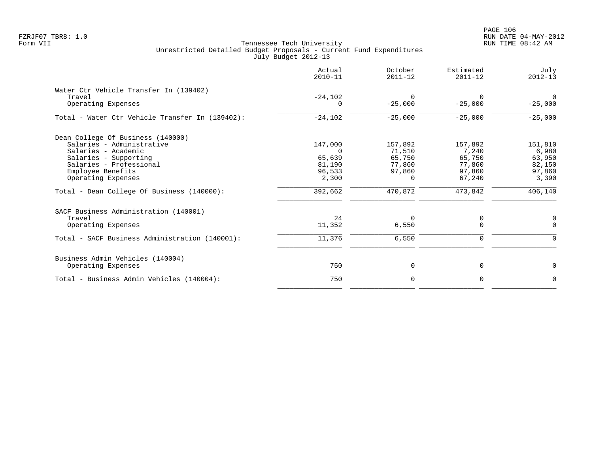|                                                                                                                                                                                                                                    | Actual<br>$2010 - 11$                                                 | October<br>$2011 - 12$                                                 | Estimated<br>$2011 - 12$                                            | July<br>$2012 - 13$                                                |
|------------------------------------------------------------------------------------------------------------------------------------------------------------------------------------------------------------------------------------|-----------------------------------------------------------------------|------------------------------------------------------------------------|---------------------------------------------------------------------|--------------------------------------------------------------------|
| Water Ctr Vehicle Transfer In (139402)<br>Travel<br>Operating Expenses                                                                                                                                                             | $-24,102$<br>$\Omega$                                                 | $\Omega$<br>$-25,000$                                                  | 0<br>$-25,000$                                                      | $\Omega$<br>$-25,000$                                              |
| Total - Water Ctr Vehicle Transfer In (139402):                                                                                                                                                                                    | $-24,102$                                                             | $-25,000$                                                              | $-25,000$                                                           | $-25,000$                                                          |
| Dean College Of Business (140000)<br>Salaries - Administrative<br>Salaries - Academic<br>Salaries - Supporting<br>Salaries - Professional<br>Employee Benefits<br>Operating Expenses<br>Total - Dean College Of Business (140000): | 147,000<br>$\Omega$<br>65,639<br>81,190<br>96,533<br>2,300<br>392,662 | 157,892<br>71,510<br>65,750<br>77,860<br>97,860<br>$\Omega$<br>470,872 | 157,892<br>7,240<br>65,750<br>77,860<br>97,860<br>67,240<br>473,842 | 151,810<br>6,980<br>63,950<br>82,150<br>97,860<br>3,390<br>406,140 |
| SACF Business Administration (140001)<br>Travel<br>Operating Expenses<br>Total - SACF Business Administration (140001):                                                                                                            | 24<br>11,352<br>11,376                                                | 0<br>6,550<br>6,550                                                    | 0<br>$\Omega$<br>0                                                  | 0<br>$\mathbf 0$<br>$\Omega$                                       |
| Business Admin Vehicles (140004)<br>Operating Expenses<br>Total - Business Admin Vehicles (140004):                                                                                                                                | 750<br>750                                                            | 0<br>0                                                                 | 0<br>0                                                              | 0<br>0                                                             |
|                                                                                                                                                                                                                                    |                                                                       |                                                                        |                                                                     |                                                                    |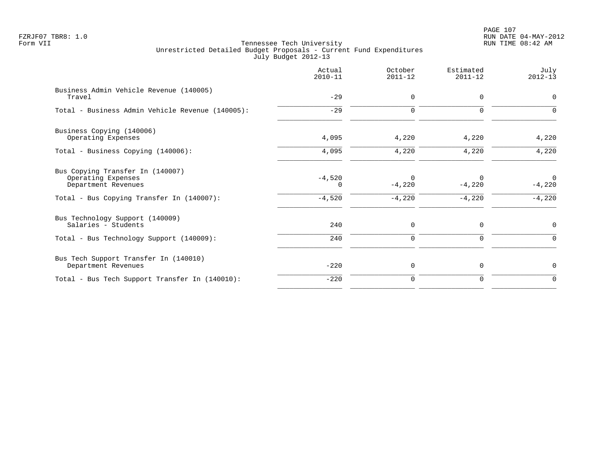PAGE 107 FZRJF07 TBR8: 1.0 RUN DATE 04-MAY-2012

|                                                                                                                            | Actual<br>$2010 - 11$     | October<br>$2011 - 12$           | Estimated<br>$2011 - 12$ | July<br>$2012 - 13$              |
|----------------------------------------------------------------------------------------------------------------------------|---------------------------|----------------------------------|--------------------------|----------------------------------|
| Business Admin Vehicle Revenue (140005)<br>Travel                                                                          | $-29$                     | $\mathbf 0$                      | 0                        | $\mathbf 0$                      |
| Total - Business Admin Vehicle Revenue (140005):                                                                           | $-29$                     | $\Omega$                         | $\Omega$                 | ∩                                |
| Business Copying (140006)<br>Operating Expenses                                                                            | 4,095                     | 4,220                            | 4,220                    | 4,220                            |
| Total - Business Copying (140006):                                                                                         | 4,095                     | 4,220                            | 4,220                    | 4,220                            |
| Bus Copying Transfer In (140007)<br>Operating Expenses<br>Department Revenues<br>Total - Bus Copying Transfer In (140007): | $-4,520$<br>0<br>$-4,520$ | $\Omega$<br>$-4,220$<br>$-4,220$ | $-4,220$<br>$-4,220$     | $\Omega$<br>$-4,220$<br>$-4,220$ |
| Bus Technology Support (140009)<br>Salaries - Students<br>Total - Bus Technology Support (140009):                         | 240<br>240                | 0<br>$\mathbf 0$                 | 0<br>0                   | 0<br>$\Omega$                    |
| Bus Tech Support Transfer In (140010)<br>Department Revenues                                                               | $-220$                    | 0                                | 0                        | 0                                |
| Total - Bus Tech Support Transfer In (140010):                                                                             | $-220$                    | $\mathbf 0$                      | 0                        | 0                                |
|                                                                                                                            |                           |                                  |                          |                                  |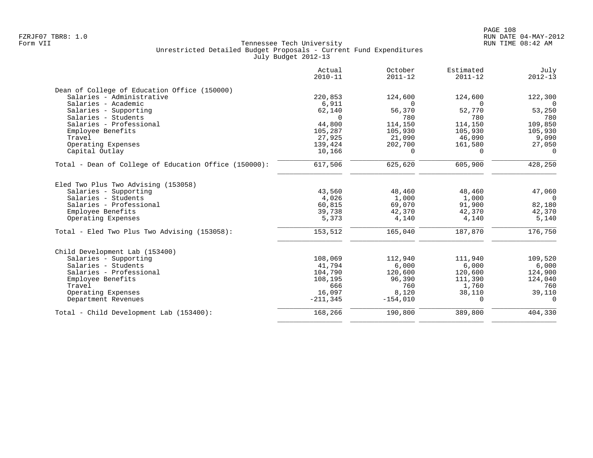|                                                       | Actual<br>$2010 - 11$ | October<br>$2011 - 12$ | Estimated<br>$2011 - 12$ | July<br>$2012 - 13$ |
|-------------------------------------------------------|-----------------------|------------------------|--------------------------|---------------------|
| Dean of College of Education Office (150000)          |                       |                        |                          |                     |
| Salaries - Administrative                             | 220,853               | 124,600                | 124,600                  | 122,300             |
| Salaries - Academic                                   | 6,911                 | $\Omega$               | $\cap$                   | $\Omega$            |
| Salaries - Supporting                                 | 62,140                | 56,370                 | 52,770                   | 53,250              |
| Salaries - Students                                   | $\Omega$              | 780                    | 780                      | 780                 |
| Salaries - Professional                               | 44,800                | 114,150                | 114,150                  | 109,850             |
| Employee Benefits                                     | 105,287               | 105,930                | 105,930                  | 105,930             |
| Travel                                                | 27,925                | 21,090                 | 46,090                   | 9,090               |
| Operating Expenses                                    | 139,424               | 202,700                | 161,580                  | 27,050              |
| Capital Outlay                                        | 10,166                | $\mathbf 0$            | $\Omega$                 | $\Omega$            |
| Total - Dean of College of Education Office (150000): | 617,506               | 625,620                | 605,900                  | 428,250             |
| Eled Two Plus Two Advising (153058)                   |                       |                        |                          |                     |
| Salaries - Supporting                                 | 43,560                | 48,460                 | 48,460                   | 47,060              |
| Salaries - Students                                   | 4,026                 | 1,000                  | 1,000                    | $\Omega$            |
| Salaries - Professional                               | 60,815                | 69,070                 | 91,900                   | 82,180              |
| Employee Benefits                                     | 39,738                | 42,370                 | 42,370                   | 42,370              |
| Operating Expenses                                    | 5,373                 | 4,140                  | 4,140                    | 5,140               |
| Total - Eled Two Plus Two Advising (153058):          | 153,512               | 165,040                | 187,870                  | 176,750             |
| Child Development Lab (153400)                        |                       |                        |                          |                     |
| Salaries - Supporting                                 | 108,069               | 112,940                | 111,940                  | 109,520             |
| Salaries - Students                                   | 41,794                | 6,000                  | 6,000                    | 6,000               |
| Salaries - Professional                               | 104,790               | 120,600                | 120,600                  | 124,900             |
| Employee Benefits                                     | 108,195               | 96,390                 | 111,390                  | 124,040             |
| Travel                                                | 666                   | 760                    | 1,760                    | 760                 |
| Operating Expenses                                    | 16,097                | 8,120                  | 38,110                   | 39,110              |
| Department Revenues                                   | $-211,345$            | $-154,010$             | $\Omega$                 | $\Omega$            |
| Total - Child Development Lab (153400):               | 168,266               | 190,800                | 389,800                  | 404,330             |
|                                                       |                       |                        |                          |                     |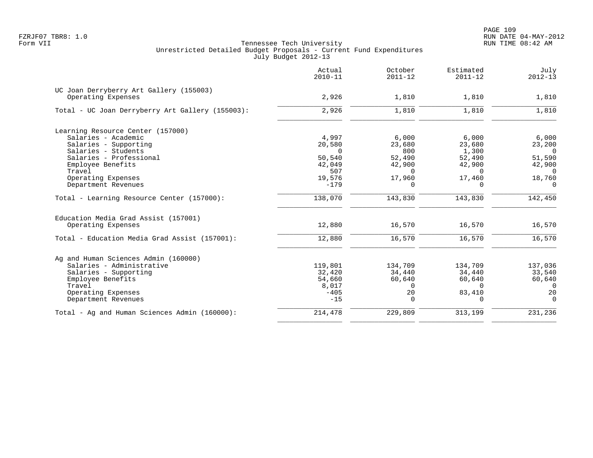|                                                  | Actual<br>$2010 - 11$ | October<br>$2011 - 12$ | Estimated<br>$2011 - 12$ | July<br>$2012 - 13$ |
|--------------------------------------------------|-----------------------|------------------------|--------------------------|---------------------|
| UC Joan Derryberry Art Gallery (155003)          |                       |                        |                          |                     |
| Operating Expenses                               | 2,926                 | 1,810                  | 1,810                    | 1,810               |
| Total - UC Joan Derryberry Art Gallery (155003): | 2,926                 | 1,810                  | 1,810                    | 1,810               |
| Learning Resource Center (157000)                |                       |                        |                          |                     |
| Salaries - Academic                              | 4,997                 | 6,000                  | 6,000                    | 6,000               |
| Salaries - Supporting                            | 20,580                | 23,680                 | 23,680                   | 23,200              |
| Salaries - Students                              | $\Omega$              | 800                    | 1,300                    | $\Omega$            |
| Salaries - Professional                          | 50,540                | 52,490                 | 52,490                   | 51,590              |
| Employee Benefits<br>Travel                      | 42,049<br>507         | 42,900<br>$\Omega$     | 42,900<br>$\Omega$       | 42,900<br>$\Omega$  |
| Operating Expenses                               | 19,576                | 17,960                 | 17,460                   | 18,760              |
| Department Revenues                              | $-179$                | $\Omega$               | $\Omega$                 | $\Omega$            |
| Total - Learning Resource Center (157000):       | 138,070               | 143,830                | 143,830                  | 142,450             |
| Education Media Grad Assist (157001)             |                       |                        |                          |                     |
| Operating Expenses                               | 12,880                | 16,570                 | 16,570                   | 16,570              |
| Total - Education Media Grad Assist (157001):    | 12,880                | 16,570                 | 16,570                   | 16,570              |
| Ag and Human Sciences Admin (160000)             |                       |                        |                          |                     |
| Salaries - Administrative                        | 119,801               | 134,709                | 134,709                  | 137,036             |
| Salaries - Supporting                            | 32,420                | 34,440                 | 34,440                   | 33,540              |
| Employee Benefits                                | 54,660                | 60,640                 | 60,640                   | 60,640              |
| Travel                                           | 8,017                 | $\Omega$               | $\Omega$                 | $\Omega$            |
| Operating Expenses                               | $-405$                | 20                     | 83,410                   | 20                  |
| Department Revenues                              | $-15$                 | $\Omega$               | $\Omega$                 | $\Omega$            |
| Total - Ag and Human Sciences Admin (160000):    | 214,478               | 229,809                | 313,199                  | 231,236             |
|                                                  |                       |                        |                          |                     |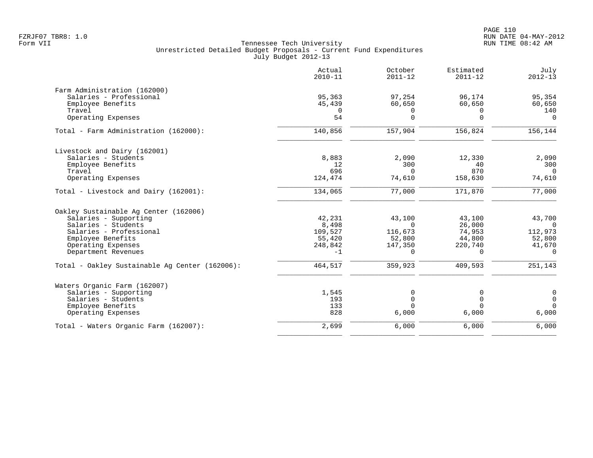|                                                | Actual<br>$2010 - 11$ | October<br>$2011 - 12$ | Estimated<br>$2011 - 12$ | July<br>$2012 - 13$ |
|------------------------------------------------|-----------------------|------------------------|--------------------------|---------------------|
| Farm Administration (162000)                   |                       |                        |                          |                     |
| Salaries - Professional                        | 95,363                | 97,254                 | 96,174                   | 95,354              |
| Employee Benefits                              | 45,439                | 60,650                 | 60,650                   | 60,650              |
| Travel                                         | $\Omega$              | 0                      | $\Omega$                 | 140                 |
| Operating Expenses                             | 54                    | $\mathbf 0$            | $\Omega$                 | $\Omega$            |
| Total - Farm Administration (162000):          | 140,856               | 157,904                | 156,824                  | 156,144             |
| Livestock and Dairy (162001)                   |                       |                        |                          |                     |
| Salaries - Students                            | 8,883                 | 2,090                  | 12,330                   | 2,090               |
| Employee Benefits                              | 12                    | 300                    | 40                       | 300                 |
| Travel                                         | 696                   | $\Omega$               | 870                      | $\Omega$            |
| Operating Expenses                             | 124,474               | 74,610                 | 158,630                  | 74,610              |
| Total - Livestock and Dairy (162001):          | 134,065               | 77,000                 | 171,870                  | 77,000              |
| Oakley Sustainable Ag Center (162006)          |                       |                        |                          |                     |
| Salaries - Supporting                          | 42,231                | 43,100                 | 43,100                   | 43,700              |
| Salaries - Students                            | 8,498                 | $\Omega$               | 26,000                   | $\Omega$            |
| Salaries - Professional                        | 109,527               | 116,673                | 74,953                   | 112,973             |
| Employee Benefits                              | 55,420                | 52,800                 | 44,800                   | 52,800              |
| Operating Expenses                             | 248,842               | 147,350                | 220,740                  | 41,670              |
| Department Revenues                            | $-1$                  | $\Omega$               | $\Omega$                 | $\Omega$            |
| Total - Oakley Sustainable Aq Center (162006): | 464,517               | 359,923                | 409,593                  | 251,143             |
| Waters Organic Farm (162007)                   |                       |                        |                          |                     |
| Salaries - Supporting                          | 1,545                 | $\Omega$               | 0                        | $\mathsf{O}$        |
| Salaries - Students                            | 193                   | $\Omega$               | $\mathbf 0$              | $\mathbf 0$         |
| Employee Benefits                              | 133                   |                        | $\Omega$                 | $\Omega$            |
| Operating Expenses                             | 828                   | 6,000                  | 6,000                    | 6,000               |
| Total - Waters Organic Farm (162007):          | 2,699                 | 6,000                  | 6,000                    | 6,000               |
|                                                |                       |                        |                          |                     |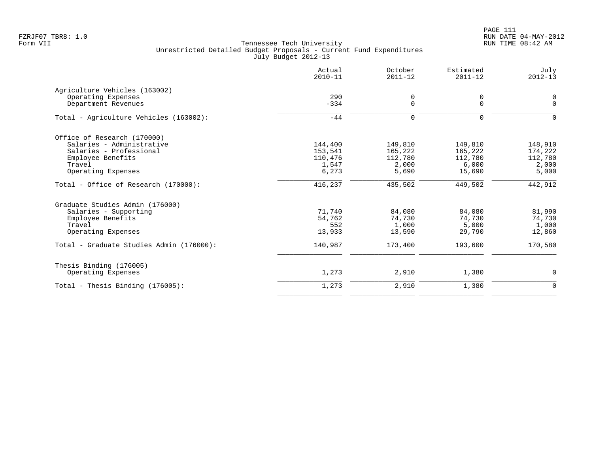PAGE 111 FZRJF07 TBR8: 1.0 RUN DATE 04-MAY-2012

|                                          | Actual<br>$2010 - 11$ | October<br>$2011 - 12$ | Estimated<br>$2011 - 12$ | July<br>$2012 - 13$ |
|------------------------------------------|-----------------------|------------------------|--------------------------|---------------------|
| Agriculture Vehicles (163002)            |                       |                        |                          |                     |
| Operating Expenses                       | 290                   | 0                      | 0                        | $\mathbf 0$         |
| Department Revenues                      | $-334$                | $\mathbf 0$            | 0                        | $\Omega$            |
| Total - Agriculture Vehicles (163002):   | $-44$                 | $\Omega$               | $\Omega$                 | $\Omega$            |
| Office of Research (170000)              |                       |                        |                          |                     |
| Salaries - Administrative                | 144,400               | 149,810                | 149,810                  | 148,910             |
| Salaries - Professional                  | 153,541               | 165,222                | 165,222                  | 174,222             |
| Employee Benefits                        | 110,476               | 112,780                | 112,780                  | 112,780             |
| Travel                                   | 1,547                 | 2,000                  | 6,000                    | 2,000               |
| Operating Expenses                       | 6,273                 | 5,690                  | 15,690                   | 5,000               |
| Total - Office of Research (170000):     | 416,237               | 435,502                | 449,502                  | 442,912             |
| Graduate Studies Admin (176000)          |                       |                        |                          |                     |
| Salaries - Supporting                    | 71,740                | 84,080                 | 84,080                   | 81,990              |
| Employee Benefits                        | 54,762                | 74,730                 | 74,730                   | 74,730              |
| Travel                                   | 552                   | 1,000                  | 5,000                    | 1,000               |
| Operating Expenses                       | 13,933                | 13,590                 | 29,790                   | 12,860              |
| Total - Graduate Studies Admin (176000): | 140,987               | 173,400                | 193,600                  | 170,580             |
| Thesis Binding (176005)                  |                       |                        |                          |                     |
| Operating Expenses                       | 1,273                 | 2,910                  | 1,380                    | $\mathbf 0$         |
| Total - Thesis Binding $(176005)$ :      | 1,273                 | 2,910                  | 1,380                    | $\overline{0}$      |
|                                          |                       |                        |                          |                     |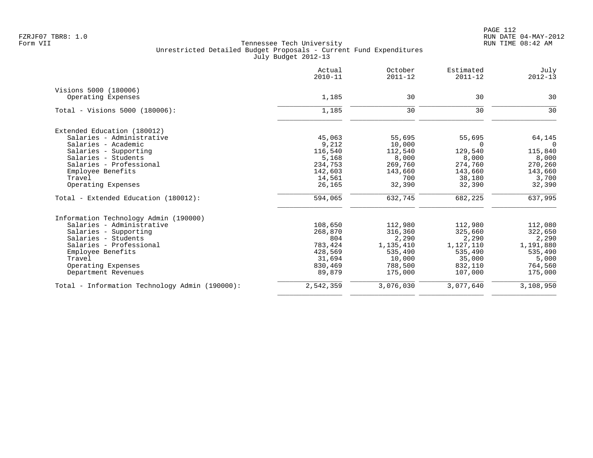|                                                | Actual<br>$2010 - 11$ | October<br>$2011 - 12$ | Estimated<br>$2011 - 12$ | July<br>$2012 - 13$ |
|------------------------------------------------|-----------------------|------------------------|--------------------------|---------------------|
| Visions 5000 (180006)                          |                       |                        |                          |                     |
| Operating Expenses                             | 1,185                 | 30                     | 30                       | 30                  |
| Total - Visions 5000 (180006):                 | 1,185                 | 30                     | 30                       | 30                  |
| Extended Education (180012)                    |                       |                        |                          |                     |
| Salaries - Administrative                      | 45,063                | 55,695                 | 55,695                   | 64,145              |
| Salaries - Academic                            | 9,212                 | 10,000                 | $\Omega$                 | 0                   |
| Salaries - Supporting                          | 116,540               | 112,540                | 129,540                  | 115,840             |
| Salaries - Students                            | 5,168                 | 8,000                  | 8,000                    | 8,000               |
| Salaries - Professional                        | 234,753               | 269,760                | 274,760                  | 270,260             |
| Employee Benefits                              | 142,603               | 143,660                | 143,660                  | 143,660             |
| Travel                                         | 14,561                | 700                    | 38,180                   | 3,700               |
| Operating Expenses                             | 26,165                | 32,390                 | 32,390                   | 32,390              |
| Total - Extended Education (180012):           | 594,065               | 632,745                | 682,225                  | 637,995             |
| Information Technology Admin (190000)          |                       |                        |                          |                     |
| Salaries - Administrative                      | 108,650               | 112,980                | 112,980                  | 112,080             |
| Salaries - Supporting                          | 268,870               | 316,360                | 325,660                  | 322,650             |
| Salaries - Students                            | 804                   | 2,290                  | 2,290                    | 2,290               |
| Salaries - Professional                        | 783,424               | 1,135,410              | 1,127,110                | 1,191,880           |
| Employee Benefits                              | 428,569               | 535,490                | 535,490                  | 535,490             |
| Travel                                         | 31,694                | 10,000                 | 35,000                   | 5,000               |
| Operating Expenses                             | 830,469               | 788,500                | 832,110                  | 764,560             |
| Department Revenues                            | 89,879                | 175,000                | 107,000                  | 175,000             |
| Total - Information Technology Admin (190000): | 2,542,359             | 3,076,030              | 3,077,640                | 3,108,950           |
|                                                |                       |                        |                          |                     |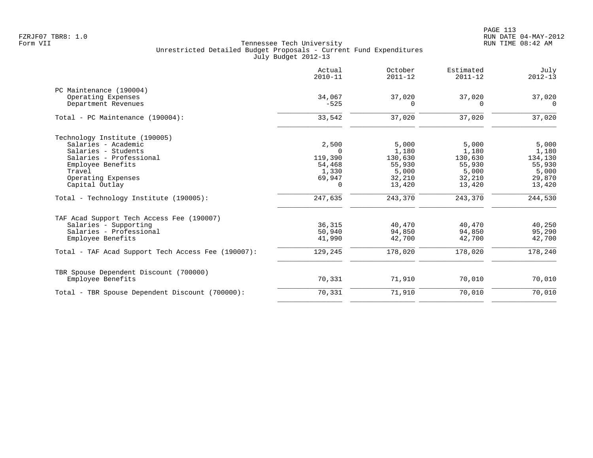PAGE 113 FZRJF07 TBR8: 1.0 RUN DATE 04-MAY-2012

|                                                    | Actual<br>$2010 - 11$ | October<br>$2011 - 12$ | Estimated<br>$2011 - 12$ | July<br>$2012 - 13$ |
|----------------------------------------------------|-----------------------|------------------------|--------------------------|---------------------|
| PC Maintenance (190004)                            |                       |                        |                          |                     |
| Operating Expenses                                 | 34,067                | 37,020                 | 37,020                   | 37,020              |
| Department Revenues                                | $-525$                | $\Omega$               | $\Omega$                 | $\Omega$            |
| Total - PC Maintenance (190004):                   | 33,542                | 37,020                 | 37,020                   | 37,020              |
| Technology Institute (190005)                      |                       |                        |                          |                     |
| Salaries - Academic                                | 2,500                 | 5,000                  | 5,000                    | 5,000               |
| Salaries - Students                                |                       | 1,180                  | 1,180                    | 1,180               |
| Salaries - Professional                            | 119,390               | 130,630                | 130,630                  | 134,130             |
| Employee Benefits                                  | 54,468                | 55,930                 | 55,930                   | 55,930              |
| Travel                                             | 1,330                 | 5,000                  | 5,000                    | 5,000               |
| Operating Expenses                                 | 69,947                | 32,210                 | 32,210                   | 29,870              |
| Capital Outlay                                     | 0                     | 13,420                 | 13,420                   | 13,420              |
| Total - Technology Institute (190005):             | 247,635               | 243,370                | 243,370                  | 244,530             |
| TAF Acad Support Tech Access Fee (190007)          |                       |                        |                          |                     |
| Salaries - Supporting                              | 36,315                | 40,470                 | 40,470                   | 40,250              |
| Salaries - Professional                            | 50,940                | 94,850                 | 94,850                   | 95,290              |
| Employee Benefits                                  | 41,990                | 42,700                 | 42,700                   | 42,700              |
| Total - TAF Acad Support Tech Access Fee (190007): | 129,245               | 178,020                | 178,020                  | 178,240             |
| TBR Spouse Dependent Discount (700000)             |                       |                        |                          |                     |
| Employee Benefits                                  | 70,331                | 71,910                 | 70,010                   | 70,010              |
| Total - TBR Spouse Dependent Discount (700000):    | 70,331                | 71,910                 | 70,010                   | 70,010              |
|                                                    |                       |                        |                          |                     |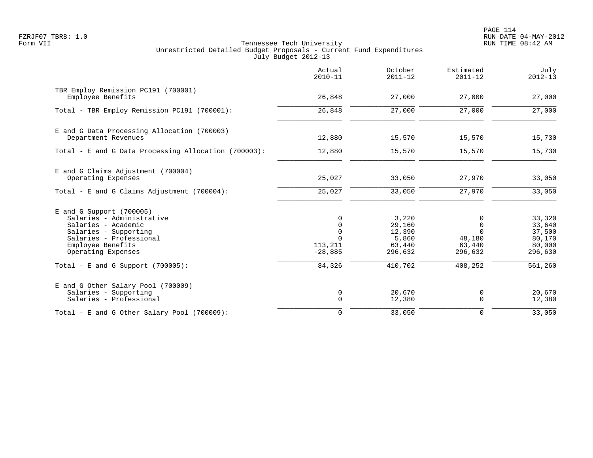PAGE 114 FZRJF07 TBR8: 1.0 RUN DATE 04-MAY-2012

|                                                                                                                                                                               | Actual<br>$2010 - 11$                                         | October<br>$2011 - 12$                                  | Estimated<br>$2011 - 12$                     | July<br>$2012 - 13$                                       |
|-------------------------------------------------------------------------------------------------------------------------------------------------------------------------------|---------------------------------------------------------------|---------------------------------------------------------|----------------------------------------------|-----------------------------------------------------------|
| TBR Employ Remission PC191 (700001)<br>Employee Benefits                                                                                                                      | 26,848                                                        | 27,000                                                  | 27,000                                       | 27,000                                                    |
| Total - TBR Employ Remission PC191 (700001):                                                                                                                                  | 26,848                                                        | 27,000                                                  | 27,000                                       | 27,000                                                    |
| E and G Data Processing Allocation (700003)<br>Department Revenues                                                                                                            | 12,880                                                        | 15,570                                                  | 15,570                                       | 15,730                                                    |
| Total - E and G Data Processing Allocation (700003):                                                                                                                          | 12,880                                                        | 15,570                                                  | 15,570                                       | 15,730                                                    |
| E and G Claims Adjustment (700004)<br>Operating Expenses                                                                                                                      | 25,027                                                        | 33,050                                                  | 27,970                                       | 33,050                                                    |
| Total - E and G Claims Adjustment (700004):                                                                                                                                   | 25,027                                                        | 33,050                                                  | 27,970                                       | 33,050                                                    |
| $E$ and G Support (700005)<br>Salaries - Administrative<br>Salaries - Academic<br>Salaries - Supporting<br>Salaries - Professional<br>Employee Benefits<br>Operating Expenses | 0<br>$\Omega$<br>$\Omega$<br>$\Omega$<br>113,211<br>$-28,885$ | 3,220<br>29,160<br>12,390<br>5,860<br>63,440<br>296,632 | 0<br>$\Omega$<br>48,180<br>63,440<br>296,632 | 33,320<br>33,640<br>37,500<br>80,170<br>80,000<br>296,630 |
| Total - E and G Support $(700005)$ :                                                                                                                                          | 84,326                                                        | 410,702                                                 | 408,252                                      | 561,260                                                   |
| E and G Other Salary Pool (700009)<br>Salaries - Supporting<br>Salaries - Professional                                                                                        | 0<br>$\mathbf 0$                                              | 20,670<br>12,380                                        | 0<br>$\mathbf 0$                             | 20,670<br>12,380                                          |
| Total - E and G Other Salary Pool (700009):                                                                                                                                   | $\mathbf 0$                                                   | 33,050                                                  | $\Omega$                                     | 33,050                                                    |
|                                                                                                                                                                               |                                                               |                                                         |                                              |                                                           |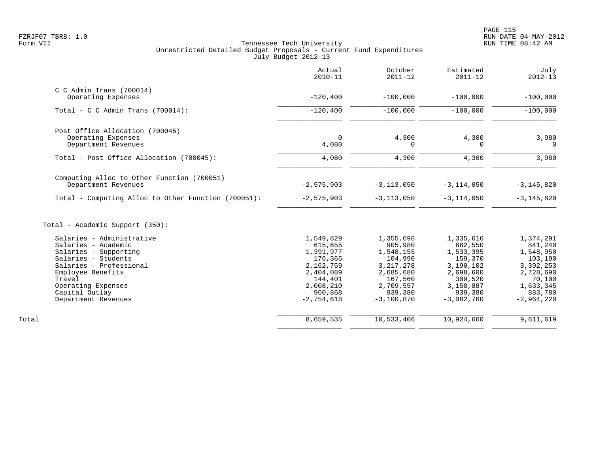|                                                                   | Actual<br>$2010 - 11$ | October<br>$2011 - 12$ | Estimated<br>$2011 - 12$ | July<br>$2012 - 13$ |
|-------------------------------------------------------------------|-----------------------|------------------------|--------------------------|---------------------|
| $C$ C Admin Trans (700014)                                        |                       |                        |                          |                     |
| Operating Expenses                                                | $-120, 400$           | $-100,000$             | $-100,000$               | $-100,000$          |
| Total - C C Admin Trans $(700014)$ :                              | $-120, 400$           | $-100,000$             | $-100,000$               | $-100,000$          |
| Post Office Allocation (700045)                                   |                       |                        |                          |                     |
| Operating Expenses<br>Department Revenues                         | $\mathbf 0$<br>4,080  | 4,300<br>0             | 4,300<br>0               | 3,980<br>$\Omega$   |
| Total - Post Office Allocation (700045):                          | 4,080                 | 4,300                  | 4,300                    | 3,980               |
| Computing Alloc to Other Function (700051)<br>Department Revenues | $-2,575,903$          | $-3, 113, 050$         | $-3, 114, 050$           | $-3, 145, 820$      |
| Total - Computing Alloc to Other Function (700051):               | $-2, 575, 903$        | $-3, 113, 050$         | $-3, 114, 050$           | $-3, 145, 820$      |
| Total - Academic Support (350):                                   |                       |                        |                          |                     |
| Salaries - Administrative                                         | 1,549,829             | 1,355,696              | 1,335,616                | 1,374,291           |
| Salaries - Academic                                               | 615,655               | 905,980                | 682,550                  | 841,240             |
| Salaries - Supporting                                             | 1,391,977             | 1,548,155              | 1,533,395                | 1,548,950           |
| Salaries - Students                                               | 176,365               | 104,990                | 159,370                  | 103,190             |
| Salaries - Professional                                           | 2,162,759             | 3, 217, 278            | 3,190,102                | 3,392,253           |
| Employee Benefits<br>Travel                                       | 2,404,089<br>144,401  | 2,685,680<br>167,560   | 2,698,600<br>309,520     | 2,728,690<br>70,100 |
| Operating Expenses                                                | 2,008,210             | 2,709,557              | 3,158,887                | 1,633,345           |
| Capital Outlay                                                    | 960,868               | 939,380                | 939,380                  | 883,780             |
| Department Revenues                                               | $-2,754,618$          | $-3,100,870$           | $-3.082.760$             | $-2,964,220$        |
| Total                                                             | 8,659,535             | 10,533,406             | 10,924,660               | 9,611,619           |
|                                                                   |                       |                        |                          |                     |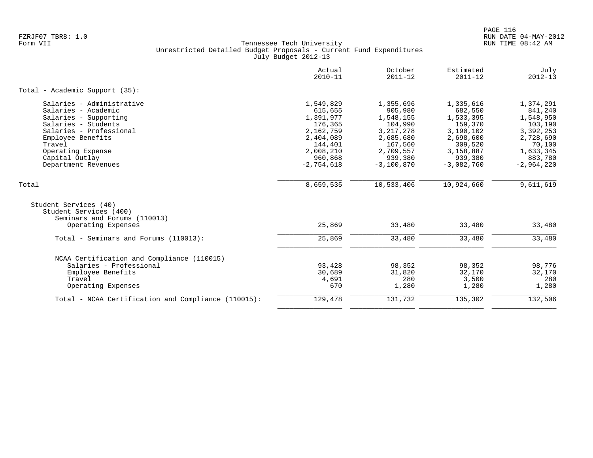|                                                                                                                                                                                                                          | Actual<br>$2010 - 11$                                                                                                     | October<br>$2011 - 12$                                                                                                      | Estimated<br>$2011 - 12$                                                                                                  | July<br>$2012 - 13$                                                                                                      |
|--------------------------------------------------------------------------------------------------------------------------------------------------------------------------------------------------------------------------|---------------------------------------------------------------------------------------------------------------------------|-----------------------------------------------------------------------------------------------------------------------------|---------------------------------------------------------------------------------------------------------------------------|--------------------------------------------------------------------------------------------------------------------------|
| Total - Academic Support (35):                                                                                                                                                                                           |                                                                                                                           |                                                                                                                             |                                                                                                                           |                                                                                                                          |
| Salaries - Administrative<br>Salaries - Academic<br>Salaries - Supporting<br>Salaries - Students<br>Salaries - Professional<br>Employee Benefits<br>Travel<br>Operating Expense<br>Capital Outlay<br>Department Revenues | 1,549,829<br>615,655<br>1,391,977<br>176,365<br>2,162,759<br>2,404,089<br>144,401<br>2,008,210<br>960,868<br>$-2,754,618$ | 1,355,696<br>905,980<br>1,548,155<br>104,990<br>3, 217, 278<br>2,685,680<br>167,560<br>2,709,557<br>939,380<br>$-3,100,870$ | 1,335,616<br>682,550<br>1,533,395<br>159,370<br>3,190,102<br>2,698,600<br>309,520<br>3,158,887<br>939,380<br>$-3,082,760$ | 1,374,291<br>841,240<br>1,548,950<br>103,190<br>3,392,253<br>2,728,690<br>70,100<br>1,633,345<br>883,780<br>$-2,964,220$ |
| Total                                                                                                                                                                                                                    | 8,659,535                                                                                                                 | 10,533,406                                                                                                                  | 10,924,660                                                                                                                | 9,611,619                                                                                                                |
| Student Services (40)<br>Student Services (400)<br>Seminars and Forums (110013)<br>Operating Expenses                                                                                                                    | 25,869                                                                                                                    | 33,480                                                                                                                      | 33,480                                                                                                                    | 33,480                                                                                                                   |
| Total - Seminars and Forums (110013):                                                                                                                                                                                    | 25,869                                                                                                                    | 33,480                                                                                                                      | 33,480                                                                                                                    | 33,480                                                                                                                   |
| NCAA Certification and Compliance (110015)<br>Salaries - Professional<br>Employee Benefits<br>Travel<br>Operating Expenses                                                                                               | 93,428<br>30,689<br>4,691<br>670                                                                                          | 98,352<br>31,820<br>280<br>1,280                                                                                            | 98,352<br>32,170<br>3,500<br>1,280                                                                                        | 98,776<br>32,170<br>280<br>1,280                                                                                         |
| Total - NCAA Certification and Compliance (110015):                                                                                                                                                                      | 129,478                                                                                                                   | 131,732                                                                                                                     | 135,302                                                                                                                   | 132,506                                                                                                                  |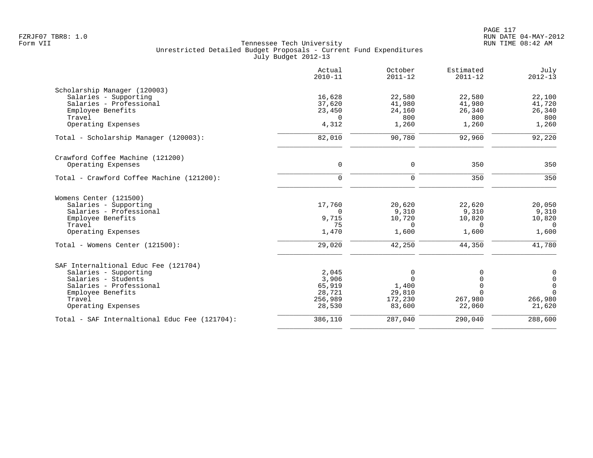|                                               | Actual<br>$2010 - 11$ | October<br>$2011 - 12$ | Estimated<br>$2011 - 12$ | July<br>$2012 - 13$ |
|-----------------------------------------------|-----------------------|------------------------|--------------------------|---------------------|
| Scholarship Manager (120003)                  |                       |                        |                          |                     |
| Salaries - Supporting                         | 16,628                | 22,580                 | 22,580                   | 22,100              |
| Salaries - Professional                       | 37,620                | 41,980                 | 41,980                   | 41,720              |
| Employee Benefits                             | 23,450                | 24,160                 | 26,340                   | 26,340              |
| Travel                                        | $\Omega$              | 800                    | 800                      | 800                 |
| Operating Expenses                            | 4,312                 | 1,260                  | 1,260                    | 1,260               |
| Total - Scholarship Manager (120003):         | 82,010                | 90,780                 | 92,960                   | 92,220              |
| Crawford Coffee Machine (121200)              |                       |                        |                          |                     |
| Operating Expenses                            | $\mathbf 0$           | 0                      | 350                      | 350                 |
| Total - Crawford Coffee Machine (121200):     | $\mathbf 0$           | $\mathbf 0$            | 350                      | 350                 |
| Womens Center (121500)                        |                       |                        |                          |                     |
| Salaries - Supporting                         | 17,760                | 20,620                 | 22,620                   | 20,050              |
| Salaries - Professional                       | $\Omega$              | 9,310                  | 9,310                    | 9,310               |
| Employee Benefits                             | 9,715                 | 10,720                 | 10,820                   | 10,820              |
| Travel                                        | 75                    | $\Omega$               | $\Omega$                 | $\Omega$            |
| Operating Expenses                            | 1,470                 | 1,600                  | 1,600                    | 1,600               |
| Total - Womens Center (121500):               | 29,020                | 42,250                 | 44,350                   | 41,780              |
| SAF Internaltional Educ Fee (121704)          |                       |                        |                          |                     |
| Salaries - Supporting                         | 2,045                 | 0                      | 0                        | 0                   |
| Salaries - Students                           | 3,906                 | $\Omega$               | $\Omega$                 | $\mathsf{O}$        |
| Salaries - Professional                       | 65,919                | 1,400                  | $\Omega$                 | $\mathsf{O}\xspace$ |
| Employee Benefits                             | 28,721                | 29,810                 | $\Omega$                 | $\Omega$            |
| Travel                                        | 256,989               | 172,230                | 267,980                  | 266,980             |
| Operating Expenses                            | 28,530                | 83,600                 | 22,060                   | 21,620              |
| Total - SAF Internaltional Educ Fee (121704): | 386,110               | 287,040                | 290,040                  | 288,600             |
|                                               |                       |                        |                          |                     |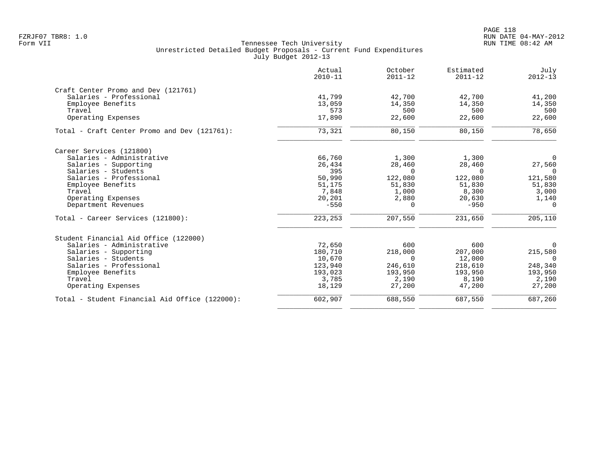|                                                | Actual<br>$2010 - 11$ | October<br>$2011 - 12$ | Estimated<br>$2011 - 12$ | July<br>$2012 - 13$ |
|------------------------------------------------|-----------------------|------------------------|--------------------------|---------------------|
| Craft Center Promo and Dev (121761)            |                       |                        |                          |                     |
| Salaries - Professional                        | 41,799                | 42,700                 | 42,700                   | 41,200              |
| Employee Benefits                              | 13,059                | 14,350                 | 14,350                   | 14,350              |
| Travel                                         | 573                   | 500                    | 500                      | 500                 |
| Operating Expenses                             | 17,890                | 22,600                 | 22,600                   | 22,600              |
| Total - Craft Center Promo and Dev (121761):   | 73,321                | 80,150                 | 80,150                   | 78,650              |
| Career Services (121800)                       |                       |                        |                          |                     |
| Salaries - Administrative                      | 66,760                | 1,300                  | 1,300                    | $\overline{0}$      |
| Salaries - Supporting                          | 26,434                | 28,460                 | 28,460                   | 27,560              |
| Salaries - Students                            | 395                   | $\Omega$               | $\Omega$                 | $\Omega$            |
| Salaries - Professional                        | 50,990                | 122,080                | 122,080                  | 121,580             |
| Employee Benefits                              | 51,175                | 51,830                 | 51,830                   | 51,830              |
| Travel                                         | 7,848                 | 1,000                  | 8,300                    | 3,000               |
| Operating Expenses                             | 20,201                | 2,880                  | 20,630                   | 1,140               |
| Department Revenues                            | $-550$                | $\Omega$               | $-950$                   | $\Omega$            |
| Total - Career Services (121800):              | 223, 253              | 207,550                | 231,650                  | 205,110             |
| Student Financial Aid Office (122000)          |                       |                        |                          |                     |
| Salaries - Administrative                      | 72,650                | 600                    | 600                      | $\mathbf 0$         |
| Salaries - Supporting                          | 180,710               | 218,000                | 207,000                  | 215,580             |
| Salaries - Students                            | 10,670                | $\Omega$               | 12,000                   | $\Omega$            |
| Salaries - Professional                        | 123,940               | 246,610                | 218,610                  | 248,340             |
| Employee Benefits                              | 193,023               | 193,950                | 193,950                  | 193,950             |
| Travel                                         | 3,785                 | 2,190                  | 8,190                    | 2,190               |
| Operating Expenses                             | 18,129                | 27,200                 | 47,200                   | 27,200              |
| Total - Student Financial Aid Office (122000): | 602,907               | 688,550                | 687,550                  | 687,260             |
|                                                |                       |                        |                          |                     |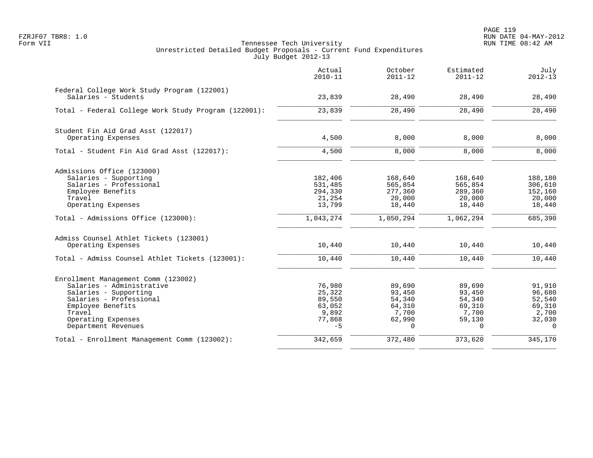|                                                                                                                                                                                                  | Actual<br>$2010 - 11$                                           | October<br>$2011 - 12$                                              | Estimated<br>$2011 - 12$                                            | July<br>$2012 - 13$                                                 |
|--------------------------------------------------------------------------------------------------------------------------------------------------------------------------------------------------|-----------------------------------------------------------------|---------------------------------------------------------------------|---------------------------------------------------------------------|---------------------------------------------------------------------|
| Federal College Work Study Program (122001)<br>Salaries - Students                                                                                                                               | 23,839                                                          | 28,490                                                              | 28,490                                                              | 28,490                                                              |
| Total - Federal College Work Study Program (122001):                                                                                                                                             | 23,839                                                          | 28,490                                                              | 28,490                                                              | 28,490                                                              |
| Student Fin Aid Grad Asst (122017)<br>Operating Expenses                                                                                                                                         | 4,500                                                           | 8,000                                                               | 8,000                                                               | 8,000                                                               |
| Total - Student Fin Aid Grad Asst (122017):                                                                                                                                                      | 4,500                                                           | 8,000                                                               | 8,000                                                               | 8,000                                                               |
| Admissions Office (123000)<br>Salaries - Supporting<br>Salaries - Professional<br>Employee Benefits<br>Travel<br>Operating Expenses                                                              | 182,406<br>531,485<br>294,330<br>21,254<br>13,799               | 168,640<br>565,854<br>277,360<br>20,000<br>18,440                   | 168,640<br>565,854<br>289,360<br>20,000<br>18,440                   | 188,180<br>306,610<br>152,160<br>20,000<br>18,440                   |
| Total - Admissions Office (123000):                                                                                                                                                              | 1,043,274                                                       | 1,050,294                                                           | 1,062,294                                                           | 685,390                                                             |
| Admiss Counsel Athlet Tickets (123001)<br>Operating Expenses<br>Total - Admiss Counsel Athlet Tickets (123001):                                                                                  | 10,440<br>10,440                                                | 10,440<br>10,440                                                    | 10,440<br>10,440                                                    | 10,440<br>10,440                                                    |
| Enrollment Management Comm (123002)<br>Salaries - Administrative<br>Salaries - Supporting<br>Salaries - Professional<br>Employee Benefits<br>Travel<br>Operating Expenses<br>Department Revenues | 76,980<br>25,322<br>89,550<br>63,052<br>9,892<br>77,868<br>$-5$ | 89,690<br>93,450<br>54,340<br>64,310<br>7,700<br>62,990<br>$\Omega$ | 89,690<br>93,450<br>54,340<br>69,310<br>7,700<br>59,130<br>$\Omega$ | 91,910<br>96,680<br>52,540<br>69,310<br>2,700<br>32,030<br>$\Omega$ |
| Total - Enrollment Management Comm (123002):                                                                                                                                                     | 342,659                                                         | 372,480                                                             | 373,620                                                             | 345,170                                                             |
|                                                                                                                                                                                                  |                                                                 |                                                                     |                                                                     |                                                                     |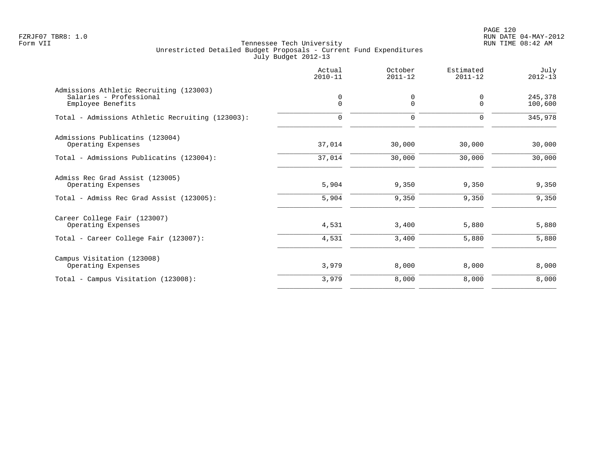PAGE 120 FZRJF07 TBR8: 1.0 RUN DATE 04-MAY-2012

|                                                                                         | Actual<br>$2010 - 11$   | October<br>$2011 - 12$ | Estimated<br>$2011 - 12$ | July<br>$2012 - 13$ |
|-----------------------------------------------------------------------------------------|-------------------------|------------------------|--------------------------|---------------------|
| Admissions Athletic Recruiting (123003)<br>Salaries - Professional<br>Employee Benefits | $\mathbf 0$<br>$\Omega$ | 0<br>$\Omega$          | 0<br>$\Omega$            | 245,378<br>100,600  |
| Total - Admissions Athletic Recruiting (123003):                                        | $\mathbf 0$             | 0                      | 0                        | 345,978             |
| Admissions Publicatins (123004)<br>Operating Expenses                                   | 37,014                  | 30,000                 | 30,000                   | 30,000              |
| Total - Admissions Publicatins (123004):                                                | 37,014                  | 30,000                 | 30,000                   | 30,000              |
| Admiss Rec Grad Assist (123005)<br>Operating Expenses                                   | 5,904                   | 9,350                  | 9,350                    | 9,350               |
| Total - Admiss Rec Grad Assist (123005):                                                | 5,904                   | 9,350                  | 9,350                    | 9,350               |
| Career College Fair (123007)<br>Operating Expenses                                      | 4,531                   | 3,400                  | 5,880                    | 5,880               |
| Total - Career College Fair (123007):                                                   | 4,531                   | 3,400                  | 5,880                    | 5,880               |
| Campus Visitation (123008)<br>Operating Expenses                                        | 3,979                   | 8,000                  | 8,000                    | 8,000               |
| Total - Campus Visitation (123008):                                                     | 3,979                   | 8,000                  | 8,000                    | 8,000               |
|                                                                                         |                         |                        |                          |                     |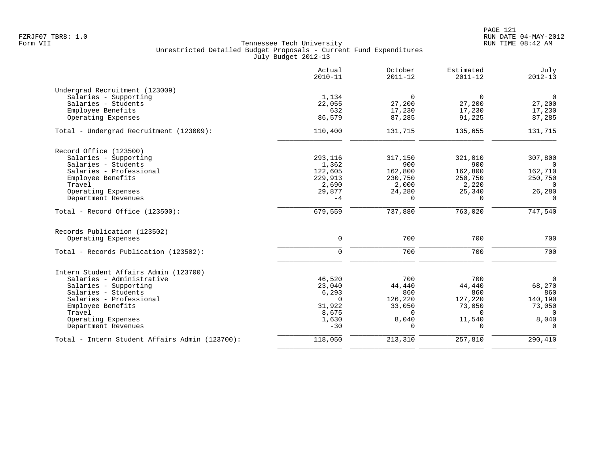|                                                | Actual<br>$2010 - 11$ | October<br>$2011 - 12$ | Estimated<br>$2011 - 12$ | July<br>$2012 - 13$ |
|------------------------------------------------|-----------------------|------------------------|--------------------------|---------------------|
| Undergrad Recruitment (123009)                 |                       |                        |                          |                     |
| Salaries - Supporting                          | 1,134                 | $\Omega$               | $\Omega$                 | $\mathbf 0$         |
| Salaries - Students                            | 22,055                | 27,200                 | 27,200                   | 27,200              |
| Employee Benefits                              | 632                   | 17,230                 | 17,230                   | 17,230              |
| Operating Expenses                             | 86,579                | 87,285                 | 91,225                   | 87,285              |
| Total - Undergrad Recruitment (123009):        | 110,400               | 131,715                | 135,655                  | 131,715             |
| Record Office (123500)                         |                       |                        |                          |                     |
| Salaries - Supporting                          | 293,116               | 317,150                | 321,010                  | 307,800             |
| Salaries - Students                            | 1,362                 | 900                    | 900                      | $\overline{0}$      |
| Salaries - Professional                        | 122,605               | 162,800                | 162,800                  | 162,710             |
| Employee Benefits                              | 229,913               | 230,750                | 250,750                  | 250,750             |
| Travel                                         | 2,690                 | 2,000                  | 2,220                    | $\Omega$            |
| Operating Expenses                             | 29,877                | 24,280                 | 25,340                   | 26,280              |
| Department Revenues                            | $-4$                  | $\Omega$               | $\Omega$                 | $\Omega$            |
| Total - Record Office (123500):                | 679,559               | 737,880                | 763,020                  | 747,540             |
| Records Publication (123502)                   |                       |                        |                          |                     |
| Operating Expenses                             | $\mathbf 0$           | 700                    | 700                      | 700                 |
| Total - Records Publication (123502):          | $\Omega$              | 700                    | 700                      | 700                 |
| Intern Student Affairs Admin (123700)          |                       |                        |                          |                     |
| Salaries - Administrative                      | 46,520                | 700                    | 700                      | $\mathbf 0$         |
| Salaries - Supporting                          | 23,040                | 44,440                 | 44,440                   | 68,270              |
| Salaries - Students                            | 6,293                 | 860                    | 860                      | 860                 |
| Salaries - Professional                        | $\mathbf 0$           | 126,220                | 127,220                  | 140,190             |
| Employee Benefits                              | 31,922                | 33,050                 | 73,050                   | 73,050              |
| Travel                                         | 8,675                 | $\Omega$               | $\Omega$                 | $\Omega$            |
| Operating Expenses<br>Department Revenues      | 1,630<br>$-30$        | 8,040<br>$\Omega$      | 11,540<br>$\Omega$       | 8,040<br>$\Omega$   |
| Total - Intern Student Affairs Admin (123700): | 118,050               | 213,310                | 257,810                  | 290,410             |
|                                                |                       |                        |                          |                     |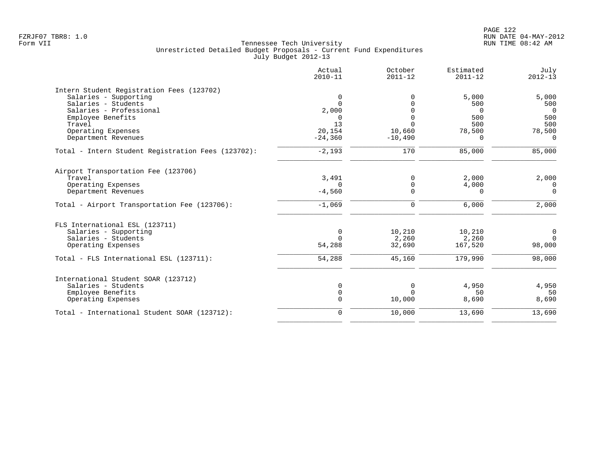|                                                    | Actual<br>$2010 - 11$ | October<br>$2011 - 12$ | Estimated<br>$2011 - 12$ | July<br>$2012 - 13$ |
|----------------------------------------------------|-----------------------|------------------------|--------------------------|---------------------|
| Intern Student Registration Fees (123702)          |                       |                        |                          |                     |
| Salaries - Supporting                              | $\mathbf 0$           | $\Omega$               | 5,000                    | 5,000               |
| Salaries - Students                                | $\Omega$              | $\Omega$               | 500                      | 500                 |
| Salaries - Professional                            | 2,000                 | $\Omega$               | $\Omega$                 | $\Omega$            |
| Employee Benefits                                  | $\Omega$              | $\Omega$               | 500                      | 500                 |
| Travel                                             | 13                    | $\Omega$               | 500                      | 500                 |
| Operating Expenses                                 | 20,154                | 10,660                 | 78,500                   | 78,500              |
| Department Revenues                                | $-24,360$             | $-10,490$              | $\Omega$                 | $\Omega$            |
| Total - Intern Student Registration Fees (123702): | $-2,193$              | 170                    | 85,000                   | 85,000              |
| Airport Transportation Fee (123706)                |                       |                        |                          |                     |
| Travel                                             | 3,491                 | $\Omega$               | 2,000                    | 2,000               |
| Operating Expenses                                 | $\Omega$              | 0                      | 4,000                    | $\Omega$            |
| Department Revenues                                | $-4,560$              | $\Omega$               | $\Omega$                 | $\Omega$            |
|                                                    |                       |                        |                          |                     |
| Total - Airport Transportation Fee (123706):       | $-1,069$              | $\mathbf 0$            | 6,000                    | 2,000               |
| FLS International ESL (123711)                     |                       |                        |                          |                     |
| Salaries - Supporting                              | $\mathbf 0$           | 10,210                 | 10,210                   | 0                   |
| Salaries - Students                                | $\Omega$              | 2,260                  | 2,260                    | $\Omega$            |
| Operating Expenses                                 | 54,288                | 32,690                 | 167,520                  | 98,000              |
| Total - FLS International ESL (123711):            | 54,288                | 45,160                 | 179,990                  | 98,000              |
| International Student SOAR (123712)                |                       |                        |                          |                     |
| Salaries - Students                                | 0                     | $\mathbf 0$            | 4,950                    | 4,950               |
| Employee Benefits                                  | 0                     | $\Omega$               | 50                       | 50                  |
| Operating Expenses                                 | $\overline{0}$        | 10,000                 | 8,690                    | 8,690               |
| Total - International Student SOAR (123712):       | $\mathbf 0$           | 10,000                 | 13,690                   | 13,690              |
|                                                    |                       |                        |                          |                     |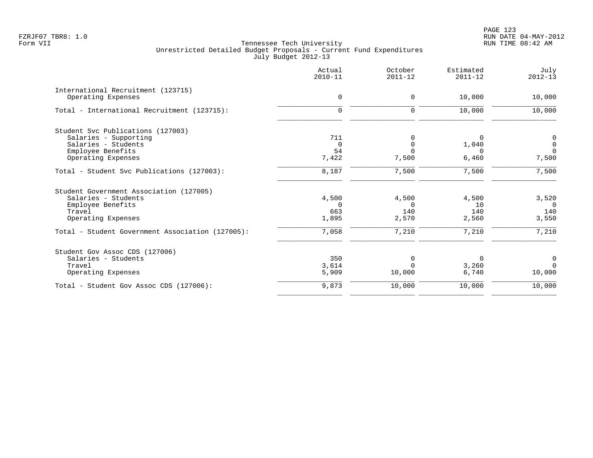|                                                  | Actual<br>$2010 - 11$ | October<br>$2011 - 12$ | Estimated<br>$2011 - 12$ | July<br>$2012 - 13$ |
|--------------------------------------------------|-----------------------|------------------------|--------------------------|---------------------|
| International Recruitment (123715)               |                       |                        |                          |                     |
| Operating Expenses                               | 0                     | 0                      | 10,000                   | 10,000              |
| Total - International Recruitment (123715):      | $\mathbf 0$           | 0                      | 10,000                   | 10,000              |
| Student Svc Publications (127003)                |                       |                        |                          |                     |
| Salaries - Supporting                            | 711                   |                        | $\Omega$                 | 0                   |
| Salaries - Students                              | $\Omega$              | $\Omega$               | 1,040                    | $\mathbf 0$         |
| Employee Benefits                                | 54                    | $\Omega$               | $\Omega$                 | $\Omega$            |
| Operating Expenses                               | 7,422                 | 7,500                  | 6,460                    | 7,500               |
| Total - Student Svc Publications (127003):       | 8,187                 | 7,500                  | 7,500                    | 7,500               |
| Student Government Association (127005)          |                       |                        |                          |                     |
| Salaries - Students                              | 4,500                 | 4,500                  | 4,500                    | 3,520               |
| Employee Benefits                                | $\Omega$              | $\Omega$               | 10                       | $\Omega$            |
| Travel                                           | 663                   | 140                    | 140                      | 140                 |
| Operating Expenses                               | 1,895                 | 2,570                  | 2,560                    | 3,550               |
| Total - Student Government Association (127005): | 7,058                 | 7,210                  | 7,210                    | 7,210               |
| Student Gov Assoc CDS (127006)                   |                       |                        |                          |                     |
| Salaries - Students                              | 350                   | $\Omega$               | 0                        | 0                   |
| Travel                                           | 3,614                 | $\Omega$               | 3,260                    | $\Omega$            |
| Operating Expenses                               | 5,909                 | 10,000                 | 6,740                    | 10,000              |
| Total - Student Gov Assoc CDS (127006):          | 9,873                 | 10,000                 | 10,000                   | 10,000              |
|                                                  |                       |                        |                          |                     |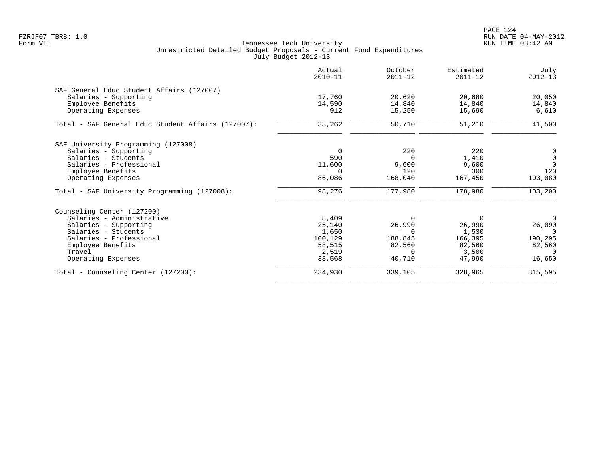PAGE 124 FZRJF07 TBR8: 1.0 RUN DATE 04-MAY-2012

|                                                    | Actual<br>$2010 - 11$ | October<br>$2011 - 12$ | Estimated<br>$2011 - 12$ | July<br>$2012 - 13$ |
|----------------------------------------------------|-----------------------|------------------------|--------------------------|---------------------|
| SAF General Educ Student Affairs (127007)          |                       |                        |                          |                     |
| Salaries - Supporting                              | 17,760                | 20,620                 | 20,680                   | 20,050              |
| Employee Benefits                                  | 14,590                | 14,840                 | 14,840                   | 14,840              |
| Operating Expenses                                 | 912                   | 15,250                 | 15,690                   | 6,610               |
| Total - SAF General Educ Student Affairs (127007): | 33,262                | 50,710                 | 51,210                   | 41,500              |
| SAF University Programming (127008)                |                       |                        |                          |                     |
| Salaries - Supporting                              | $\mathbf 0$           | 220                    | 220                      | 0                   |
| Salaries - Students                                | 590                   | $\Omega$               | 1,410                    | $\mathbf 0$         |
| Salaries - Professional                            | 11,600                | 9,600                  | 9,600                    | $\Omega$            |
| Employee Benefits                                  | $\Omega$              | 120                    | 300                      | 120                 |
| Operating Expenses                                 | 86,086                | 168,040                | 167,450                  | 103,080             |
| Total - SAF University Programming (127008):       | 98,276                | 177,980                | 178,980                  | 103,200             |
| Counseling Center (127200)                         |                       |                        |                          |                     |
| Salaries - Administrative                          | 8,409                 | $\Omega$               | $\Omega$                 | $\Omega$            |
| Salaries - Supporting                              | 25,140                | 26,990                 | 26,990                   | 26,090              |
| Salaries - Students                                | 1,650                 | $\Omega$               | 1,530                    | $\Omega$            |
| Salaries - Professional                            | 100,129               | 188,845                | 166,395                  | 190,295             |
| Employee Benefits                                  | 58,515                | 82,560                 | 82,560                   | 82,560              |
| Travel                                             | 2,519                 | $\Omega$               | 3,500                    | $\cap$              |
| Operating Expenses                                 | 38,568                | 40,710                 | 47,990                   | 16,650              |
| Total - Counseling Center (127200):                | 234,930               | 339,105                | 328,965                  | 315,595             |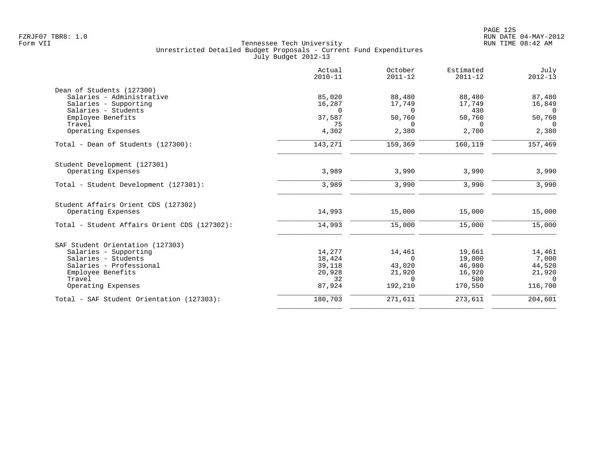|                                              | Actual<br>$2010 - 11$ | October<br>$2011 - 12$ | Estimated<br>$2011 - 12$ | July<br>$2012 - 13$      |
|----------------------------------------------|-----------------------|------------------------|--------------------------|--------------------------|
| Dean of Students (127300)                    |                       |                        |                          |                          |
| Salaries - Administrative                    | 85,020                | 88,480                 | 88,480                   | 87,480                   |
| Salaries - Supporting                        | 16,287                | 17,749                 | 17,749                   | 16,849                   |
| Salaries - Students<br>Employee Benefits     | $\Omega$<br>37,587    | $\Omega$<br>50,760     | 430<br>50,760            | $\overline{0}$<br>50,760 |
| Travel                                       | 75                    | $\Omega$               | $\Omega$                 | $\Omega$                 |
| Operating Expenses                           | 4,302                 | 2,380                  | 2,700                    | 2,380                    |
| Total - Dean of Students (127300):           | 143,271               | 159,369                | 160,119                  | 157,469                  |
| Student Development (127301)                 |                       |                        |                          |                          |
| Operating Expenses                           | 3,989                 | 3,990                  | 3,990                    | 3,990                    |
| Total - Student Development (127301):        | 3,989                 | 3,990                  | 3,990                    | 3,990                    |
| Student Affairs Orient CDS (127302)          |                       |                        |                          |                          |
| Operating Expenses                           | 14,993                | 15,000                 | 15,000                   | 15,000                   |
| Total - Student Affairs Orient CDS (127302): | 14,993                | 15,000                 | 15,000                   | 15,000                   |
| SAF Student Orientation (127303)             |                       |                        |                          |                          |
| Salaries - Supporting                        | 14,277                | 14,461                 | 19,661                   | 14,461                   |
| Salaries - Students                          | 18,424                | $\Omega$               | 19,000                   | 7,000                    |
| Salaries - Professional                      | 39,118                | 43,020                 | 46,980                   | 44,520                   |
| Employee Benefits                            | 20,928                | 21,920                 | 16,920                   | 21,920                   |
| Travel<br>Operating Expenses                 | 32<br>87,924          | $\Omega$<br>192,210    | 500<br>170,550           | $\Omega$<br>116,700      |
| Total - SAF Student Orientation (127303):    | 180,703               | 271,611                | 273,611                  | 204,601                  |
|                                              |                       |                        |                          |                          |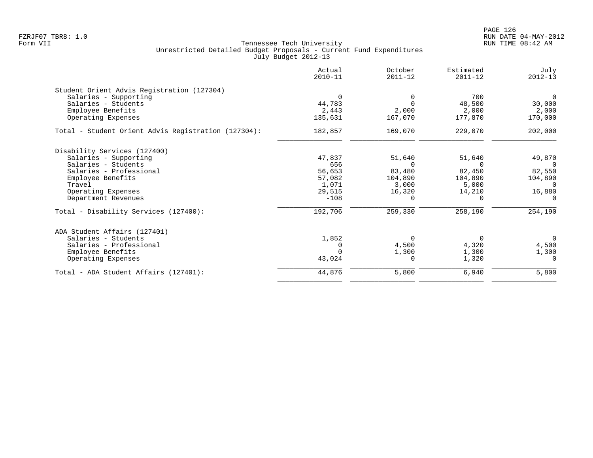PAGE 126 FZRJF07 TBR8: 1.0 RUN DATE 04-MAY-2012

| Actual<br>$2010 - 11$ | October<br>$2011 - 12$              | Estimated<br>$2011 - 12$ | July<br>$2012 - 13$     |
|-----------------------|-------------------------------------|--------------------------|-------------------------|
|                       |                                     |                          |                         |
| $\Omega$              | 0                                   | 700                      | $\Omega$                |
| 44,783                | $\Omega$                            | 48,500                   | 30,000                  |
| 2,443                 | 2,000                               | 2,000                    | 2,000                   |
| 135,631               | 167,070                             | 177,870                  | 170,000                 |
| 182,857               | 169,070                             | 229,070                  | 202,000                 |
|                       |                                     |                          |                         |
| 47.837                | 51,640                              | 51,640                   | 49,870                  |
| 656                   | $\Omega$                            | $\Omega$                 | $\bigcap$               |
| 56,653                | 83,480                              | 82,450                   | 82,550                  |
| 57,082                | 104,890                             | 104,890                  | 104,890                 |
| 1,071                 | 3,000                               | 5,000                    | $\Omega$                |
|                       | 16,320                              | 14,210                   | 16,880                  |
|                       | $\Omega$                            | $\Omega$                 | $\Omega$                |
| 192,706               | 259,330                             | 258,190                  | 254,190                 |
|                       |                                     |                          |                         |
|                       | 0                                   | 0                        | $\overline{0}$          |
|                       |                                     |                          | 4,500                   |
|                       |                                     |                          | 1,300                   |
|                       |                                     |                          | $\Omega$                |
| 44,876                | 5,800                               | 6,940                    | 5,800                   |
|                       | 29,515<br>$-108$<br>1,852<br>43,024 | 4,500<br>1,300<br>0      | 4,320<br>1,300<br>1,320 |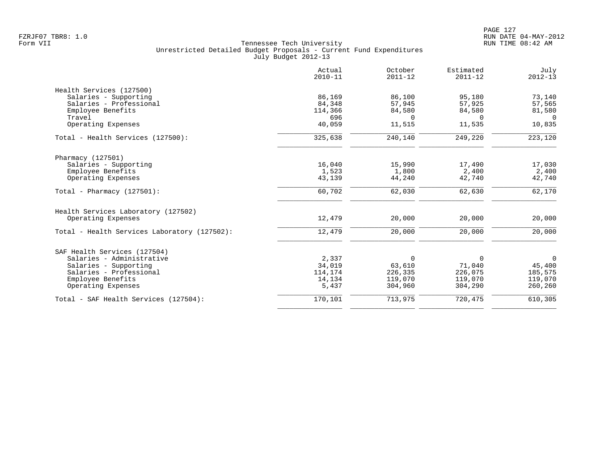| Estimated<br>July<br>Actual<br>October<br>$2010 - 11$<br>$2011 - 12$<br>$2011 - 12$<br>$2012 - 13$ |                                              |
|----------------------------------------------------------------------------------------------------|----------------------------------------------|
|                                                                                                    | Health Services (127500)                     |
| 86,169<br>86,100<br>95,180<br>73,140                                                               | Salaries - Supporting                        |
| 84,348<br>57,945<br>57,925<br>57,565                                                               | Salaries - Professional                      |
| 114,366<br>84,580<br>84,580<br>81,580                                                              | Employee Benefits                            |
| 696<br>$\Omega$<br>$\Omega$<br>$\Omega$                                                            | Travel                                       |
| 40,059<br>11,515<br>11,535<br>10,835                                                               | Operating Expenses                           |
| 223,120<br>325,638<br>240,140<br>249,220                                                           | Total - Health Services (127500):            |
|                                                                                                    | Pharmacy (127501)                            |
| 16,040<br>17,490<br>17,030<br>15,990                                                               | Salaries - Supporting                        |
| 1,523<br>1,800<br>2,400<br>2,400                                                                   | Employee Benefits                            |
| 43,139<br>42,740<br>44,240<br>42,740                                                               | Operating Expenses                           |
| 60,702<br>62,030<br>62,630<br>62,170                                                               | Total - Pharmacy $(127501)$ :                |
|                                                                                                    | Health Services Laboratory (127502)          |
| 12,479<br>20,000<br>20,000<br>20,000                                                               | Operating Expenses                           |
| 12,479<br>20,000<br>20,000<br>20,000                                                               | Total - Health Services Laboratory (127502): |
|                                                                                                    | SAF Health Services (127504)                 |
| 2,337<br>$\Omega$<br>$\mathbf 0$<br>$\Omega$                                                       | Salaries - Administrative                    |
| 34,019<br>71,040<br>45,400<br>63,610                                                               | Salaries - Supporting                        |
| 226,075<br>185,575<br>114,174<br>226,335                                                           | Salaries - Professional                      |
| 119,070<br>119,070<br>119,070<br>14,134                                                            | Employee Benefits                            |
| 5,437<br>304,960<br>260,260<br>304,290                                                             | Operating Expenses                           |
| 170,101<br>720,475<br>713,975<br>610,305                                                           | Total - SAF Health Services (127504):        |
|                                                                                                    |                                              |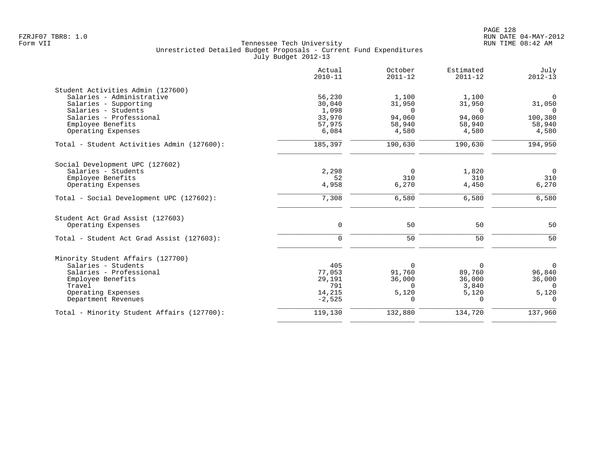|                                            | Actual<br>$2010 - 11$ | October<br>$2011 - 12$ | Estimated<br>$2011 - 12$ | July<br>$2012 - 13$ |
|--------------------------------------------|-----------------------|------------------------|--------------------------|---------------------|
| Student Activities Admin (127600)          |                       |                        |                          |                     |
| Salaries - Administrative                  | 56,230                | 1,100                  | 1,100                    | $\mathbf 0$         |
| Salaries - Supporting                      | 30,040                | 31,950                 | 31,950                   | 31,050              |
| Salaries - Students                        | 1,098                 | $\Omega$               | $\cap$                   | $\Omega$            |
| Salaries - Professional                    | 33,970                | 94,060                 | 94,060                   | 100,380             |
| Employee Benefits                          | 57,975                | 58,940                 | 58,940                   | 58,940              |
| Operating Expenses                         | 6,084                 | 4,580                  | 4,580                    | 4,580               |
| Total - Student Activities Admin (127600): | 185,397               | 190,630                | 190,630                  | 194,950             |
| Social Development UPC (127602)            |                       |                        |                          |                     |
| Salaries - Students                        | 2,298                 | $\Omega$               | 1,820                    | $\overline{0}$      |
| Employee Benefits                          | 52                    | 310                    | 310                      | 310                 |
| Operating Expenses                         | 4,958                 | 6,270                  | 4,450                    | 6,270               |
| Total - Social Development UPC (127602):   | 7,308                 | 6,580                  | 6,580                    | 6,580               |
| Student Act Grad Assist (127603)           |                       |                        |                          |                     |
| Operating Expenses                         | $\mathbf 0$           | 50                     | 50                       | 50                  |
| Total - Student Act Grad Assist (127603):  | $\Omega$              | 50                     | 50                       | 50                  |
| Minority Student Affairs (127700)          |                       |                        |                          |                     |
| Salaries - Students                        | 405                   | $\Omega$               | $\Omega$                 | $\Omega$            |
| Salaries - Professional                    | 77,053                | 91,760                 | 89,760                   | 96,840              |
| Employee Benefits                          | 29,191                | 36,000                 | 36,000                   | 36,000              |
| Travel                                     | 791                   | $\Omega$               | 3,840                    | $\Omega$            |
| Operating Expenses                         | 14,215                | 5,120                  | 5,120                    | 5,120               |
| Department Revenues                        | $-2,525$              | $\Omega$               | $\Omega$                 | $\Omega$            |
| Total - Minority Student Affairs (127700): | 119,130               | 132,880                | 134,720                  | 137,960             |
|                                            |                       |                        |                          |                     |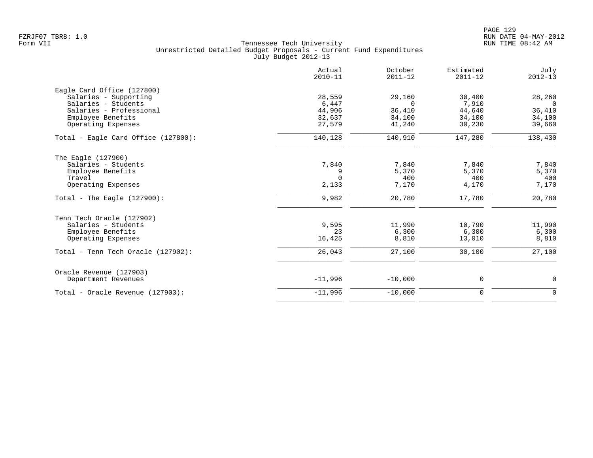|                                       | Actual<br>$2010 - 11$ | October<br>$2011 - 12$ | Estimated<br>$2011 - 12$ | July<br>$2012 - 13$ |
|---------------------------------------|-----------------------|------------------------|--------------------------|---------------------|
| Eagle Card Office (127800)            |                       |                        |                          |                     |
| Salaries - Supporting                 | 28,559                | 29,160                 | 30,400                   | 28,260              |
| Salaries - Students                   | 6,447                 | $\Omega$               | 7,910                    | $\Omega$            |
| Salaries - Professional               | 44,906                | 36,410                 | 44,640                   | 36,410              |
| Employee Benefits                     | 32,637                | 34,100                 | 34,100                   | 34,100              |
| Operating Expenses                    | 27,579                | 41,240                 | 30,230                   | 39,660              |
| Total - Eagle Card Office (127800):   | 140,128               | 140,910                | 147,280                  | 138,430             |
| The Eagle (127900)                    |                       |                        |                          |                     |
| Salaries - Students                   | 7,840                 | 7,840                  | 7,840                    | 7,840               |
| Employee Benefits                     | 9                     | 5,370                  | 5,370                    | 5,370               |
| Travel                                | $\Omega$              | 400                    | 400                      | 400                 |
| Operating Expenses                    | 2,133                 | 7,170                  | 4,170                    | 7,170               |
| Total - The Eagle $(127900)$ :        | 9,982                 | 20,780                 | 17,780                   | 20,780              |
| Tenn Tech Oracle (127902)             |                       |                        |                          |                     |
| Salaries - Students                   | 9,595                 | 11,990                 | 10,790                   | 11,990              |
| Employee Benefits                     | 23                    | 6,300                  | 6,300                    | 6,300               |
| Operating Expenses                    | 16,425                | 8,810                  | 13,010                   | 8,810               |
| Total - Tenn Tech Oracle $(127902)$ : | 26,043                | 27,100                 | 30,100                   | 27,100              |
| Oracle Revenue (127903)               |                       |                        |                          |                     |
| Department Revenues                   | $-11,996$             | $-10,000$              | 0                        | 0                   |
| Total - Oracle Revenue (127903):      | $-11,996$             | $-10,000$              | $\mathbf 0$              | $\mathbf 0$         |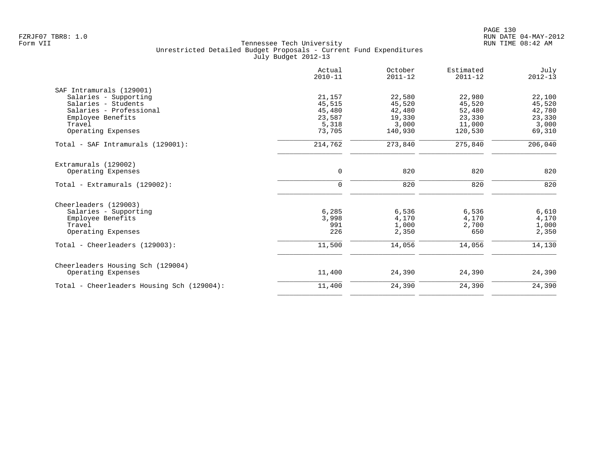| Actual<br>$2010 - 11$ | October<br>$2011 - 12$                                 | Estimated<br>$2011 - 12$                                | July<br>$2012 - 13$                                      |
|-----------------------|--------------------------------------------------------|---------------------------------------------------------|----------------------------------------------------------|
|                       |                                                        |                                                         |                                                          |
| 21,157                | 22,580                                                 | 22,980                                                  | 22,100                                                   |
|                       |                                                        |                                                         | 45,520                                                   |
|                       |                                                        |                                                         | 42,780                                                   |
|                       |                                                        |                                                         | 23,330                                                   |
|                       |                                                        |                                                         | 3,000                                                    |
|                       |                                                        |                                                         | 69,310                                                   |
| 214,762               | 273,840                                                | 275,840                                                 | 206,040                                                  |
|                       |                                                        |                                                         |                                                          |
| $\mathbf 0$           | 820                                                    | 820                                                     | 820                                                      |
| $\mathbf 0$           | 820                                                    | 820                                                     | 820                                                      |
|                       |                                                        |                                                         |                                                          |
|                       |                                                        |                                                         | 6,610                                                    |
| 3,998                 | 4,170                                                  | 4,170                                                   | 4,170                                                    |
| 991                   | 1,000                                                  | 2,700                                                   | 1,000                                                    |
| 226                   | 2,350                                                  | 650                                                     | 2,350                                                    |
| 11,500                | 14,056                                                 | 14,056                                                  | 14,130                                                   |
|                       |                                                        |                                                         |                                                          |
| 11,400                | 24,390                                                 | 24,390                                                  | 24,390                                                   |
| 11,400                | 24,390                                                 | 24,390                                                  | 24,390                                                   |
|                       | 45,515<br>45,480<br>23,587<br>5,318<br>73,705<br>6,285 | 45,520<br>42,480<br>19,330<br>3,000<br>140,930<br>6,536 | 45,520<br>52,480<br>23,330<br>11,000<br>120,530<br>6,536 |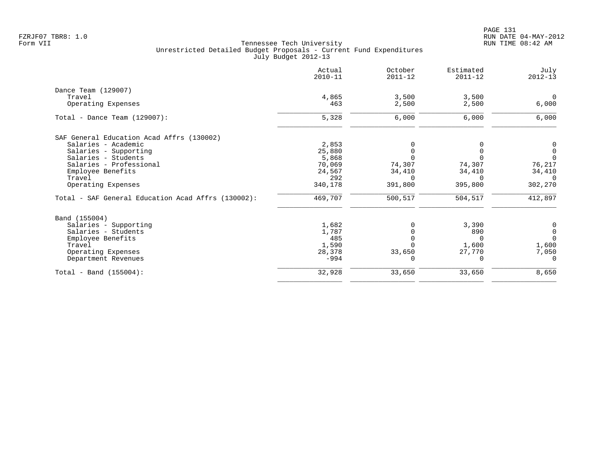|                                                    | Actual<br>$2010 - 11$ | October<br>$2011 - 12$ | Estimated<br>$2011 - 12$ | July<br>$2012 - 13$ |
|----------------------------------------------------|-----------------------|------------------------|--------------------------|---------------------|
| Dance Team (129007)                                |                       |                        |                          |                     |
| Travel                                             | 4,865                 | 3,500                  | 3,500                    | $\Omega$            |
| Operating Expenses                                 | 463                   | 2,500                  | 2,500                    | 6,000               |
| Total - Dance Team $(129007)$ :                    | 5,328                 | 6,000                  | 6,000                    | 6,000               |
| SAF General Education Acad Affrs (130002)          |                       |                        |                          |                     |
| Salaries - Academic                                | 2,853                 |                        |                          | 0                   |
| Salaries - Supporting                              | 25,880                |                        |                          | $\mathbf 0$         |
| Salaries - Students                                | 5,868                 |                        |                          | $\Omega$            |
| Salaries - Professional                            | 70,069                | 74,307                 | 74,307                   | 76,217              |
| Employee Benefits                                  | 24,567                | 34,410                 | 34,410                   | 34,410              |
| Travel                                             | 292                   | $\Omega$               | $\Omega$                 | $\Omega$            |
| Operating Expenses                                 | 340,178               | 391,800                | 395,800                  | 302,270             |
| Total - SAF General Education Acad Affrs (130002): | 469,707               | 500,517                | 504,517                  | 412,897             |
| Band (155004)                                      |                       |                        |                          |                     |
| Salaries - Supporting                              | 1,682                 |                        | 3,390                    | 0                   |
| Salaries - Students                                | 1,787                 |                        | 890                      | $\mathbf 0$         |
| Employee Benefits                                  | 485                   |                        | $\Omega$                 | $\Omega$            |
| Travel                                             | 1,590                 |                        | 1,600                    | 1,600               |
| Operating Expenses                                 | 28,378                | 33,650                 | 27,770                   | 7,050               |
| Department Revenues                                | $-994$                |                        | $\Omega$                 | $\Omega$            |
| $Total - Band (155004):$                           | 32,928                | 33,650                 | 33,650                   | 8,650               |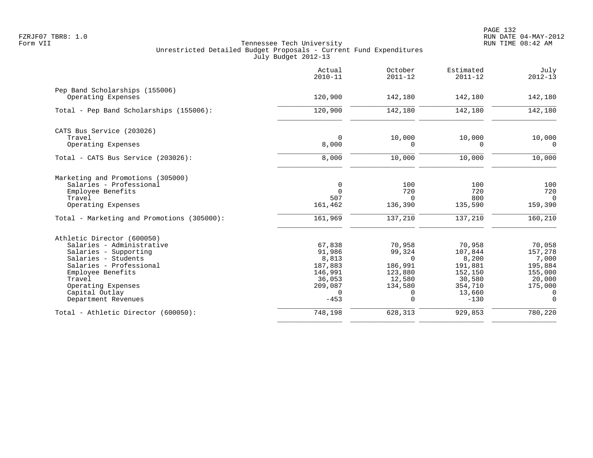|                                                                                                                                                                 | Actual<br>$2010 - 11$                                | October<br>$2011 - 12$                             | Estimated<br>$2011 - 12$                         | July<br>$2012 - 13$                              |
|-----------------------------------------------------------------------------------------------------------------------------------------------------------------|------------------------------------------------------|----------------------------------------------------|--------------------------------------------------|--------------------------------------------------|
| Pep Band Scholarships (155006)<br>Operating Expenses                                                                                                            | 120,900                                              | 142,180                                            | 142,180                                          | 142,180                                          |
| Total - Pep Band Scholarships (155006):                                                                                                                         | 120,900                                              | 142,180                                            | 142,180                                          | 142,180                                          |
| CATS Bus Service (203026)<br>Travel<br>Operating Expenses                                                                                                       | $\Omega$<br>8,000                                    | 10,000<br>$\Omega$                                 | 10,000<br>$\Omega$                               | 10,000<br>$\Omega$                               |
| Total - CATS Bus Service (203026):                                                                                                                              | 8,000                                                | 10,000                                             | 10,000                                           | 10,000                                           |
| Marketing and Promotions (305000)<br>Salaries - Professional<br>Employee Benefits<br>Travel<br>Operating Expenses<br>Total - Marketing and Promotions (305000): | $\mathbf 0$<br>$\Omega$<br>507<br>161,462<br>161,969 | 100<br>720<br>$\Omega$<br>136,390<br>137,210       | 100<br>720<br>800<br>135,590<br>137,210          | 100<br>720<br>$\Omega$<br>159,390<br>160,210     |
| Athletic Director (600050)<br>Salaries - Administrative                                                                                                         | 67,838                                               | 70,958                                             | 70,958                                           | 70,058                                           |
| Salaries - Supporting<br>Salaries - Students<br>Salaries - Professional<br>Employee Benefits<br>Travel                                                          | 91,986<br>8,813<br>187,883<br>146,991<br>36,053      | 99,324<br>$\Omega$<br>186,991<br>123,880<br>12,580 | 107,844<br>8,200<br>191,881<br>152,150<br>30,580 | 157,278<br>7,000<br>195,884<br>155,000<br>20,000 |
| Operating Expenses<br>Capital Outlay<br>Department Revenues                                                                                                     | 209,087<br>$\mathbf 0$<br>$-453$                     | 134,580<br>0<br>0                                  | 354,710<br>13,660<br>$-130$                      | 175,000<br>$\Omega$<br>$\Omega$                  |
| Total - Athletic Director (600050):                                                                                                                             | 748,198                                              | 628,313                                            | 929,853                                          | 780,220                                          |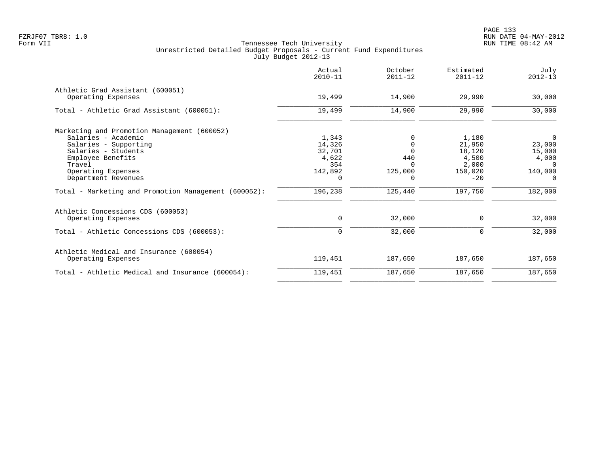|                                                      | Actual<br>$2010 - 11$ | October<br>$2011 - 12$ | Estimated<br>$2011 - 12$ | July<br>$2012 - 13$ |
|------------------------------------------------------|-----------------------|------------------------|--------------------------|---------------------|
| Athletic Grad Assistant (600051)                     |                       |                        |                          |                     |
| Operating Expenses                                   | 19,499                | 14,900                 | 29,990                   | 30,000              |
| Total - Athletic Grad Assistant (600051):            | 19,499                | 14,900                 | 29,990                   | 30,000              |
| Marketing and Promotion Management (600052)          |                       |                        |                          |                     |
| Salaries - Academic                                  | 1,343                 |                        | 1,180                    | $\mathbf 0$         |
| Salaries - Supporting                                | 14,326                |                        | 21,950                   | 23,000              |
| Salaries - Students                                  | 32,701                | $\Omega$               | 18,120                   | 15,000              |
| Employee Benefits                                    | 4,622                 | 440                    | 4,500                    | 4,000               |
| Travel                                               | 354                   | <sup>n</sup>           | 2,000                    | $\Omega$            |
| Operating Expenses                                   | 142,892               | 125,000                | 150,020                  | 140,000             |
| Department Revenues                                  | $\Omega$              | 0                      | $-20$                    | $\Omega$            |
| Total - Marketing and Promotion Management (600052): | 196,238               | 125,440                | 197,750                  | 182,000             |
| Athletic Concessions CDS (600053)                    |                       |                        |                          |                     |
| Operating Expenses                                   | 0                     | 32,000                 | 0                        | 32,000              |
| Total - Athletic Concessions CDS (600053):           | 0                     | 32,000                 | 0                        | 32,000              |
| Athletic Medical and Insurance (600054)              |                       |                        |                          |                     |
| Operating Expenses                                   | 119,451               | 187,650                | 187,650                  | 187,650             |
| Total - Athletic Medical and Insurance (600054):     | 119,451               | 187,650                | 187,650                  | 187,650             |
|                                                      |                       |                        |                          |                     |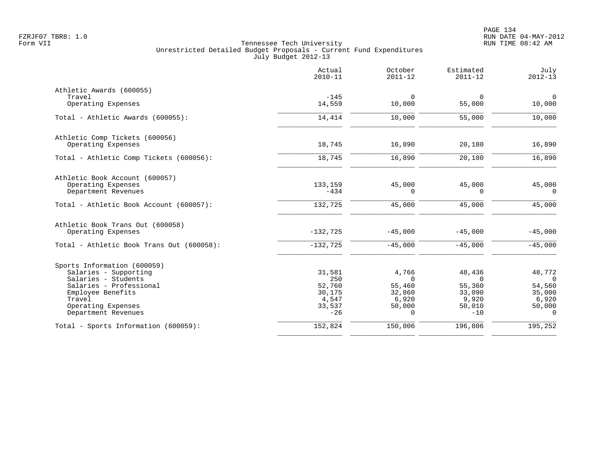|                                           | Actual<br>$2010 - 11$ | October<br>$2011 - 12$ | Estimated<br>$2011 - 12$ | July<br>$2012 - 13$ |
|-------------------------------------------|-----------------------|------------------------|--------------------------|---------------------|
| Athletic Awards (600055)                  |                       |                        |                          |                     |
| Travel                                    | $-145$                | $\Omega$               | $\mathbf 0$              | $\overline{0}$      |
| Operating Expenses                        | 14,559                | 10,000                 | 55,000                   | 10,000              |
| Total - Athletic Awards (600055):         | 14,414                | 10,000                 | 55,000                   | 10,000              |
| Athletic Comp Tickets (600056)            |                       |                        |                          |                     |
| Operating Expenses                        | 18,745                | 16,890                 | 20,180                   | 16,890              |
| Total - Athletic Comp Tickets (600056):   | 18,745                | 16,890                 | 20,180                   | 16,890              |
| Athletic Book Account (600057)            |                       |                        |                          |                     |
| Operating Expenses<br>Department Revenues | 133,159<br>$-434$     | 45,000<br>$\Omega$     | 45,000<br>$\Omega$       | 45,000<br>$\Omega$  |
| Total - Athletic Book Account (600057):   | 132,725               | 45,000                 | 45,000                   | 45,000              |
| Athletic Book Trans Out (600058)          |                       |                        |                          |                     |
| Operating Expenses                        | $-132,725$            | $-45,000$              | $-45,000$                | $-45,000$           |
| Total - Athletic Book Trans Out (600058): | $-132,725$            | $-45,000$              | $-45,000$                | $-45,000$           |
| Sports Information (600059)               |                       |                        |                          |                     |
| Salaries - Supporting                     | 31,581                | 4,766                  | 48,436                   | 48,772              |
| Salaries - Students                       | 250                   | $\Omega$               | $\Omega$                 | $\Omega$            |
| Salaries - Professional                   | 52,760                | 55,460                 | 55,360                   | 54,560              |
| Employee Benefits                         | 30,175                | 32,860                 | 33,090                   | 35,000              |
| Travel                                    | 4,547                 | 6,920                  | 9,920                    | 6,920               |
| Operating Expenses<br>Department Revenues | 33,537<br>$-26$       | 50,000<br>$\Omega$     | 50,010<br>$-10$          | 50,000<br>$\Omega$  |
| Total - Sports Information (600059):      | 152,824               | 150,006                | 196,806                  | 195,252             |
|                                           |                       |                        |                          |                     |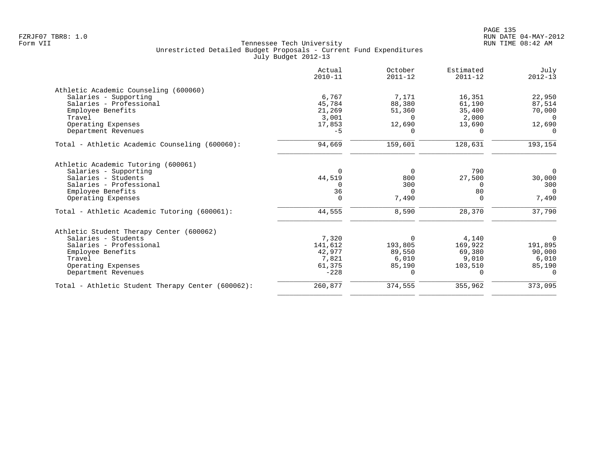|                                                   | Actual<br>$2010 - 11$ | October<br>$2011 - 12$ | Estimated<br>$2011 - 12$ | July<br>$2012 - 13$ |
|---------------------------------------------------|-----------------------|------------------------|--------------------------|---------------------|
| Athletic Academic Counseling (600060)             |                       |                        |                          |                     |
| Salaries - Supporting                             | 6,767                 | 7,171                  | 16,351                   | 22,950              |
| Salaries - Professional                           | 45,784                | 88,380                 | 61,190                   | 87,514              |
| Employee Benefits                                 | 21,269                | 51,360                 | 35,400                   | 70,000              |
| Travel                                            | 3,001                 | $\Omega$               | 2,000                    | $\Omega$            |
| Operating Expenses                                | 17,853                | 12,690                 | 13,690                   | 12,690              |
| Department Revenues                               | $-5$                  | $\Omega$               | $\Omega$                 |                     |
| Total - Athletic Academic Counseling (600060):    | 94,669                | 159,601                | 128,631                  | 193,154             |
| Athletic Academic Tutoring (600061)               |                       |                        |                          |                     |
| Salaries - Supporting                             | $\Omega$              | 0                      | 790                      | $\Omega$            |
| Salaries - Students                               | 44,519                | 800                    | 27,500                   | 30,000              |
| Salaries - Professional                           | $\Omega$              | 300                    | $\Omega$                 | 300                 |
| Employee Benefits                                 | 36                    | $\Omega$               | 80                       | $\Omega$            |
| Operating Expenses                                | $\Omega$              | 7,490                  | $\Omega$                 | 7,490               |
| Total - Athletic Academic Tutoring (600061):      | 44,555                | 8,590                  | 28,370                   | 37,790              |
| Athletic Student Therapy Center (600062)          |                       |                        |                          |                     |
| Salaries - Students                               | 7,320                 | 0                      | 4,140                    | 0                   |
| Salaries - Professional                           | 141,612               | 193,805                | 169,922                  | 191,895             |
| Employee Benefits                                 | 42,977                | 89,550                 | 69,380                   | 90,000              |
| Travel                                            | 7,821                 | 6,010                  | 9,010                    | 6,010               |
| Operating Expenses                                | 61,375                | 85,190                 | 103,510                  | 85,190              |
| Department Revenues                               | $-228$                | $\Omega$               | $\Omega$                 | $\Omega$            |
| Total - Athletic Student Therapy Center (600062): | 260,877               | 374,555                | 355,962                  | 373,095             |
|                                                   |                       |                        |                          |                     |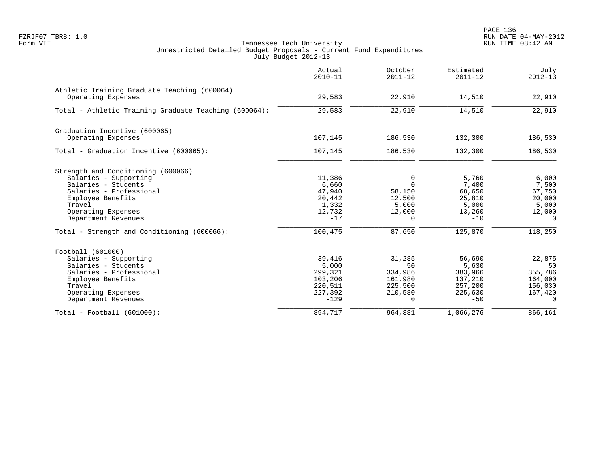|                                                                    | Actual<br>$2010 - 11$ | October<br>$2011 - 12$ | Estimated<br>$2011 - 12$ | July<br>$2012 - 13$ |
|--------------------------------------------------------------------|-----------------------|------------------------|--------------------------|---------------------|
| Athletic Training Graduate Teaching (600064)<br>Operating Expenses | 29,583                | 22,910                 | 14,510                   | 22,910              |
| Total - Athletic Training Graduate Teaching (600064):              | 29,583                | 22,910                 | 14,510                   | 22,910              |
| Graduation Incentive (600065)                                      |                       |                        |                          |                     |
| Operating Expenses                                                 | 107,145               | 186,530                | 132,300                  | 186,530             |
| Total - Graduation Incentive (600065):                             | 107,145               | 186,530                | 132,300                  | 186,530             |
| Strength and Conditioning (600066)                                 |                       |                        |                          |                     |
| Salaries - Supporting                                              | 11,386                | 0                      | 5,760                    | 6,000               |
| Salaries - Students                                                | 6,660                 | $\Omega$               | 7,400                    | 7,500               |
| Salaries - Professional<br>Employee Benefits                       | 47,940<br>20,442      | 58,150<br>12,500       | 68,650<br>25,810         | 67,750<br>20,000    |
| Travel                                                             | 1,332                 | 5,000                  | 5,000                    | 5,000               |
| Operating Expenses                                                 | 12,732                | 12,000                 | 13,260                   | 12,000              |
| Department Revenues                                                | $-17$                 | $\Omega$               | $-10$                    | $\Omega$            |
| Total - Strength and Conditioning (600066):                        | 100,475               | 87,650                 | 125,870                  | 118,250             |
| Football (601000)                                                  |                       |                        |                          |                     |
| Salaries - Supporting                                              | 39,416                | 31,285                 | 56,690                   | 22,875              |
| Salaries - Students                                                | 5,000                 | 50                     | 5,630                    | 50                  |
| Salaries - Professional                                            | 299,321               | 334,986                | 383,966                  | 355,786             |
| Employee Benefits<br>Travel                                        | 103,206<br>220,511    | 161,980<br>225,500     | 137,210<br>257,200       | 164,000<br>156,030  |
| Operating Expenses                                                 | 227,392               | 210,580                | 225,630                  | 167,420             |
| Department Revenues                                                | $-129$                | $\Omega$               | $-50$                    | $\Omega$            |
| $Total - Football (601000):$                                       | 894,717               | 964,381                | 1,066,276                | 866,161             |
|                                                                    |                       |                        |                          |                     |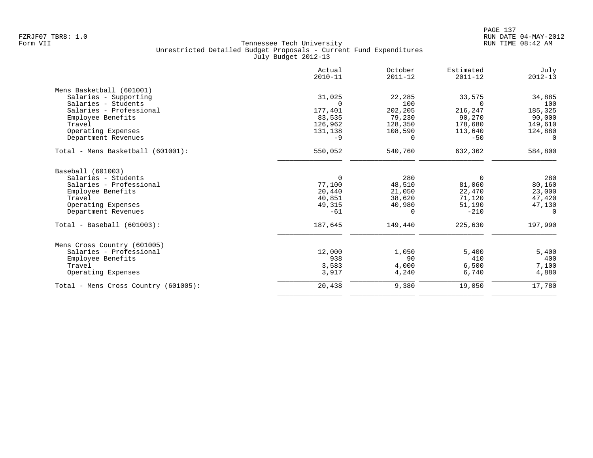|                                      | Actual<br>$2010 - 11$ | October<br>$2011 - 12$ | Estimated<br>$2011 - 12$ | July<br>$2012 - 13$ |
|--------------------------------------|-----------------------|------------------------|--------------------------|---------------------|
| Mens Basketball (601001)             |                       |                        |                          |                     |
| Salaries - Supporting                | 31,025                | 22,285                 | 33,575                   | 34,885              |
| Salaries - Students                  | $\Omega$              | 100                    | $\Omega$                 | 100                 |
| Salaries - Professional              | 177,401               | 202,205                | 216,247                  | 185,325             |
| Employee Benefits                    | 83,535                | 79,230                 | 90,270                   | 90,000              |
| Travel                               | 126,962               | 128,350                | 178,680                  | 149,610             |
| Operating Expenses                   | 131,138               | 108,590                | 113,640                  | 124,880             |
| Department Revenues                  | $-9$                  | 0                      | $-50$                    | $\Omega$            |
| Total - Mens Basketball (601001):    | 550,052               | 540,760                | 632,362                  | 584,800             |
| Baseball (601003)                    |                       |                        |                          |                     |
| Salaries - Students                  | $\mathbf 0$           | 280                    | $\mathbf 0$              | 280                 |
| Salaries - Professional              | 77,100                | 48,510                 | 81,060                   | 80,160              |
| Employee Benefits                    | 20,440                | 21,050                 | 22,470                   | 23,000              |
| Travel                               | 40,851                | 38,620                 | 71,120                   | 47,420              |
| Operating Expenses                   | 49,315                | 40,980                 | 51,190                   | 47,130              |
| Department Revenues                  | $-61$                 | 0                      | $-210$                   | $\Omega$            |
| $Total - Baseball (601003):$         | 187,645               | 149,440                | 225,630                  | 197,990             |
| Mens Cross Country (601005)          |                       |                        |                          |                     |
| Salaries - Professional              | 12,000                | 1,050                  | 5,400                    | 5,400               |
| Employee Benefits                    | 938                   | 90                     | 410                      | 400                 |
| Travel                               | 3,583                 | 4,000                  | 6,500                    | 7,100               |
| Operating Expenses                   | 3,917                 | 4,240                  | 6,740                    | 4,880               |
| Total - Mens Cross Country (601005): | 20,438                | 9,380                  | 19,050                   | 17,780              |
|                                      |                       |                        |                          |                     |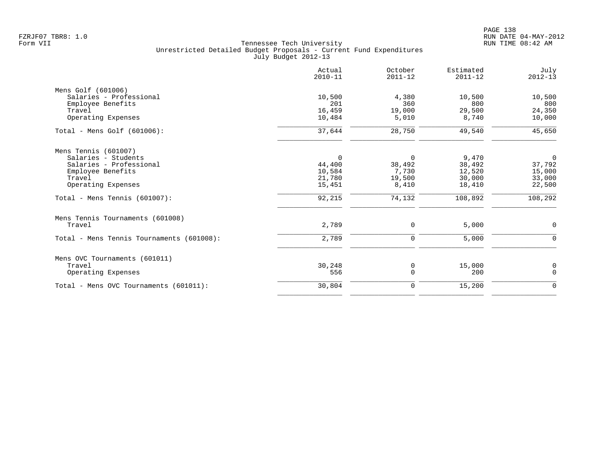| Actual<br>$2010 - 11$ | October<br>$2011 - 12$ | Estimated<br>$2011 - 12$ | July<br>$2012 - 13$ |
|-----------------------|------------------------|--------------------------|---------------------|
|                       |                        |                          |                     |
| 10,500                | 4,380                  | 10,500                   | 10,500              |
| 201                   | 360                    | 800                      | 800                 |
| 16,459                | 19,000                 | 29,500                   | 24,350              |
| 10,484                | 5,010                  | 8,740                    | 10,000              |
| 37,644                | 28,750                 | 49,540                   | 45,650              |
|                       |                        |                          |                     |
| $\mathbf 0$           | $\mathbf 0$            | 9,470                    | 0                   |
| 44,400                | 38,492                 | 38,492                   | 37,792              |
| 10,584                | 7,730                  | 12,520                   | 15,000              |
|                       |                        |                          | 33,000              |
| 15,451                |                        | 18,410                   | 22,500              |
| 92,215                | 74,132                 | 108,892                  | 108,292             |
|                       |                        |                          |                     |
| 2,789                 | 0                      | 5,000                    | 0                   |
| 2,789                 | 0                      | 5,000                    | $\Omega$            |
|                       |                        |                          |                     |
| 30,248                | 0                      | 15,000                   | $\mathbf 0$         |
| 556                   | $\Omega$               | 200                      | $\Omega$            |
| 30,804                | 0                      | 15,200                   | $\mathbf 0$         |
|                       | 21,780                 | 19,500<br>8,410          | 30,000              |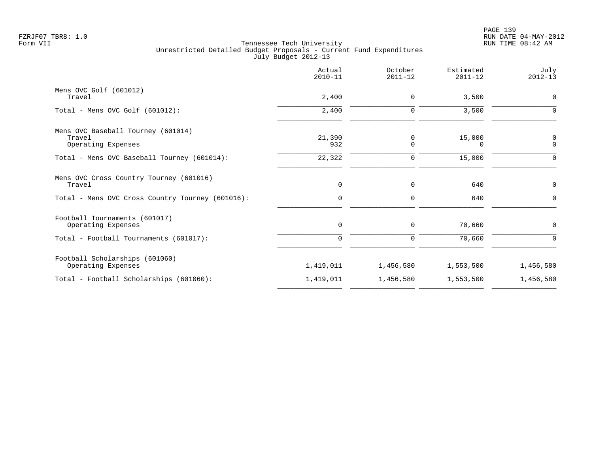|                                                  | Actual<br>$2010 - 11$ | October<br>$2011 - 12$ | Estimated<br>$2011 - 12$ | July<br>$2012 - 13$ |
|--------------------------------------------------|-----------------------|------------------------|--------------------------|---------------------|
| Mens OVC Golf (601012)                           |                       |                        |                          |                     |
| Travel                                           | 2,400                 | $\mathbf 0$            | 3,500                    | $\mathbf 0$         |
| Total - Mens OVC Golf $(601012)$ :               | 2,400                 | $\Omega$               | 3,500                    | $\Omega$            |
| Mens OVC Baseball Tourney (601014)               |                       |                        |                          |                     |
| Travel                                           | 21,390                | 0                      | 15,000                   | 0                   |
| Operating Expenses                               | 932                   | $\Omega$               | $\Omega$                 | $\Omega$            |
| Total - Mens OVC Baseball Tourney (601014):      | 22,322                | $\mathbf 0$            | 15,000                   |                     |
| Mens OVC Cross Country Tourney (601016)          |                       |                        |                          |                     |
| Travel                                           | 0                     | 0                      | 640                      | $\mathbf 0$         |
| Total - Mens OVC Cross Country Tourney (601016): | $\mathbf 0$           | 0                      | 640                      | $\Omega$            |
| Football Tournaments (601017)                    |                       |                        |                          |                     |
| Operating Expenses                               | 0                     | 0                      | 70,660                   | 0                   |
| Total - Football Tournaments (601017):           | $\mathbf 0$           | 0                      | 70,660                   | $\Omega$            |
| Football Scholarships (601060)                   |                       |                        |                          |                     |
| Operating Expenses                               | 1,419,011             | 1,456,580              | 1,553,500                | 1,456,580           |
| Total - Football Scholarships (601060):          | 1,419,011             | 1,456,580              | 1,553,500                | 1,456,580           |
|                                                  |                       |                        |                          |                     |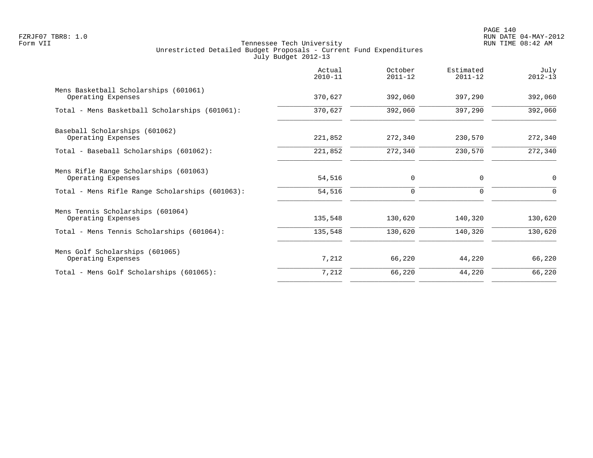PAGE 140 FZRJF07 TBR8: 1.0 RUN DATE 04-MAY-2012

|                                                              | Actual<br>$2010 - 11$ | October<br>$2011 - 12$ | Estimated<br>$2011 - 12$ | July<br>$2012 - 13$ |
|--------------------------------------------------------------|-----------------------|------------------------|--------------------------|---------------------|
| Mens Basketball Scholarships (601061)<br>Operating Expenses  | 370,627               | 392,060                | 397,290                  | 392,060             |
| Total - Mens Basketball Scholarships (601061):               | 370,627               | 392,060                | 397,290                  | 392,060             |
| Baseball Scholarships (601062)<br>Operating Expenses         | 221,852               | 272,340                | 230,570                  | 272,340             |
| Total - Baseball Scholarships (601062):                      | 221,852               | 272,340                | 230,570                  | 272,340             |
| Mens Rifle Range Scholarships (601063)<br>Operating Expenses | 54,516                | $\mathbf 0$            | 0                        | 0                   |
| Total - Mens Rifle Range Scholarships (601063):              | 54,516                | 0                      | $\Omega$                 | $\Omega$            |
| Mens Tennis Scholarships (601064)<br>Operating Expenses      | 135,548               | 130,620                | 140,320                  | 130,620             |
| Total - Mens Tennis Scholarships (601064):                   | 135,548               | 130,620                | 140,320                  | 130,620             |
| Mens Golf Scholarships (601065)<br>Operating Expenses        | 7,212                 | 66,220                 | 44,220                   | 66,220              |
| Total - Mens Golf Scholarships (601065):                     | 7,212                 | 66,220                 | 44,220                   | 66,220              |
|                                                              |                       |                        |                          |                     |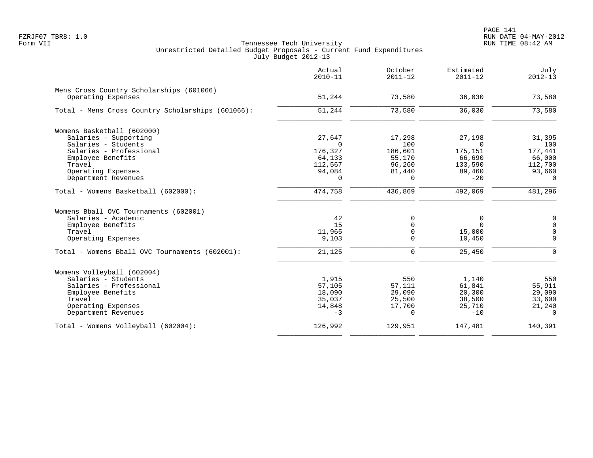|                                                   | Actual<br>$2010 - 11$ | October<br>$2011 - 12$ | Estimated<br>$2011 - 12$ | July<br>$2012 - 13$ |
|---------------------------------------------------|-----------------------|------------------------|--------------------------|---------------------|
| Mens Cross Country Scholarships (601066)          |                       |                        |                          |                     |
| Operating Expenses                                | 51,244                | 73,580                 | 36,030                   | 73,580              |
| Total - Mens Cross Country Scholarships (601066): | 51,244                | 73,580                 | 36,030                   | 73,580              |
| Womens Basketball (602000)                        |                       |                        |                          |                     |
| Salaries - Supporting                             | 27,647                | 17,298                 | 27,198                   | 31,395              |
| Salaries - Students                               | $\Omega$              | 100                    | $\Omega$                 | 100                 |
| Salaries - Professional                           | 176,327               | 186,601                | 175,151                  | 177,441             |
| Employee Benefits                                 | 64,133                | 55,170                 | 66,690                   | 66,000              |
| Travel                                            | 112,567               | 96,260                 | 133,590                  | 112,700             |
| Operating Expenses                                | 94,084                | 81,440                 | 89,460                   | 93,660              |
| Department Revenues                               | $\Omega$              | $\Omega$               | $-20$                    | $\Omega$            |
| Total - Womens Basketball (602000):               | 474,758               | 436,869                | 492,069                  | 481,296             |
| Womens Bball OVC Tournaments (602001)             |                       |                        |                          |                     |
| Salaries - Academic                               | 42                    | 0                      | 0                        | 0                   |
| Employee Benefits                                 | 15                    | $\Omega$               | $\Omega$                 | $\Omega$            |
| Travel                                            | 11,965                | $\mathbf 0$            | 15,000                   | $\mathbf 0$         |
| Operating Expenses                                | 9,103                 | $\Omega$               | 10,450                   | $\mathbf 0$         |
| Total - Womens Bball OVC Tournaments (602001):    | 21,125                | $\Omega$               | 25,450                   | $\Omega$            |
| Womens Volleyball (602004)                        |                       |                        |                          |                     |
| Salaries - Students                               | 1,915                 | 550                    | 1,140                    | 550                 |
| Salaries - Professional                           | 57,105                | 57,111                 | 61,841                   | 55,911              |
| Employee Benefits                                 | 18,090                | 29,090                 | 20,300                   | 29,090              |
| Travel                                            | 35,037                | 25,500                 | 38,500                   | 33,600              |
| Operating Expenses                                | 14,848                | 17,700                 | 25,710                   | 21,240              |
| Department Revenues                               | $-3$                  | $\Omega$               | $-10$                    | $\Omega$            |
| Total - Womens Volleyball (602004):               | 126,992               | 129,951                | 147,481                  | 140,391             |
|                                                   |                       |                        |                          |                     |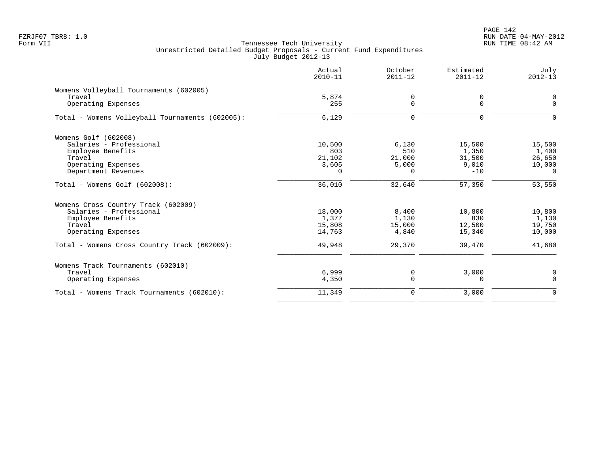|                                                  | Actual<br>$2010 - 11$ | October<br>$2011 - 12$ | Estimated<br>$2011 - 12$ | July<br>$2012 - 13$ |
|--------------------------------------------------|-----------------------|------------------------|--------------------------|---------------------|
| Womens Volleyball Tournaments (602005)<br>Travel | 5,874                 | 0                      | 0                        | 0                   |
| Operating Expenses                               | 255                   | $\Omega$               | $\Omega$                 | $\Omega$            |
| Total - Womens Volleyball Tournaments (602005):  | 6,129                 | $\Omega$               | $\Omega$                 | $\Omega$            |
| Womens Golf (602008)                             |                       |                        |                          |                     |
| Salaries - Professional                          | 10,500                | 6,130                  | 15,500                   | 15,500              |
| Employee Benefits<br>Travel                      | 803<br>21,102         | 510<br>21,000          | 1,350<br>31,500          | 1,400<br>26,650     |
| Operating Expenses                               | 3,605                 | 5,000                  | 9,010                    | 10,000              |
| Department Revenues                              | $\Omega$              | $\Omega$               | $-10$                    | $\Omega$            |
| Total - Womens Golf (602008):                    | 36,010                | 32,640                 | 57,350                   | 53,550              |
| Womens Cross Country Track (602009)              |                       |                        |                          |                     |
| Salaries - Professional                          | 18,000                | 8,400                  | 10,800                   | 10,800              |
| Employee Benefits                                | 1,377                 | 1,130                  | 830                      | 1,130               |
| Travel                                           | 15,808                | 15,000                 | 12,500                   | 19,750              |
| Operating Expenses                               | 14,763                | 4,840                  | 15,340                   | 10,000              |
| Total - Womens Cross Country Track (602009):     | 49,948                | 29,370                 | 39,470                   | 41,680              |
| Womens Track Tournaments (602010)                |                       |                        |                          |                     |
| Travel                                           | 6,999                 | 0                      | 3,000                    | 0                   |
| Operating Expenses                               | 4,350                 | $\Omega$               | $\Omega$                 | $\Omega$            |
| Total - Womens Track Tournaments (602010):       | 11,349                | $\mathbf 0$            | 3,000                    | $\Omega$            |
|                                                  |                       |                        |                          |                     |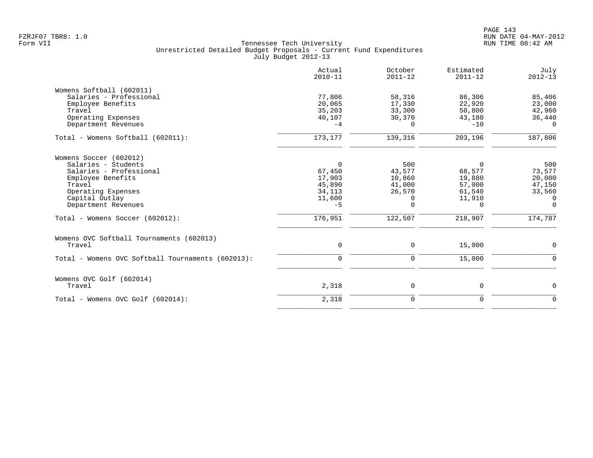|                                                   | Actual<br>$2010 - 11$ | October<br>$2011 - 12$ | Estimated<br>$2011 - 12$ | July<br>$2012 - 13$ |
|---------------------------------------------------|-----------------------|------------------------|--------------------------|---------------------|
| Womens Softball (602011)                          |                       |                        |                          |                     |
| Salaries - Professional                           | 77,806                | 58,316                 | 86,306                   | 85,406              |
| Employee Benefits                                 | 20,065                | 17,330                 | 22,920                   | 23,000              |
| Travel                                            | 35,203                | 33,300                 | 50,800                   | 42,960              |
| Operating Expenses                                | 40,107                | 30,370                 | 43,180                   | 36,440              |
| Department Revenues                               | $-4$                  | $\Omega$               | $-10$                    | $\Omega$            |
| Total - Womens Softball (602011):                 | 173, 177              | 139,316                | 203,196                  | 187,806             |
| Womens Soccer (602012)                            |                       |                        |                          |                     |
| Salaries - Students                               | $\Omega$              | 500                    | $\Omega$                 | 500                 |
| Salaries - Professional                           | 67,450                | 43,577                 | 68,577                   | 73,577              |
| Employee Benefits                                 | 17,903                | 10,860                 | 19,880                   | 20,000              |
| Travel                                            | 45,890                | 41,000                 | 57,000                   | 47,150              |
| Operating Expenses                                | 34,113                | 26,570                 | 61,540                   | 33,560              |
| Capital Outlay                                    | 11,600                | 0                      | 11,910                   | 0                   |
| Department Revenues                               | $-5$                  | 0                      | $\Omega$                 | $\Omega$            |
| Total - Womens Soccer (602012):                   | 176,951               | 122,507                | 218,907                  | 174,787             |
| Womens OVC Softball Tournaments (602013)          |                       |                        |                          |                     |
| Travel                                            | 0                     | 0                      | 15,000                   | 0                   |
| Total - Womens OVC Softball Tournaments (602013): | $\mathbf 0$           | 0                      | 15,000                   | $\Omega$            |
| Womens OVC Golf (602014)                          |                       |                        |                          |                     |
| Travel                                            | 2,318                 | 0                      | 0                        | $\mathbf 0$         |
| Total - Womens OVC Golf (602014):                 | 2,318                 | $\mathbf 0$            | $\mathbf 0$              | $\Omega$            |
|                                                   |                       |                        |                          |                     |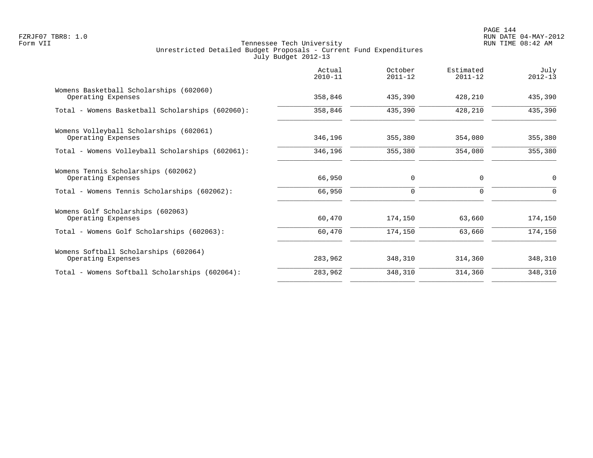PAGE 144 FZRJF07 TBR8: 1.0 RUN DATE 04-MAY-2012

|                                                               | Actual<br>$2010 - 11$ | October<br>$2011 - 12$ | Estimated<br>$2011 - 12$ | July<br>$2012 - 13$ |
|---------------------------------------------------------------|-----------------------|------------------------|--------------------------|---------------------|
| Womens Basketball Scholarships (602060)<br>Operating Expenses | 358,846               | 435,390                | 428,210                  | 435,390             |
| Total - Womens Basketball Scholarships (602060):              | 358,846               | 435,390                | 428,210                  | 435,390             |
| Womens Volleyball Scholarships (602061)<br>Operating Expenses | 346,196               | 355,380                | 354,080                  | 355,380             |
| Total - Womens Volleyball Scholarships (602061):              | 346,196               | 355,380                | 354,080                  | 355,380             |
| Womens Tennis Scholarships (602062)<br>Operating Expenses     | 66,950                | 0                      | $\mathbf 0$              | 0                   |
| Total - Womens Tennis Scholarships (602062):                  | 66,950                | $\mathbf 0$            | $\Omega$                 | $\Omega$            |
| Womens Golf Scholarships (602063)<br>Operating Expenses       | 60,470                | 174,150                | 63,660                   | 174,150             |
| Total - Womens Golf Scholarships (602063):                    | 60,470                | 174,150                | 63,660                   | 174,150             |
| Womens Softball Scholarships (602064)<br>Operating Expenses   | 283,962               | 348,310                | 314,360                  | 348,310             |
| Total - Womens Softball Scholarships (602064):                | 283,962               | 348,310                | 314,360                  | 348,310             |
|                                                               |                       |                        |                          |                     |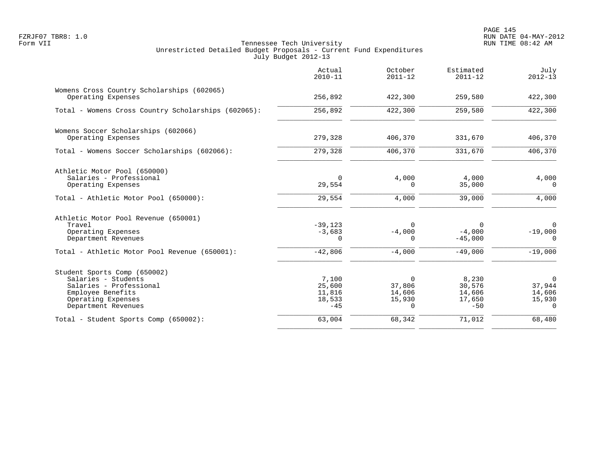|                                                                                                                                                  | Actual<br>$2010 - 11$                        | October<br>$2011 - 12$                             | Estimated<br>$2011 - 12$                     | July<br>$2012 - 13$                                   |
|--------------------------------------------------------------------------------------------------------------------------------------------------|----------------------------------------------|----------------------------------------------------|----------------------------------------------|-------------------------------------------------------|
| Womens Cross Country Scholarships (602065)<br>Operating Expenses                                                                                 | 256,892                                      | 422,300                                            | 259,580                                      | 422,300                                               |
| Total - Womens Cross Country Scholarships (602065):                                                                                              | 256,892                                      | 422,300                                            | 259,580                                      | 422,300                                               |
| Womens Soccer Scholarships (602066)<br>Operating Expenses                                                                                        | 279,328                                      | 406,370                                            | 331,670                                      | 406,370                                               |
| Total - Womens Soccer Scholarships (602066):                                                                                                     | 279,328                                      | 406,370                                            | 331,670                                      | 406,370                                               |
| Athletic Motor Pool (650000)<br>Salaries - Professional<br>Operating Expenses                                                                    | $\Omega$<br>29,554                           | 4,000<br>0                                         | 4,000<br>35,000                              | 4,000<br>$\Omega$                                     |
| Total - Athletic Motor Pool (650000):                                                                                                            | 29,554                                       | 4,000                                              | 39,000                                       | 4,000                                                 |
| Athletic Motor Pool Revenue (650001)<br>Travel<br>Operating Expenses<br>Department Revenues                                                      | $-39,123$<br>$-3,683$<br>$\Omega$            | $\Omega$<br>$-4,000$<br>0                          | $\Omega$<br>$-4,000$<br>$-45,000$            | $\Omega$<br>$-19,000$<br>$\Omega$                     |
| Total - Athletic Motor Pool Revenue (650001):                                                                                                    | $-42,806$                                    | $-4,000$                                           | $-49,000$                                    | $-19,000$                                             |
| Student Sports Comp (650002)<br>Salaries - Students<br>Salaries - Professional<br>Employee Benefits<br>Operating Expenses<br>Department Revenues | 7,100<br>25,600<br>11,816<br>18,533<br>$-45$ | $\Omega$<br>37,806<br>14,606<br>15,930<br>$\Omega$ | 8,230<br>30,576<br>14,606<br>17,650<br>$-50$ | $\mathbf 0$<br>37,944<br>14,606<br>15,930<br>$\Omega$ |
| Total - Student Sports Comp (650002):                                                                                                            | 63,004                                       | 68,342                                             | 71,012                                       | 68,480                                                |
|                                                                                                                                                  |                                              |                                                    |                                              |                                                       |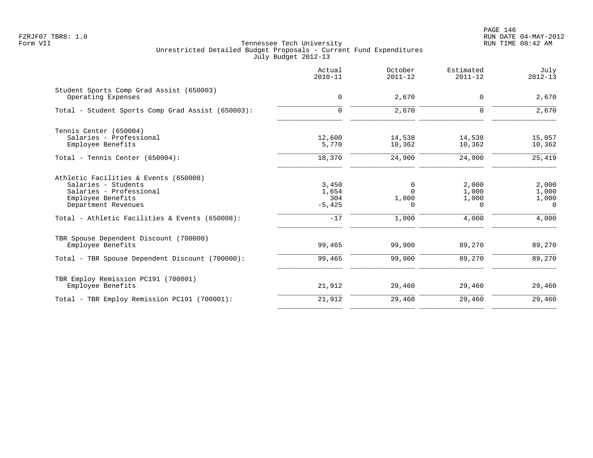|                                                                                                                                                                                       | Actual<br>$2010 - 11$                      | October<br>$2011 - 12$               | Estimated<br>$2011 - 12$                     | July<br>$2012 - 13$                          |
|---------------------------------------------------------------------------------------------------------------------------------------------------------------------------------------|--------------------------------------------|--------------------------------------|----------------------------------------------|----------------------------------------------|
| Student Sports Comp Grad Assist (650003)<br>Operating Expenses                                                                                                                        | 0                                          | 2,670                                | $\mathbf 0$                                  | 2,670                                        |
| Total - Student Sports Comp Grad Assist (650003):                                                                                                                                     | $\mathbf 0$                                | 2,670                                | $\mathbf 0$                                  | 2,670                                        |
| Tennis Center (650004)<br>Salaries - Professional<br>Employee Benefits                                                                                                                | 12,600<br>5,770                            | 14,538<br>10,362                     | 14,538<br>10,362                             | 15,057<br>10,362                             |
| Total - Tennis Center (650004):                                                                                                                                                       | 18,370                                     | 24,900                               | 24,900                                       | 25,419                                       |
| Athletic Facilities & Events (650008)<br>Salaries - Students<br>Salaries - Professional<br>Employee Benefits<br>Department Revenues<br>Total - Athletic Facilities & Events (650008): | 3,450<br>1,654<br>304<br>$-5,425$<br>$-17$ | 0<br>$\Omega$<br>1,000<br>0<br>1,000 | 2,000<br>1,000<br>1,000<br>$\Omega$<br>4,000 | 2,000<br>1,000<br>1,000<br>$\Omega$<br>4,000 |
| TBR Spouse Dependent Discount (700000)<br>Employee Benefits                                                                                                                           | 99,465<br>99,465                           | 99,900<br>99,900                     | 89,270                                       | 89,270<br>89,270                             |
| Total - TBR Spouse Dependent Discount (700000):                                                                                                                                       |                                            |                                      | 89,270                                       |                                              |
| TBR Employ Remission PC191 (700001)<br>Employee Benefits                                                                                                                              | 21,912                                     | 29,460                               | 29,460                                       | 29,460                                       |
| Total - TBR Employ Remission PC191 (700001):                                                                                                                                          | 21,912                                     | 29,460                               | 29,460                                       | 29,460                                       |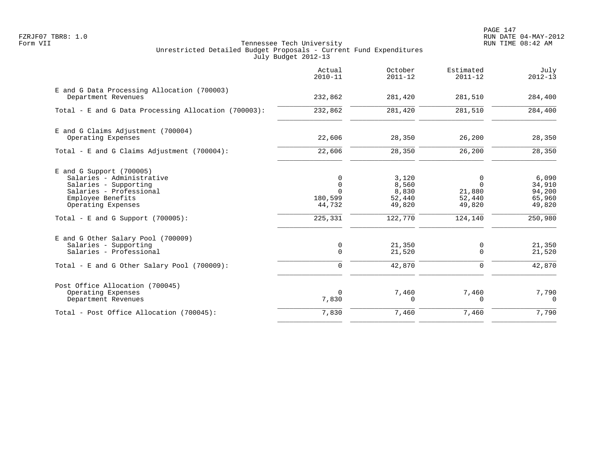PAGE 147 FZRJF07 TBR8: 1.0 RUN DATE 04-MAY-2012

|                                                                    | Actual<br>$2010 - 11$ | October<br>$2011 - 12$ | Estimated<br>$2011 - 12$ | July<br>$2012 - 13$ |
|--------------------------------------------------------------------|-----------------------|------------------------|--------------------------|---------------------|
| E and G Data Processing Allocation (700003)<br>Department Revenues | 232,862               | 281,420                | 281,510                  | 284,400             |
| Total - E and G Data Processing Allocation (700003):               | 232,862               | 281,420                | 281,510                  | 284,400             |
|                                                                    |                       |                        |                          |                     |
| E and G Claims Adjustment (700004)<br>Operating Expenses           | 22,606                | 28,350                 | 26,200                   | 28,350              |
| Total - E and G Claims Adjustment (700004):                        | 22,606                | 28,350                 | 26,200                   | 28,350              |
| $E$ and G Support (700005)                                         |                       |                        |                          |                     |
| Salaries - Administrative                                          | $\mathbf 0$           | 3,120                  | $\Omega$<br>$\Omega$     | 6,090               |
| Salaries - Supporting<br>Salaries - Professional                   | $\mathbf 0$<br>$\cap$ | 8,560<br>8,830         | 21,880                   | 34,910<br>94,200    |
| Employee Benefits                                                  | 180,599               | 52,440                 | 52,440                   | 65,960              |
| Operating Expenses                                                 | 44,732                | 49,820                 | 49,820                   | 49,820              |
| Total - E and G Support $(700005)$ :                               | 225,331               | 122,770                | 124,140                  | 250,980             |
| E and G Other Salary Pool (700009)                                 |                       |                        |                          |                     |
| Salaries - Supporting                                              | $\mathbf 0$           | 21,350                 | 0                        | 21,350              |
| Salaries - Professional                                            | $\Omega$              | 21,520                 | $\Omega$                 | 21,520              |
| Total - E and G Other Salary Pool (700009):                        | $\Omega$              | 42,870                 | $\Omega$                 | 42,870              |
| Post Office Allocation (700045)                                    |                       |                        |                          |                     |
| Operating Expenses<br>Department Revenues                          | $\mathbf 0$<br>7,830  | 7,460<br>0             | 7,460<br>$\Omega$        | 7,790<br>$\Omega$   |
| Total - Post Office Allocation (700045):                           | 7,830                 | 7,460                  | 7,460                    | 7,790               |
|                                                                    |                       |                        |                          |                     |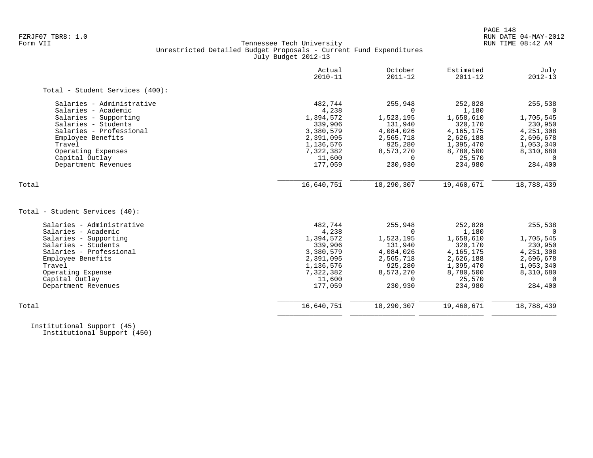## FZRJF07 TBR8: 1.0 RUN DATE 04-MAY-2012 Tennessee Tech University Unrestricted Detailed Budget Proposals - Current Fund Expenditures July Budget 2012-13

|                                 | Actual<br>$2010 - 11$ | October<br>$2011 - 12$ | Estimated<br>$2011 - 12$ | July<br>$2012 - 13$ |
|---------------------------------|-----------------------|------------------------|--------------------------|---------------------|
| Total - Student Services (400): |                       |                        |                          |                     |
| Salaries - Administrative       | 482,744               | 255,948                | 252,828                  | 255,538             |
| Salaries - Academic             | 4,238                 | $\Omega$               | 1,180                    |                     |
| Salaries - Supporting           | 1,394,572             | 1,523,195              | 1,658,610                | 1,705,545           |
| Salaries - Students             | 339,906               | 131,940                | 320,170                  | 230,950             |
| Salaries - Professional         | 3,380,579             | 4,084,026              | 4, 165, 175              | 4,251,308           |
| Employee Benefits               | 2,391,095             | 2,565,718              | 2,626,188                | 2,696,678           |
| Travel                          | 1,136,576             | 925,280                | 1,395,470                | 1,053,340           |
| Operating Expenses              | 7,322,382             | 8,573,270              | 8,780,500                | 8,310,680           |
| Capital Outlay                  | 11,600                | $\Omega$               | 25,570                   | $\Omega$            |
| Department Revenues             | 177,059               | 230,930                | 234,980                  | 284,400             |
| Total                           | 16,640,751            | 18,290,307             | 19,460,671               | 18,788,439          |
|                                 |                       |                        |                          |                     |
| Total - Student Services (40):  |                       |                        |                          |                     |
| Salaries - Administrative       | 482,744               | 255,948                | 252,828                  | 255,538             |
| Salaries - Academic             | 4,238                 | $\Omega$               | 1,180                    | $\Omega$            |
| Salaries - Supporting           | 1,394,572             | 1,523,195              | 1,658,610                | 1,705,545           |
| Salaries - Students             | 339,906               | 131,940                | 320,170                  | 230,950             |
| Salaries - Professional         | 3,380,579             | 4,084,026              | 4, 165, 175              | 4,251,308           |
| Employee Benefits               | 2,391,095             | 2,565,718              | 2,626,188                | 2,696,678           |
| Travel                          | 1,136,576             | 925,280                | 1,395,470                | 1,053,340           |
| Operating Expense               | 7,322,382             | 8,573,270              | 8,780,500                | 8,310,680           |
| Capital Outlay                  | 11,600                | $\Omega$               | 25,570                   | $\Omega$            |
| Department Revenues             | 177,059               | 230,930                | 234,980                  | 284,400             |
| Total                           | 16,640,751            | 18,290,307             | 19,460,671               | 18,788,439          |
|                                 |                       |                        |                          |                     |

 Institutional Support (45) Institutional Support (450)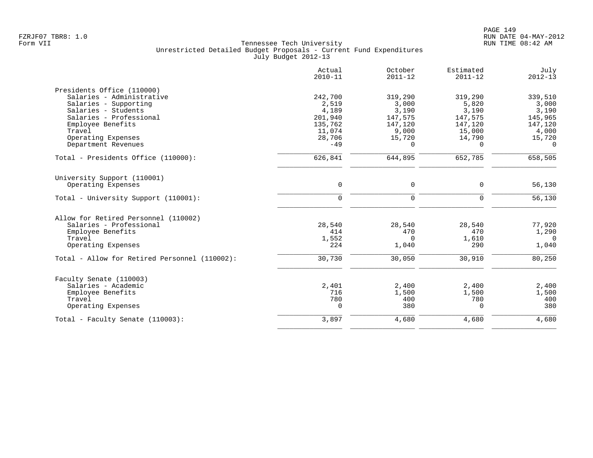|                                               | Actual<br>$2010 - 11$ | October<br>$2011 - 12$ | Estimated<br>$2011 - 12$ | July<br>$2012 - 13$ |
|-----------------------------------------------|-----------------------|------------------------|--------------------------|---------------------|
| Presidents Office (110000)                    |                       |                        |                          |                     |
| Salaries - Administrative                     | 242,700               | 319,290                | 319,290                  | 339,510             |
| Salaries - Supporting                         | 2,519                 | 3,000                  | 5,820                    | 3,000               |
| Salaries - Students                           | 4,189                 | 3,190                  | 3,190                    | 3,190               |
| Salaries - Professional                       | 201,940               | 147,575                | 147,575                  | 145,965             |
| Employee Benefits                             | 135,762               | 147,120                | 147,120                  | 147,120             |
| Travel                                        | 11,074                | 9,000                  | 15,000                   | 4,000               |
| Operating Expenses                            | 28,706                | 15,720                 | 14,790                   | 15,720              |
| Department Revenues                           | $-49$                 | $\Omega$               | $\Omega$                 | $\Omega$            |
| Total - Presidents Office (110000):           | 626,841               | 644,895                | 652,785                  | 658,505             |
| University Support (110001)                   |                       |                        |                          |                     |
| Operating Expenses                            | $\mathsf{O}$          | 0                      | $\mathbf 0$              | 56,130              |
| Total - University Support (110001):          | $\mathbf 0$           | $\mathbf 0$            | 0                        | 56,130              |
| Allow for Retired Personnel (110002)          |                       |                        |                          |                     |
| Salaries - Professional                       | 28,540                | 28,540                 | 28,540                   | 77,920              |
| Employee Benefits                             | 414                   | 470                    | 470                      | 1,290               |
| Travel                                        | 1,552                 | $\Omega$               | 1,610                    | $\cap$              |
| Operating Expenses                            | 224                   | 1,040                  | 290                      | 1,040               |
| Total - Allow for Retired Personnel (110002): | 30,730                | 30,050                 | 30,910                   | 80,250              |
| Faculty Senate (110003)                       |                       |                        |                          |                     |
| Salaries - Academic                           | 2,401                 | 2,400                  | 2,400                    | 2,400               |
| Employee Benefits                             | 716                   | 1,500                  | 1,500                    | 1,500               |
| Travel                                        | 780                   | 400                    | 780                      | 400                 |
| Operating Expenses                            | $\Omega$              | 380                    | $\Omega$                 | 380                 |
| Total - Faculty Senate (110003):              | 3,897                 | 4,680                  | 4,680                    | 4,680               |
|                                               |                       |                        |                          |                     |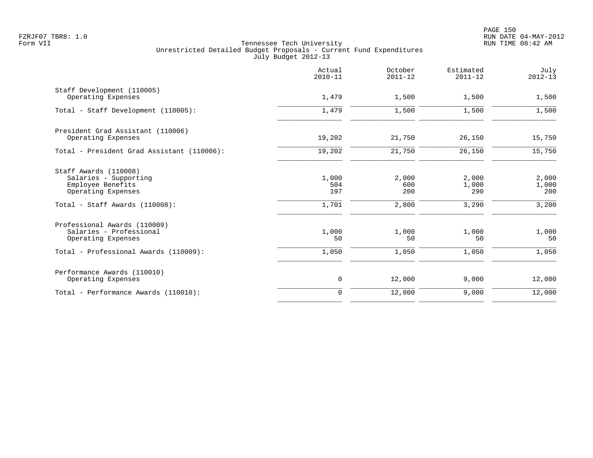| Actual<br>$2010 - 11$        | October<br>$2011 - 12$       | Estimated<br>$2011 - 12$       | July<br>$2012 - 13$            |
|------------------------------|------------------------------|--------------------------------|--------------------------------|
| 1,479                        | 1,500                        | 1,500                          | 1,500                          |
| 1,479                        | 1,500                        | 1,500                          | 1,500                          |
| 19,202                       | 21,750                       | 26,150                         | 15,750                         |
| 19,202                       | 21,750                       | 26,150                         | 15,750                         |
| 1,000<br>504<br>197<br>1,701 | 2,000<br>600<br>200<br>2,800 | 2,000<br>1,000<br>290<br>3,290 | 2,000<br>1,000<br>200<br>3,200 |
| 1,000<br>50                  | 1,000<br>50                  | 1,000<br>50                    | 1,000<br>50                    |
| 1,050                        | 1,050                        | 1,050                          | 1,050                          |
| 0                            | 12,000                       | 9,000                          | 12,000                         |
| $\Omega$                     | 12,000                       | 9,000                          | 12,000                         |
|                              |                              |                                |                                |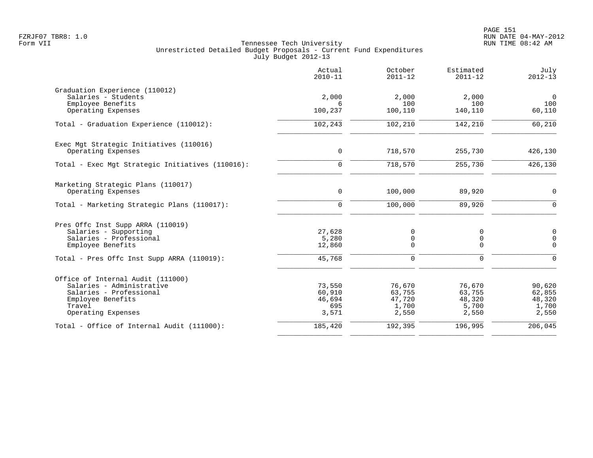|                                                                                                                                                | Actual<br>$2010 - 11$                      | October<br>$2011 - 12$                       | Estimated<br>$2011 - 12$                     | July<br>$2012 - 13$                          |
|------------------------------------------------------------------------------------------------------------------------------------------------|--------------------------------------------|----------------------------------------------|----------------------------------------------|----------------------------------------------|
| Graduation Experience (110012)<br>Salaries - Students<br>Employee Benefits                                                                     | 2,000<br>6                                 | 2,000<br>100                                 | 2,000<br>100                                 | $\overline{0}$<br>100                        |
| Operating Expenses                                                                                                                             | 100,237                                    | 100,110                                      | 140,110                                      | 60,110                                       |
| Total - Graduation Experience (110012):                                                                                                        | 102,243                                    | 102,210                                      | 142,210                                      | 60,210                                       |
| Exec Mgt Strategic Initiatives (110016)<br>Operating Expenses                                                                                  | $\mathbf 0$                                | 718,570                                      | 255,730                                      | 426,130                                      |
| Total - Exec Mgt Strategic Initiatives (110016):                                                                                               | $\mathbf 0$                                | 718,570                                      | 255,730                                      | 426,130                                      |
| Marketing Strategic Plans (110017)<br>Operating Expenses                                                                                       | $\mathbf 0$                                | 100,000                                      | 89,920                                       | $\mathbf 0$                                  |
| Total - Marketing Strategic Plans (110017):                                                                                                    | $\Omega$                                   | 100,000                                      | 89,920                                       | $\Omega$                                     |
| Pres Offc Inst Supp ARRA (110019)<br>Salaries - Supporting<br>Salaries - Professional<br>Employee Benefits                                     | 27,628<br>5,280<br>12,860                  | 0<br>$\mathsf 0$<br>$\mathbf 0$              | 0<br>$\mathbf 0$<br>$\mathbf 0$              | $\mathbf 0$<br>$\mathsf{O}$<br>$\mathbf 0$   |
| Total - Pres Offc Inst Supp ARRA (110019):                                                                                                     | 45,768                                     | $\mathbf 0$                                  | $\mathbf 0$                                  | $\mathbf 0$                                  |
| Office of Internal Audit (111000)<br>Salaries - Administrative<br>Salaries - Professional<br>Employee Benefits<br>Travel<br>Operating Expenses | 73,550<br>60,910<br>46,694<br>695<br>3,571 | 76,670<br>63,755<br>47,720<br>1,700<br>2,550 | 76,670<br>63,755<br>48,320<br>5,700<br>2,550 | 90,620<br>62,855<br>48,320<br>1,700<br>2,550 |
| Total - Office of Internal Audit (111000):                                                                                                     | 185,420                                    | 192,395                                      | 196,995                                      | 206,045                                      |
|                                                                                                                                                |                                            |                                              |                                              |                                              |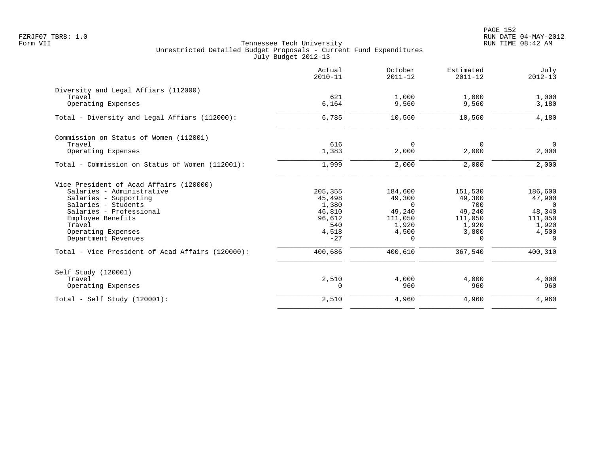PAGE 152 FZRJF07 TBR8: 1.0 RUN DATE 04-MAY-2012

|                                                  | Actual<br>$2010 - 11$ | October<br>$2011 - 12$ | Estimated<br>$2011 - 12$ | July<br>$2012 - 13$ |
|--------------------------------------------------|-----------------------|------------------------|--------------------------|---------------------|
| Diversity and Legal Affiars (112000)             |                       |                        |                          |                     |
| Travel                                           | 621                   | 1,000                  | 1,000                    | 1,000               |
| Operating Expenses                               | 6,164                 | 9,560                  | 9,560                    | 3,180               |
| Total - Diversity and Legal Affiars (112000):    | 6,785                 | 10,560                 | 10,560                   | 4,180               |
| Commission on Status of Women (112001)           |                       |                        |                          |                     |
| Travel                                           | 616                   | $\Omega$               | 0                        | $\mathbf 0$         |
| Operating Expenses                               | 1,383                 | 2,000                  | 2,000                    | 2,000               |
| Total - Commission on Status of Women (112001):  | 1,999                 | 2,000                  | 2,000                    | 2,000               |
| Vice President of Acad Affairs (120000)          |                       |                        |                          |                     |
| Salaries - Administrative                        | 205,355               | 184,600                | 151,530                  | 186,600             |
| Salaries - Supporting                            | 45,498                | 49,300                 | 49,300                   | 47,900              |
| Salaries - Students                              | 1,380                 | $\Omega$               | 700                      | $\Omega$            |
| Salaries - Professional<br>Employee Benefits     | 46,810<br>96,612      | 49,240<br>111,050      | 49,240<br>111,050        | 48,340<br>111,050   |
| Travel                                           | 540                   | 1,920                  | 1,920                    | 1,920               |
| Operating Expenses                               | 4,518                 | 4,500                  | 3,800                    | 4,500               |
| Department Revenues                              | $-27$                 | $\Omega$               | $\Omega$                 | $\Omega$            |
| Total - Vice President of Acad Affairs (120000): | 400,686               | 400,610                | 367,540                  | 400,310             |
| Self Study (120001)                              |                       |                        |                          |                     |
| Travel                                           | 2,510                 | 4,000                  | 4,000                    | 4,000               |
| Operating Expenses                               | $\Omega$              | 960                    | 960                      | 960                 |
| Total - Self Study $(120001)$ :                  | 2,510                 | 4,960                  | 4,960                    | 4,960               |
|                                                  |                       |                        |                          |                     |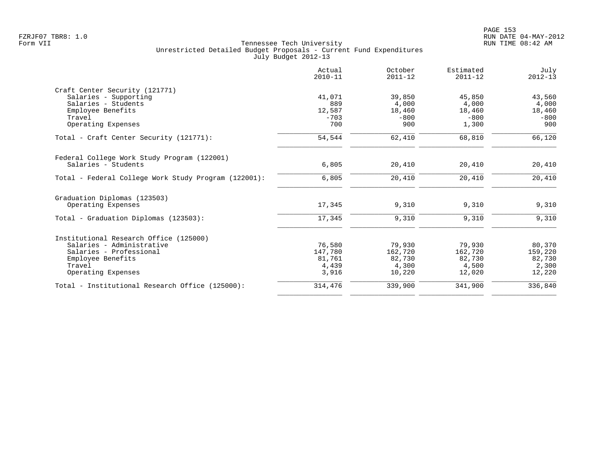|                                                      | Actual<br>$2010 - 11$ | October<br>$2011 - 12$ | Estimated<br>$2011 - 12$ | July<br>$2012 - 13$ |
|------------------------------------------------------|-----------------------|------------------------|--------------------------|---------------------|
| Craft Center Security (121771)                       |                       |                        |                          |                     |
| Salaries - Supporting                                | 41,071                | 39,850                 | 45,850                   | 43,560              |
| Salaries - Students                                  | 889                   | 4,000                  | 4,000                    | 4,000               |
| Employee Benefits                                    | 12,587                | 18,460                 | 18,460                   | 18,460              |
| Travel                                               | $-703$                | $-800$                 | $-800$                   | $-800$              |
| Operating Expenses                                   | 700                   | 900                    | 1,300                    | 900                 |
| Total - Craft Center Security (121771):              | 54,544                | 62,410                 | 68,810                   | 66,120              |
| Federal College Work Study Program (122001)          |                       |                        |                          |                     |
| Salaries - Students                                  | 6,805                 | 20,410                 | 20,410                   | 20,410              |
| Total - Federal College Work Study Program (122001): | 6,805                 | 20,410                 | 20,410                   | 20,410              |
| Graduation Diplomas (123503)                         |                       |                        |                          |                     |
| Operating Expenses                                   | 17,345                | 9,310                  | 9,310                    | 9,310               |
| Total - Graduation Diplomas (123503):                | 17,345                | 9,310                  | 9,310                    | 9,310               |
| Institutional Research Office (125000)               |                       |                        |                          |                     |
| Salaries - Administrative                            | 76,580                | 79,930                 | 79,930                   | 80,370              |
| Salaries - Professional                              | 147,780               | 162,720                | 162,720                  | 159,220             |
| Employee Benefits                                    | 81,761                | 82,730                 | 82,730                   | 82,730              |
| Travel                                               | 4,439                 | 4,300                  | 4,500                    | 2,300               |
| Operating Expenses                                   | 3,916                 | 10,220                 | 12,020                   | 12,220              |
| Total - Institutional Research Office (125000):      | 314,476               | 339,900                | 341,900                  | 336,840             |
|                                                      |                       |                        |                          |                     |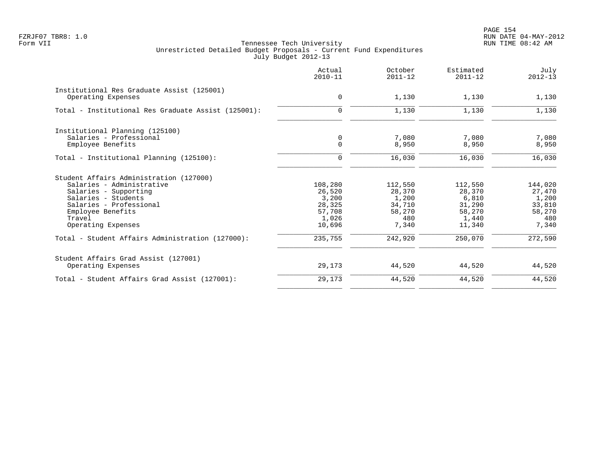PAGE 154 FZRJF07 TBR8: 1.0 RUN DATE 04-MAY-2012

|                                                     | Actual<br>$2010 - 11$ | October<br>$2011 - 12$ | Estimated<br>$2011 - 12$ | July<br>$2012 - 13$ |
|-----------------------------------------------------|-----------------------|------------------------|--------------------------|---------------------|
| Institutional Res Graduate Assist (125001)          |                       |                        |                          |                     |
| Operating Expenses                                  | $\mathbf 0$           | 1,130                  | 1,130                    | 1,130               |
| Total - Institutional Res Graduate Assist (125001): | $\Omega$              | 1,130                  | 1,130                    | 1,130               |
| Institutional Planning (125100)                     |                       |                        |                          |                     |
| Salaries - Professional                             | 0                     | 7,080                  | 7,080                    | 7,080               |
| Employee Benefits                                   | $\mathbf 0$           | 8,950                  | 8,950                    | 8,950               |
| Total - Institutional Planning (125100):            | $\Omega$              | 16,030                 | 16,030                   | 16,030              |
| Student Affairs Administration (127000)             |                       |                        |                          |                     |
| Salaries - Administrative                           | 108,280               | 112,550                | 112,550                  | 144,020             |
| Salaries - Supporting                               | 26,520                | 28,370                 | 28,370                   | 27,470              |
| Salaries - Students                                 | 3,200                 | 1,200                  | 6,810                    | 1,200               |
| Salaries - Professional                             | 28,325                | 34,710                 | 31,290                   | 33,810              |
| Employee Benefits                                   | 57,708                | 58,270                 | 58,270                   | 58,270              |
| Travel                                              | 1,026                 | 480                    | 1,440                    | 480                 |
| Operating Expenses                                  | 10,696                | 7,340                  | 11,340                   | 7,340               |
| Total - Student Affairs Administration (127000):    | 235,755               | 242,920                | 250,070                  | 272,590             |
| Student Affairs Grad Assist (127001)                |                       |                        |                          |                     |
| Operating Expenses                                  | 29,173                | 44,520                 | 44,520                   | 44,520              |
| Total - Student Affairs Grad Assist (127001):       | 29,173                | 44,520                 | 44,520                   | 44,520              |
|                                                     |                       |                        |                          |                     |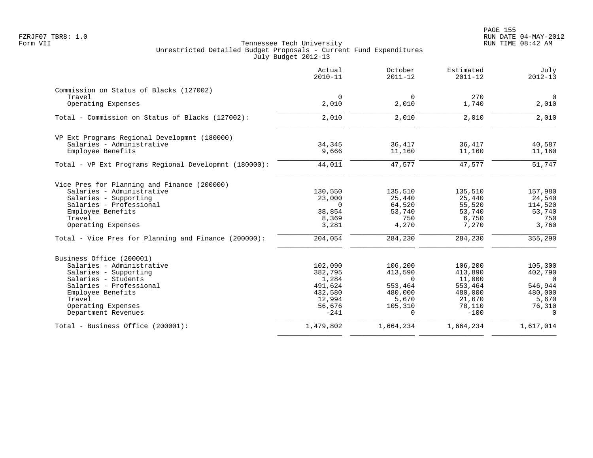| $\mathbf 0$<br>2,010<br>2,010 | 270<br>1,740<br>2,010       | $\mathbf 0$<br>2,010<br>2,010 |
|-------------------------------|-----------------------------|-------------------------------|
|                               |                             |                               |
|                               |                             |                               |
|                               |                             |                               |
|                               |                             |                               |
|                               |                             |                               |
| 36,417                        | 36,417                      | 40,587                        |
| 11,160                        | 11,160                      | 11,160                        |
| 47,577                        | 47,577                      | 51,747                        |
|                               |                             |                               |
| 135,510                       | 135,510                     | 157,980                       |
| 25,440                        | 25,440                      | 24,540                        |
| 64,520                        | 55,520                      | 114,520                       |
| 53,740                        | 53,740                      | 53,740                        |
| 750                           | 6,750                       | 750                           |
| 4,270                         | 7,270                       | 3,760                         |
| 284,230                       | 284,230                     | 355,290                       |
|                               |                             |                               |
| 106,200                       | 106,200                     | 105,300                       |
| 413,590                       | 413,890                     | 402,790                       |
| $\Omega$                      | 11,000                      | $\Omega$                      |
| 553,464                       | 553,464                     | 546,944                       |
|                               |                             | 480,000                       |
|                               |                             | 5,670                         |
| $\Omega$                      | $-100$                      | 76,310<br>$\Omega$            |
| 1,664,234                     | 1,664,234                   | 1,617,014                     |
|                               | 480,000<br>5,670<br>105,310 | 480,000<br>21,670<br>78,110   |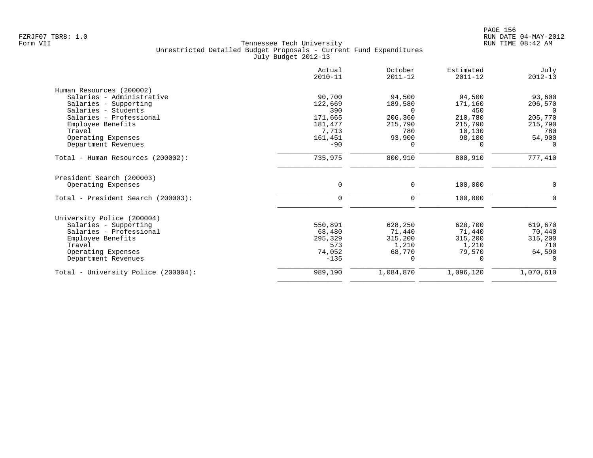| Actual<br>$2010 - 11$ | October<br>$2011 - 12$                                                                | Estimated<br>$2011 - 12$                                         | July<br>$2012 - 13$                                                            |
|-----------------------|---------------------------------------------------------------------------------------|------------------------------------------------------------------|--------------------------------------------------------------------------------|
|                       |                                                                                       |                                                                  |                                                                                |
| 90,700                | 94,500                                                                                | 94,500                                                           | 93,600                                                                         |
| 122,669               | 189,580                                                                               | 171,160                                                          | 206,570                                                                        |
| 390                   | $\Omega$                                                                              | 450                                                              | $\Omega$                                                                       |
|                       | 206,360                                                                               |                                                                  | 205,770                                                                        |
| 181,477               | 215,790                                                                               | 215,790                                                          | 215,790                                                                        |
|                       |                                                                                       |                                                                  | 780                                                                            |
|                       |                                                                                       |                                                                  | 54,900                                                                         |
|                       | $\Omega$                                                                              | 0                                                                | $\Omega$                                                                       |
| 735,975               | 800,910                                                                               | 800,910                                                          | 777,410                                                                        |
| 0                     | $\mathbf 0$                                                                           | 100,000                                                          | $\mathbf 0$                                                                    |
| 0                     | 0                                                                                     | 100,000                                                          | $\mathbf 0$                                                                    |
|                       |                                                                                       |                                                                  |                                                                                |
|                       |                                                                                       |                                                                  | 619,670                                                                        |
|                       |                                                                                       |                                                                  | 70,440                                                                         |
|                       |                                                                                       |                                                                  | 315,200                                                                        |
|                       |                                                                                       |                                                                  | 710                                                                            |
|                       |                                                                                       |                                                                  | 64,590                                                                         |
| $-135$                | $\Omega$                                                                              | 0                                                                | $\Omega$                                                                       |
| 989,190               | 1,084,870                                                                             | 1,096,120                                                        | 1,070,610                                                                      |
|                       | 171,665<br>7,713<br>161,451<br>$-90$<br>550,891<br>68,480<br>295,329<br>573<br>74,052 | 780<br>93,900<br>628,250<br>71,440<br>315,200<br>1,210<br>68,770 | 210,780<br>10,130<br>98,100<br>628,700<br>71,440<br>315,200<br>1,210<br>79,570 |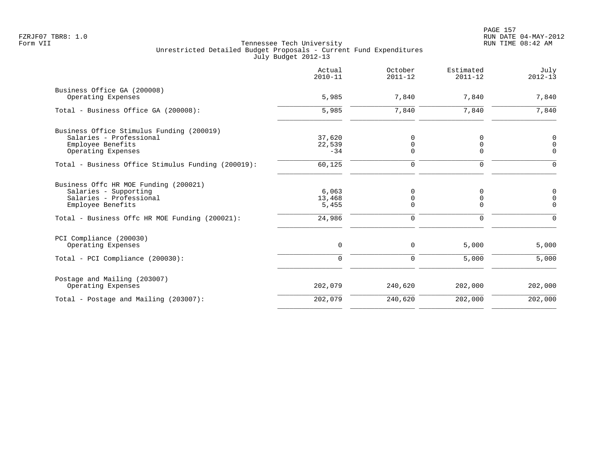|                                                    | Actual<br>$2010 - 11$ | October<br>$2011 - 12$ | Estimated<br>$2011 - 12$ | July<br>$2012 - 13$ |
|----------------------------------------------------|-----------------------|------------------------|--------------------------|---------------------|
| Business Office GA (200008)<br>Operating Expenses  | 5,985                 | 7,840                  | 7,840                    | 7,840               |
| Total - Business Office GA (200008):               | 5,985                 | 7,840                  | 7,840                    | 7,840               |
| Business Office Stimulus Funding (200019)          |                       |                        |                          |                     |
| Salaries - Professional                            | 37,620                | 0                      | 0                        | 0                   |
| Employee Benefits                                  | 22,539                | 0                      | 0                        | 0                   |
| Operating Expenses                                 | $-34$                 | $\Omega$               | 0                        | $\mathbf 0$         |
| Total - Business Office Stimulus Funding (200019): | 60,125                | $\mathbf 0$            | $\mathbf 0$              | $\Omega$            |
| Business Offc HR MOE Funding (200021)              |                       |                        |                          |                     |
| Salaries - Supporting                              | 6,063                 | $\mathbf 0$            | $\Omega$                 | 0                   |
| Salaries - Professional                            | 13,468                | 0                      | 0                        | $\mathsf 0$         |
| Employee Benefits                                  | 5,455                 | 0                      | 0                        | $\mathbf 0$         |
| Total - Business Offc HR MOE Funding (200021):     | 24,986                | $\mathbf 0$            | 0                        | $\Omega$            |
| PCI Compliance (200030)                            |                       |                        |                          |                     |
| Operating Expenses                                 | 0                     | 0                      | 5,000                    | 5,000               |
| Total - PCI Compliance (200030):                   | $\Omega$              | 0                      | 5,000                    | 5,000               |
| Postage and Mailing (203007)                       |                       |                        |                          |                     |
| Operating Expenses                                 | 202,079               | 240,620                | 202,000                  | 202,000             |
| Total - Postage and Mailing (203007):              | 202,079               | 240,620                | 202,000                  | 202,000             |
|                                                    |                       |                        |                          |                     |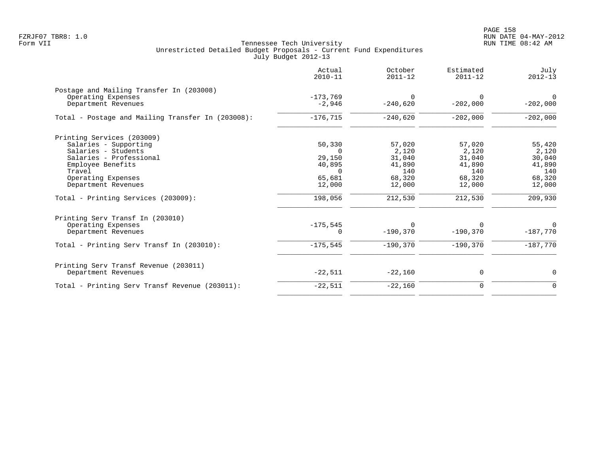|                                                   | Actual<br>$2010 - 11$ | October<br>$2011 - 12$ | Estimated<br>$2011 - 12$ | July<br>$2012 - 13$ |
|---------------------------------------------------|-----------------------|------------------------|--------------------------|---------------------|
| Postage and Mailing Transfer In (203008)          |                       |                        |                          |                     |
| Operating Expenses                                | $-173,769$            | $\Omega$               | $\Omega$                 | $\Omega$            |
| Department Revenues                               | $-2,946$              | $-240,620$             | $-202,000$               | $-202,000$          |
| Total - Postage and Mailing Transfer In (203008): | $-176,715$            | $-240,620$             | $-202,000$               | $-202,000$          |
| Printing Services (203009)                        |                       |                        |                          |                     |
| Salaries - Supporting                             | 50,330                | 57,020                 | 57,020                   | 55,420              |
| Salaries - Students                               | $\Omega$              | 2,120                  | 2,120                    | 2,120               |
| Salaries - Professional                           | 29,150                | 31,040                 | 31,040                   | 30,040              |
| Employee Benefits                                 | 40,895                | 41,890                 | 41,890                   | 41,890              |
| Travel                                            | $\Omega$              | 140                    | 140                      | 140                 |
| Operating Expenses                                | 65,681                | 68,320                 | 68,320                   | 68,320              |
| Department Revenues                               | 12,000                | 12,000                 | 12,000                   | 12,000              |
| Total - Printing Services (203009):               | 198,056               | 212,530                | 212,530                  | 209,930             |
| Printing Serv Transf In (203010)                  |                       |                        |                          |                     |
| Operating Expenses                                | $-175,545$            | $\Omega$               | O                        | $\mathbf{0}$        |
| Department Revenues                               | $\Omega$              | $-190,370$             | $-190,370$               | $-187,770$          |
| Total - Printing Serv Transf In (203010):         | $-175,545$            | $-190.370$             | $-190.370$               | $-187,770$          |
| Printing Serv Transf Revenue (203011)             |                       |                        |                          |                     |
| Department Revenues                               | $-22,511$             | $-22,160$              | 0                        | 0                   |
| Total - Printing Serv Transf Revenue (203011):    | $-22,511$             | $-22,160$              | $\mathbf 0$              | $\mathbf 0$         |
|                                                   |                       |                        |                          |                     |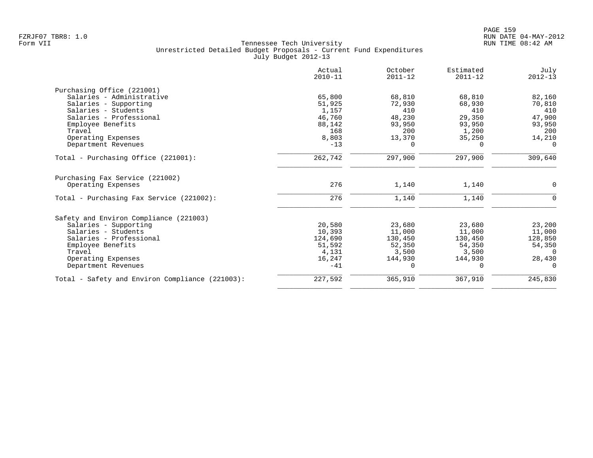|                                                 | Actual<br>$2010 - 11$ | October<br>$2011 - 12$ | Estimated<br>$2011 - 12$ | July<br>$2012 - 13$ |
|-------------------------------------------------|-----------------------|------------------------|--------------------------|---------------------|
| Purchasing Office (221001)                      |                       |                        |                          |                     |
| Salaries - Administrative                       | 65,800                | 68,810                 | 68,810                   | 82,160              |
| Salaries - Supporting                           | 51,925                | 72,930                 | 68,930                   | 70,810              |
| Salaries - Students                             | 1,157                 | 410                    | 410                      | 410                 |
| Salaries - Professional                         | 46,760                | 48,230                 | 29,350                   | 47,900              |
| Employee Benefits                               | 88,142                | 93,950                 | 93,950                   | 93,950              |
| Travel                                          | 168                   | 200                    | 1,200                    | 200                 |
| Operating Expenses                              | 8,803                 | 13,370                 | 35,250                   | 14,210              |
| Department Revenues                             | $-13$                 | $\Omega$               | $\Omega$                 | $\Omega$            |
| Total - Purchasing Office (221001):             | 262,742               | 297,900                | 297,900                  | 309,640             |
| Purchasing Fax Service (221002)                 |                       |                        |                          |                     |
| Operating Expenses                              | 276                   | 1,140                  | 1,140                    | 0                   |
| Total - Purchasing Fax Service (221002):        | 276                   | 1,140                  | 1,140                    | $\Omega$            |
| Safety and Environ Compliance (221003)          |                       |                        |                          |                     |
| Salaries - Supporting                           | 20,580                | 23,680                 | 23,680                   | 23,200              |
| Salaries - Students                             | 10,393                | 11,000                 | 11,000                   | 11,000              |
| Salaries - Professional                         | 124,690               | 130,450                | 130,450                  | 128,850             |
| Employee Benefits                               | 51,592                | 52,350                 | 54,350                   | 54,350              |
| Travel                                          | 4,131                 | 3,500                  | 3,500                    | $\Omega$            |
| Operating Expenses                              | 16,247                | 144,930                | 144,930                  | 28,430              |
| Department Revenues                             | $-41$                 | $\Omega$               | $\Omega$                 | $\Omega$            |
| Total - Safety and Environ Compliance (221003): | 227,592               | 365,910                | 367,910                  | 245,830             |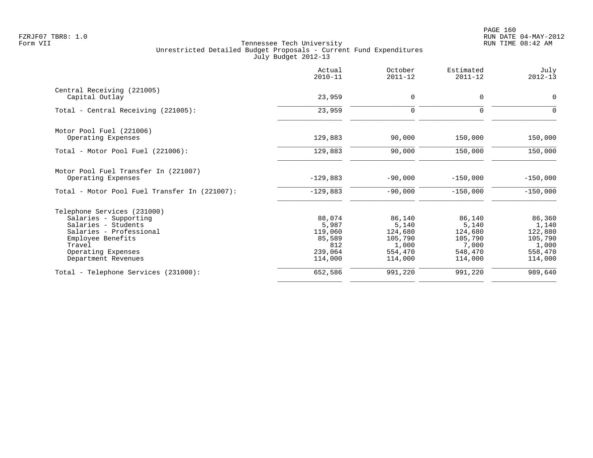PAGE 160 FZRJF07 TBR8: 1.0 RUN DATE 04-MAY-2012

|                                               | Actual<br>$2010 - 11$ | October<br>$2011 - 12$ | Estimated<br>$2011 - 12$ | July<br>$2012 - 13$ |
|-----------------------------------------------|-----------------------|------------------------|--------------------------|---------------------|
| Central Receiving (221005)                    |                       |                        |                          |                     |
| Capital Outlay                                | 23,959                | 0                      | $\mathbf 0$              | 0                   |
| Total - Central Receiving (221005):           | 23,959                | $\mathbf 0$            | $\Omega$                 | 0                   |
| Motor Pool Fuel (221006)                      |                       |                        |                          |                     |
| Operating Expenses                            | 129,883               | 90,000                 | 150,000                  | 150,000             |
| Total - Motor Pool Fuel (221006):             | 129,883               | 90,000                 | 150,000                  | 150,000             |
| Motor Pool Fuel Transfer In (221007)          |                       |                        |                          |                     |
| Operating Expenses                            | $-129,883$            | $-90,000$              | $-150,000$               | $-150,000$          |
| Total - Motor Pool Fuel Transfer In (221007): | $-129,883$            | $-90,000$              | $-150,000$               | $-150,000$          |
| Telephone Services (231000)                   |                       |                        |                          |                     |
| Salaries - Supporting                         | 88,074                | 86,140                 | 86,140                   | 86,360              |
| Salaries - Students                           | 5,987                 | 5,140                  | 5,140                    | 1,140               |
| Salaries - Professional                       | 119,060               | 124,680                | 124,680                  | 122,880             |
| Employee Benefits                             | 85,589                | 105,790                | 105,790                  | 105,790             |
| Travel                                        | 812                   | 1,000                  | 7,000                    | 1,000               |
| Operating Expenses                            | 239,064               | 554,470                | 548,470                  | 558,470             |
| Department Revenues                           | 114,000               | 114,000                | 114,000                  | 114,000             |
| Total - Telephone Services (231000):          | 652,586               | 991,220                | 991,220                  | 989,640             |
|                                               |                       |                        |                          |                     |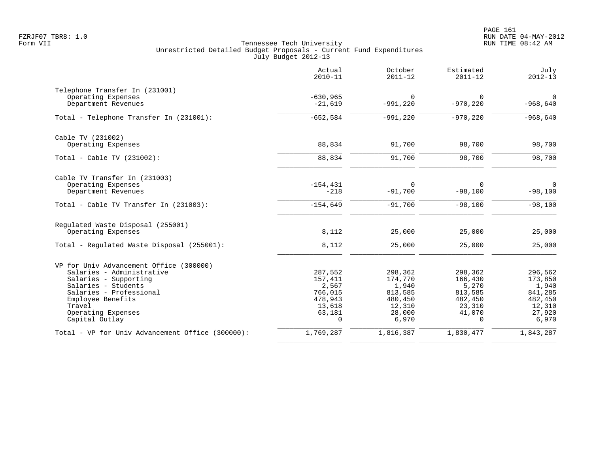|                                                  | Actual<br>$2010 - 11$ | October<br>$2011 - 12$ | Estimated<br>$2011 - 12$ | July<br>$2012 - 13$ |
|--------------------------------------------------|-----------------------|------------------------|--------------------------|---------------------|
| Telephone Transfer In (231001)                   |                       |                        |                          |                     |
| Operating Expenses                               | $-630,965$            | $\overline{0}$         | 0                        | $\overline{0}$      |
| Department Revenues                              | $-21,619$             | $-991,220$             | $-970,220$               | $-968,640$          |
| Total - Telephone Transfer In (231001):          | $-652,584$            | $-991,220$             | $-970, 220$              | $-968,640$          |
| Cable TV (231002)                                |                       |                        |                          |                     |
| Operating Expenses                               | 88,834                | 91,700                 | 98,700                   | 98,700              |
| Total - Cable TV $(231002)$ :                    | 88,834                | 91,700                 | 98,700                   | 98,700              |
| Cable TV Transfer In (231003)                    |                       |                        |                          |                     |
| Operating Expenses                               | $-154, 431$           | $\Omega$               | 0                        | $\mathbf 0$         |
| Department Revenues                              | $-218$                | $-91,700$              | $-98,100$                | $-98,100$           |
| Total - Cable TV Transfer In (231003):           | $-154,649$            | $-91,700$              | $-98,100$                | $-98,100$           |
| Regulated Waste Disposal (255001)                |                       |                        |                          |                     |
| Operating Expenses                               | 8,112                 | 25,000                 | 25,000                   | 25,000              |
| Total - Regulated Waste Disposal (255001):       | 8,112                 | 25,000                 | 25,000                   | 25,000              |
| VP for Univ Advancement Office (300000)          |                       |                        |                          |                     |
| Salaries - Administrative                        | 287,552               | 298,362                | 298,362                  | 296,562             |
| Salaries - Supporting                            | 157,411               | 174,770                | 166,430                  | 173,850             |
| Salaries - Students                              | 2,567                 | 1,940                  | 5,270                    | 1,940               |
| Salaries - Professional                          | 766,015               | 813,585                | 813,585                  | 841,285             |
| Employee Benefits                                | 478,943               | 480,450                | 482,450                  | 482,450             |
| Travel                                           | 13,618                | 12,310                 | 23,310                   | 12,310              |
| Operating Expenses<br>Capital Outlay             | 63,181<br>$\Omega$    | 28,000<br>6,970        | 41,070<br>$\Omega$       | 27,920<br>6,970     |
| Total - VP for Univ Advancement Office (300000): | 1,769,287             | 1,816,387              | 1,830,477                | 1,843,287           |
|                                                  |                       |                        |                          |                     |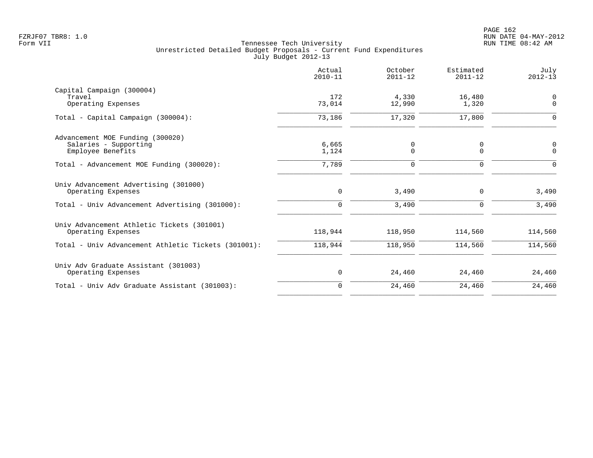|                                                                                | Actual<br>$2010 - 11$ | October<br>$2011 - 12$ | Estimated<br>$2011 - 12$ | July<br>$2012 - 13$        |
|--------------------------------------------------------------------------------|-----------------------|------------------------|--------------------------|----------------------------|
| Capital Campaign (300004)<br>Travel<br>Operating Expenses                      | 172<br>73,014         | 4,330<br>12,990        | 16,480<br>1,320          | $\mathbf 0$<br>$\mathbf 0$ |
| Total - Capital Campaign (300004):                                             | 73,186                | 17,320                 | 17,800                   | $\Omega$                   |
| Advancement MOE Funding (300020)<br>Salaries - Supporting<br>Employee Benefits | 6,665<br>1,124        | 0<br>$\mathbf 0$       | 0<br>$\Omega$            | 0<br>$\Omega$              |
| Total - Advancement MOE Funding (300020):                                      | 7,789                 | $\Omega$               | $\Omega$                 | $\Omega$                   |
| Univ Advancement Advertising (301000)<br>Operating Expenses                    | $\mathbf 0$           | 3,490                  | 0                        | 3,490                      |
| Total - Univ Advancement Advertising (301000):                                 | $\Omega$              | 3,490                  | $\Omega$                 | 3,490                      |
| Univ Advancement Athletic Tickets (301001)<br>Operating Expenses               | 118,944               | 118,950                | 114,560                  | 114,560                    |
| Total - Univ Advancement Athletic Tickets (301001):                            | 118,944               | 118,950                | 114,560                  | 114,560                    |
| Univ Adv Graduate Assistant (301003)<br>Operating Expenses                     | 0                     | 24,460                 | 24,460                   | 24,460                     |
| Total - Univ Adv Graduate Assistant (301003):                                  | $\mathbf 0$           | 24,460                 | 24,460                   | 24,460                     |
|                                                                                |                       |                        |                          |                            |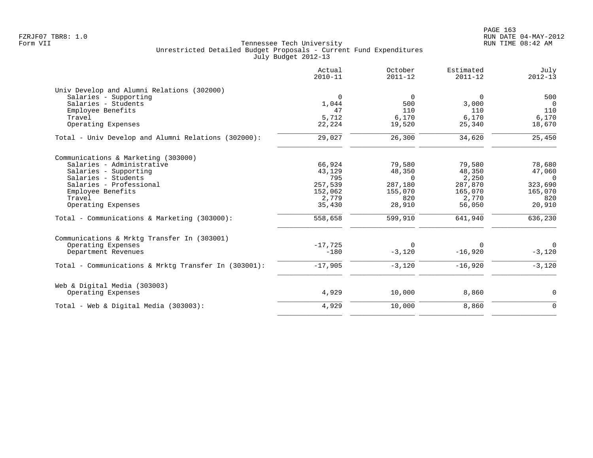|                                                      | Actual<br>$2010 - 11$ | October<br>$2011 - 12$ | Estimated<br>$2011 - 12$ | July<br>$2012 - 13$ |
|------------------------------------------------------|-----------------------|------------------------|--------------------------|---------------------|
| Univ Develop and Alumni Relations (302000)           |                       |                        |                          |                     |
| Salaries - Supporting                                | $\Omega$              | $\Omega$               | $\mathbf 0$              | 500                 |
| Salaries - Students                                  | 1,044                 | 500                    | 3,000                    | $\overline{0}$      |
| Employee Benefits                                    | 47                    | 110                    | 110                      | 110                 |
| Travel                                               | 5,712                 | 6,170                  | 6,170                    | 6,170               |
| Operating Expenses                                   | 22,224                | 19,520                 | 25,340                   | 18,670              |
| Total - Univ Develop and Alumni Relations (302000):  | 29,027                | 26,300                 | 34,620                   | 25,450              |
| Communications & Marketing (303000)                  |                       |                        |                          |                     |
| Salaries - Administrative                            | 66,924                | 79,580                 | 79,580                   | 78,680              |
| Salaries - Supporting                                | 43,129                | 48,350                 | 48,350                   | 47,060              |
| Salaries - Students                                  | 795                   | $\Omega$               | 2,250                    | $\Omega$            |
| Salaries - Professional                              | 257,539               | 287,180                | 287,870                  | 323,690             |
| Employee Benefits                                    | 152,062               | 155,070                | 165,070                  | 165,070             |
| Travel                                               | 2,779                 | 820                    | 2,770                    | 820                 |
| Operating Expenses                                   | 35,430                | 28,910                 | 56,050                   | 20,910              |
| Total - Communications & Marketing (303000):         | 558,658               | 599,910                | 641,940                  | 636,230             |
| Communications & Mrktg Transfer In (303001)          |                       |                        |                          |                     |
| Operating Expenses                                   | $-17,725$             | $\Omega$               | $\Omega$                 | $\overline{0}$      |
| Department Revenues                                  | $-180$                | $-3,120$               | $-16,920$                | $-3,120$            |
| Total - Communications & Mrktq Transfer In (303001): | $-17,905$             | $-3,120$               | $-16,920$                | $-3,120$            |
| Web & Digital Media (303003)                         |                       |                        |                          |                     |
| Operating Expenses                                   | 4,929                 | 10,000                 | 8,860                    | 0                   |
| Total - Web & Digital Media (303003):                | 4,929                 | 10,000                 | 8,860                    | $\mathbf 0$         |
|                                                      |                       |                        |                          |                     |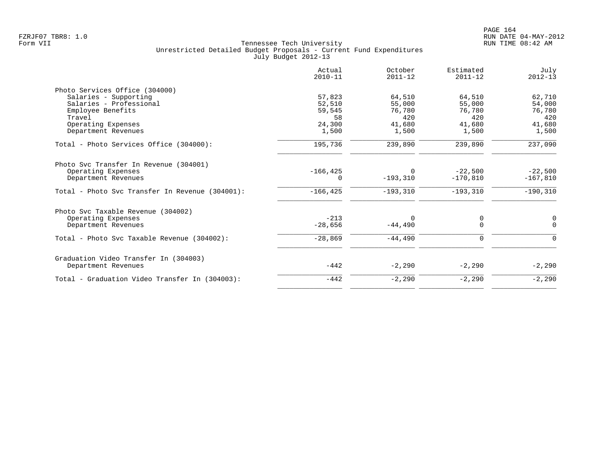|                                                 | Actual<br>$2010 - 11$ | October<br>$2011 - 12$ | Estimated<br>$2011 - 12$ | July<br>$2012 - 13$ |
|-------------------------------------------------|-----------------------|------------------------|--------------------------|---------------------|
| Photo Services Office (304000)                  |                       |                        |                          |                     |
| Salaries - Supporting                           | 57,823                | 64,510                 | 64,510                   | 62,710              |
| Salaries - Professional                         | 52,510                | 55,000                 | 55,000                   | 54,000              |
| Employee Benefits                               | 59,545                | 76,780                 | 76,780                   | 76,780              |
| Travel                                          | 58                    | 420                    | 420                      | 420                 |
| Operating Expenses                              | 24,300                | 41,680                 | 41,680                   | 41,680              |
| Department Revenues                             | 1,500                 | 1,500                  | 1,500                    | 1,500               |
| Total - Photo Services Office (304000):         | 195,736               | 239,890                | 239,890                  | 237,090             |
| Photo Svc Transfer In Revenue (304001)          |                       |                        |                          |                     |
| Operating Expenses                              | $-166, 425$           | $\Omega$               | $-22,500$                | $-22,500$           |
| Department Revenues                             | 0                     | $-193,310$             | $-170.810$               | $-167,810$          |
| Total - Photo Svc Transfer In Revenue (304001): | $-166, 425$           | $-193,310$             | $-193, 310$              | $-190, 310$         |
| Photo Svc Taxable Revenue (304002)              |                       |                        |                          |                     |
| Operating Expenses                              | $-213$                | $\Omega$               | 0                        | 0                   |
| Department Revenues                             | $-28,656$             | $-44,490$              | $\mathbf 0$              | $\Omega$            |
| Total - Photo Svc Taxable Revenue (304002):     | $-28,869$             | $-44,490$              | 0                        | $\Omega$            |
| Graduation Video Transfer In (304003)           |                       |                        |                          |                     |
| Department Revenues                             | $-442$                | $-2,290$               | $-2,290$                 | $-2,290$            |
| Total - Graduation Video Transfer In (304003):  | $-442$                | $-2,290$               | $-2,290$                 | $-2,290$            |
|                                                 |                       |                        |                          |                     |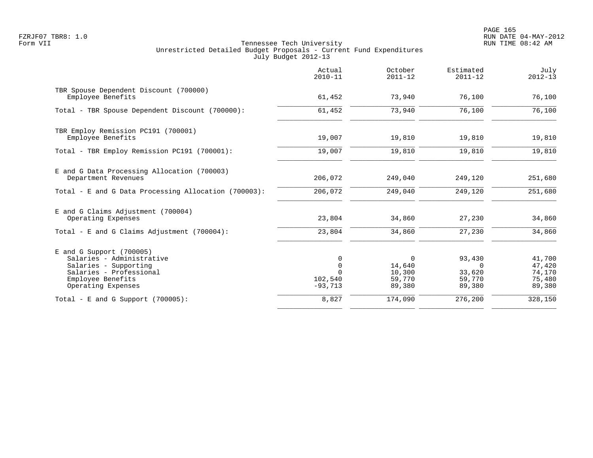PAGE 165 FZRJF07 TBR8: 1.0 RUN DATE 04-MAY-2012

|                                                                                                                                                        | Actual<br>$2010 - 11$                    | October<br>$2011 - 12$                    | Estimated<br>$2011 - 12$                         | July<br>$2012 - 13$                            |
|--------------------------------------------------------------------------------------------------------------------------------------------------------|------------------------------------------|-------------------------------------------|--------------------------------------------------|------------------------------------------------|
| TBR Spouse Dependent Discount (700000)<br>Employee Benefits                                                                                            | 61,452                                   | 73,940                                    | 76,100                                           | 76,100                                         |
| Total - TBR Spouse Dependent Discount (700000):                                                                                                        | 61,452                                   | 73,940                                    | 76,100                                           | 76,100                                         |
| TBR Employ Remission PC191 (700001)<br>Employee Benefits                                                                                               | 19,007                                   | 19,810                                    | 19,810                                           | 19,810                                         |
| Total - TBR Employ Remission PC191 (700001):                                                                                                           | 19,007                                   | 19,810                                    | 19,810                                           | 19,810                                         |
| E and G Data Processing Allocation (700003)<br>Department Revenues                                                                                     | 206,072                                  | 249,040                                   | 249,120                                          | 251,680                                        |
| Total - E and G Data Processing Allocation (700003):                                                                                                   | 206,072                                  | 249,040                                   | 249,120                                          | 251,680                                        |
| E and G Claims Adjustment (700004)<br>Operating Expenses                                                                                               | 23,804                                   | 34,860                                    | 27,230                                           | 34,860                                         |
| Total - E and G Claims Adjustment $(700004)$ :                                                                                                         | 23,804                                   | 34,860                                    | 27,230                                           | 34,860                                         |
| $E$ and G Support (700005)<br>Salaries - Administrative<br>Salaries - Supporting<br>Salaries - Professional<br>Employee Benefits<br>Operating Expenses | 0<br>$\mathbf 0$<br>102,540<br>$-93,713$ | 0<br>14,640<br>10,300<br>59,770<br>89,380 | 93,430<br>$\Omega$<br>33,620<br>59,770<br>89,380 | 41,700<br>47,420<br>74,170<br>75,480<br>89,380 |
| Total - E and G Support $(700005)$ :                                                                                                                   | 8,827                                    | 174,090                                   | 276,200                                          | 328,150                                        |
|                                                                                                                                                        |                                          |                                           |                                                  |                                                |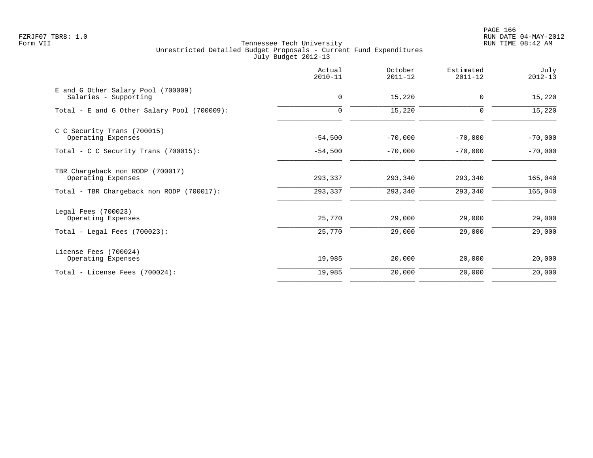PAGE 166 FZRJF07 TBR8: 1.0 RUN DATE 04-MAY-2012

|                                                             | Actual<br>$2010 - 11$ | October<br>$2011 - 12$ | Estimated<br>$2011 - 12$ | July<br>$2012 - 13$ |
|-------------------------------------------------------------|-----------------------|------------------------|--------------------------|---------------------|
| E and G Other Salary Pool (700009)<br>Salaries - Supporting | 0                     | 15,220                 | 0                        | 15,220              |
| Total - E and G Other Salary Pool (700009):                 | $\mathbf 0$           | 15,220                 | 0                        | 15,220              |
| C C Security Trans (700015)<br>Operating Expenses           | $-54,500$             | $-70,000$              | $-70,000$                | $-70,000$           |
| Total - C C Security Trans $(700015)$ :                     | $-54,500$             | $-70,000$              | $-70,000$                | $-70,000$           |
| TBR Chargeback non RODP (700017)<br>Operating Expenses      | 293,337               | 293,340                | 293,340                  | 165,040             |
| Total - TBR Chargeback non RODP (700017):                   | 293,337               | 293,340                | 293,340                  | 165,040             |
| Legal Fees (700023)<br>Operating Expenses                   | 25,770                | 29,000                 | 29,000                   | 29,000              |
| Total - Legal Fees $(700023)$ :                             | 25,770                | 29,000                 | 29,000                   | 29,000              |
| License Fees (700024)<br>Operating Expenses                 | 19,985                | 20,000                 | 20,000                   | 20,000              |
| Total - License Fees (700024):                              | 19,985                | 20,000                 | 20,000                   | 20,000              |
|                                                             |                       |                        |                          |                     |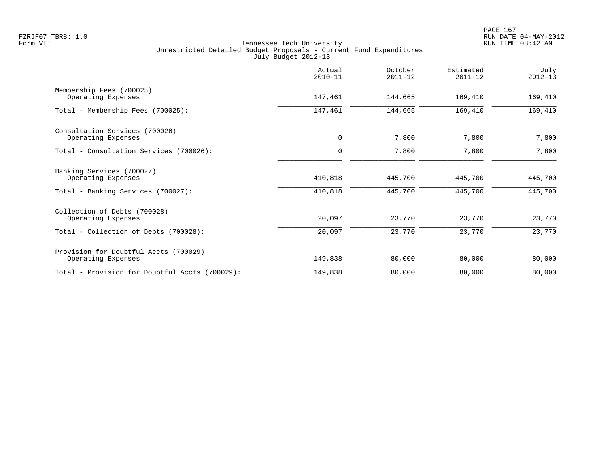|                                                             | Actual<br>$2010 - 11$ | October<br>$2011 - 12$ | Estimated<br>$2011 - 12$ | July<br>$2012 - 13$ |
|-------------------------------------------------------------|-----------------------|------------------------|--------------------------|---------------------|
| Membership Fees (700025)<br>Operating Expenses              | 147,461               | 144,665                | 169,410                  | 169,410             |
| Total - Membership Fees (700025):                           | 147,461               | 144,665                | 169,410                  | 169,410             |
| Consultation Services (700026)<br>Operating Expenses        | 0                     | 7,800                  | 7,800                    | 7,800               |
| Total - Consultation Services (700026):                     | $\mathbf 0$           | 7,800                  | 7,800                    | 7,800               |
| Banking Services (700027)<br>Operating Expenses             | 410,818               | 445,700                | 445,700                  | 445,700             |
| Total - Banking Services (700027):                          | 410,818               | 445,700                | 445,700                  | 445,700             |
| Collection of Debts (700028)<br>Operating Expenses          | 20,097                | 23,770                 | 23,770                   | 23,770              |
| Total - Collection of Debts (700028):                       | 20,097                | 23,770                 | 23,770                   | 23,770              |
| Provision for Doubtful Accts (700029)<br>Operating Expenses | 149,838               | 80,000                 | 80,000                   | 80,000              |
| Total - Provision for Doubtful Accts (700029):              | 149,838               | 80,000                 | 80,000                   | 80,000              |
|                                                             |                       |                        |                          |                     |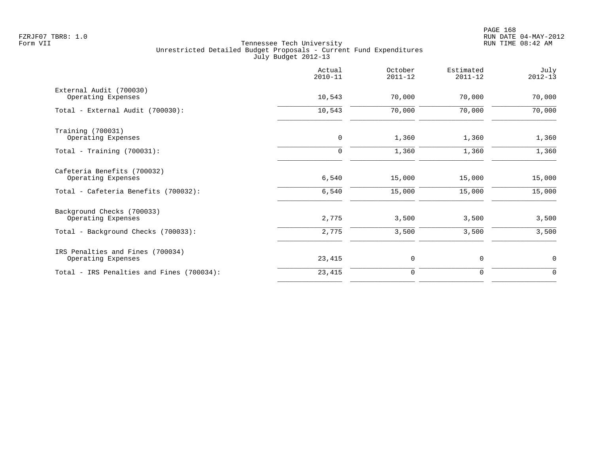PAGE 168 FZRJF07 TBR8: 1.0 RUN DATE 04-MAY-2012

|                                                        | Actual<br>$2010 - 11$ | October<br>$2011 - 12$ | Estimated<br>$2011 - 12$ | July<br>$2012 - 13$ |
|--------------------------------------------------------|-----------------------|------------------------|--------------------------|---------------------|
| External Audit (700030)<br>Operating Expenses          | 10,543                | 70,000                 | 70,000                   | 70,000              |
| Total - External Audit (700030):                       | 10,543                | 70,000                 | 70,000                   | 70,000              |
| Training (700031)<br>Operating Expenses                | 0                     | 1,360                  | 1,360                    | 1,360               |
| Total - Training $(700031)$ :                          | $\mathbf 0$           | 1,360                  | 1,360                    | 1,360               |
| Cafeteria Benefits (700032)<br>Operating Expenses      | 6,540                 | 15,000                 | 15,000                   | 15,000              |
| Total - Cafeteria Benefits (700032):                   | 6,540                 | 15,000                 | 15,000                   | 15,000              |
| Background Checks (700033)<br>Operating Expenses       | 2,775                 | 3,500                  | 3,500                    | 3,500               |
| Total - Background Checks (700033):                    | 2,775                 | 3,500                  | 3,500                    | 3,500               |
| IRS Penalties and Fines (700034)<br>Operating Expenses | 23,415                | 0                      | 0                        | $\mathbf 0$         |
| Total - IRS Penalties and Fines (700034):              | 23,415                | $\mathbf 0$            | 0                        | $\mathbf 0$         |
|                                                        |                       |                        |                          |                     |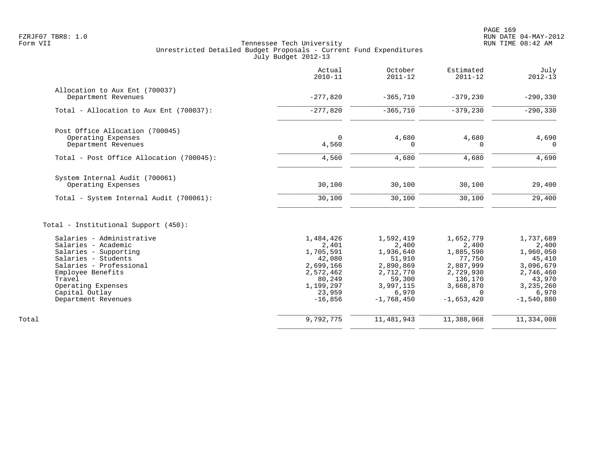| Actual<br>$2010 - 11$ | October<br>$2011 - 12$                                                                                              | Estimated<br>$2011 - 12$                                                                                        | July<br>$2012 - 13$                                                                                                     |
|-----------------------|---------------------------------------------------------------------------------------------------------------------|-----------------------------------------------------------------------------------------------------------------|-------------------------------------------------------------------------------------------------------------------------|
|                       |                                                                                                                     |                                                                                                                 | $-290, 330$                                                                                                             |
|                       |                                                                                                                     |                                                                                                                 |                                                                                                                         |
|                       |                                                                                                                     |                                                                                                                 | $-290, 330$                                                                                                             |
|                       |                                                                                                                     |                                                                                                                 |                                                                                                                         |
| $\mathbf 0$           | 4,680                                                                                                               | 4,680                                                                                                           | 4,690<br>$\Omega$                                                                                                       |
|                       |                                                                                                                     |                                                                                                                 |                                                                                                                         |
| 4,560                 | 4,680                                                                                                               | 4,680                                                                                                           | 4,690                                                                                                                   |
|                       |                                                                                                                     |                                                                                                                 |                                                                                                                         |
|                       |                                                                                                                     |                                                                                                                 | 29,400                                                                                                                  |
| 30,100                | 30,100                                                                                                              | 30,100                                                                                                          | 29,400                                                                                                                  |
|                       |                                                                                                                     |                                                                                                                 |                                                                                                                         |
| 1,484,426             | 1,592,419                                                                                                           | 1,652,779                                                                                                       | 1,737,689                                                                                                               |
| 2,401                 | 2,400                                                                                                               | 2,400                                                                                                           | 2,400                                                                                                                   |
|                       |                                                                                                                     |                                                                                                                 | 1,960,050                                                                                                               |
|                       |                                                                                                                     |                                                                                                                 | 45,410                                                                                                                  |
|                       |                                                                                                                     |                                                                                                                 | 3,096,679<br>2,746,460                                                                                                  |
|                       |                                                                                                                     |                                                                                                                 | 43,970                                                                                                                  |
|                       |                                                                                                                     |                                                                                                                 | 3, 235, 260                                                                                                             |
| 23,959                | 6,970                                                                                                               | $\Omega$                                                                                                        | 6,970                                                                                                                   |
| $-16,856$             | $-1,768,450$                                                                                                        | $-1,653,420$                                                                                                    | $-1,540,880$                                                                                                            |
| 9,792,775             | 11, 481, 943                                                                                                        | 11,388,068                                                                                                      | 11,334,008                                                                                                              |
|                       | $-277,820$<br>$-277,820$<br>4,560<br>30,100<br>1,705,591<br>42,080<br>2,699,166<br>2,572,462<br>80,249<br>1,199,297 | $-365,710$<br>$-365,710$<br>0<br>30,100<br>1,936,640<br>51,910<br>2,890,869<br>2,712,770<br>59,300<br>3,997,115 | $-379,230$<br>$-379,230$<br>$\Omega$<br>30,100<br>1,885,590<br>77,750<br>2,887,999<br>2,729,930<br>136,170<br>3,668,870 |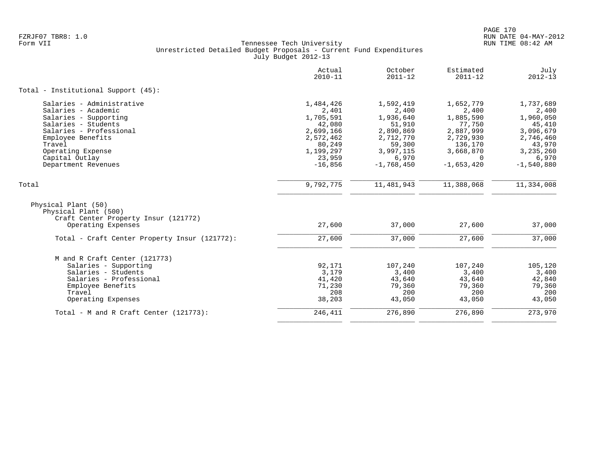| Actual<br>Estimated<br>October<br>$2010 - 11$<br>$2011 - 12$<br>$2011 - 12$                                                             | July<br>$2012 - 13$ |
|-----------------------------------------------------------------------------------------------------------------------------------------|---------------------|
| Total - Institutional Support (45):                                                                                                     |                     |
| Salaries - Administrative<br>1,484,426<br>1,592,419<br>1,652,779                                                                        | 1,737,689           |
| Salaries - Academic<br>2,401<br>2,400<br>2,400                                                                                          | 2,400               |
| Salaries - Supporting<br>1,705,591<br>1,936,640<br>1,885,590                                                                            | 1,960,050           |
| Salaries - Students<br>42,080<br>51,910<br>77,750                                                                                       | 45,410              |
| Salaries - Professional<br>2,699,166<br>2,890,869<br>2,887,999                                                                          | 3,096,679           |
| Employee Benefits<br>2,572,462<br>2,712,770<br>2,729,930                                                                                | 2,746,460           |
| Travel<br>80,249<br>136,170<br>59,300                                                                                                   | 43,970              |
| Operating Expense<br>1,199,297<br>3,997,115<br>3,668,870                                                                                | 3, 235, 260         |
| 23,959<br>6,970<br>Capital Outlay<br>$\Omega$                                                                                           | 6,970               |
| $-1,653,420$<br>$-1,768,450$<br>Department Revenues<br>$-16,856$                                                                        | $-1,540,880$        |
| 9,792,775<br>11, 481, 943<br>11,388,068<br>Total                                                                                        | 11,334,008          |
| Physical Plant (50)<br>Physical Plant (500)<br>Craft Center Property Insur (121772)<br>27,600<br>27,600<br>Operating Expenses<br>37,000 | 37,000              |
| 27,600<br>37,000<br>27,600<br>Total - Craft Center Property Insur (121772):                                                             | 37,000              |
| M and R Craft Center (121773)                                                                                                           |                     |
| 92,171<br>107,240<br>Salaries - Supporting<br>107,240                                                                                   | 105,120             |
| 3,179<br>Salaries - Students<br>3,400<br>3,400                                                                                          | 3,400               |
| Salaries - Professional<br>41,420<br>43,640<br>43,640                                                                                   | 42,840              |
| 79,360<br>Employee Benefits<br>71,230<br>79,360                                                                                         | 79,360              |
| 208<br>200<br>200<br>Travel                                                                                                             | 200                 |
| 43,050<br>Operating Expenses<br>38,203<br>43,050                                                                                        | 43,050              |
| 246,411<br>276,890<br>276,890<br>Total - M and R Craft Center $(121773)$ :                                                              | 273,970             |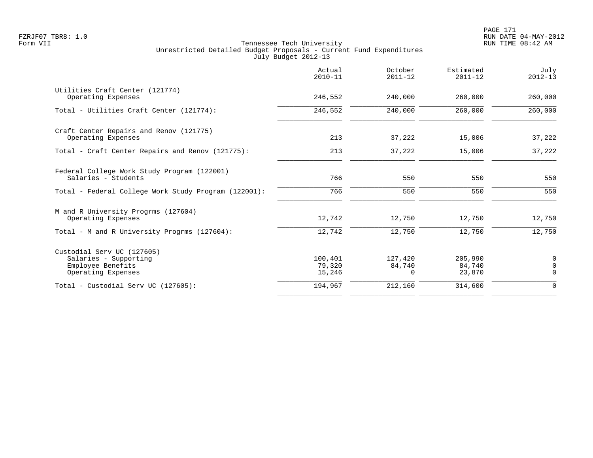|                                                                                                | Actual<br>$2010 - 11$       | October<br>$2011 - 12$        | Estimated<br>$2011 - 12$    | July<br>$2012 - 13$                 |
|------------------------------------------------------------------------------------------------|-----------------------------|-------------------------------|-----------------------------|-------------------------------------|
| Utilities Craft Center (121774)<br>Operating Expenses                                          | 246,552                     | 240,000                       | 260,000                     | 260,000                             |
| Total - Utilities Craft Center (121774):                                                       | 246,552                     | 240,000                       | 260,000                     | 260,000                             |
| Craft Center Repairs and Renov (121775)<br>Operating Expenses                                  | 213                         | 37,222                        | 15,006                      | 37,222                              |
| Total - Craft Center Repairs and Renov (121775):                                               | 213                         | 37,222                        | 15,006                      | 37,222                              |
| Federal College Work Study Program (122001)<br>Salaries - Students                             | 766                         | 550                           | 550                         | 550                                 |
| Total - Federal College Work Study Program (122001):                                           | 766                         | 550                           | 550                         | 550                                 |
| M and R University Progrms (127604)<br>Operating Expenses                                      | 12,742                      | 12,750                        | 12,750                      | 12,750                              |
| Total - M and R University Progrms (127604):                                                   | 12,742                      | 12,750                        | 12,750                      | 12,750                              |
| Custodial Serv UC (127605)<br>Salaries - Supporting<br>Employee Benefits<br>Operating Expenses | 100,401<br>79,320<br>15,246 | 127,420<br>84,740<br>$\Omega$ | 205,990<br>84,740<br>23,870 | $\mathbf 0$<br>$\Omega$<br>$\Omega$ |
| Total - Custodial Serv UC (127605):                                                            | 194,967                     | 212,160                       | 314,600                     | $\mathbf 0$                         |
|                                                                                                |                             |                               |                             |                                     |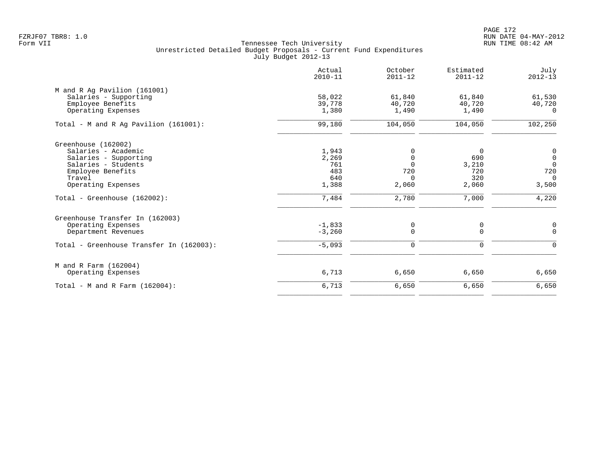|                                          | Actual<br>$2010 - 11$ | October<br>$2011 - 12$ | Estimated<br>$2011 - 12$ | July<br>$2012 - 13$                  |
|------------------------------------------|-----------------------|------------------------|--------------------------|--------------------------------------|
| M and R Ag Pavilion (161001)             |                       |                        |                          |                                      |
| Salaries - Supporting                    | 58,022                | 61,840                 | 61,840                   | 61,530                               |
| Employee Benefits                        | 39,778                | 40,720                 | 40,720                   | 40,720                               |
| Operating Expenses                       | 1,380                 | 1,490                  | 1,490                    | $\Omega$                             |
| Total - M and R Ag Pavilion $(161001)$ : | 99,180                | 104,050                | 104,050                  | 102,250                              |
| Greenhouse (162002)                      |                       |                        |                          |                                      |
| Salaries - Academic                      | 1,943                 | $\Omega$               | 0                        | $\begin{matrix} 0 \\ 0 \end{matrix}$ |
| Salaries - Supporting                    | 2,269                 | $\Omega$               | 690                      |                                      |
| Salaries - Students                      | 761                   | $\Omega$               | 3,210                    | $\overline{0}$                       |
| Employee Benefits                        | 483                   | 720                    | 720                      | 720                                  |
| Travel                                   | 640                   | $\Omega$               | 320                      | $\Omega$                             |
| Operating Expenses                       | 1,388                 | 2,060                  | 2,060                    | 3,500                                |
| Total - Greenhouse (162002):             | 7,484                 | 2,780                  | 7,000                    | 4,220                                |
| Greenhouse Transfer In (162003)          |                       |                        |                          |                                      |
| Operating Expenses                       | $-1,833$              | 0                      | 0                        | $\mathbf 0$                          |
| Department Revenues                      | $-3,260$              | $\Omega$               | $\Omega$                 | $\overline{0}$                       |
| Total - Greenhouse Transfer In (162003): | $-5,093$              | $\Omega$               | $\Omega$                 | $\Omega$                             |
| M and R Farm (162004)                    |                       |                        |                          |                                      |
| Operating Expenses                       | 6,713                 | 6,650                  | 6,650                    | 6,650                                |
| Total - M and R Farm $(162004)$ :        | 6,713                 | 6,650                  | 6,650                    | 6,650                                |
|                                          |                       |                        |                          |                                      |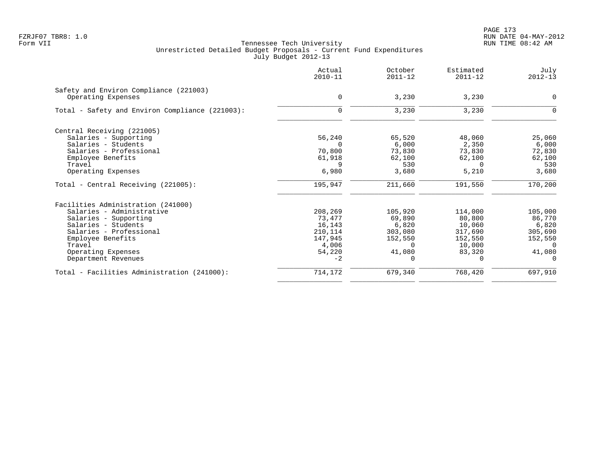PAGE 173 FZRJF07 TBR8: 1.0 RUN DATE 04-MAY-2012

|                                                              | Actual<br>$2010 - 11$ | October<br>$2011 - 12$ | Estimated<br>$2011 - 12$ | July<br>$2012 - 13$ |
|--------------------------------------------------------------|-----------------------|------------------------|--------------------------|---------------------|
| Safety and Environ Compliance (221003)<br>Operating Expenses | $\mathbf 0$           | 3,230                  | 3,230                    | 0                   |
|                                                              |                       |                        |                          |                     |
| Total - Safety and Environ Compliance (221003):              | $\mathbf 0$           | 3,230                  | 3,230                    | 0                   |
| Central Receiving (221005)                                   |                       |                        |                          |                     |
| Salaries - Supporting                                        | 56,240                | 65,520                 | 48,060                   | 25,060              |
| Salaries - Students                                          |                       | 6,000                  | 2,350                    | 6,000               |
| Salaries - Professional                                      | 70,800                | 73,830                 | 73,830                   | 72,830              |
| Employee Benefits                                            | 61,918                | 62,100                 | 62,100                   | 62,100              |
| Travel                                                       | 9                     | 530                    | $\Omega$                 | 530                 |
| Operating Expenses                                           | 6,980                 | 3,680                  | 5,210                    | 3,680               |
| Total - Central Receiving (221005):                          | 195,947               | 211,660                | 191,550                  | 170,200             |
| Facilities Administration (241000)                           |                       |                        |                          |                     |
| Salaries - Administrative                                    | 208,269               | 105,920                | 114,000                  | 105,000             |
| Salaries - Supporting                                        | 73,477                | 69,890                 | 80,800                   | 86,770              |
| Salaries - Students                                          | 16,143                | 6,820                  | 10,060                   | 6,820               |
| Salaries - Professional                                      | 210,114               | 303,080                | 317,690                  | 305,690             |
| Employee Benefits                                            | 147,945               | 152,550                | 152,550                  | 152,550             |
| Travel                                                       | 4,006                 | $\Omega$               | 10,000                   | $\Omega$            |
| Operating Expenses                                           | 54,220                | 41,080                 | 83,320                   | 41,080              |
| Department Revenues                                          | $-2$                  | $\Omega$               | $\Omega$                 | $\Omega$            |
| Total - Facilities Administration (241000):                  | 714,172               | 679,340                | 768,420                  | 697,910             |
|                                                              |                       |                        |                          |                     |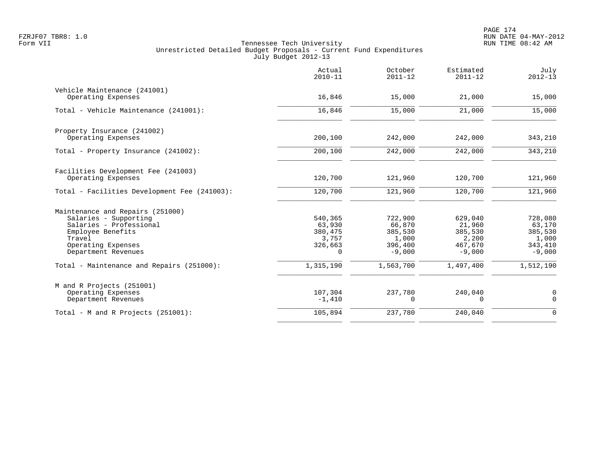|                                                                                                                                                                  | Actual<br>$2010 - 11$                                        | October<br>$2011 - 12$                                       | Estimated<br>$2011 - 12$                                     | July<br>$2012 - 13$                                          |
|------------------------------------------------------------------------------------------------------------------------------------------------------------------|--------------------------------------------------------------|--------------------------------------------------------------|--------------------------------------------------------------|--------------------------------------------------------------|
| Vehicle Maintenance (241001)<br>Operating Expenses                                                                                                               | 16,846                                                       | 15,000                                                       | 21,000                                                       | 15,000                                                       |
| Total - Vehicle Maintenance (241001):                                                                                                                            | 16,846                                                       | 15,000                                                       | 21,000                                                       | 15,000                                                       |
| Property Insurance (241002)<br>Operating Expenses                                                                                                                | 200,100                                                      | 242,000                                                      | 242,000                                                      | 343,210                                                      |
| Total - Property Insurance (241002):                                                                                                                             | 200,100                                                      | 242,000                                                      | 242,000                                                      | 343,210                                                      |
| Facilities Development Fee (241003)<br>Operating Expenses                                                                                                        | 120,700                                                      | 121,960                                                      | 120,700                                                      | 121,960                                                      |
| Total - Facilities Development Fee (241003):                                                                                                                     | 120,700                                                      | 121,960                                                      | 120,700                                                      | 121,960                                                      |
| Maintenance and Repairs (251000)<br>Salaries - Supporting<br>Salaries - Professional<br>Employee Benefits<br>Travel<br>Operating Expenses<br>Department Revenues | 540,365<br>63,930<br>380,475<br>3,757<br>326,663<br>$\Omega$ | 722,900<br>66,870<br>385,530<br>1,000<br>396,400<br>$-9.000$ | 629,040<br>21,960<br>385,530<br>2,200<br>467,670<br>$-9,000$ | 728,080<br>63,170<br>385,530<br>1,000<br>343,410<br>$-9,000$ |
| Total - Maintenance and Repairs (251000):                                                                                                                        | 1,315,190                                                    | 1,563,700                                                    | 1,497,400                                                    | 1,512,190                                                    |
| M and R Projects (251001)<br>Operating Expenses<br>Department Revenues                                                                                           | 107,304<br>$-1,410$                                          | 237,780<br>$\mathbf 0$                                       | 240,040<br>$\mathbf 0$                                       | $\mathbf 0$<br>$\mathbf 0$                                   |
| Total - M and R Projects (251001):                                                                                                                               | 105,894                                                      | 237,780                                                      | 240,040                                                      | $\mathbf 0$                                                  |
|                                                                                                                                                                  |                                                              |                                                              |                                                              |                                                              |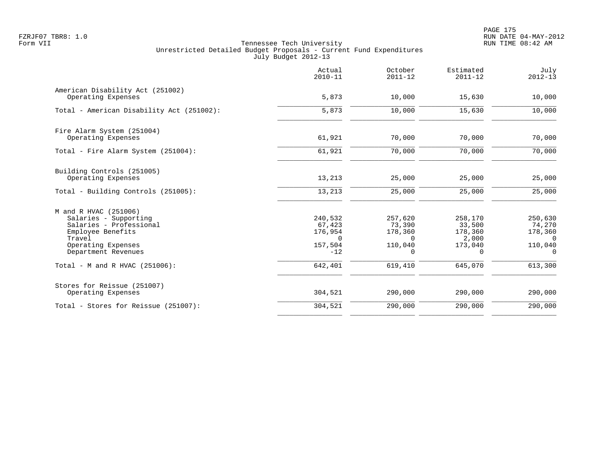PAGE 175 FZRJF07 TBR8: 1.0 RUN DATE 04-MAY-2012

|                                                                                                                                                       | Actual<br>$2010 - 11$                                        | October<br>$2011 - 12$                                   | Estimated<br>$2011 - 12$                                     | July<br>$2012 - 13$                                                   |
|-------------------------------------------------------------------------------------------------------------------------------------------------------|--------------------------------------------------------------|----------------------------------------------------------|--------------------------------------------------------------|-----------------------------------------------------------------------|
| American Disability Act (251002)<br>Operating Expenses                                                                                                | 5,873                                                        | 10,000                                                   | 15,630                                                       | 10,000                                                                |
| Total - American Disability Act (251002):                                                                                                             | 5,873                                                        | 10,000                                                   | 15,630                                                       | 10,000                                                                |
| Fire Alarm System (251004)<br>Operating Expenses                                                                                                      | 61,921                                                       | 70,000                                                   | 70,000                                                       | 70,000                                                                |
| Total - Fire Alarm System (251004):                                                                                                                   | 61,921                                                       | 70,000                                                   | 70,000                                                       | 70,000                                                                |
| Building Controls (251005)<br>Operating Expenses                                                                                                      | 13,213                                                       | 25,000                                                   | 25,000                                                       | 25,000                                                                |
| Total - Building Controls (251005):                                                                                                                   | 13,213                                                       | 25,000                                                   | 25,000                                                       | 25,000                                                                |
| M and R HVAC (251006)<br>Salaries - Supporting<br>Salaries - Professional<br>Employee Benefits<br>Travel<br>Operating Expenses<br>Department Revenues | 240,532<br>67,423<br>176,954<br>$\Omega$<br>157,504<br>$-12$ | 257,620<br>73,390<br>178,360<br>$\Omega$<br>110,040<br>0 | 258,170<br>33,500<br>178,360<br>2,000<br>173,040<br>$\Omega$ | 250,630<br>74,270<br>178,360<br>$\Omega$<br>110,040<br>$\overline{0}$ |
| Total - M and R HVAC (251006):                                                                                                                        | 642,401                                                      | 619,410                                                  | 645,070                                                      | 613,300                                                               |
| Stores for Reissue (251007)<br>Operating Expenses                                                                                                     | 304,521                                                      | 290,000                                                  | 290,000                                                      | 290,000                                                               |
| Total - Stores for Reissue (251007):                                                                                                                  | 304,521                                                      | 290,000                                                  | 290,000                                                      | 290,000                                                               |
|                                                                                                                                                       |                                                              |                                                          |                                                              |                                                                       |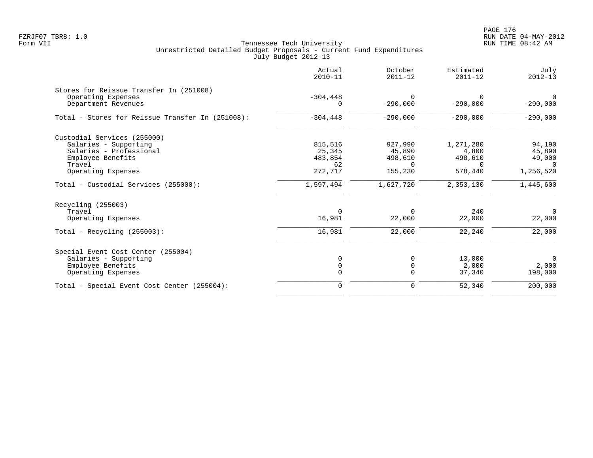PAGE 176 FZRJF07 TBR8: 1.0 RUN DATE 04-MAY-2012

|                                                  | Actual<br>$2010 - 11$ | October<br>$2011 - 12$ | Estimated<br>$2011 - 12$ | July<br>$2012 - 13$ |
|--------------------------------------------------|-----------------------|------------------------|--------------------------|---------------------|
| Stores for Reissue Transfer In (251008)          |                       |                        |                          |                     |
| Operating Expenses                               | $-304, 448$           | $\Omega$               | $\Omega$                 | $\overline{0}$      |
| Department Revenues                              | $\Omega$              | $-290,000$             | $-290,000$               | $-290,000$          |
| Total - Stores for Reissue Transfer In (251008): | $-304, 448$           | $-290,000$             | $-290,000$               | $-290,000$          |
| Custodial Services (255000)                      |                       |                        |                          |                     |
| Salaries - Supporting                            | 815,516               | 927,990                | 1,271,280                | 94,190              |
| Salaries - Professional                          | 25,345                | 45,890                 | 4,800                    | 45,890              |
| Employee Benefits                                | 483,854               | 498,610                | 498,610                  | 49,000              |
| Travel                                           | 62                    | $\Omega$               | $\Omega$                 | $\Omega$            |
| Operating Expenses                               | 272,717               | 155,230                | 578,440                  | 1,256,520           |
| Total - Custodial Services (255000):             | 1,597,494             | 1,627,720              | 2,353,130                | 1,445,600           |
| Recycling (255003)                               |                       |                        |                          |                     |
| Travel                                           | $\Omega$              | $\Omega$               | 240                      | $\overline{0}$      |
| Operating Expenses                               | 16,981                | 22,000                 | 22,000                   | 22,000              |
| Total - Recycling $(255003)$ :                   | 16,981                | 22,000                 | 22,240                   | 22,000              |
| Special Event Cost Center (255004)               |                       |                        |                          |                     |
| Salaries - Supporting                            | $\mathbf 0$           | $\mathbf 0$            | 13,000                   | $\overline{0}$      |
| Employee Benefits                                | $\mathbf 0$           | $\mathbf 0$            | 2,000                    | 2,000               |
| Operating Expenses                               | $\Omega$              | $\Omega$               | 37,340                   | 198,000             |
| Total - Special Event Cost Center (255004):      | $\mathbf 0$           | $\mathbf 0$            | 52,340                   | 200,000             |
|                                                  |                       |                        |                          |                     |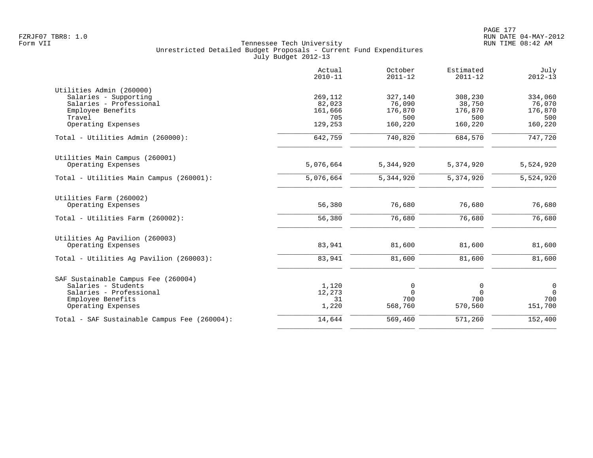|                                              | Actual<br>$2010 - 11$ | October<br>$2011 - 12$ | Estimated<br>$2011 - 12$ | July<br>$2012 - 13$ |
|----------------------------------------------|-----------------------|------------------------|--------------------------|---------------------|
| Utilities Admin (260000)                     |                       |                        |                          |                     |
| Salaries - Supporting                        | 269,112               | 327,140                | 308,230                  | 334,060             |
| Salaries - Professional                      | 82,023                | 76,090                 | 38,750                   | 76,070              |
| Employee Benefits                            | 161,666               | 176,870                | 176,870                  | 176,870             |
| Travel                                       | 705                   | 500                    | 500                      | 500                 |
| Operating Expenses                           | 129,253               | 160,220                | 160,220                  | 160,220             |
| Total - Utilities Admin (260000):            | 642,759               | 740,820                | 684,570                  | 747,720             |
| Utilities Main Campus (260001)               |                       |                        |                          |                     |
| Operating Expenses                           | 5,076,664             | 5,344,920              | 5,374,920                | 5,524,920           |
| Total - Utilities Main Campus (260001):      | 5,076,664             | 5, 344, 920            | 5,374,920                | 5,524,920           |
| Utilities Farm (260002)                      |                       |                        |                          |                     |
| Operating Expenses                           | 56,380                | 76,680                 | 76,680                   | 76,680              |
| Total - Utilities Farm (260002):             | 56,380                | 76,680                 | 76,680                   | 76,680              |
| Utilities Ag Pavilion (260003)               |                       |                        |                          |                     |
| Operating Expenses                           | 83,941                | 81,600                 | 81,600                   | 81,600              |
| Total - Utilities Aq Pavilion (260003):      | 83,941                | 81,600                 | 81,600                   | 81,600              |
| SAF Sustainable Campus Fee (260004)          |                       |                        |                          |                     |
| Salaries - Students                          | 1,120                 | 0                      | 0                        | $\mathbf 0$         |
| Salaries - Professional                      | 12,273                | $\Omega$               | $\Omega$                 | $\Omega$            |
| Employee Benefits                            | 31                    | 700                    | 700                      | 700                 |
| Operating Expenses                           | 1,220                 | 568,760                | 570,560                  | 151,700             |
| Total - SAF Sustainable Campus Fee (260004): | 14,644                | 569,460                | 571,260                  | 152,400             |
|                                              |                       |                        |                          |                     |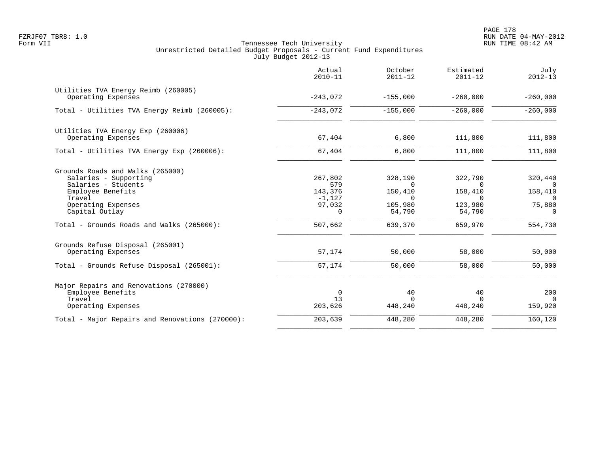|                                                                                             | Actual<br>$2010 - 11$         | October<br>$2011 - 12$         | Estimated<br>$2011 - 12$       | July<br>$2012 - 13$           |
|---------------------------------------------------------------------------------------------|-------------------------------|--------------------------------|--------------------------------|-------------------------------|
| Utilities TVA Energy Reimb (260005)<br>Operating Expenses                                   | $-243,072$                    | $-155,000$                     | $-260,000$                     | $-260,000$                    |
| Total - Utilities TVA Energy Reimb (260005):                                                | $-243,072$                    | $-155,000$                     | $-260,000$                     | $-260,000$                    |
| Utilities TVA Energy Exp (260006)<br>Operating Expenses                                     | 67,404                        | 6,800                          | 111,800                        | 111,800                       |
| Total - Utilities TVA Energy Exp (260006):                                                  | 67,404                        | 6,800                          | 111,800                        | 111,800                       |
| Grounds Roads and Walks (265000)<br>Salaries - Supporting<br>Salaries - Students            | 267,802<br>579                | 328,190<br>$\Omega$            | 322,790<br>$\Omega$            | 320,440<br>0                  |
| Employee Benefits<br>Travel<br>Operating Expenses                                           | 143,376<br>$-1,127$<br>97,032 | 150,410<br>$\Omega$<br>105,980 | 158,410<br>$\Omega$<br>123,980 | 158,410<br>$\Omega$<br>75,880 |
| Capital Outlay<br>Total - Grounds Roads and Walks (265000):                                 | $\Omega$<br>507,662           | 54,790<br>639,370              | 54,790<br>659,970              | $\Omega$<br>554,730           |
| Grounds Refuse Disposal (265001)<br>Operating Expenses                                      | 57,174                        | 50,000                         | 58,000                         | 50,000                        |
| Total - Grounds Refuse Disposal (265001):                                                   | 57,174                        | 50,000                         | 58,000                         | 50,000                        |
| Major Repairs and Renovations (270000)<br>Employee Benefits<br>Travel<br>Operating Expenses | $\mathbf 0$<br>13<br>203,626  | 40<br>$\Omega$<br>448,240      | 40<br>$\cap$<br>448,240        | 200<br>$\Omega$<br>159,920    |
| Total - Major Repairs and Renovations (270000):                                             | 203,639                       | 448,280                        | 448,280                        | 160,120                       |
|                                                                                             |                               |                                |                                |                               |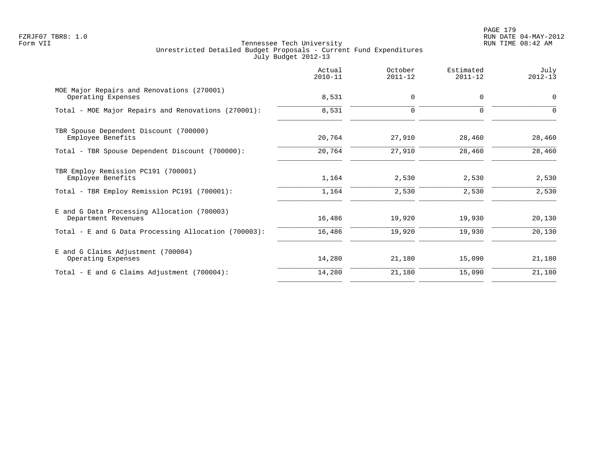PAGE 179 FZRJF07 TBR8: 1.0 RUN DATE 04-MAY-2012

|                                                                    | Actual<br>$2010 - 11$ | October<br>$2011 - 12$ | Estimated<br>$2011 - 12$ | July<br>$2012 - 13$ |
|--------------------------------------------------------------------|-----------------------|------------------------|--------------------------|---------------------|
| MOE Major Repairs and Renovations (270001)<br>Operating Expenses   | 8,531                 | $\mathbf 0$            | $\mathbf 0$              | $\mathbf 0$         |
| Total - MOE Major Repairs and Renovations (270001):                | 8,531                 | $\mathbf 0$            | $\mathbf 0$              | 0                   |
| TBR Spouse Dependent Discount (700000)<br>Employee Benefits        | 20,764                | 27,910                 | 28,460                   | 28,460              |
| Total - TBR Spouse Dependent Discount (700000):                    | 20,764                | 27,910                 | 28,460                   | 28,460              |
| TBR Employ Remission PC191 (700001)<br>Employee Benefits           | 1,164                 | 2,530                  | 2,530                    | 2,530               |
| Total - TBR Employ Remission PC191 (700001):                       | 1,164                 | 2,530                  | 2,530                    | 2,530               |
| E and G Data Processing Allocation (700003)<br>Department Revenues | 16,486                | 19,920                 | 19,930                   | 20,130              |
| Total - E and G Data Processing Allocation (700003):               | 16,486                | 19,920                 | 19,930                   | 20,130              |
| E and G Claims Adjustment (700004)<br>Operating Expenses           | 14,280                | 21,180                 | 15,090                   | 21,180              |
| Total - E and G Claims Adjustment (700004):                        | 14,280                | 21,180                 | 15,090                   | 21,180              |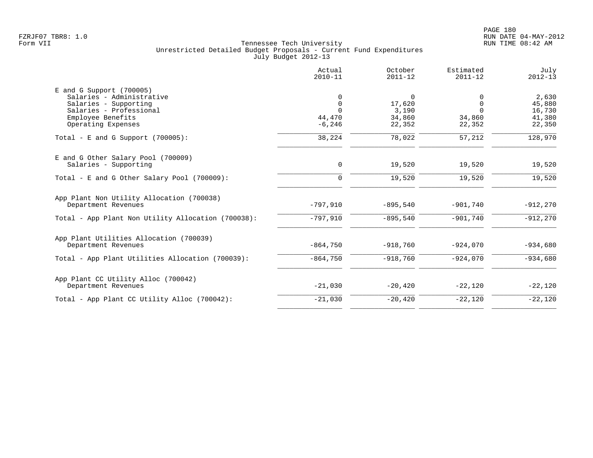|                                                                                                                                                        | Actual<br>$2010 - 11$                               | October<br>$2011 - 12$                             | Estimated<br>$2011 - 12$                      | July<br>$2012 - 13$                           |
|--------------------------------------------------------------------------------------------------------------------------------------------------------|-----------------------------------------------------|----------------------------------------------------|-----------------------------------------------|-----------------------------------------------|
| $E$ and G Support (700005)<br>Salaries - Administrative<br>Salaries - Supporting<br>Salaries - Professional<br>Employee Benefits<br>Operating Expenses | 0<br>$\mathbf 0$<br>$\Omega$<br>44,470<br>$-6, 246$ | $\mathbf 0$<br>17,620<br>3,190<br>34,860<br>22,352 | 0<br>$\Omega$<br>$\Omega$<br>34,860<br>22,352 | 2,630<br>45,880<br>16,730<br>41,380<br>22,350 |
| Total - E and G Support $(700005)$ :                                                                                                                   | 38,224                                              | 78,022                                             | 57,212                                        | 128,970                                       |
| E and G Other Salary Pool (700009)<br>Salaries - Supporting                                                                                            | 0                                                   | 19,520                                             | 19,520                                        | 19,520                                        |
| Total - E and G Other Salary Pool $(700009)$ :                                                                                                         | $\Omega$                                            | 19,520                                             | 19,520                                        | 19,520                                        |
| App Plant Non Utility Allocation (700038)<br>Department Revenues                                                                                       | $-797,910$                                          | $-895,540$                                         | $-901,740$                                    | $-912,270$                                    |
| Total - App Plant Non Utility Allocation (700038):                                                                                                     | $-797,910$                                          | $-895,540$                                         | $-901,740$                                    | $-912,270$                                    |
| App Plant Utilities Allocation (700039)<br>Department Revenues                                                                                         | $-864,750$                                          | $-918,760$                                         | $-924,070$                                    | $-934,680$                                    |
| Total - App Plant Utilities Allocation (700039):                                                                                                       | $-864,750$                                          | $-918,760$                                         | $-924,070$                                    | $-934,680$                                    |
| App Plant CC Utility Alloc (700042)<br>Department Revenues                                                                                             | $-21,030$                                           | $-20, 420$                                         | $-22,120$                                     | $-22,120$                                     |
| Total - App Plant CC Utility Alloc (700042):                                                                                                           | $-21,030$                                           | $-20,420$                                          | $-22,120$                                     | $-22,120$                                     |
|                                                                                                                                                        |                                                     |                                                    |                                               |                                               |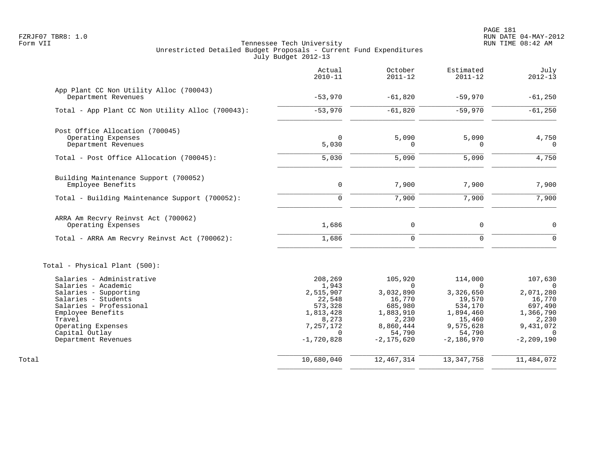PAGE 181 FZRJF07 TBR8: 1.0 RUN DATE 04-MAY-2012

|                                                                                                                                                                                                                           | Actual<br>$2010 - 11$                                                                                             | October<br>$2011 - 12$                                                                                               | Estimated<br>$2011 - 12$                                                                                            | July<br>$2012 - 13$                                                                                                    |
|---------------------------------------------------------------------------------------------------------------------------------------------------------------------------------------------------------------------------|-------------------------------------------------------------------------------------------------------------------|----------------------------------------------------------------------------------------------------------------------|---------------------------------------------------------------------------------------------------------------------|------------------------------------------------------------------------------------------------------------------------|
| App Plant CC Non Utility Alloc (700043)<br>Department Revenues                                                                                                                                                            | $-53,970$                                                                                                         | $-61,820$                                                                                                            | $-59,970$                                                                                                           | $-61,250$                                                                                                              |
| Total - App Plant CC Non Utility Alloc (700043):                                                                                                                                                                          | $-53,970$                                                                                                         | $-61,820$                                                                                                            | $-59,970$                                                                                                           | $-61,250$                                                                                                              |
| Post Office Allocation (700045)<br>Operating Expenses<br>Department Revenues                                                                                                                                              | $\Omega$<br>5,030                                                                                                 | 5,090<br>$\Omega$                                                                                                    | 5,090<br>$\Omega$                                                                                                   | 4,750<br>$\Omega$                                                                                                      |
| Total - Post Office Allocation (700045):                                                                                                                                                                                  | 5,030                                                                                                             | 5,090                                                                                                                | 5,090                                                                                                               | 4,750                                                                                                                  |
| Building Maintenance Support (700052)<br>Employee Benefits                                                                                                                                                                | 0                                                                                                                 | 7,900                                                                                                                | 7,900                                                                                                               | 7,900                                                                                                                  |
| Total - Building Maintenance Support (700052):                                                                                                                                                                            | $\Omega$                                                                                                          | 7,900                                                                                                                | 7,900                                                                                                               | 7,900                                                                                                                  |
| ARRA Am Recvry Reinvst Act (700062)<br>Operating Expenses                                                                                                                                                                 | 1,686                                                                                                             | $\mathbf 0$                                                                                                          | $\mathbf 0$                                                                                                         | $\mathbf 0$                                                                                                            |
| Total - ARRA Am Recvry Reinvst Act (700062):                                                                                                                                                                              | 1,686                                                                                                             | $\Omega$                                                                                                             | $\Omega$                                                                                                            | $\Omega$                                                                                                               |
| Total - Physical Plant (500):                                                                                                                                                                                             |                                                                                                                   |                                                                                                                      |                                                                                                                     |                                                                                                                        |
| Salaries - Administrative<br>Salaries - Academic<br>Salaries - Supporting<br>Salaries - Students<br>Salaries - Professional<br>Employee Benefits<br>Travel<br>Operating Expenses<br>Capital Outlay<br>Department Revenues | 208,269<br>1,943<br>2,515,907<br>22,548<br>573,328<br>1,813,428<br>8,273<br>7,257,172<br>$\Omega$<br>$-1,720,828$ | 105,920<br>$\Omega$<br>3,032,890<br>16,770<br>685,980<br>1,883,910<br>2,230<br>8,860,444<br>54,790<br>$-2, 175, 620$ | 114,000<br>$\Omega$<br>3,326,650<br>19,570<br>534,170<br>1,894,460<br>15,460<br>9,575,628<br>54,790<br>$-2,186,970$ | 107,630<br>$\Omega$<br>2,071,280<br>16,770<br>697,490<br>1,366,790<br>2,230<br>9,431,072<br>$\Omega$<br>$-2, 209, 190$ |
| Total                                                                                                                                                                                                                     | 10,680,040                                                                                                        | 12,467,314                                                                                                           | 13,347,758                                                                                                          | 11,484,072                                                                                                             |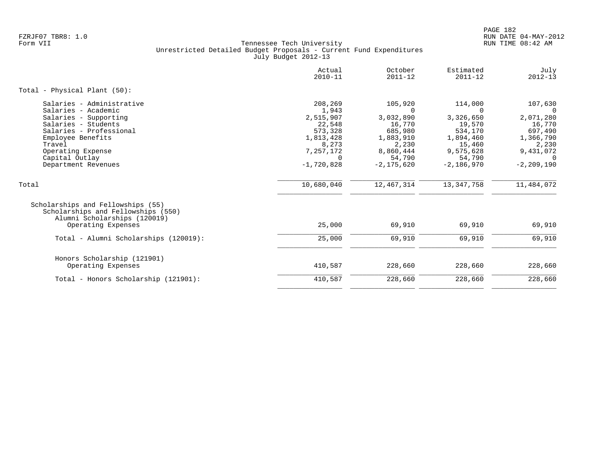|                                                                                                                                                                                                                          | Actual<br>$2010 - 11$                                                                                           | October<br>$2011 - 12$                                                                                               | Estimated<br>$2011 - 12$                                                                                            | July<br>$2012 - 13$                                                                                                    |
|--------------------------------------------------------------------------------------------------------------------------------------------------------------------------------------------------------------------------|-----------------------------------------------------------------------------------------------------------------|----------------------------------------------------------------------------------------------------------------------|---------------------------------------------------------------------------------------------------------------------|------------------------------------------------------------------------------------------------------------------------|
| Total - Physical Plant (50):                                                                                                                                                                                             |                                                                                                                 |                                                                                                                      |                                                                                                                     |                                                                                                                        |
| Salaries - Administrative<br>Salaries - Academic<br>Salaries - Supporting<br>Salaries - Students<br>Salaries - Professional<br>Employee Benefits<br>Travel<br>Operating Expense<br>Capital Outlay<br>Department Revenues | 208,269<br>1,943<br>2,515,907<br>22,548<br>573,328<br>1,813,428<br>8,273<br>7,257,172<br>$\cap$<br>$-1,720,828$ | 105,920<br>$\Omega$<br>3,032,890<br>16,770<br>685,980<br>1,883,910<br>2,230<br>8,860,444<br>54,790<br>$-2, 175, 620$ | 114,000<br>$\Omega$<br>3,326,650<br>19,570<br>534,170<br>1,894,460<br>15,460<br>9,575,628<br>54,790<br>$-2,186,970$ | 107,630<br>$\Omega$<br>2,071,280<br>16,770<br>697,490<br>1,366,790<br>2,230<br>9,431,072<br>$\Omega$<br>$-2, 209, 190$ |
| Total                                                                                                                                                                                                                    | 10,680,040                                                                                                      | 12,467,314                                                                                                           | 13,347,758                                                                                                          | 11,484,072                                                                                                             |
| Scholarships and Fellowships (55)<br>Scholarships and Fellowships (550)<br>Alumni Scholarships (120019)<br>Operating Expenses                                                                                            | 25,000                                                                                                          | 69,910                                                                                                               | 69,910                                                                                                              | 69,910                                                                                                                 |
| Total - Alumni Scholarships (120019):                                                                                                                                                                                    | 25,000                                                                                                          | 69,910                                                                                                               | 69,910                                                                                                              | 69,910                                                                                                                 |
| Honors Scholarship (121901)<br>Operating Expenses<br>Total - Honors Scholarship (121901):                                                                                                                                | 410,587<br>410,587                                                                                              | 228,660<br>228,660                                                                                                   | 228,660<br>228,660                                                                                                  | 228,660<br>228,660                                                                                                     |
|                                                                                                                                                                                                                          |                                                                                                                 |                                                                                                                      |                                                                                                                     |                                                                                                                        |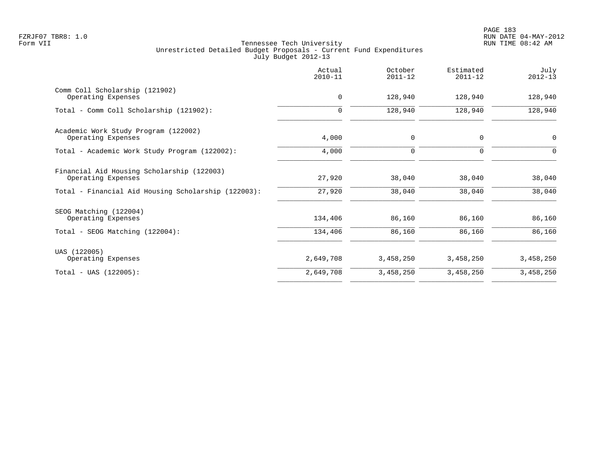|                                                                  | Actual<br>$2010 - 11$ | October<br>$2011 - 12$ | Estimated<br>$2011 - 12$ | July<br>$2012 - 13$ |
|------------------------------------------------------------------|-----------------------|------------------------|--------------------------|---------------------|
| Comm Coll Scholarship (121902)<br>Operating Expenses             | $\mathbf 0$           | 128,940                | 128,940                  | 128,940             |
| Total - Comm Coll Scholarship (121902):                          | $\mathbf 0$           | 128,940                | 128,940                  | 128,940             |
| Academic Work Study Program (122002)<br>Operating Expenses       | 4,000                 | $\mathbf 0$            | 0                        | $\mathbf 0$         |
| Total - Academic Work Study Program (122002):                    | 4,000                 | $\mathbf 0$            | 0                        | $\Omega$            |
| Financial Aid Housing Scholarship (122003)<br>Operating Expenses | 27,920                | 38,040                 | 38,040                   | 38,040              |
| Total - Financial Aid Housing Scholarship (122003):              | 27,920                | 38,040                 | 38,040                   | 38,040              |
| SEOG Matching (122004)<br>Operating Expenses                     | 134,406               | 86,160                 | 86,160                   | 86,160              |
| Total - SEOG Matching (122004):                                  | 134,406               | 86,160                 | 86,160                   | 86,160              |
| UAS (122005)<br>Operating Expenses                               | 2,649,708             | 3,458,250              | 3,458,250                | 3,458,250           |
| $Total - UAS (122005):$                                          | 2,649,708             | 3,458,250              | 3,458,250                | 3,458,250           |
|                                                                  |                       |                        |                          |                     |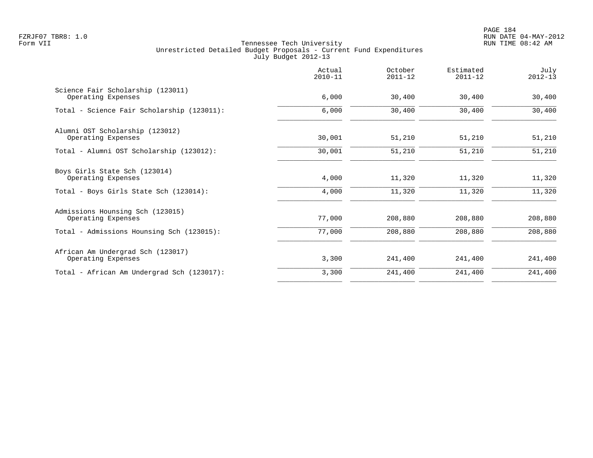PAGE 184 FZRJF07 TBR8: 1.0 RUN DATE 04-MAY-2012

|                                                         | Actual<br>$2010 - 11$ | October<br>$2011 - 12$ | Estimated<br>$2011 - 12$ | July<br>$2012 - 13$ |
|---------------------------------------------------------|-----------------------|------------------------|--------------------------|---------------------|
| Science Fair Scholarship (123011)<br>Operating Expenses | 6,000                 | 30,400                 | 30,400                   | 30,400              |
| Total - Science Fair Scholarship (123011):              | 6,000                 | 30,400                 | 30,400                   | 30,400              |
| Alumni OST Scholarship (123012)<br>Operating Expenses   | 30,001                | 51,210                 | 51,210                   | 51,210              |
| Total - Alumni OST Scholarship (123012):                | 30,001                | 51,210                 | 51,210                   | 51,210              |
| Boys Girls State Sch (123014)<br>Operating Expenses     | 4,000                 | 11,320                 | 11,320                   | 11,320              |
| Total - Boys Girls State Sch (123014):                  | 4,000                 | 11,320                 | 11,320                   | 11,320              |
| Admissions Hounsing Sch (123015)<br>Operating Expenses  | 77,000                | 208,880                | 208,880                  | 208,880             |
| Total - Admissions Hounsing Sch (123015):               | 77,000                | 208,880                | 208,880                  | 208,880             |
| African Am Undergrad Sch (123017)<br>Operating Expenses | 3,300                 | 241,400                | 241,400                  | 241,400             |
| Total - African Am Undergrad Sch (123017):              | 3,300                 | 241,400                | 241,400                  | 241,400             |
|                                                         |                       |                        |                          |                     |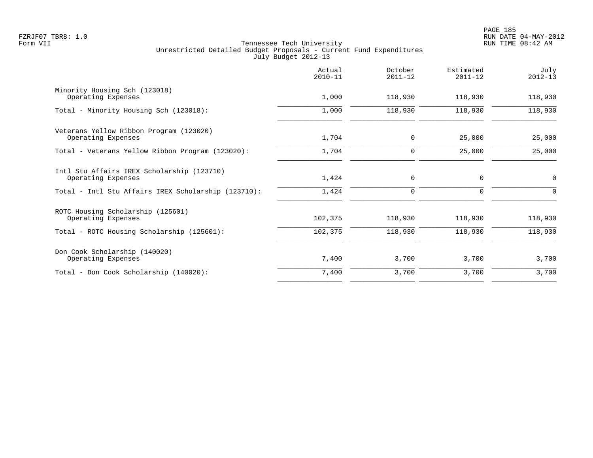|                                                                  | Actual<br>$2010 - 11$ | October<br>$2011 - 12$ | Estimated<br>$2011 - 12$ | July<br>$2012 - 13$ |
|------------------------------------------------------------------|-----------------------|------------------------|--------------------------|---------------------|
| Minority Housing Sch (123018)<br>Operating Expenses              | 1,000                 | 118,930                | 118,930                  | 118,930             |
| Total - Minority Housing Sch (123018):                           | 1,000                 | 118,930                | 118,930                  | 118,930             |
| Veterans Yellow Ribbon Program (123020)<br>Operating Expenses    | 1,704                 | 0                      | 25,000                   | 25,000              |
| Total - Veterans Yellow Ribbon Program (123020):                 | 1,704                 | 0                      | 25,000                   | 25,000              |
| Intl Stu Affairs IREX Scholarship (123710)<br>Operating Expenses | 1,424                 | $\mathbf 0$            | $\Omega$                 | $\mathbf 0$         |
| Total - Intl Stu Affairs IREX Scholarship (123710):              | 1,424                 | $\mathbf 0$            | $\Omega$                 | $\Omega$            |
| ROTC Housing Scholarship (125601)<br>Operating Expenses          | 102,375               | 118,930                | 118,930                  | 118,930             |
| Total - ROTC Housing Scholarship (125601):                       | 102,375               | 118,930                | 118,930                  | 118,930             |
| Don Cook Scholarship (140020)<br>Operating Expenses              | 7,400                 | 3,700                  | 3,700                    | 3,700               |
| Total - Don Cook Scholarship (140020):                           | 7,400                 | 3,700                  | 3,700                    | 3,700               |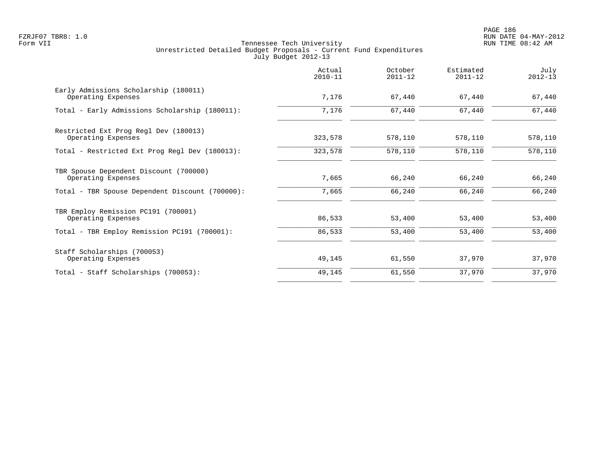|                                                              | Actual<br>$2010 - 11$ | October<br>$2011 - 12$ | Estimated<br>$2011 - 12$ | July<br>$2012 - 13$ |
|--------------------------------------------------------------|-----------------------|------------------------|--------------------------|---------------------|
| Early Admissions Scholarship (180011)<br>Operating Expenses  | 7,176                 | 67,440                 | 67,440                   | 67,440              |
| Total - Early Admissions Scholarship (180011):               | 7,176                 | 67,440                 | 67,440                   | 67,440              |
| Restricted Ext Prog Regl Dev (180013)<br>Operating Expenses  | 323,578               | 578,110                | 578,110                  | 578,110             |
| Total - Restricted Ext Prog Regl Dev (180013):               | 323,578               | 578,110                | 578,110                  | 578,110             |
| TBR Spouse Dependent Discount (700000)<br>Operating Expenses | 7,665                 | 66,240                 | 66,240                   | 66,240              |
| Total - TBR Spouse Dependent Discount (700000):              | 7,665                 | 66,240                 | 66,240                   | 66,240              |
| TBR Employ Remission PC191 (700001)<br>Operating Expenses    | 86,533                | 53,400                 | 53,400                   | 53,400              |
| Total - TBR Employ Remission PC191 (700001):                 | 86,533                | 53,400                 | 53,400                   | 53,400              |
| Staff Scholarships (700053)<br>Operating Expenses            | 49,145                | 61,550                 | 37,970                   | 37,970              |
| Total - Staff Scholarships (700053):                         | 49,145                | 61,550                 | 37,970                   | 37,970              |
|                                                              |                       |                        |                          |                     |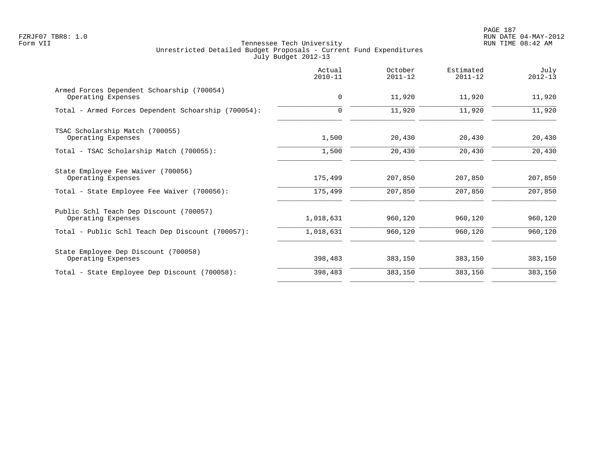|                                                                  | Actual<br>$2010 - 11$ | October<br>$2011 - 12$ | Estimated<br>$2011 - 12$ | July<br>$2012 - 13$ |
|------------------------------------------------------------------|-----------------------|------------------------|--------------------------|---------------------|
| Armed Forces Dependent Schoarship (700054)<br>Operating Expenses | $\mathbf 0$           | 11,920                 | 11,920                   | 11,920              |
| Total - Armed Forces Dependent Schoarship (700054):              | $\mathbf 0$           | 11,920                 | 11,920                   | 11,920              |
| TSAC Scholarship Match (700055)<br>Operating Expenses            | 1,500                 | 20,430                 | 20,430                   | 20,430              |
| Total - TSAC Scholarship Match (700055):                         | 1,500                 | 20,430                 | 20,430                   | 20,430              |
| State Employee Fee Waiver (700056)<br>Operating Expenses         | 175,499               | 207,850                | 207,850                  | 207,850             |
| Total - State Employee Fee Waiver (700056):                      | 175,499               | 207,850                | 207,850                  | 207,850             |
| Public Schl Teach Dep Discount (700057)<br>Operating Expenses    | 1,018,631             | 960,120                | 960,120                  | 960,120             |
| Total - Public Schl Teach Dep Discount (700057):                 | 1,018,631             | 960,120                | 960,120                  | 960,120             |
| State Employee Dep Discount (700058)<br>Operating Expenses       | 398,483               | 383,150                | 383,150                  | 383,150             |
| Total - State Employee Dep Discount (700058):                    | 398,483               | 383,150                | 383,150                  | 383,150             |
|                                                                  |                       |                        |                          |                     |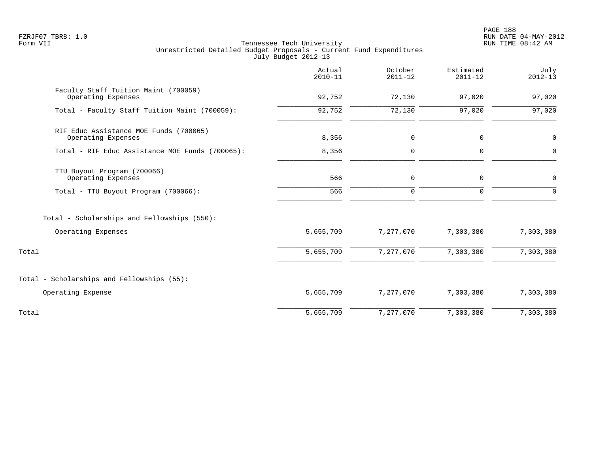PAGE 188 FZRJF07 TBR8: 1.0 RUN DATE 04-MAY-2012

|                                                              | Actual<br>$2010 - 11$ | October<br>$2011 - 12$ | Estimated<br>$2011 - 12$ | July<br>$2012 - 13$ |
|--------------------------------------------------------------|-----------------------|------------------------|--------------------------|---------------------|
| Faculty Staff Tuition Maint (700059)<br>Operating Expenses   | 92,752                | 72,130                 | 97,020                   | 97,020              |
| Total - Faculty Staff Tuition Maint (700059):                | 92,752                | 72,130                 | 97,020                   | 97,020              |
| RIF Educ Assistance MOE Funds (700065)<br>Operating Expenses | 8,356                 | $\mathbf 0$            | $\mathbf 0$              | $\mathbf 0$         |
| Total - RIF Educ Assistance MOE Funds (700065):              | 8,356                 | $\mathbf 0$            | $\Omega$                 | $\Omega$            |
| TTU Buyout Program (700066)<br>Operating Expenses            | 566                   | $\mathsf{O}$           | $\mathbf 0$              | 0                   |
| Total - TTU Buyout Program (700066):                         | 566                   | $\mathbf 0$            | $\Omega$                 | $\Omega$            |
| Total - Scholarships and Fellowships (550):                  |                       |                        |                          |                     |
| Operating Expenses                                           | 5,655,709             | 7,277,070              | 7,303,380                | 7,303,380           |
| Total                                                        | 5,655,709             | 7,277,070              | 7,303,380                | 7,303,380           |
| Total - Scholarships and Fellowships (55):                   |                       |                        |                          |                     |
| Operating Expense                                            | 5,655,709             | 7,277,070              | 7,303,380                | 7,303,380           |
| Total                                                        | 5,655,709             | 7,277,070              | 7,303,380                | 7,303,380           |
|                                                              |                       |                        |                          |                     |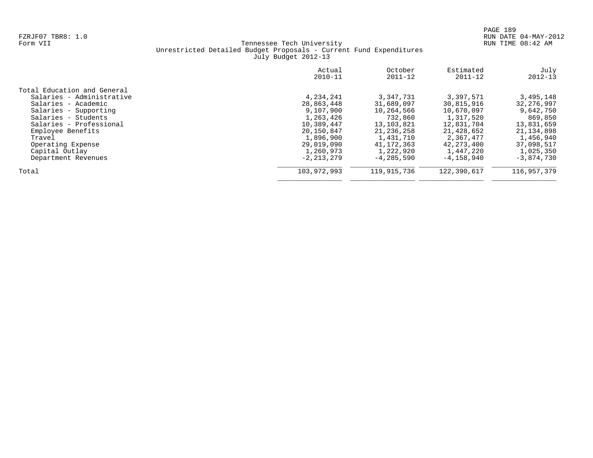|                             | Actual<br>$2010 - 11$ | October<br>$2011 - 12$ | Estimated<br>$2011 - 12$ | July<br>$2012 - 13$ |
|-----------------------------|-----------------------|------------------------|--------------------------|---------------------|
| Total Education and General |                       |                        |                          |                     |
| Salaries - Administrative   | 4,234,241             | 3,347,731              | 3,397,571                | 3,495,148           |
| Salaries - Academic         | 28,863,448            | 31,689,097             | 30,815,916               | 32, 276, 997        |
| Salaries - Supporting       | 9,107,900             | 10,264,566             | 10,670,097               | 9,642,750           |
| Salaries - Students         | 1,263,426             | 732,860                | 1,317,520                | 869,850             |
| Salaries - Professional     | 10,389,447            | 13, 103, 821           | 12,831,704               | 13,831,659          |
| Employee Benefits           | 20,150,847            | 21, 236, 258           | 21,428,652               | 21, 134, 898        |
| Travel                      | 1,896,900             | 1,431,710              | 2,367,477                | 1,456,940           |
| Operating Expense           | 29,019,090            | 41, 172, 363           | 42,273,400               | 37,098,517          |
| Capital Outlay              | 1,260,973             | 1,222,920              | 1,447,220                | 1,025,350           |
| Department Revenues         | $-2.213.279$          | $-4, 285, 590$         | $-4, 158, 940$           | $-3,874,730$        |
| Total                       | 103,972,993           | 119,915,736            | 122,390,617              | 116,957,379         |
|                             |                       |                        |                          |                     |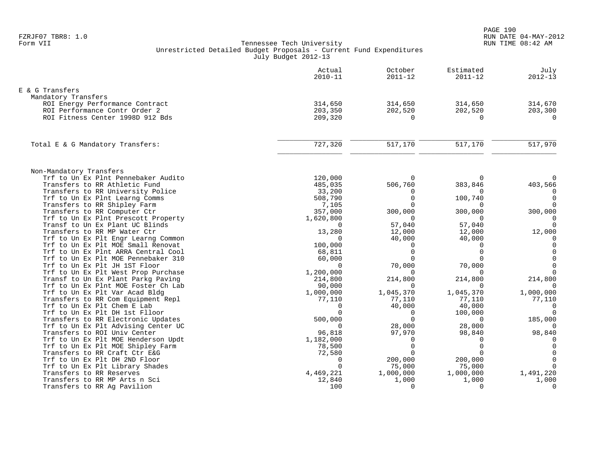|                                                                           | Actual<br>$2010 - 11$ | October<br>$2011 - 12$ | Estimated<br>$2011 - 12$ | July<br>$2012 - 13$  |
|---------------------------------------------------------------------------|-----------------------|------------------------|--------------------------|----------------------|
| E & G Transfers                                                           |                       |                        |                          |                      |
| Mandatory Transfers                                                       |                       |                        |                          |                      |
| ROI Energy Performance Contract                                           | 314,650               | 314,650                | 314,650                  | 314,670              |
| ROI Performance Contr Order 2                                             | 203,350               | 202,520                | 202,520                  | 203,300              |
| ROI Fitness Center 1998D 912 Bds                                          | 209,320               | $\Omega$               | $\Omega$                 | $\Omega$             |
| Total E & G Mandatory Transfers:                                          | 727,320               | 517,170                | 517,170                  | 517,970              |
|                                                                           |                       |                        |                          |                      |
| Non-Mandatory Transfers                                                   |                       |                        |                          |                      |
| Trf to Un Ex Plnt Pennebaker Audito                                       | 120,000               |                        |                          |                      |
| Transfers to RR Athletic Fund                                             | 485,035               | 506,760                | 383,846                  | 403,566              |
| Transfers to RR University Police                                         | 33,200                | $\Omega$               | $\Omega$                 |                      |
| Trf to Un Ex Plnt Learng Comms                                            | 508,790               | $\Omega$               | 100,740                  | $\Omega$             |
| Transfers to RR Shipley Farm                                              | 7,105                 |                        | $\Omega$                 | $\Omega$             |
| Transfers to RR Computer Ctr                                              | 357,000               | 300,000                | 300,000                  | 300,000              |
| Trf to Un Ex Plnt Prescott Property                                       | 1,620,800             | $\Omega$               | $\Omega$                 | $\Omega$             |
| Transf to Un Ex Plant UC Blinds                                           | $\Omega$              | 57,040                 | 57,040                   | $\Omega$             |
| Transfers to RR MP Water Ctr                                              | 13,280<br>$\Omega$    | 12,000                 | 12,000                   | 12,000               |
| Trf to Un Ex Plt Engr Learng Common<br>Trf to Un Ex Plt MOE Small Renovat | 100,000               | 40,000<br>$\Omega$     | 40,000<br>$\Omega$       | $\Omega$<br>$\Omega$ |
| Trf to Un Ex Plnt ARRA Central Cool                                       | 68,811                | $\Omega$               | $\Omega$                 | $\Omega$             |
| Trf to Un Ex Plt MOE Pennebaker 310                                       | 60,000                | $\Omega$               | $\cap$                   | $\Omega$             |
| Trf to Un Ex Plt JH 1ST Floor                                             | $\Omega$              | 70,000                 | 70,000                   | $\Omega$             |
| Trf to Un Ex Plt West Prop Purchase                                       | 1,200,000             | $\Omega$               | $\Omega$                 | $\Omega$             |
| Transf to Un Ex Plant Parkg Paving                                        | 214,800               | 214,800                | 214,800                  | 214,800              |
| Trf to Un Ex Plnt MOE Foster Ch Lab                                       | 90,000                | $\Omega$               | $\Omega$                 | $\Omega$             |
| Trf to Un Ex Plt Var Acad Bldg                                            | 1,000,000             | 1,045,370              | 1,045,370                | 1,000,000            |
| Transfers to RR Com Equipment Repl                                        | 77,110                | 77,110                 | 77,110                   | 77,110               |
| Trf to Un Ex Plt Chem E Lab                                               | $\cap$                | 40,000                 | 40,000                   | $\Omega$             |
| Trf to Un Ex Plt DH 1st Flloor                                            | $\Omega$              | $\Omega$               | 100,000                  | $\Omega$             |
| Transfers to RR Electronic Updates                                        | 500,000               | $\Omega$               | $\Omega$                 | 185,000              |
| Trf to Un Ex Plt Advising Center UC                                       | $\Omega$              | 28,000                 | 28,000                   |                      |
| Transfers to ROI Univ Center                                              | 96,818                | 97,970                 | 98,840                   | 98,840               |
| Trf to Un Ex Plt MOE Henderson Updt                                       | 1,182,000             | $\Omega$               | $\Omega$                 |                      |
| Trf to Un Ex Plt MOE Shipley Farm                                         | 78,500                | $\Omega$               | $\Omega$                 | $\Omega$             |
| Transfers to RR Craft Ctr E&G                                             | 72,580                |                        | $\Omega$                 | $\Omega$             |
| Trf to Un Ex Plt DH 2ND Floor                                             | $\Omega$              | 200,000                | 200,000                  | $\Omega$             |
| Trf to Un Ex Plt Library Shades                                           |                       | 75,000                 | 75,000                   | $\Omega$             |
| Transfers to RR Reserves                                                  | 4,469,221             | 1,000,000              | 1,000,000                | 1,491,220            |
| Transfers to RR MP Arts n Sci                                             | 12,840                | 1,000                  | 1,000                    | 1,000                |
| Transfers to RR Ag Pavilion                                               | 100                   | $\Omega$               | $\Omega$                 | $\Omega$             |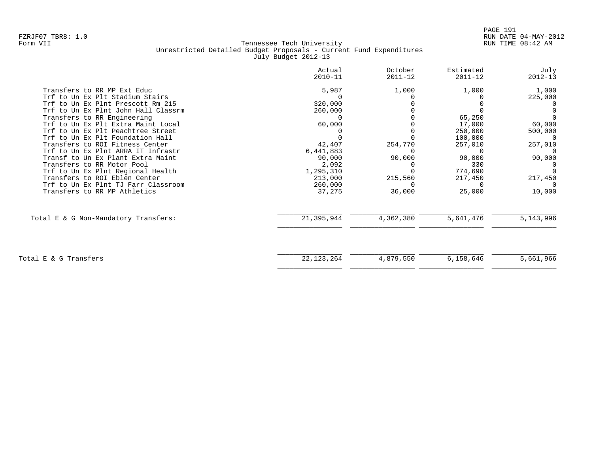| 5,987<br>320,000<br>260,000<br>60,000<br>42,407<br>6,441,883<br>90,000 | 1,000<br>254,770<br>90,000                                                       | 1,000<br>65,250<br>17,000<br>250,000<br>100,000<br>257,010<br>90,000 | 1,000<br>225,000<br>60,000<br>500,000<br>$\Omega$<br>257,010<br>90,000 |
|------------------------------------------------------------------------|----------------------------------------------------------------------------------|----------------------------------------------------------------------|------------------------------------------------------------------------|
|                                                                        |                                                                                  |                                                                      |                                                                        |
|                                                                        |                                                                                  |                                                                      |                                                                        |
|                                                                        |                                                                                  |                                                                      |                                                                        |
|                                                                        |                                                                                  |                                                                      |                                                                        |
|                                                                        |                                                                                  |                                                                      |                                                                        |
|                                                                        |                                                                                  |                                                                      |                                                                        |
|                                                                        |                                                                                  |                                                                      |                                                                        |
|                                                                        |                                                                                  |                                                                      |                                                                        |
|                                                                        |                                                                                  |                                                                      |                                                                        |
|                                                                        |                                                                                  |                                                                      |                                                                        |
|                                                                        |                                                                                  |                                                                      |                                                                        |
|                                                                        |                                                                                  | 330                                                                  |                                                                        |
|                                                                        |                                                                                  |                                                                      |                                                                        |
|                                                                        |                                                                                  | 217,450                                                              | 217,450                                                                |
|                                                                        |                                                                                  | $\Omega$                                                             |                                                                        |
|                                                                        |                                                                                  |                                                                      | 10,000                                                                 |
|                                                                        | 4,362,380                                                                        | 5,641,476                                                            | 5, 143, 996                                                            |
|                                                                        |                                                                                  |                                                                      |                                                                        |
|                                                                        |                                                                                  |                                                                      | 5,661,966                                                              |
|                                                                        | 2,092<br>1,295,310<br>213,000<br>260,000<br>37,275<br>21,395,944<br>22, 123, 264 | 215,560<br>36,000<br>4,879,550                                       | 774,690<br>25,000<br>6,158,646                                         |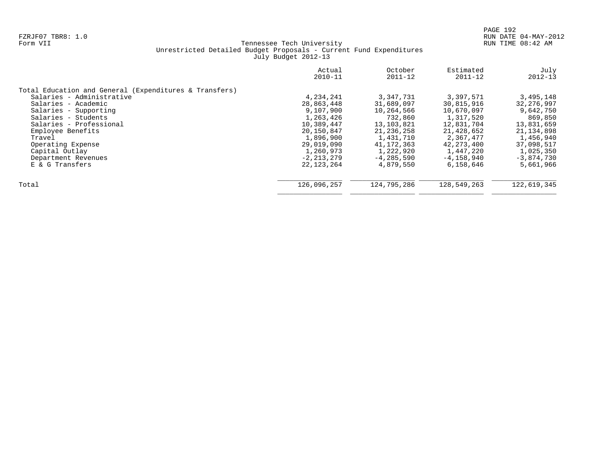|                                                        | Actual<br>$2010 - 11$ | October<br>$2011 - 12$ | Estimated<br>$2011 - 12$ | July<br>$2012 - 13$ |
|--------------------------------------------------------|-----------------------|------------------------|--------------------------|---------------------|
| Total Education and General (Expenditures & Transfers) |                       |                        |                          |                     |
| Salaries - Administrative                              | 4,234,241             | 3,347,731              | 3,397,571                | 3,495,148           |
| Salaries - Academic                                    | 28,863,448            | 31,689,097             | 30,815,916               | 32, 276, 997        |
| Salaries - Supporting                                  | 9,107,900             | 10,264,566             | 10,670,097               | 9,642,750           |
| Salaries - Students                                    | 1,263,426             | 732,860                | 1,317,520                | 869,850             |
| Salaries - Professional                                | 10,389,447            | 13, 103, 821           | 12,831,704               | 13,831,659          |
| Employee Benefits                                      | 20,150,847            | 21, 236, 258           | 21,428,652               | 21, 134, 898        |
| Travel                                                 | 1,896,900             | 1,431,710              | 2,367,477                | 1,456,940           |
| Operating Expense                                      | 29,019,090            | 41, 172, 363           | 42, 273, 400             | 37,098,517          |
| Capital Outlay                                         | 1,260,973             | 1,222,920              | 1,447,220                | 1,025,350           |
| Department Revenues                                    | $-2, 213, 279$        | $-4, 285, 590$         | $-4, 158, 940$           | $-3,874,730$        |
| E & G Transfers                                        | 22, 123, 264          | 4,879,550              | 6,158,646                | 5,661,966           |
| Total                                                  | 126,096,257           | 124,795,286            | 128,549,263              | 122,619,345         |
|                                                        |                       |                        |                          |                     |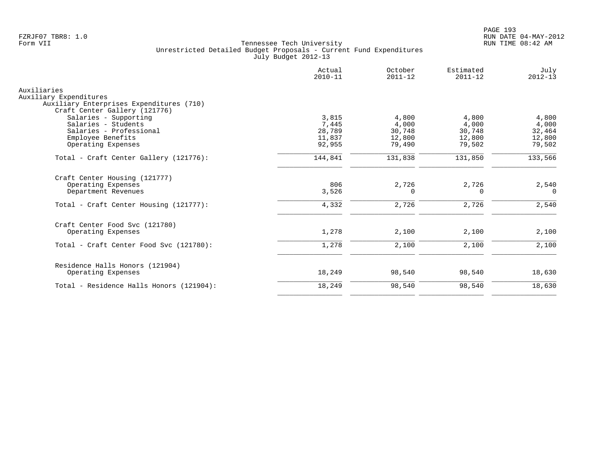|                                                        | Actual<br>$2010 - 11$ | October<br>$2011 - 12$ | Estimated<br>$2011 - 12$ | July<br>$2012 - 13$ |
|--------------------------------------------------------|-----------------------|------------------------|--------------------------|---------------------|
| Auxiliaries                                            |                       |                        |                          |                     |
| Auxiliary Expenditures                                 |                       |                        |                          |                     |
| Auxiliary Enterprises Expenditures (710)               |                       |                        |                          |                     |
| Craft Center Gallery (121776)<br>Salaries - Supporting | 3,815                 | 4,800                  | 4,800                    | 4,800               |
| Salaries - Students                                    | 7,445                 | 4,000                  | 4,000                    | 4,000               |
| Salaries - Professional                                | 28,789                | 30,748                 | 30,748                   | 32,464              |
| Employee Benefits                                      | 11,837                | 12,800                 | 12,800                   | 12,800              |
| Operating Expenses                                     | 92,955                | 79,490                 | 79,502                   | 79,502              |
|                                                        |                       |                        |                          |                     |
| Total - Craft Center Gallery (121776):                 | 144,841               | 131,838                | 131,850                  | 133,566             |
| Craft Center Housing (121777)                          |                       |                        |                          |                     |
| Operating Expenses                                     | 806                   | 2,726                  | 2,726                    | 2,540               |
| Department Revenues                                    | 3,526                 | $\Omega$               | 0                        | $\Omega$            |
| Total - Craft Center Housing (121777):                 | 4,332                 | 2,726                  | 2,726                    | 2,540               |
| Craft Center Food Svc (121780)                         |                       |                        |                          |                     |
| Operating Expenses                                     | 1,278                 | 2,100                  | 2,100                    | 2,100               |
| Total - Craft Center Food Svc (121780):                | 1,278                 | 2,100                  | 2,100                    | 2,100               |
| Residence Halls Honors (121904)                        |                       |                        |                          |                     |
| Operating Expenses                                     | 18,249                | 98,540                 | 98,540                   | 18,630              |
| Total - Residence Halls Honors (121904):               | 18,249                | 98,540                 | 98,540                   | 18,630              |
|                                                        |                       |                        |                          |                     |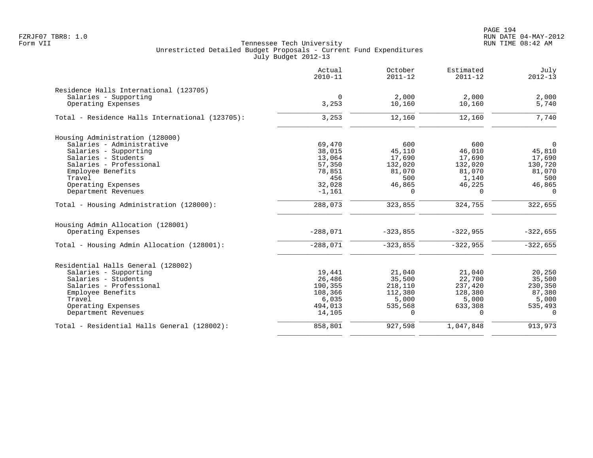PAGE 194 FZRJF07 TBR8: 1.0 RUN DATE 04-MAY-2012

|                                                 | Actual<br>$2010 - 11$ | October<br>$2011 - 12$ | Estimated<br>$2011 - 12$ | July<br>$2012 - 13$ |
|-------------------------------------------------|-----------------------|------------------------|--------------------------|---------------------|
| Residence Halls International (123705)          |                       |                        |                          |                     |
| Salaries - Supporting                           | $\mathbf 0$           | 2,000                  | 2,000                    | 2,000               |
| Operating Expenses                              | 3,253                 | 10,160                 | 10,160                   | 5,740               |
| Total - Residence Halls International (123705): | 3,253                 | 12,160                 | 12,160                   | 7,740               |
| Housing Administration (128000)                 |                       |                        |                          |                     |
| Salaries - Administrative                       | 69,470                | 600                    | 600                      | $\mathbf 0$         |
| Salaries - Supporting                           | 38,015                | 45,110                 | 46,010                   | 45,810              |
| Salaries - Students                             | 13,064                | 17,690                 | 17,690                   | 17,690              |
| Salaries - Professional                         | 57,350                | 132,020                | 132,020                  | 130,720             |
| Employee Benefits                               | 78,851                | 81,070                 | 81,070                   | 81,070              |
| Travel                                          | 456                   | 500                    | 1,140                    | 500                 |
| Operating Expenses                              | 32,028                | 46,865                 | 46,225                   | 46,865              |
| Department Revenues                             | $-1,161$              | $\Omega$               | $\Omega$                 | $\Omega$            |
| Total - Housing Administration (128000):        | 288,073               | 323,855                | 324,755                  | 322,655             |
| Housing Admin Allocation (128001)               |                       |                        |                          |                     |
| Operating Expenses                              | $-288,071$            | $-323,855$             | $-322,955$               | $-322,655$          |
| Total - Housing Admin Allocation (128001):      | $-288,071$            | $-323,855$             | $-322,955$               | $-322,655$          |
| Residential Halls General (128002)              |                       |                        |                          |                     |
| Salaries - Supporting                           | 19,441                | 21,040                 | 21,040                   | 20,250              |
| Salaries - Students                             | 26,486                | 35,500                 | 22,700                   | 35,500              |
| Salaries - Professional                         | 190,355               | 218,110                | 237,420                  | 230,350             |
| Employee Benefits                               | 108,366               | 112,380                | 128,380                  | 87,380              |
| Travel                                          | 6,035                 | 5,000                  | 5,000                    | 5,000               |
| Operating Expenses                              | 494,013               | 535,568                | 633,308                  | 535,493             |
| Department Revenues                             | 14,105                | $\Omega$               | $\Omega$                 | $\Omega$            |
| Total - Residential Halls General (128002):     | 858,801               | 927,598                | 1,047,848                | 913,973             |
|                                                 |                       |                        |                          |                     |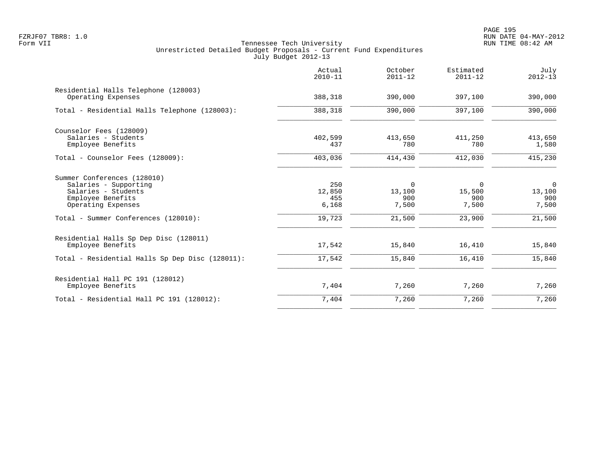|                                                                                                                                                                | Actual<br>$2010 - 11$                   | October<br>$2011 - 12$                | Estimated<br>$2011 - 12$              | July<br>$2012 - 13$                                |
|----------------------------------------------------------------------------------------------------------------------------------------------------------------|-----------------------------------------|---------------------------------------|---------------------------------------|----------------------------------------------------|
| Residential Halls Telephone (128003)<br>Operating Expenses                                                                                                     | 388,318                                 | 390,000                               | 397,100                               | 390,000                                            |
| Total - Residential Halls Telephone (128003):                                                                                                                  | 388,318                                 | 390,000                               | 397,100                               | 390,000                                            |
| Counselor Fees (128009)<br>Salaries - Students<br>Employee Benefits                                                                                            | 402,599<br>437                          | 413,650<br>780                        | 411,250<br>780                        | 413,650<br>1,580                                   |
| Total - Counselor Fees (128009):                                                                                                                               | 403,036                                 | 414,430                               | 412,030                               | 415,230                                            |
| Summer Conferences (128010)<br>Salaries - Supporting<br>Salaries - Students<br>Employee Benefits<br>Operating Expenses<br>Total - Summer Conferences (128010): | 250<br>12,850<br>455<br>6,168<br>19,723 | 0<br>13,100<br>900<br>7,500<br>21,500 | 0<br>15,500<br>900<br>7,500<br>23,900 | $\overline{0}$<br>13,100<br>900<br>7,500<br>21,500 |
| Residential Halls Sp Dep Disc (128011)<br>Employee Benefits<br>Total - Residential Halls Sp Dep Disc (128011):                                                 | 17,542<br>17,542                        | 15,840<br>15,840                      | 16,410<br>16,410                      | 15,840<br>15,840                                   |
| Residential Hall PC 191 (128012)<br>Employee Benefits                                                                                                          | 7,404                                   | 7,260                                 | 7,260                                 | 7,260                                              |
| Total - Residential Hall PC 191 (128012):                                                                                                                      | 7,404                                   | 7,260                                 | 7,260                                 | 7,260                                              |
|                                                                                                                                                                |                                         |                                       |                                       |                                                    |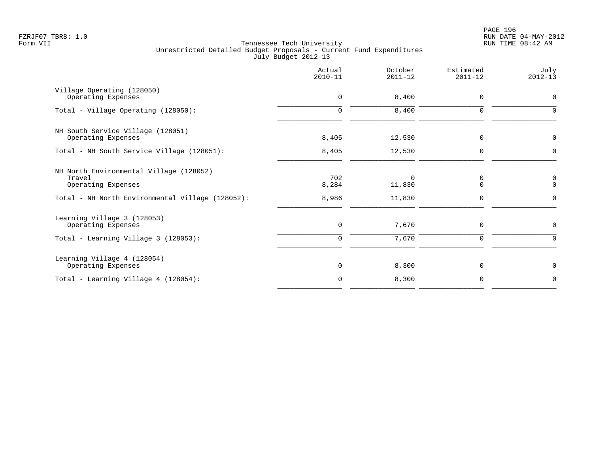PAGE 196 FZRJF07 TBR8: 1.0 RUN DATE 04-MAY-2012

|                                                                         | Actual<br>$2010 - 11$ | October<br>$2011 - 12$ | Estimated<br>$2011 - 12$ | July<br>$2012 - 13$ |
|-------------------------------------------------------------------------|-----------------------|------------------------|--------------------------|---------------------|
| Village Operating (128050)<br>Operating Expenses                        | $\mathbf 0$           | 8,400                  | $\mathbf 0$              | 0                   |
| Total - Village Operating (128050):                                     | $\Omega$              | 8,400                  | $\Omega$                 | $\Omega$            |
| NH South Service Village (128051)<br>Operating Expenses                 | 8,405                 | 12,530                 | $\mathbf 0$              | 0                   |
| Total - NH South Service Village (128051):                              | 8,405                 | 12,530                 | $\mathbf 0$              | $\Omega$            |
| NH North Environmental Village (128052)<br>Travel<br>Operating Expenses | 702<br>8,284          | $\Omega$<br>11,830     | $\mathbf 0$<br>$\Omega$  | 0<br>$\mathbf 0$    |
| Total - NH North Environmental Village (128052):                        | 8,986                 | 11,830                 | $\mathbf 0$              | $\Omega$            |
| Learning Village 3 (128053)<br>Operating Expenses                       | 0                     | 7,670                  | $\mathbf 0$              | 0                   |
| Total - Learning Village 3 (128053):                                    | $\mathbf 0$           | 7,670                  | $\mathbf 0$              | 0                   |
| Learning Village 4 (128054)<br>Operating Expenses                       | $\mathbf 0$           | 8,300                  | $\mathbf 0$              | 0                   |
| Total - Learning Village $4$ (128054):                                  | $\mathbf 0$           | 8,300                  | $\mathbf 0$              | 0                   |
|                                                                         |                       |                        |                          |                     |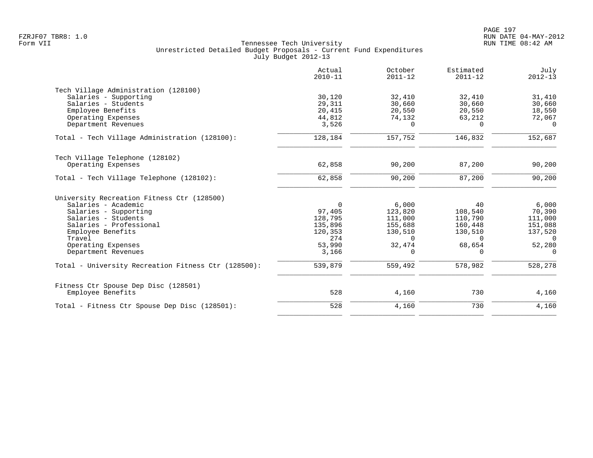|                                                     | Actual<br>$2010 - 11$ | October<br>$2011 - 12$ | Estimated<br>$2011 - 12$ | July<br>$2012 - 13$ |
|-----------------------------------------------------|-----------------------|------------------------|--------------------------|---------------------|
| Tech Village Administration (128100)                |                       |                        |                          |                     |
| Salaries - Supporting                               | 30,120                | 32,410                 | 32,410                   | 31,410              |
| Salaries - Students                                 | 29,311                | 30,660                 | 30,660                   | 30,660              |
| Employee Benefits                                   | 20,415                | 20,550                 | 20,550                   | 18,550              |
| Operating Expenses                                  | 44,812                | 74,132                 | 63,212                   | 72,067              |
| Department Revenues                                 | 3,526                 | 0                      | $\Omega$                 | $\Omega$            |
| Total - Tech Village Administration (128100):       | 128,184               | 157,752                | 146,832                  | 152,687             |
| Tech Village Telephone (128102)                     |                       |                        |                          |                     |
| Operating Expenses                                  | 62,858                | 90,200                 | 87,200                   | 90,200              |
| Total - Tech Village Telephone (128102):            | 62,858                | 90,200                 | 87,200                   | 90,200              |
| University Recreation Fitness Ctr (128500)          |                       |                        |                          |                     |
| Salaries - Academic                                 | $\Omega$              | 6,000                  | 40                       | 6,000               |
| Salaries - Supporting                               | 97,405                | 123,820                | 108,540                  | 70,390              |
| Salaries - Students                                 | 128,795               | 111,000                | 110,790                  | 111,000             |
| Salaries - Professional                             | 135,896               | 155,688                | 160,448                  | 151,088             |
| Employee Benefits                                   | 120,353               | 130,510                | 130,510                  | 137,520             |
| Travel                                              | 274                   | $\Omega$               | $\Omega$                 | 0                   |
| Operating Expenses                                  | 53,990                | 32,474                 | 68,654                   | 52,280              |
| Department Revenues                                 | 3,166                 | 0                      | 0                        | $\mathbf 0$         |
| Total - University Recreation Fitness Ctr (128500): | 539,879               | 559,492                | 578,982                  | 528,278             |
| Fitness Ctr Spouse Dep Disc (128501)                |                       |                        |                          |                     |
| Employee Benefits                                   | 528                   | 4,160                  | 730                      | 4,160               |
| Total - Fitness Ctr Spouse Dep Disc (128501):       | 528                   | 4,160                  | 730                      | 4,160               |
|                                                     |                       |                        |                          |                     |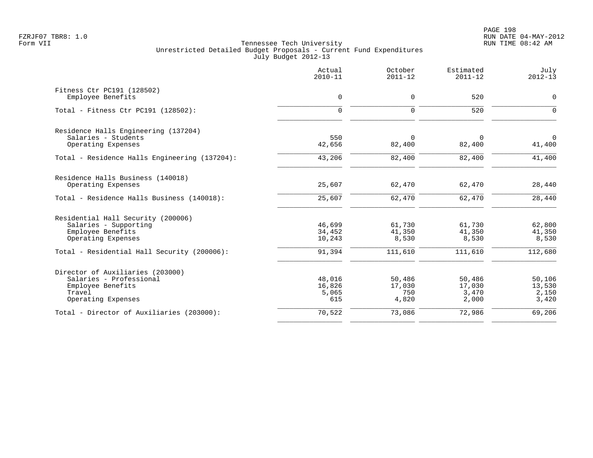|                                                                                                                  | Actual<br>$2010 - 11$            | October<br>$2011 - 12$           | Estimated<br>$2011 - 12$           | July<br>$2012 - 13$                |
|------------------------------------------------------------------------------------------------------------------|----------------------------------|----------------------------------|------------------------------------|------------------------------------|
| Fitness Ctr PC191 (128502)<br>Employee Benefits                                                                  | $\mathbf 0$                      | $\mathbf 0$                      | 520                                | $\mathsf{O}$                       |
| Total - Fitness Ctr PC191 (128502):                                                                              | $\Omega$                         | $\Omega$                         | 520                                | $\Omega$                           |
| Residence Halls Engineering (137204)                                                                             |                                  |                                  |                                    |                                    |
| Salaries - Students<br>Operating Expenses                                                                        | 550<br>42,656                    | $\Omega$<br>82,400               | $\Omega$<br>82,400                 | $\Omega$<br>41,400                 |
| Total - Residence Halls Engineering (137204):                                                                    | 43,206                           | 82,400                           | 82,400                             | 41,400                             |
| Residence Halls Business (140018)<br>Operating Expenses                                                          | 25,607                           | 62,470                           | 62,470                             | 28,440                             |
| Total - Residence Halls Business (140018):                                                                       | 25,607                           | 62,470                           | 62,470                             | 28,440                             |
| Residential Hall Security (200006)<br>Salaries - Supporting<br>Employee Benefits<br>Operating Expenses           | 46,699<br>34,452<br>10,243       | 61,730<br>41,350<br>8,530        | 61,730<br>41,350<br>8,530          | 62,800<br>41,350<br>8,530          |
| Total - Residential Hall Security (200006):                                                                      | 91,394                           | 111,610                          | 111,610                            | 112,680                            |
| Director of Auxiliaries (203000)<br>Salaries - Professional<br>Employee Benefits<br>Travel<br>Operating Expenses | 48,016<br>16,826<br>5,065<br>615 | 50,486<br>17,030<br>750<br>4,820 | 50,486<br>17,030<br>3,470<br>2,000 | 50,106<br>13,530<br>2,150<br>3,420 |
| Total - Director of Auxiliaries (203000):                                                                        | 70,522                           | 73,086                           | 72,986                             | 69,206                             |
|                                                                                                                  |                                  |                                  |                                    |                                    |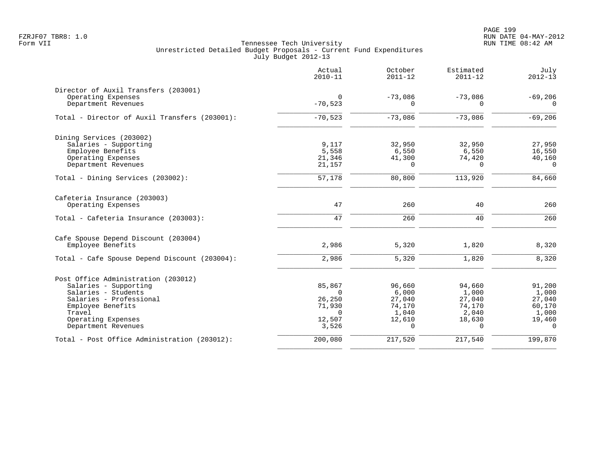PAGE 199 FZRJF07 TBR8: 1.0 RUN DATE 04-MAY-2012

|                                               | Actual<br>$2010 - 11$ | October<br>$2011 - 12$ | Estimated<br>$2011 - 12$ | July<br>$2012 - 13$ |
|-----------------------------------------------|-----------------------|------------------------|--------------------------|---------------------|
| Director of Auxil Transfers (203001)          |                       |                        |                          |                     |
| Operating Expenses                            | 0                     | $-73,086$              | $-73,086$                | $-69,206$           |
| Department Revenues                           | $-70,523$             | $\Omega$               | $\Omega$                 | $\Omega$            |
| Total - Director of Auxil Transfers (203001): | $-70,523$             | $-73,086$              | $-73,086$                | $-69,206$           |
| Dining Services (203002)                      |                       |                        |                          |                     |
| Salaries - Supporting                         | 9,117                 | 32,950                 | 32,950                   | 27,950              |
| Employee Benefits                             | 5,558                 | 6,550                  | 6,550                    | 16,550              |
| Operating Expenses                            | 21,346                | 41,300                 | 74,420                   | 40,160<br>$\Omega$  |
| Department Revenues                           | 21,157                | $\Omega$               | $\Omega$                 |                     |
| Total - Dining Services (203002):             | 57,178                | 80,800                 | 113,920                  | 84,660              |
| Cafeteria Insurance (203003)                  |                       |                        |                          |                     |
| Operating Expenses                            | 47                    | 260                    | 40                       | 260                 |
| Total - Cafeteria Insurance (203003):         | 47                    | 260                    | 40                       | 260                 |
| Cafe Spouse Depend Discount (203004)          |                       |                        |                          |                     |
| Employee Benefits                             | 2,986                 | 5,320                  | 1,820                    | 8,320               |
| Total - Cafe Spouse Depend Discount (203004): | 2,986                 | 5,320                  | 1,820                    | 8,320               |
| Post Office Administration (203012)           |                       |                        |                          |                     |
| Salaries - Supporting                         | 85,867                | 96,660                 | 94,660                   | 91,200              |
| Salaries - Students                           | $\Omega$              | 6,000                  | 1,000                    | 1,000               |
| Salaries - Professional                       | 26,250                | 27,040                 | 27,040                   | 27,040              |
| Employee Benefits                             | 71,930                | 74,170                 | 74,170                   | 60,170              |
| Travel                                        | $\Omega$              | 1,040                  | 2,040                    | 1,000               |
| Operating Expenses<br>Department Revenues     | 12,507<br>3,526       | 12,610<br>$\Omega$     | 18,630<br>$\Omega$       | 19,460<br>$\Omega$  |
| Total - Post Office Administration (203012):  | 200,080               | 217,520                | 217,540                  | 199,870             |
|                                               |                       |                        |                          |                     |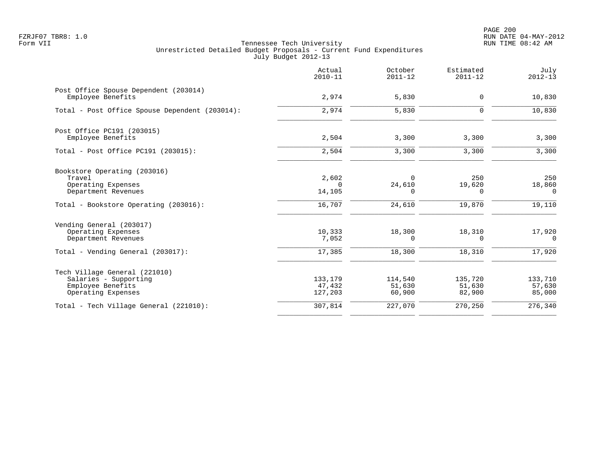PAGE 200 FZRJF07 TBR8: 1.0 RUN DATE 04-MAY-2012

|                                                                                                            | Actual<br>$2010 - 11$        | October<br>$2011 - 12$      | Estimated<br>$2011 - 12$    | July<br>$2012 - 13$             |
|------------------------------------------------------------------------------------------------------------|------------------------------|-----------------------------|-----------------------------|---------------------------------|
| Post Office Spouse Dependent (203014)<br>Employee Benefits                                                 | 2,974                        | 5,830                       | $\mathbf 0$                 | 10,830                          |
| Total - Post Office Spouse Dependent (203014):                                                             | 2,974                        | 5,830                       | $\mathbf 0$                 | 10,830                          |
| Post Office PC191 (203015)<br>Employee Benefits                                                            | 2,504                        | 3,300                       | 3,300                       | 3,300                           |
| Total - Post Office PC191 (203015):                                                                        | 2,504                        | 3,300                       | 3,300                       | 3,300                           |
| Bookstore Operating (203016)<br>Travel<br>Operating Expenses<br>Department Revenues                        | 2,602<br>$\Omega$<br>14,105  | $\Omega$<br>24,610<br>0     | 250<br>19,620<br>0          | 250<br>18,860<br>0              |
| Total - Bookstore Operating (203016):                                                                      | 16,707                       | 24,610                      | 19,870                      | 19,110                          |
| Vending General (203017)<br>Operating Expenses<br>Department Revenues<br>Total - Vending General (203017): | 10,333<br>7,052<br>17,385    | 18,300<br>0<br>18,300       | 18,310<br>0<br>18,310       | 17,920<br>$\mathbf 0$<br>17,920 |
| Tech Village General (221010)<br>Salaries - Supporting<br>Employee Benefits<br>Operating Expenses          | 133,179<br>47,432<br>127,203 | 114,540<br>51,630<br>60,900 | 135,720<br>51,630<br>82,900 | 133,710<br>57,630<br>85,000     |
| Total - Tech Village General (221010):                                                                     | 307,814                      | 227,070                     | 270,250                     | 276,340                         |
|                                                                                                            |                              |                             |                             |                                 |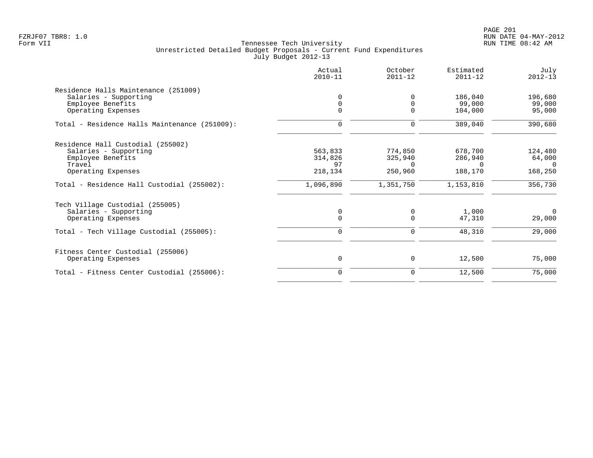PAGE 201 FZRJF07 TBR8: 1.0 RUN DATE 04-MAY-2012

|                                               | Actual<br>$2010 - 11$ | October<br>$2011 - 12$ | Estimated<br>$2011 - 12$ | July<br>$2012 - 13$ |
|-----------------------------------------------|-----------------------|------------------------|--------------------------|---------------------|
| Residence Halls Maintenance (251009)          |                       |                        |                          |                     |
| Salaries - Supporting                         |                       | $\Omega$               | 186,040                  | 196,680             |
| Employee Benefits                             | $\Omega$              | $\Omega$               | 99,000                   | 99,000              |
| Operating Expenses                            | $\Omega$              | 0                      | 104,000                  | 95,000              |
| Total - Residence Halls Maintenance (251009): | $\mathbf 0$           | 0                      | 389,040                  | 390,680             |
| Residence Hall Custodial (255002)             |                       |                        |                          |                     |
| Salaries - Supporting                         | 563,833               | 774,850                | 678,700                  | 124,480             |
| Employee Benefits                             | 314,826               | 325,940                | 286,940                  | 64,000              |
| Travel                                        | 97                    | $\Omega$               | $\Omega$                 | $\Omega$            |
| Operating Expenses                            | 218,134               | 250,960                | 188,170                  | 168,250             |
| Total - Residence Hall Custodial (255002):    | 1,096,890             | 1,351,750              | 1,153,810                | 356,730             |
| Tech Village Custodial (255005)               |                       |                        |                          |                     |
| Salaries - Supporting                         | 0                     | $\Omega$               | 1,000                    | $\mathbf 0$         |
| Operating Expenses                            | $\Omega$              | $\Omega$               | 47,310                   | 29,000              |
| Total - Tech Village Custodial (255005):      | $\mathbf 0$           | 0                      | 48,310                   | 29,000              |
| Fitness Center Custodial (255006)             |                       |                        |                          |                     |
| Operating Expenses                            | 0                     | 0                      | 12,500                   | 75,000              |
| Total - Fitness Center Custodial (255006):    | $\Omega$              | 0                      | 12,500                   | 75,000              |
|                                               |                       |                        |                          |                     |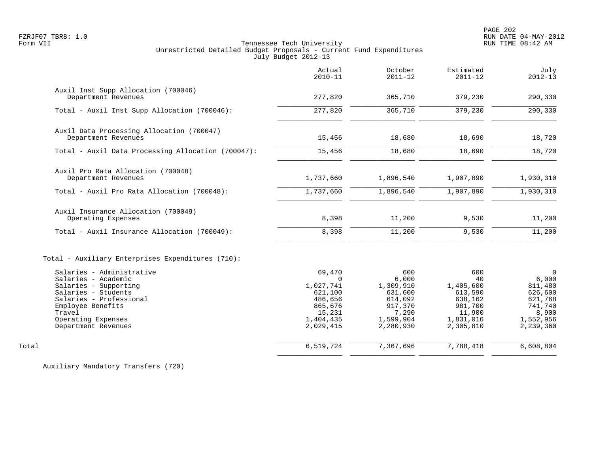PAGE 202 FZRJF07 TBR8: 1.0 RUN DATE 04-MAY-2012

# Form VII Tennessee Tech University RUN TIME 08:42 AM Unrestricted Detailed Budget Proposals - Current Fund Expenditures July Budget 2012-13

|                                                                                                                                                                                                         | Actual<br>$2010 - 11$                                                                                | October<br>$2011 - 12$                                                                        | Estimated<br>$2011 - 12$                                                                    | July<br>$2012 - 13$                                                                              |
|---------------------------------------------------------------------------------------------------------------------------------------------------------------------------------------------------------|------------------------------------------------------------------------------------------------------|-----------------------------------------------------------------------------------------------|---------------------------------------------------------------------------------------------|--------------------------------------------------------------------------------------------------|
| Auxil Inst Supp Allocation (700046)<br>Department Revenues                                                                                                                                              | 277,820                                                                                              | 365,710                                                                                       | 379,230                                                                                     | 290,330                                                                                          |
| Total - Auxil Inst Supp Allocation (700046):                                                                                                                                                            | 277,820                                                                                              | 365,710                                                                                       | 379,230                                                                                     | 290,330                                                                                          |
| Auxil Data Processing Allocation (700047)<br>Department Revenues                                                                                                                                        | 15,456                                                                                               | 18,680                                                                                        | 18,690                                                                                      | 18,720                                                                                           |
| Total - Auxil Data Processing Allocation (700047):                                                                                                                                                      | 15,456                                                                                               | 18,680                                                                                        | 18,690                                                                                      | 18,720                                                                                           |
| Auxil Pro Rata Allocation (700048)<br>Department Revenues                                                                                                                                               | 1,737,660                                                                                            | 1,896,540                                                                                     | 1,907,890                                                                                   | 1,930,310                                                                                        |
| Total - Auxil Pro Rata Allocation (700048):                                                                                                                                                             | 1,737,660                                                                                            | 1,896,540                                                                                     | 1,907,890                                                                                   | 1,930,310                                                                                        |
| Auxil Insurance Allocation (700049)<br>Operating Expenses                                                                                                                                               | 8,398                                                                                                | 11,200                                                                                        | 9,530                                                                                       | 11,200                                                                                           |
| Total - Auxil Insurance Allocation (700049):                                                                                                                                                            | 8,398                                                                                                | 11,200                                                                                        | 9,530                                                                                       | 11,200                                                                                           |
| Total - Auxiliary Enterprises Expenditures (710):                                                                                                                                                       |                                                                                                      |                                                                                               |                                                                                             |                                                                                                  |
| Salaries - Administrative<br>Salaries - Academic<br>Salaries - Supporting<br>Salaries - Students<br>Salaries - Professional<br>Employee Benefits<br>Travel<br>Operating Expenses<br>Department Revenues | 69,470<br>$\Omega$<br>1,027,741<br>621,100<br>486,656<br>865,676<br>15,231<br>1,404,435<br>2,029,415 | 600<br>6,000<br>1,309,910<br>631,600<br>614,092<br>917,370<br>7,290<br>1,599,904<br>2,280,930 | 600<br>40<br>1,405,600<br>613,590<br>638,162<br>981,700<br>11,900<br>1,831,016<br>2,305,810 | $\Omega$<br>6,000<br>811,480<br>626,600<br>621,768<br>741,740<br>8,900<br>1,552,956<br>2,239,360 |
| Total                                                                                                                                                                                                   | 6,519,724                                                                                            | 7,367,696                                                                                     | 7,788,418                                                                                   | 6,608,804                                                                                        |
|                                                                                                                                                                                                         |                                                                                                      |                                                                                               |                                                                                             |                                                                                                  |

Auxiliary Mandatory Transfers (720)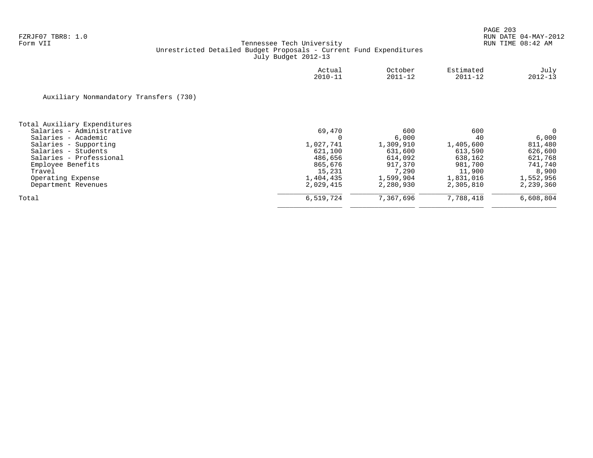|                                        | Actual<br>$2010 - 11$ | October<br>$2011 - 12$ | Estimated<br>$2011 - 12$ | July<br>$2012 - 13$ |
|----------------------------------------|-----------------------|------------------------|--------------------------|---------------------|
| Auxiliary Nonmandatory Transfers (730) |                       |                        |                          |                     |
| Total Auxiliary Expenditures           |                       |                        |                          |                     |
| Salaries - Administrative              | 69,470                | 600                    | 600                      | 0                   |
| Salaries - Academic                    | 0                     | 6,000                  | 40                       | 6,000               |
| Salaries - Supporting                  | 1,027,741             | 1,309,910              | 1,405,600                | 811,480             |
| Salaries - Students                    | 621,100               | 631,600                | 613,590                  | 626,600             |
| Salaries - Professional                | 486,656               | 614,092                | 638,162                  | 621,768             |
| Employee Benefits                      | 865,676               | 917,370                | 981,700                  | 741,740             |
| Travel                                 | 15,231                | 7,290                  | 11,900                   | 8,900               |
| Operating Expense                      | 1,404,435             | 1,599,904              | 1,831,016                | 1,552,956           |
| Department Revenues                    | 2,029,415             | 2,280,930              | 2,305,810                | 2,239,360           |
| Total                                  | 6,519,724             | 7,367,696              | 7,788,418                | 6,608,804           |
|                                        |                       |                        |                          |                     |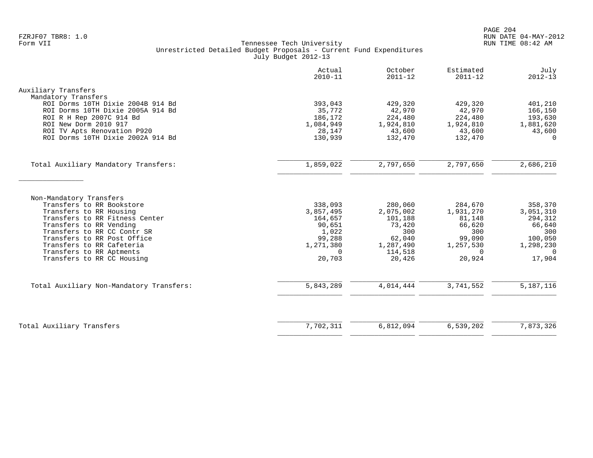|                                                                                               | Actual<br>$2010 - 11$ | October<br>$2011 - 12$ | Estimated<br>$2011 - 12$ | July<br>$2012 - 13$  |
|-----------------------------------------------------------------------------------------------|-----------------------|------------------------|--------------------------|----------------------|
| Auxiliary Transfers                                                                           |                       |                        |                          |                      |
| Mandatory Transfers<br>ROI Dorms 10TH Dixie 2004B 914 Bd<br>ROI Dorms 10TH Dixie 2005A 914 Bd | 393,043<br>35,772     | 429,320<br>42,970      | 429,320<br>42,970        | 401,210<br>166,150   |
| ROI R H Rep 2007C 914 Bd                                                                      | 186,172               | 224,480                | 224,480                  | 193,630              |
| ROI New Dorm 2010 917<br>ROI TV Apts Renovation P920                                          | 1,084,949<br>28,147   | 1,924,810<br>43,600    | 1,924,810<br>43,600      | 1,881,620<br>43,600  |
| ROI Dorms 10TH Dixie 2002A 914 Bd                                                             | 130,939               | 132,470                | 132,470                  | $\Omega$             |
| Total Auxiliary Mandatory Transfers:                                                          | 1,859,022             | 2,797,650              | 2,797,650                | 2,686,210            |
|                                                                                               |                       |                        |                          |                      |
| Non-Mandatory Transfers                                                                       |                       |                        |                          |                      |
| Transfers to RR Bookstore                                                                     | 338,093               | 280,060                | 284,670                  | 358,370              |
| Transfers to RR Housing<br>Transfers to RR Fitness Center                                     | 3,857,495<br>164,657  | 2,075,002<br>101,188   | 1,931,270<br>81,148      | 3,051,310<br>294,312 |
| Transfers to RR Vending                                                                       | 90,651                | 73,420                 | 66,620                   | 66,640               |
| Transfers to RR CC Contr SR                                                                   | 1,022                 | 300                    | 300                      | 300                  |
| Transfers to RR Post Office                                                                   | 99,288                | 62,040                 | 99,090                   | 100,050              |
| Transfers to RR Cafeteria                                                                     | 1,271,380             | 1,287,490              | 1,257,530                | 1,298,230            |
| Transfers to RR Aptments                                                                      | $\Omega$<br>20,703    | 114,518                | $\Omega$<br>20,924       | $\Omega$             |
| Transfers to RR CC Housing                                                                    |                       | 20,426                 |                          | 17,904               |
| Total Auxiliary Non-Mandatory Transfers:                                                      | 5,843,289             | 4,014,444              | 3,741,552                | 5,187,116            |
|                                                                                               |                       |                        |                          |                      |
| Total Auxiliary Transfers                                                                     | 7,702,311             | 6,812,094              | 6,539,202                | 7,873,326            |
|                                                                                               |                       |                        |                          |                      |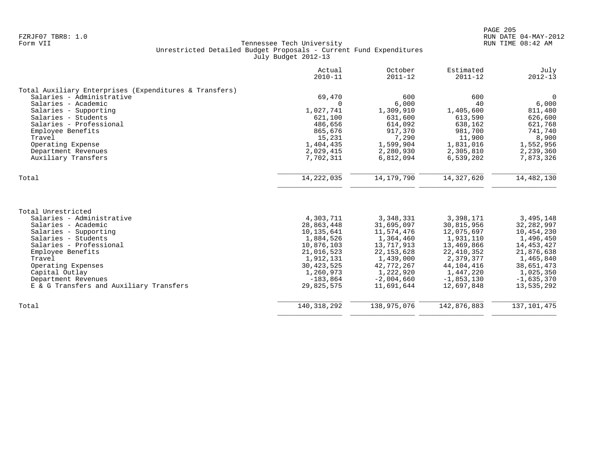|                                                        | Actual<br>$2010 - 11$ | October<br>$2011 - 12$ | Estimated<br>$2011 - 12$ | July<br>$2012 - 13$ |
|--------------------------------------------------------|-----------------------|------------------------|--------------------------|---------------------|
| Total Auxiliary Enterprises (Expenditures & Transfers) |                       |                        |                          |                     |
| Salaries - Administrative                              | 69,470                | 600                    | 600                      | $\Omega$            |
| Salaries - Academic                                    | $\Omega$              | 6,000                  | 40                       | 6,000               |
| Salaries - Supporting                                  | 1,027,741             | 1,309,910              | 1,405,600                | 811,480             |
| Salaries - Students                                    | 621,100               | 631,600                | 613,590                  | 626,600             |
| Salaries - Professional                                | 486,656               | 614,092                | 638,162                  | 621,768             |
| Employee Benefits                                      | 865,676               | 917,370                | 981,700                  | 741,740             |
| Travel                                                 | 15,231                | 7,290                  | 11,900                   | 8,900               |
| Operating Expense                                      | 1,404,435             | 1,599,904              | 1,831,016                | 1,552,956           |
| Department Revenues                                    | 2,029,415             | 2,280,930              | 2,305,810                | 2,239,360           |
| Auxiliary Transfers                                    | 7,702,311             | 6,812,094              | 6,539,202                | 7,873,326           |
| Total                                                  | 14, 222, 035          | 14, 179, 790           | 14,327,620               | 14,482,130          |
|                                                        |                       |                        |                          |                     |
| Total Unrestricted                                     |                       |                        |                          |                     |
| Salaries - Administrative                              | 4,303,711             | 3,348,331              | 3,398,171                | 3,495,148           |
| Salaries - Academic                                    | 28,863,448            | 31,695,097             | 30,815,956               | 32, 282, 997        |
| Salaries - Supporting                                  | 10,135,641            | 11,574,476             | 12,075,697               | 10,454,230          |
| Salaries - Students                                    | 1,884,526             | 1,364,460              | 1,931,110                | 1,496,450           |
| Salaries - Professional                                | 10,876,103            | 13,717,913             | 13,469,866               | 14, 453, 427        |
| Employee Benefits                                      | 21,016,523            | 22, 153, 628           | 22, 410, 352             | 21,876,638          |
| Travel                                                 | 1,912,131             | 1,439,000              | 2,379,377                | 1,465,840           |
| Operating Expenses                                     | 30, 423, 525          | 42,772,267             | 44, 104, 416             | 38,651,473          |
| Capital Outlay                                         | 1,260,973             | 1,222,920              | 1,447,220                | 1,025,350           |
| Department Revenues                                    | $-183,864$            | $-2,004,660$           | $-1,853,130$             | $-1,635,370$        |
| E & G Transfers and Auxiliary Transfers                | 29,825,575            | 11,691,644             | 12,697,848               | 13,535,292          |
| Total                                                  | 140, 318, 292         | 138,975,076            | 142,876,883              | 137, 101, 475       |
|                                                        |                       |                        |                          |                     |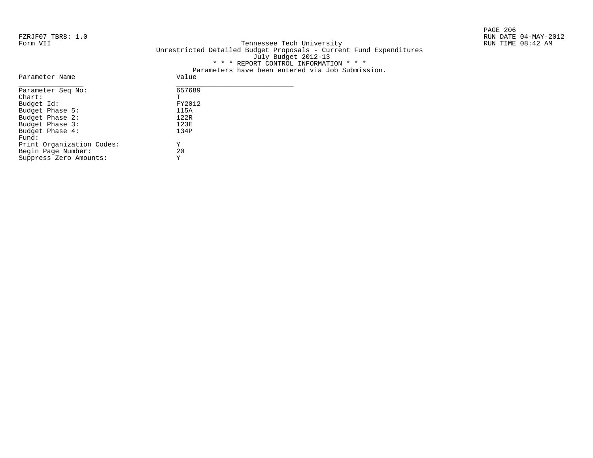PAGE 206

# FZRJF07 TBR8: 1.0 RUN DATE 04-MAY-2012 Tennessee Tech University Unrestricted Detailed Budget Proposals - Current Fund Expenditures July Budget 2012-13 \* \* \* REPORT CONTROL INFORMATION \* \* \* Parameters have been entered via Job Submission.

| Parameter Name            | Value  |
|---------------------------|--------|
| Parameter Seq No:         | 657689 |
| $chart$ :                 | т      |
| Budget Id:                | FY2012 |
| Budget Phase 5:           | 115A   |
| Budget Phase 2:           | 122R   |
| Budget Phase 3:           | 123E   |
| Budget Phase 4:           | 134P   |
| Fund:                     |        |
| Print Organization Codes: | Υ      |
| Begin Page Number:        | 20     |
| Suppress Zero Amounts:    | Υ      |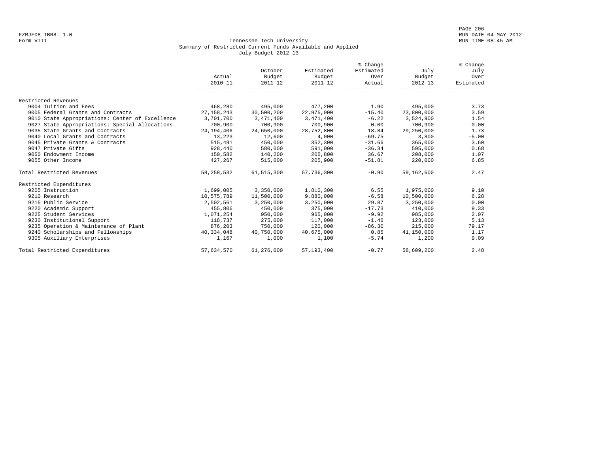#### Form VIII Tennessee Tech University RUN TIME 08:45 AM Summary of Restricted Current Funds Available and Applied July Budget 2012-13

|                                                 |              |             |              | % Change  |             | % Change  |
|-------------------------------------------------|--------------|-------------|--------------|-----------|-------------|-----------|
|                                                 |              | October     | Estimated    | Estimated | July        | July      |
|                                                 | Actual       | Budget      | Budget       | Over      | Budget      | Over      |
|                                                 | $2010 - 11$  | $2011 - 12$ | $2011 - 12$  | Actual    | $2012 - 13$ | Estimated |
|                                                 | -----------  |             |              |           |             |           |
| Restricted Revenues                             |              |             |              |           |             |           |
| 9004 Tuition and Fees                           | 468,280      | 495,000     | 477,200      | 1.90      | 495,000     | 3.73      |
| 9005 Federal Grants and Contracts               | 27, 158, 243 | 30,500,200  | 22,975,000   | $-15.40$  | 23,800,000  | 3.59      |
| 9010 State Appropriations: Center of Excellence | 3,701,700    | 3,471,400   | 3,471,400    | $-6.22$   | 3,524,900   | 1.54      |
| 9027 State Appropriations: Special Allocations  | 700,900      | 700,900     | 700,900      | 0.00      | 700,900     | 0.00      |
| 9035 State Grants and Contracts                 | 24,194,406   | 24,650,000  | 28,752,800   | 18.84     | 29,250,000  | 1.73      |
| 9040 Local Grants and Contracts                 | 13,223       | 12,600      | 4,000        | $-69.75$  | 3,800       | $-5.00$   |
| 9045 Private Grants & Contracts                 | 515,491      | 450,000     | 352,300      | $-31.66$  | 365,000     | 3.60      |
| 9047 Private Gifts                              | 928,440      | 580,000     | 591,000      | $-36.34$  | 595,000     | 0.68      |
| 9050 Endowment Income                           | 150,582      | 140,200     | 205,800      | 36.67     | 208,000     | 1.07      |
| 9055 Other Income                               | 427,267      | 515,000     | 205,900      | $-51.81$  | 220,000     | 6.85      |
| Total Restricted Revenues                       | 58,258,532   | 61,515,300  | 57,736,300   | $-0.90$   | 59,162,600  | 2.47      |
| Restricted Expenditures                         |              |             |              |           |             |           |
| 9205 Instruction                                | 1,699,005    | 3,350,000   | 1,810,300    | 6.55      | 1,975,000   | 9.10      |
| 9210 Research                                   | 10,575,789   | 11,500,000  | 9,880,000    | $-6.58$   | 10,500,000  | 6.28      |
| 9215 Public Service                             | 2,502,561    | 3,250,000   | 3,250,000    | 29.87     | 3,250,000   | 0.00      |
| 9220 Academic Support                           | 455,806      | 450,000     | 375,000      | $-17.73$  | 410,000     | 9.33      |
| 9225 Student Services                           | 1,071,254    | 950,000     | 965,000      | $-9.92$   | 985,000     | 2.07      |
| 9230 Institutional Support                      | 118,737      | 275,000     | 117,000      | $-1.46$   | 123,000     | 5.13      |
| 9235 Operation & Maintenance of Plant           | 876,203      | 750,000     | 120,000      | $-86.30$  | 215,000     | 79.17     |
| 9240 Scholarships and Fellowships               | 40,334,048   | 40,750,000  | 40,675,000   | 0.85      | 41,150,000  | 1.17      |
| 9305 Auxiliary Enterprises                      | 1,167        | 1,000       | 1,100        | $-5.74$   | 1,200       | 9.09      |
| Total Restricted Expenditures                   | 57,634,570   | 61,276,000  | 57, 193, 400 | $-0.77$   | 58,609,200  | 2.48      |